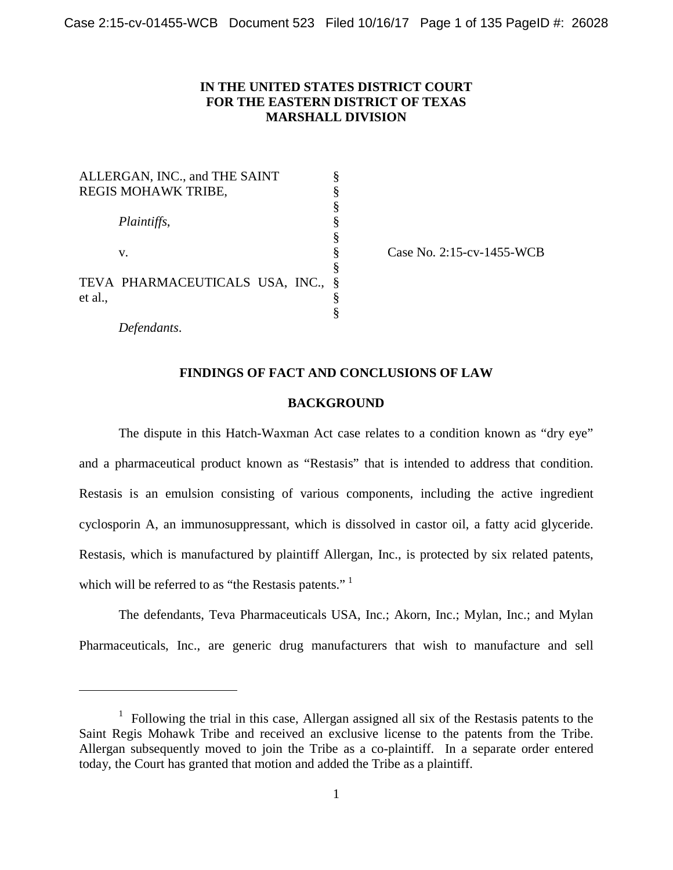# **IN THE UNITED STATES DISTRICT COURT FOR THE EASTERN DISTRICT OF TEXAS MARSHALL DIVISION**

| ALLERGAN, INC., and THE SAINT   |      |  |  |  |
|---------------------------------|------|--|--|--|
| REGIS MOHAWK TRIBE,             |      |  |  |  |
|                                 | §    |  |  |  |
| Plaintiffs,                     |      |  |  |  |
|                                 | Ş    |  |  |  |
| V.                              | Ş    |  |  |  |
|                                 | §    |  |  |  |
| TEVA PHARMACEUTICALS USA, INC., | $\S$ |  |  |  |
| et al.,                         |      |  |  |  |
|                                 |      |  |  |  |

Case No. 2:15-cv-1455-WCB

*Defendants*.

l

# **FINDINGS OF FACT AND CONCLUSIONS OF LAW**

#### **BACKGROUND**

The dispute in this Hatch-Waxman Act case relates to a condition known as "dry eye" and a pharmaceutical product known as "Restasis" that is intended to address that condition. Restasis is an emulsion consisting of various components, including the active ingredient cyclosporin A, an immunosuppressant, which is dissolved in castor oil, a fatty acid glyceride. Restasis, which is manufactured by plaintiff Allergan, Inc., is protected by six related patents, which will be referred to as "the Restasis patents."

The defendants, Teva Pharmaceuticals USA, Inc.; Akorn, Inc.; Mylan, Inc.; and Mylan Pharmaceuticals, Inc., are generic drug manufacturers that wish to manufacture and sell

<sup>&</sup>lt;sup>1</sup> Following the trial in this case, Allergan assigned all six of the Restasis patents to the Saint Regis Mohawk Tribe and received an exclusive license to the patents from the Tribe. Allergan subsequently moved to join the Tribe as a co-plaintiff. In a separate order entered today, the Court has granted that motion and added the Tribe as a plaintiff.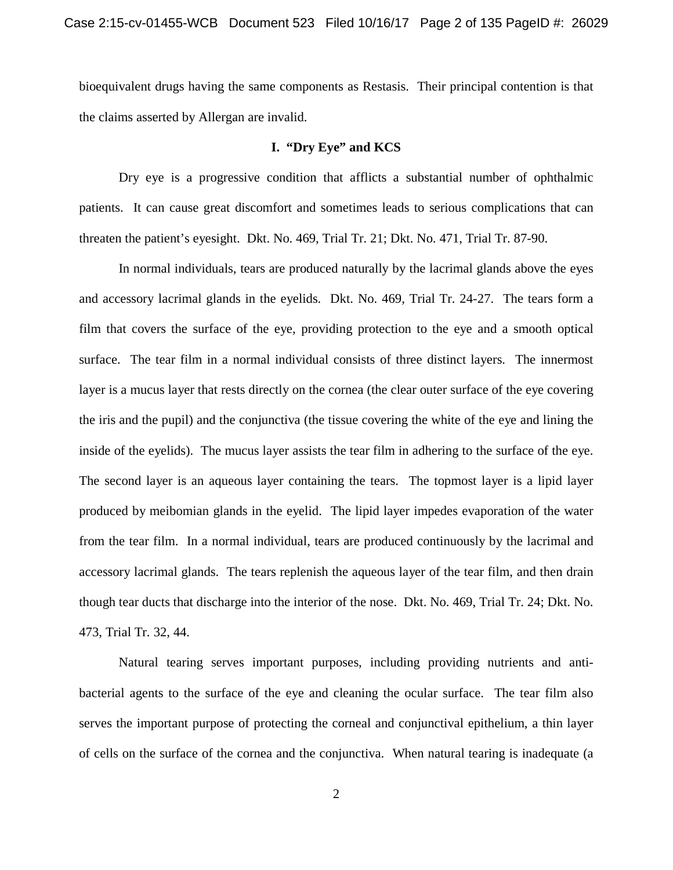bioequivalent drugs having the same components as Restasis. Their principal contention is that the claims asserted by Allergan are invalid.

# **I. "Dry Eye" and KCS**

Dry eye is a progressive condition that afflicts a substantial number of ophthalmic patients. It can cause great discomfort and sometimes leads to serious complications that can threaten the patient's eyesight. Dkt. No. 469, Trial Tr. 21; Dkt. No. 471, Trial Tr. 87-90.

In normal individuals, tears are produced naturally by the lacrimal glands above the eyes and accessory lacrimal glands in the eyelids. Dkt. No. 469, Trial Tr. 24-27. The tears form a film that covers the surface of the eye, providing protection to the eye and a smooth optical surface. The tear film in a normal individual consists of three distinct layers. The innermost layer is a mucus layer that rests directly on the cornea (the clear outer surface of the eye covering the iris and the pupil) and the conjunctiva (the tissue covering the white of the eye and lining the inside of the eyelids). The mucus layer assists the tear film in adhering to the surface of the eye. The second layer is an aqueous layer containing the tears. The topmost layer is a lipid layer produced by meibomian glands in the eyelid. The lipid layer impedes evaporation of the water from the tear film. In a normal individual, tears are produced continuously by the lacrimal and accessory lacrimal glands. The tears replenish the aqueous layer of the tear film, and then drain though tear ducts that discharge into the interior of the nose. Dkt. No. 469, Trial Tr. 24; Dkt. No. 473, Trial Tr. 32, 44.

Natural tearing serves important purposes, including providing nutrients and antibacterial agents to the surface of the eye and cleaning the ocular surface. The tear film also serves the important purpose of protecting the corneal and conjunctival epithelium, a thin layer of cells on the surface of the cornea and the conjunctiva. When natural tearing is inadequate (a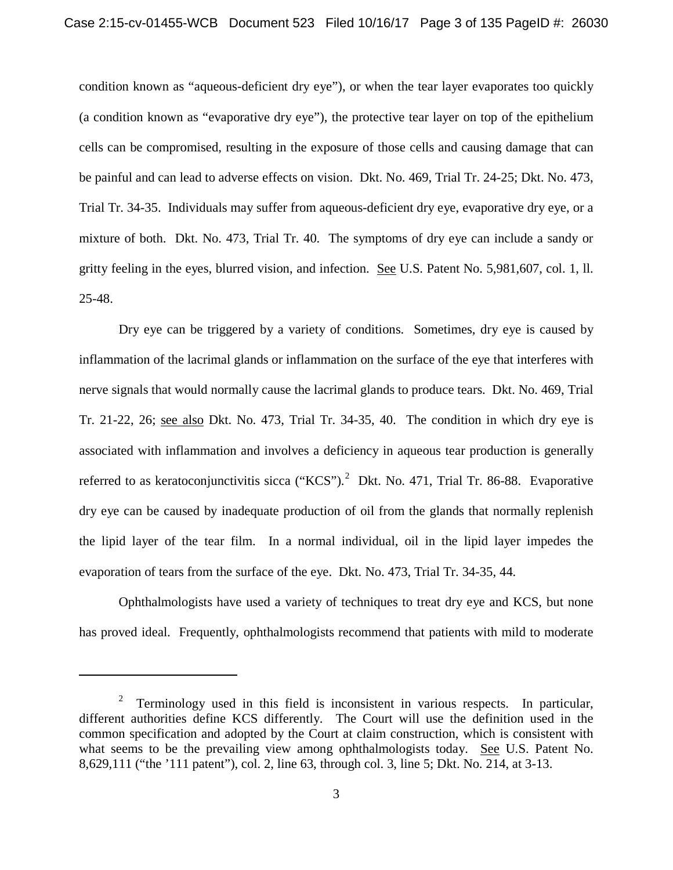condition known as "aqueous-deficient dry eye"), or when the tear layer evaporates too quickly (a condition known as "evaporative dry eye"), the protective tear layer on top of the epithelium cells can be compromised, resulting in the exposure of those cells and causing damage that can be painful and can lead to adverse effects on vision. Dkt. No. 469, Trial Tr. 24-25; Dkt. No. 473, Trial Tr. 34-35. Individuals may suffer from aqueous-deficient dry eye, evaporative dry eye, or a mixture of both. Dkt. No. 473, Trial Tr. 40. The symptoms of dry eye can include a sandy or gritty feeling in the eyes, blurred vision, and infection. See U.S. Patent No. 5,981,607, col. 1, ll. 25-48.

Dry eye can be triggered by a variety of conditions. Sometimes, dry eye is caused by inflammation of the lacrimal glands or inflammation on the surface of the eye that interferes with nerve signals that would normally cause the lacrimal glands to produce tears. Dkt. No. 469, Trial Tr. 21-22, 26; see also Dkt. No. 473, Trial Tr. 34-35, 40. The condition in which dry eye is associated with inflammation and involves a deficiency in aqueous tear production is generally referred to as keratoconjunctivitis sicca ("KCS").<sup>2</sup> Dkt. No. 471, Trial Tr. 86-88. Evaporative dry eye can be caused by inadequate production of oil from the glands that normally replenish the lipid layer of the tear film. In a normal individual, oil in the lipid layer impedes the evaporation of tears from the surface of the eye. Dkt. No. 473, Trial Tr. 34-35, 44.

Ophthalmologists have used a variety of techniques to treat dry eye and KCS, but none has proved ideal. Frequently, ophthalmologists recommend that patients with mild to moderate

 $\overline{\phantom{a}}$ 

<sup>&</sup>lt;sup>2</sup> Terminology used in this field is inconsistent in various respects. In particular, different authorities define KCS differently. The Court will use the definition used in the common specification and adopted by the Court at claim construction, which is consistent with what seems to be the prevailing view among ophthalmologists today. See U.S. Patent No. 8,629,111 ("the '111 patent"), col. 2, line 63, through col. 3, line 5; Dkt. No. 214, at 3-13.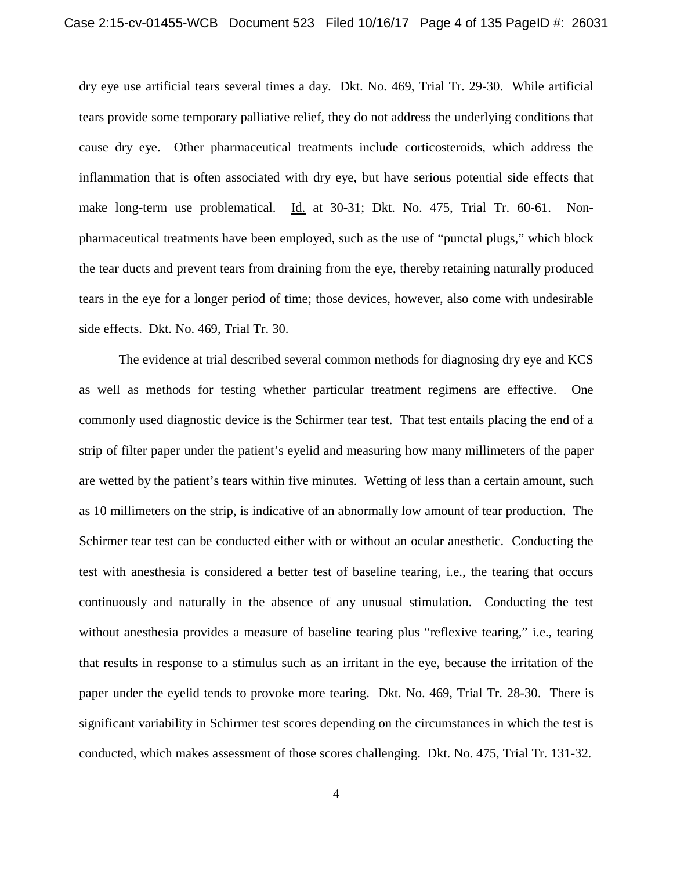dry eye use artificial tears several times a day. Dkt. No. 469, Trial Tr. 29-30. While artificial tears provide some temporary palliative relief, they do not address the underlying conditions that cause dry eye. Other pharmaceutical treatments include corticosteroids, which address the inflammation that is often associated with dry eye, but have serious potential side effects that make long-term use problematical. Id. at 30-31; Dkt. No. 475, Trial Tr. 60-61. Nonpharmaceutical treatments have been employed, such as the use of "punctal plugs," which block the tear ducts and prevent tears from draining from the eye, thereby retaining naturally produced tears in the eye for a longer period of time; those devices, however, also come with undesirable side effects. Dkt. No. 469, Trial Tr. 30.

The evidence at trial described several common methods for diagnosing dry eye and KCS as well as methods for testing whether particular treatment regimens are effective. One commonly used diagnostic device is the Schirmer tear test. That test entails placing the end of a strip of filter paper under the patient's eyelid and measuring how many millimeters of the paper are wetted by the patient's tears within five minutes. Wetting of less than a certain amount, such as 10 millimeters on the strip, is indicative of an abnormally low amount of tear production. The Schirmer tear test can be conducted either with or without an ocular anesthetic. Conducting the test with anesthesia is considered a better test of baseline tearing, i.e., the tearing that occurs continuously and naturally in the absence of any unusual stimulation. Conducting the test without anesthesia provides a measure of baseline tearing plus "reflexive tearing," i.e., tearing that results in response to a stimulus such as an irritant in the eye, because the irritation of the paper under the eyelid tends to provoke more tearing. Dkt. No. 469, Trial Tr. 28-30. There is significant variability in Schirmer test scores depending on the circumstances in which the test is conducted, which makes assessment of those scores challenging. Dkt. No. 475, Trial Tr. 131-32.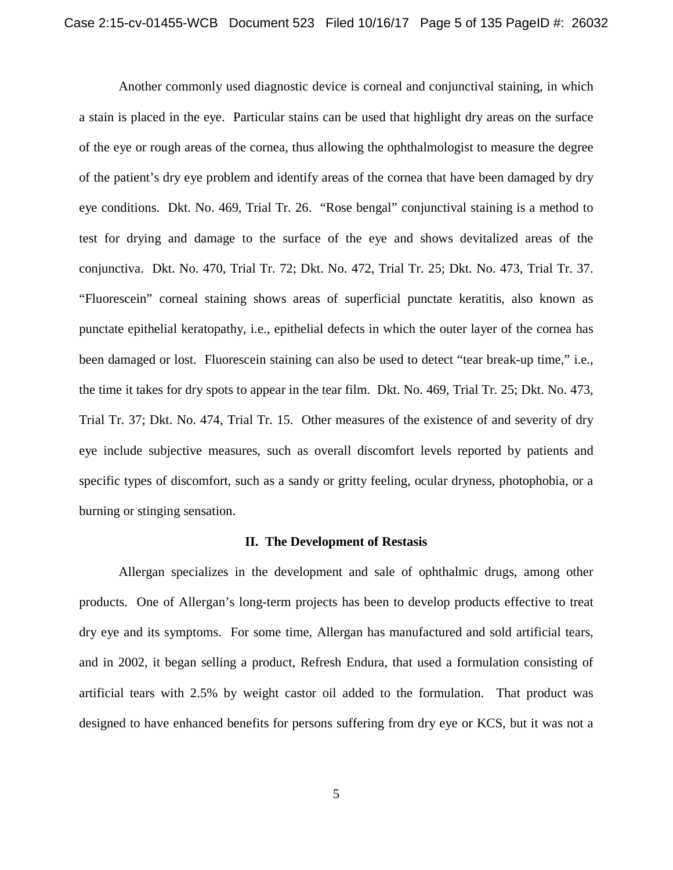Another commonly used diagnostic device is corneal and conjunctival staining, in which a stain is placed in the eye. Particular stains can be used that highlight dry areas on the surface of the eye or rough areas of the cornea, thus allowing the ophthalmologist to measure the degree of the patient's dry eye problem and identify areas of the cornea that have been damaged by dry eye conditions. Dkt. No. 469, Trial Tr. 26. "Rose bengal" conjunctival staining is a method to test for drying and damage to the surface of the eye and shows devitalized areas of the conjunctiva. Dkt. No. 470, Trial Tr. 72; Dkt. No. 472, Trial Tr. 25; Dkt. No. 473, Trial Tr. 37. "Fluorescein" corneal staining shows areas of superficial punctate keratitis, also known as punctate epithelial keratopathy, i.e., epithelial defects in which the outer layer of the cornea has been damaged or lost. Fluorescein staining can also be used to detect "tear break-up time," i.e., the time it takes for dry spots to appear in the tear film. Dkt. No. 469, Trial Tr. 25; Dkt. No. 473, Trial Tr. 37; Dkt. No. 474, Trial Tr. 15. Other measures of the existence of and severity of dry eye include subjective measures, such as overall discomfort levels reported by patients and specific types of discomfort, such as a sandy or gritty feeling, ocular dryness, photophobia, or a burning or stinging sensation.

#### **II. The Development of Restasis**

Allergan specializes in the development and sale of ophthalmic drugs, among other products. One of Allergan's long-term projects has been to develop products effective to treat dry eye and its symptoms. For some time, Allergan has manufactured and sold artificial tears, and in 2002, it began selling a product, Refresh Endura, that used a formulation consisting of artificial tears with 2.5% by weight castor oil added to the formulation. That product was designed to have enhanced benefits for persons suffering from dry eye or KCS, but it was not a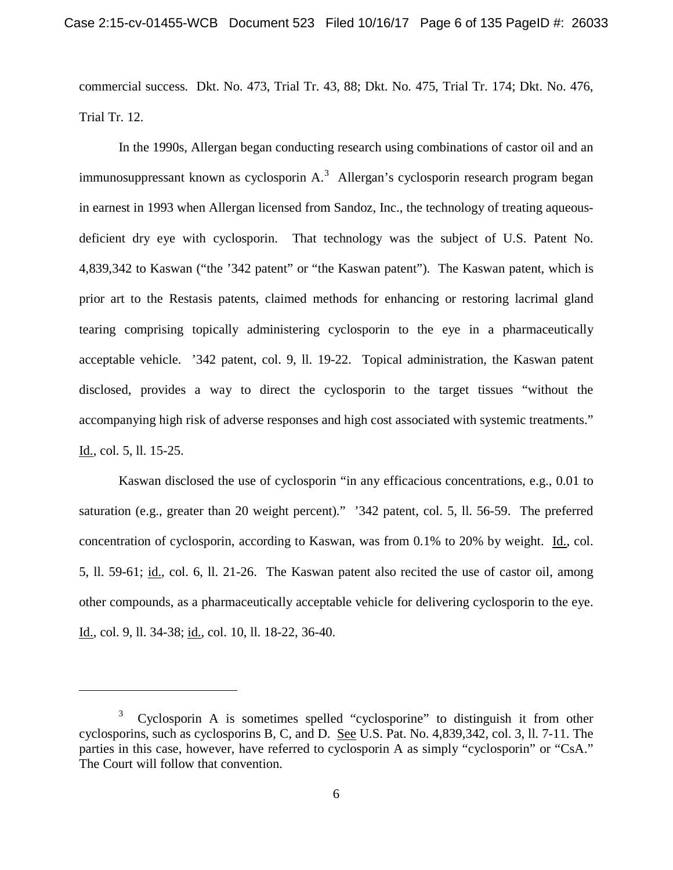commercial success. Dkt. No. 473, Trial Tr. 43, 88; Dkt. No. 475, Trial Tr. 174; Dkt. No. 476, Trial Tr. 12.

In the 1990s, Allergan began conducting research using combinations of castor oil and an immunosuppressant known as cyclosporin  $A$ .<sup>3</sup> Allergan's cyclosporin research program began in earnest in 1993 when Allergan licensed from Sandoz, Inc., the technology of treating aqueousdeficient dry eye with cyclosporin. That technology was the subject of U.S. Patent No. 4,839,342 to Kaswan ("the '342 patent" or "the Kaswan patent"). The Kaswan patent, which is prior art to the Restasis patents, claimed methods for enhancing or restoring lacrimal gland tearing comprising topically administering cyclosporin to the eye in a pharmaceutically acceptable vehicle. '342 patent, col. 9, ll. 19-22. Topical administration, the Kaswan patent disclosed, provides a way to direct the cyclosporin to the target tissues "without the accompanying high risk of adverse responses and high cost associated with systemic treatments." Id., col. 5, ll. 15-25.

Kaswan disclosed the use of cyclosporin "in any efficacious concentrations, e.g., 0.01 to saturation (e.g., greater than 20 weight percent)." '342 patent, col. 5, ll. 56-59. The preferred concentration of cyclosporin, according to Kaswan, was from 0.1% to 20% by weight. Id., col. 5, ll. 59-61; id., col. 6, ll. 21-26. The Kaswan patent also recited the use of castor oil, among other compounds, as a pharmaceutically acceptable vehicle for delivering cyclosporin to the eye. Id., col. 9, ll. 34-38; id., col. 10, ll. 18-22, 36-40.

l

<sup>&</sup>lt;sup>3</sup> Cyclosporin A is sometimes spelled "cyclosporine" to distinguish it from other cyclosporins, such as cyclosporins B, C, and D. See U.S. Pat. No. 4,839,342, col. 3, ll. 7-11. The parties in this case, however, have referred to cyclosporin A as simply "cyclosporin" or "CsA." The Court will follow that convention.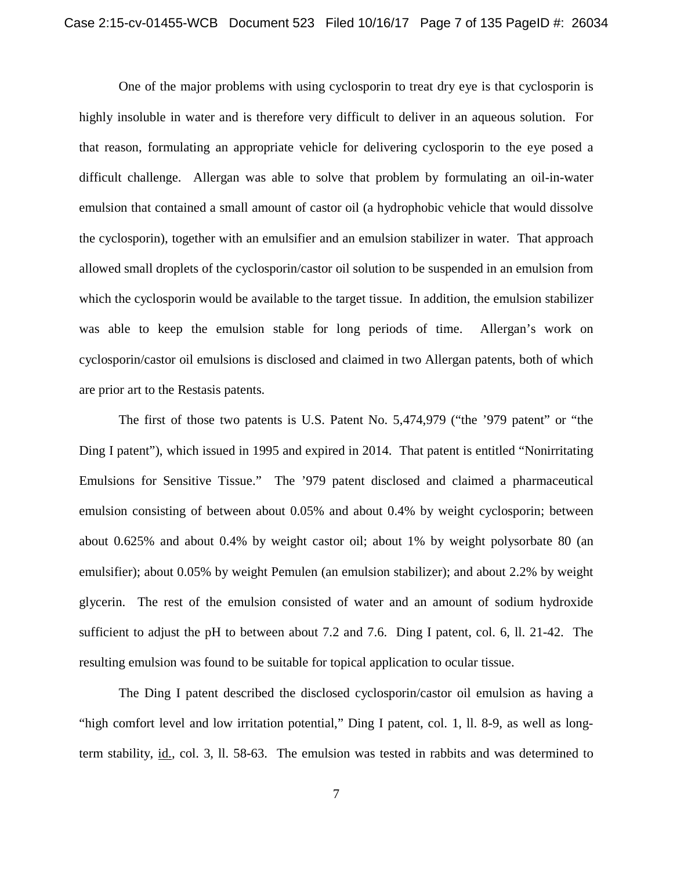One of the major problems with using cyclosporin to treat dry eye is that cyclosporin is highly insoluble in water and is therefore very difficult to deliver in an aqueous solution. For that reason, formulating an appropriate vehicle for delivering cyclosporin to the eye posed a difficult challenge. Allergan was able to solve that problem by formulating an oil-in-water emulsion that contained a small amount of castor oil (a hydrophobic vehicle that would dissolve the cyclosporin), together with an emulsifier and an emulsion stabilizer in water. That approach allowed small droplets of the cyclosporin/castor oil solution to be suspended in an emulsion from which the cyclosporin would be available to the target tissue. In addition, the emulsion stabilizer was able to keep the emulsion stable for long periods of time. Allergan's work on cyclosporin/castor oil emulsions is disclosed and claimed in two Allergan patents, both of which are prior art to the Restasis patents.

The first of those two patents is U.S. Patent No. 5,474,979 ("the '979 patent" or "the Ding I patent"), which issued in 1995 and expired in 2014. That patent is entitled "Nonirritating Emulsions for Sensitive Tissue." The '979 patent disclosed and claimed a pharmaceutical emulsion consisting of between about 0.05% and about 0.4% by weight cyclosporin; between about 0.625% and about 0.4% by weight castor oil; about 1% by weight polysorbate 80 (an emulsifier); about 0.05% by weight Pemulen (an emulsion stabilizer); and about 2.2% by weight glycerin. The rest of the emulsion consisted of water and an amount of sodium hydroxide sufficient to adjust the pH to between about 7.2 and 7.6. Ding I patent, col. 6, ll. 21-42. The resulting emulsion was found to be suitable for topical application to ocular tissue.

The Ding I patent described the disclosed cyclosporin/castor oil emulsion as having a "high comfort level and low irritation potential," Ding I patent, col. 1, ll. 8-9, as well as longterm stability, id., col. 3, ll. 58-63. The emulsion was tested in rabbits and was determined to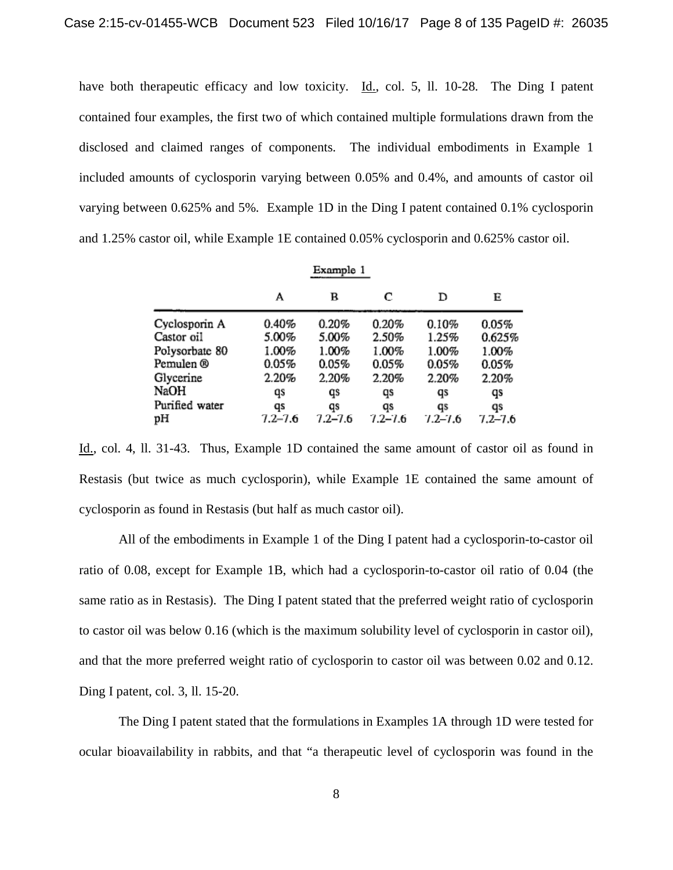have both therapeutic efficacy and low toxicity. Id., col. 5, ll. 10-28. The Ding I patent contained four examples, the first two of which contained multiple formulations drawn from the disclosed and claimed ranges of components. The individual embodiments in Example 1 included amounts of cyclosporin varying between 0.05% and 0.4%, and amounts of castor oil varying between 0.625% and 5%. Example 1D in the Ding I patent contained 0.1% cyclosporin and 1.25% castor oil, while Example 1E contained 0.05% cyclosporin and 0.625% castor oil.

| Example 1      |             |         |             |             |             |  |
|----------------|-------------|---------|-------------|-------------|-------------|--|
|                | А           | в       | с           | D           | E           |  |
| Cyclosporin A  | 0.40%       | 0.20%   | 0.20%       | 0.10%       | 0.05%       |  |
| Castor oil     | 5.00%       | 5.00%   | 2.50%       | 1.25%       | 0.625%      |  |
| Polysorbate 80 | 1.00%       | 1.00%   | 1.00%       | 1.00%       | 1.00%       |  |
| Pemulen ®      | 0.05%       | 0.05%   | 0.05%       | $0.05\%$    | 0.05%       |  |
| Glycerine      | 2.20%       | 2.20%   | 2.20%       | 2.20%       | 2.20%       |  |
| NaOH           | qs          | qs      | qs          | qs          | qs          |  |
| Purified water | qs          | qs      | qs          | qs          | qs          |  |
| pН             | $7.2 - 7.6$ | 7.2–7.6 | $7.2 - 7.6$ | $7.2 - 7.6$ | $7.2 - 7.6$ |  |

Id., col. 4, ll. 31-43. Thus, Example 1D contained the same amount of castor oil as found in Restasis (but twice as much cyclosporin), while Example 1E contained the same amount of cyclosporin as found in Restasis (but half as much castor oil).

All of the embodiments in Example 1 of the Ding I patent had a cyclosporin-to-castor oil ratio of 0.08, except for Example 1B, which had a cyclosporin-to-castor oil ratio of 0.04 (the same ratio as in Restasis). The Ding I patent stated that the preferred weight ratio of cyclosporin to castor oil was below 0.16 (which is the maximum solubility level of cyclosporin in castor oil), and that the more preferred weight ratio of cyclosporin to castor oil was between 0.02 and 0.12. Ding I patent, col. 3, ll. 15-20.

The Ding I patent stated that the formulations in Examples 1A through 1D were tested for ocular bioavailability in rabbits, and that "a therapeutic level of cyclosporin was found in the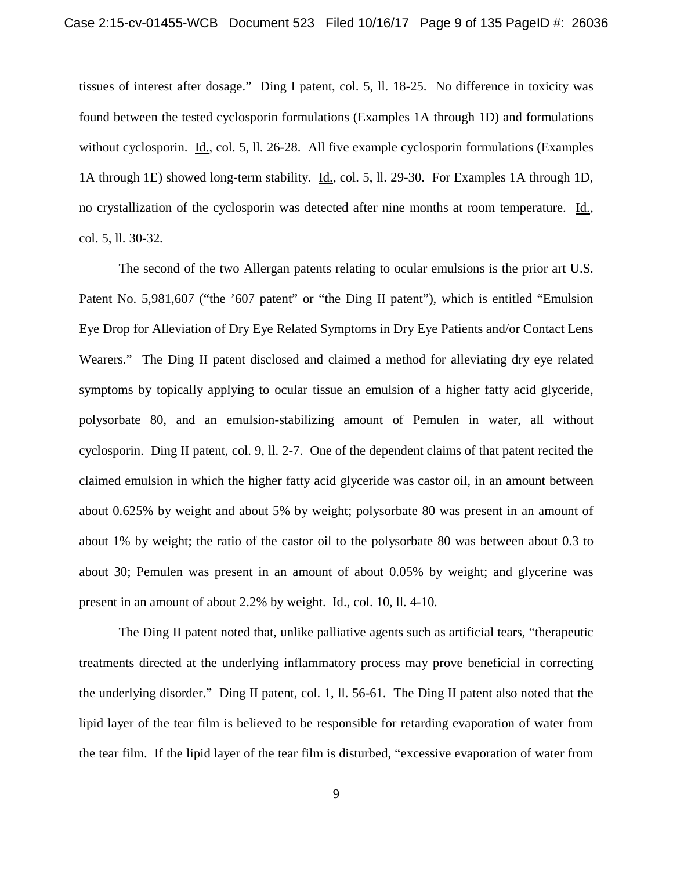tissues of interest after dosage." Ding I patent, col. 5, ll. 18-25. No difference in toxicity was found between the tested cyclosporin formulations (Examples 1A through 1D) and formulations without cyclosporin. Id., col. 5, ll. 26-28. All five example cyclosporin formulations (Examples 1A through 1E) showed long-term stability. Id., col. 5, ll. 29-30. For Examples 1A through 1D, no crystallization of the cyclosporin was detected after nine months at room temperature. Id., col. 5, ll. 30-32.

The second of the two Allergan patents relating to ocular emulsions is the prior art U.S. Patent No. 5,981,607 ("the '607 patent" or "the Ding II patent"), which is entitled "Emulsion Eye Drop for Alleviation of Dry Eye Related Symptoms in Dry Eye Patients and/or Contact Lens Wearers." The Ding II patent disclosed and claimed a method for alleviating dry eye related symptoms by topically applying to ocular tissue an emulsion of a higher fatty acid glyceride, polysorbate 80, and an emulsion-stabilizing amount of Pemulen in water, all without cyclosporin. Ding II patent, col. 9, ll. 2-7. One of the dependent claims of that patent recited the claimed emulsion in which the higher fatty acid glyceride was castor oil, in an amount between about 0.625% by weight and about 5% by weight; polysorbate 80 was present in an amount of about 1% by weight; the ratio of the castor oil to the polysorbate 80 was between about 0.3 to about 30; Pemulen was present in an amount of about 0.05% by weight; and glycerine was present in an amount of about 2.2% by weight. Id., col. 10, ll. 4-10.

The Ding II patent noted that, unlike palliative agents such as artificial tears, "therapeutic treatments directed at the underlying inflammatory process may prove beneficial in correcting the underlying disorder." Ding II patent, col. 1, ll. 56-61. The Ding II patent also noted that the lipid layer of the tear film is believed to be responsible for retarding evaporation of water from the tear film. If the lipid layer of the tear film is disturbed, "excessive evaporation of water from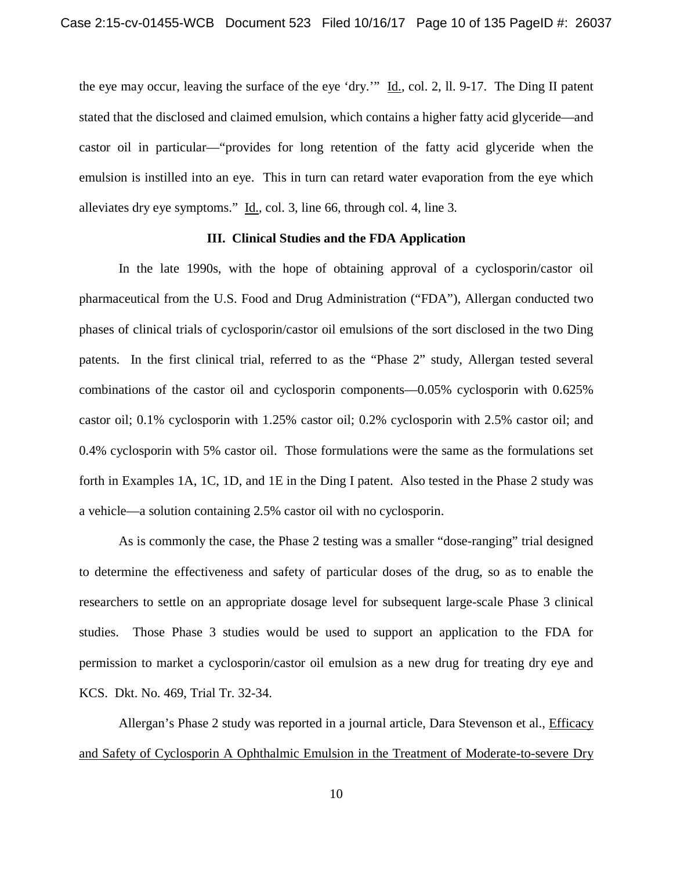the eye may occur, leaving the surface of the eye 'dry.'" Id., col. 2, ll. 9-17. The Ding II patent stated that the disclosed and claimed emulsion, which contains a higher fatty acid glyceride—and castor oil in particular—"provides for long retention of the fatty acid glyceride when the emulsion is instilled into an eye. This in turn can retard water evaporation from the eye which alleviates dry eye symptoms." Id., col. 3, line 66, through col. 4, line 3.

# **III. Clinical Studies and the FDA Application**

In the late 1990s, with the hope of obtaining approval of a cyclosporin/castor oil pharmaceutical from the U.S. Food and Drug Administration ("FDA"), Allergan conducted two phases of clinical trials of cyclosporin/castor oil emulsions of the sort disclosed in the two Ding patents. In the first clinical trial, referred to as the "Phase 2" study, Allergan tested several combinations of the castor oil and cyclosporin components—0.05% cyclosporin with 0.625% castor oil; 0.1% cyclosporin with 1.25% castor oil; 0.2% cyclosporin with 2.5% castor oil; and 0.4% cyclosporin with 5% castor oil. Those formulations were the same as the formulations set forth in Examples 1A, 1C, 1D, and 1E in the Ding I patent. Also tested in the Phase 2 study was a vehicle—a solution containing 2.5% castor oil with no cyclosporin.

As is commonly the case, the Phase 2 testing was a smaller "dose-ranging" trial designed to determine the effectiveness and safety of particular doses of the drug, so as to enable the researchers to settle on an appropriate dosage level for subsequent large-scale Phase 3 clinical studies. Those Phase 3 studies would be used to support an application to the FDA for permission to market a cyclosporin/castor oil emulsion as a new drug for treating dry eye and KCS. Dkt. No. 469, Trial Tr. 32-34.

Allergan's Phase 2 study was reported in a journal article, Dara Stevenson et al., Efficacy and Safety of Cyclosporin A Ophthalmic Emulsion in the Treatment of Moderate-to-severe Dry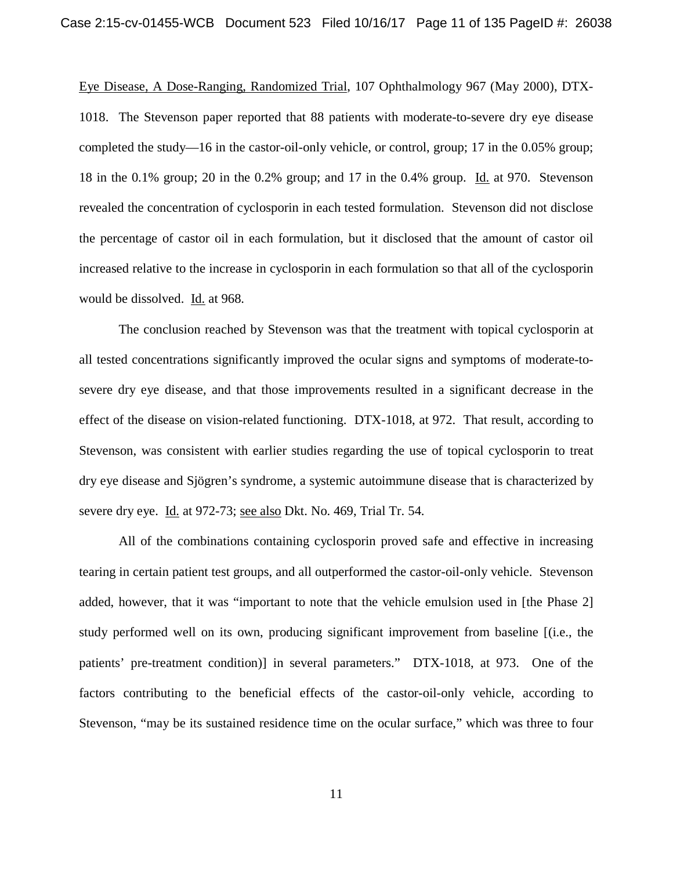Eye Disease, A Dose-Ranging, Randomized Trial, 107 Ophthalmology 967 (May 2000), DTX-1018. The Stevenson paper reported that 88 patients with moderate-to-severe dry eye disease completed the study—16 in the castor-oil-only vehicle, or control, group; 17 in the 0.05% group; 18 in the 0.1% group; 20 in the 0.2% group; and 17 in the 0.4% group. Id. at 970. Stevenson revealed the concentration of cyclosporin in each tested formulation. Stevenson did not disclose the percentage of castor oil in each formulation, but it disclosed that the amount of castor oil increased relative to the increase in cyclosporin in each formulation so that all of the cyclosporin would be dissolved. Id. at 968.

The conclusion reached by Stevenson was that the treatment with topical cyclosporin at all tested concentrations significantly improved the ocular signs and symptoms of moderate-tosevere dry eye disease, and that those improvements resulted in a significant decrease in the effect of the disease on vision-related functioning. DTX-1018, at 972. That result, according to Stevenson, was consistent with earlier studies regarding the use of topical cyclosporin to treat dry eye disease and Sjögren's syndrome, a systemic autoimmune disease that is characterized by severe dry eye. Id. at 972-73; see also Dkt. No. 469, Trial Tr. 54.

All of the combinations containing cyclosporin proved safe and effective in increasing tearing in certain patient test groups, and all outperformed the castor-oil-only vehicle. Stevenson added, however, that it was "important to note that the vehicle emulsion used in [the Phase 2] study performed well on its own, producing significant improvement from baseline [(i.e., the patients' pre-treatment condition)] in several parameters." DTX-1018, at 973. One of the factors contributing to the beneficial effects of the castor-oil-only vehicle, according to Stevenson, "may be its sustained residence time on the ocular surface," which was three to four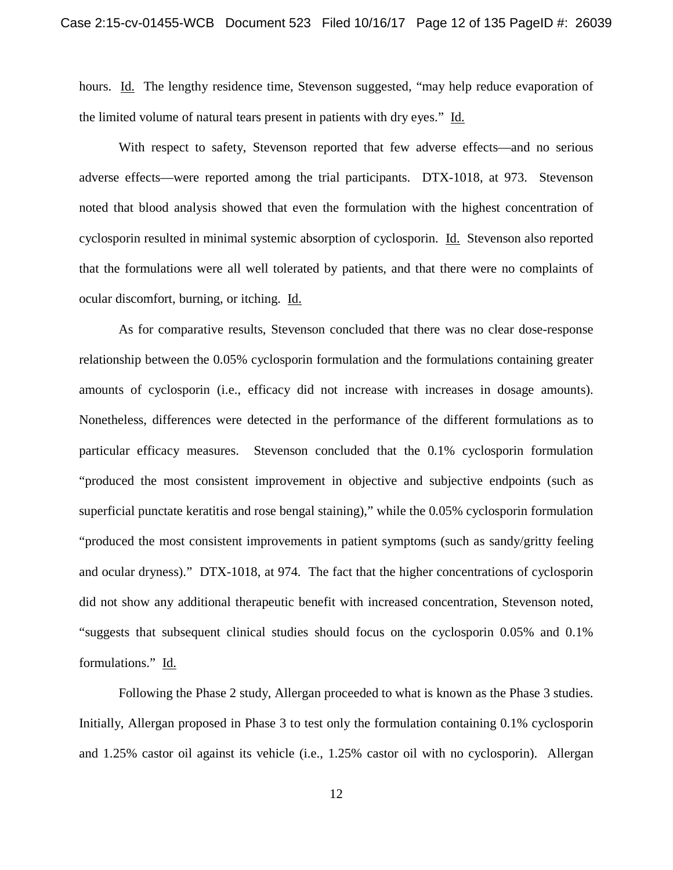hours. Id. The lengthy residence time, Stevenson suggested, "may help reduce evaporation of the limited volume of natural tears present in patients with dry eyes." Id.

With respect to safety, Stevenson reported that few adverse effects—and no serious adverse effects—were reported among the trial participants. DTX-1018, at 973. Stevenson noted that blood analysis showed that even the formulation with the highest concentration of cyclosporin resulted in minimal systemic absorption of cyclosporin. Id. Stevenson also reported that the formulations were all well tolerated by patients, and that there were no complaints of ocular discomfort, burning, or itching. Id.

As for comparative results, Stevenson concluded that there was no clear dose-response relationship between the 0.05% cyclosporin formulation and the formulations containing greater amounts of cyclosporin (i.e., efficacy did not increase with increases in dosage amounts). Nonetheless, differences were detected in the performance of the different formulations as to particular efficacy measures. Stevenson concluded that the 0.1% cyclosporin formulation "produced the most consistent improvement in objective and subjective endpoints (such as superficial punctate keratitis and rose bengal staining)," while the 0.05% cyclosporin formulation "produced the most consistent improvements in patient symptoms (such as sandy/gritty feeling and ocular dryness)." DTX-1018, at 974. The fact that the higher concentrations of cyclosporin did not show any additional therapeutic benefit with increased concentration, Stevenson noted, "suggests that subsequent clinical studies should focus on the cyclosporin 0.05% and 0.1% formulations." Id.

Following the Phase 2 study, Allergan proceeded to what is known as the Phase 3 studies. Initially, Allergan proposed in Phase 3 to test only the formulation containing 0.1% cyclosporin and 1.25% castor oil against its vehicle (i.e., 1.25% castor oil with no cyclosporin). Allergan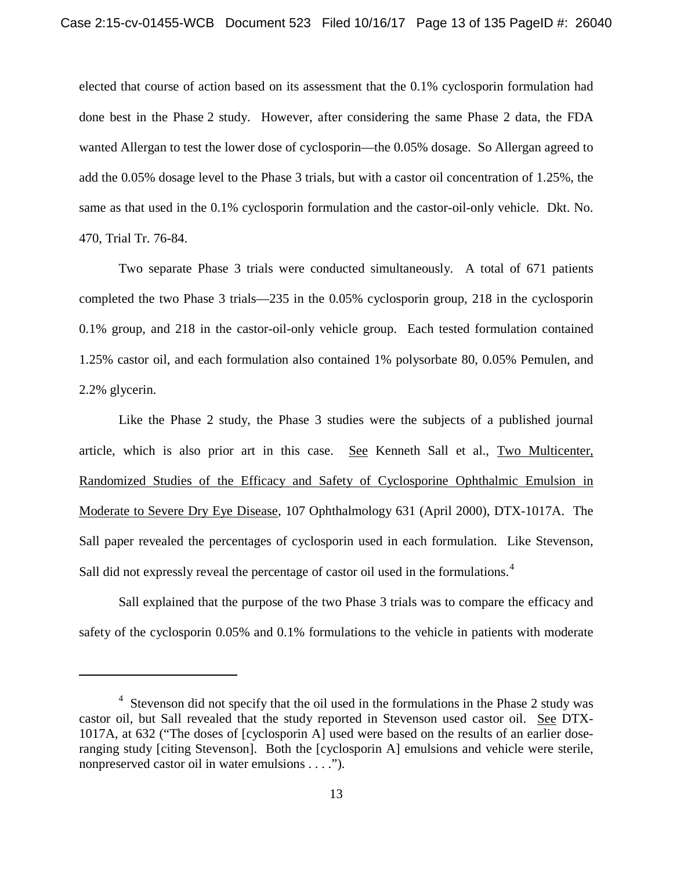elected that course of action based on its assessment that the 0.1% cyclosporin formulation had done best in the Phase 2 study. However, after considering the same Phase 2 data, the FDA wanted Allergan to test the lower dose of cyclosporin—the 0.05% dosage. So Allergan agreed to add the 0.05% dosage level to the Phase 3 trials, but with a castor oil concentration of 1.25%, the same as that used in the 0.1% cyclosporin formulation and the castor-oil-only vehicle. Dkt. No. 470, Trial Tr. 76-84.

Two separate Phase 3 trials were conducted simultaneously. A total of 671 patients completed the two Phase 3 trials—235 in the 0.05% cyclosporin group, 218 in the cyclosporin 0.1% group, and 218 in the castor-oil-only vehicle group. Each tested formulation contained 1.25% castor oil, and each formulation also contained 1% polysorbate 80, 0.05% Pemulen, and 2.2% glycerin.

Like the Phase 2 study, the Phase 3 studies were the subjects of a published journal article, which is also prior art in this case. See Kenneth Sall et al., Two Multicenter, Randomized Studies of the Efficacy and Safety of Cyclosporine Ophthalmic Emulsion in Moderate to Severe Dry Eye Disease, 107 Ophthalmology 631 (April 2000), DTX-1017A. The Sall paper revealed the percentages of cyclosporin used in each formulation. Like Stevenson, Sall did not expressly reveal the percentage of castor oil used in the formulations.<sup>4</sup>

Sall explained that the purpose of the two Phase 3 trials was to compare the efficacy and safety of the cyclosporin 0.05% and 0.1% formulations to the vehicle in patients with moderate

 $\overline{\phantom{a}}$ 

<sup>&</sup>lt;sup>4</sup> Stevenson did not specify that the oil used in the formulations in the Phase 2 study was castor oil, but Sall revealed that the study reported in Stevenson used castor oil. See DTX-1017A, at 632 ("The doses of [cyclosporin A] used were based on the results of an earlier doseranging study [citing Stevenson]. Both the [cyclosporin A] emulsions and vehicle were sterile, nonpreserved castor oil in water emulsions . . . .").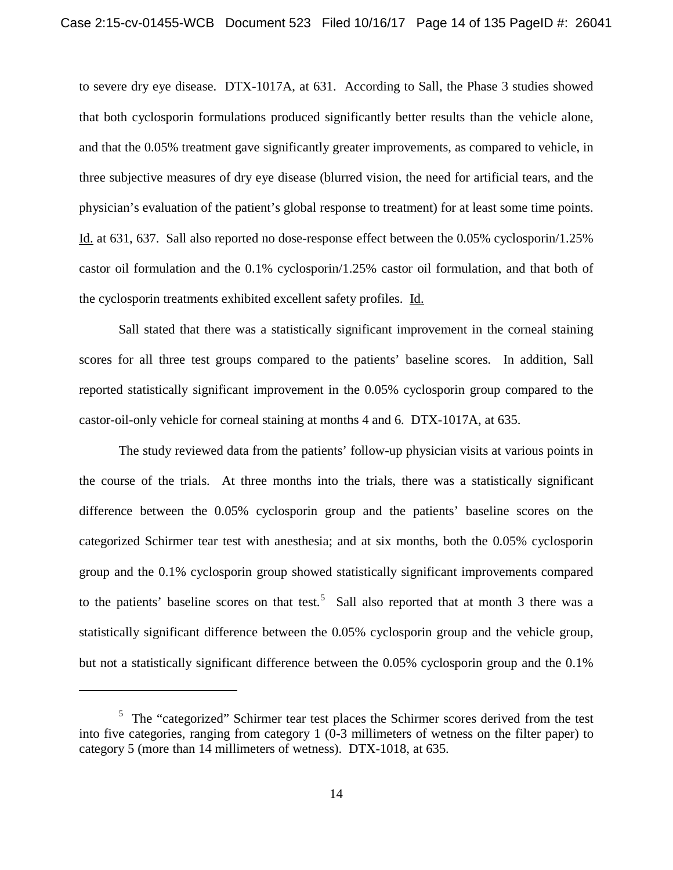to severe dry eye disease. DTX-1017A, at 631. According to Sall, the Phase 3 studies showed that both cyclosporin formulations produced significantly better results than the vehicle alone, and that the 0.05% treatment gave significantly greater improvements, as compared to vehicle, in three subjective measures of dry eye disease (blurred vision, the need for artificial tears, and the physician's evaluation of the patient's global response to treatment) for at least some time points. Id. at 631, 637. Sall also reported no dose-response effect between the 0.05% cyclosporin/1.25% castor oil formulation and the 0.1% cyclosporin/1.25% castor oil formulation, and that both of the cyclosporin treatments exhibited excellent safety profiles. Id.

Sall stated that there was a statistically significant improvement in the corneal staining scores for all three test groups compared to the patients' baseline scores. In addition, Sall reported statistically significant improvement in the 0.05% cyclosporin group compared to the castor-oil-only vehicle for corneal staining at months 4 and 6. DTX-1017A, at 635.

The study reviewed data from the patients' follow-up physician visits at various points in the course of the trials. At three months into the trials, there was a statistically significant difference between the 0.05% cyclosporin group and the patients' baseline scores on the categorized Schirmer tear test with anesthesia; and at six months, both the 0.05% cyclosporin group and the 0.1% cyclosporin group showed statistically significant improvements compared to the patients' baseline scores on that test.<sup>5</sup> Sall also reported that at month 3 there was a statistically significant difference between the 0.05% cyclosporin group and the vehicle group, but not a statistically significant difference between the 0.05% cyclosporin group and the 0.1%

l

<sup>&</sup>lt;sup>5</sup> The "categorized" Schirmer tear test places the Schirmer scores derived from the test into five categories, ranging from category 1 (0-3 millimeters of wetness on the filter paper) to category 5 (more than 14 millimeters of wetness). DTX-1018, at 635.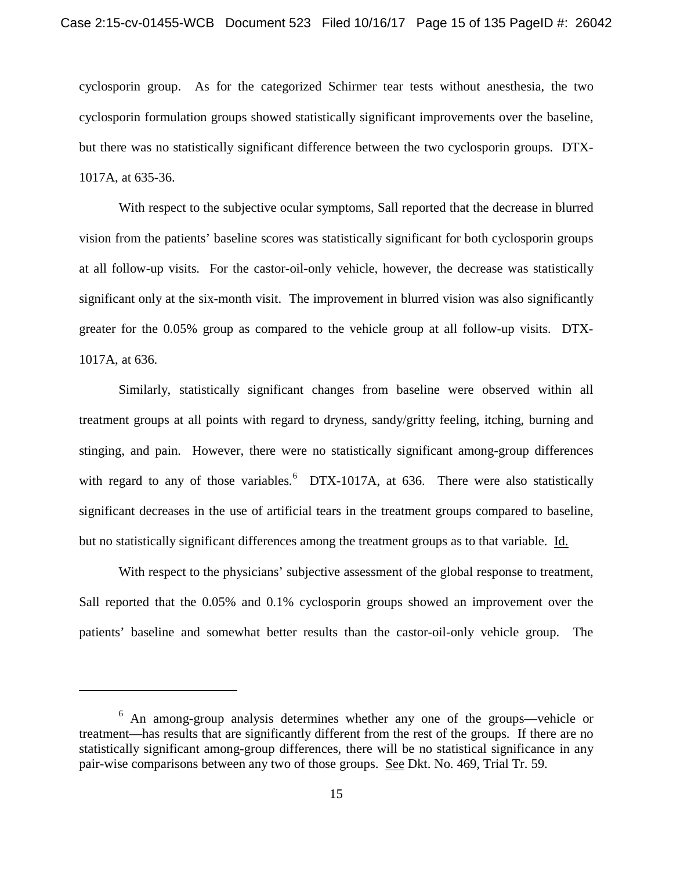cyclosporin group. As for the categorized Schirmer tear tests without anesthesia, the two cyclosporin formulation groups showed statistically significant improvements over the baseline, but there was no statistically significant difference between the two cyclosporin groups. DTX-1017A, at 635-36.

With respect to the subjective ocular symptoms, Sall reported that the decrease in blurred vision from the patients' baseline scores was statistically significant for both cyclosporin groups at all follow-up visits. For the castor-oil-only vehicle, however, the decrease was statistically significant only at the six-month visit. The improvement in blurred vision was also significantly greater for the 0.05% group as compared to the vehicle group at all follow-up visits. DTX-1017A, at 636.

Similarly, statistically significant changes from baseline were observed within all treatment groups at all points with regard to dryness, sandy/gritty feeling, itching, burning and stinging, and pain. However, there were no statistically significant among-group differences with regard to any of those variables.  $6$  DTX-1017A, at 636. There were also statistically significant decreases in the use of artificial tears in the treatment groups compared to baseline, but no statistically significant differences among the treatment groups as to that variable. Id.

With respect to the physicians' subjective assessment of the global response to treatment, Sall reported that the 0.05% and 0.1% cyclosporin groups showed an improvement over the patients' baseline and somewhat better results than the castor-oil-only vehicle group. The

l

<sup>6</sup> An among-group analysis determines whether any one of the groups—vehicle or treatment—has results that are significantly different from the rest of the groups. If there are no statistically significant among-group differences, there will be no statistical significance in any pair-wise comparisons between any two of those groups. See Dkt. No. 469, Trial Tr. 59.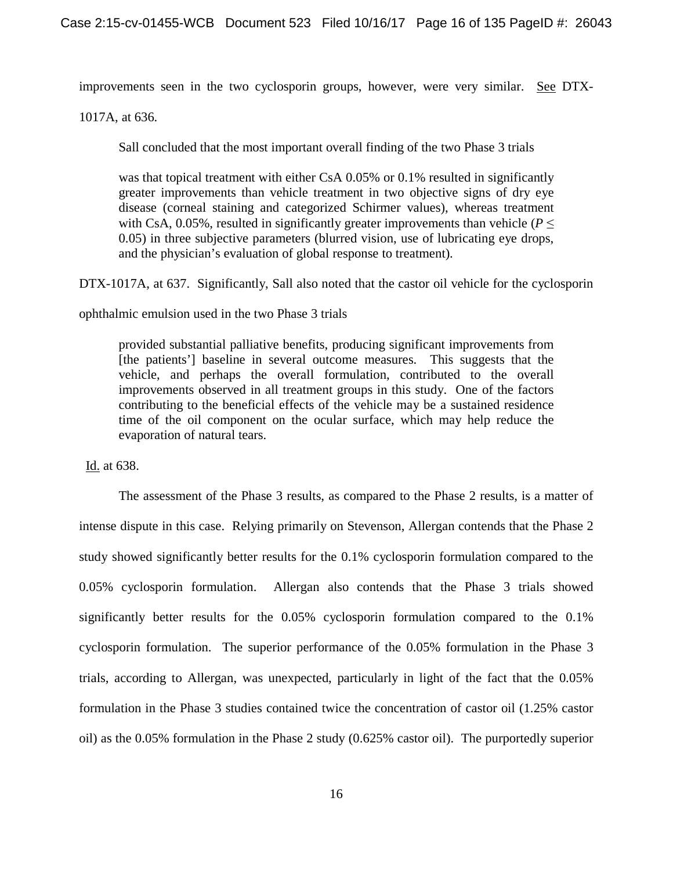improvements seen in the two cyclosporin groups, however, were very similar. See DTX-

1017A, at 636.

Sall concluded that the most important overall finding of the two Phase 3 trials

was that topical treatment with either CsA 0.05% or 0.1% resulted in significantly greater improvements than vehicle treatment in two objective signs of dry eye disease (corneal staining and categorized Schirmer values), whereas treatment with CsA, 0.05%, resulted in significantly greater improvements than vehicle ( $P \leq$ 0.05) in three subjective parameters (blurred vision, use of lubricating eye drops, and the physician's evaluation of global response to treatment).

DTX-1017A, at 637. Significantly, Sall also noted that the castor oil vehicle for the cyclosporin

ophthalmic emulsion used in the two Phase 3 trials

provided substantial palliative benefits, producing significant improvements from [the patients'] baseline in several outcome measures. This suggests that the vehicle, and perhaps the overall formulation, contributed to the overall improvements observed in all treatment groups in this study. One of the factors contributing to the beneficial effects of the vehicle may be a sustained residence time of the oil component on the ocular surface, which may help reduce the evaporation of natural tears.

Id. at 638.

The assessment of the Phase 3 results, as compared to the Phase 2 results, is a matter of intense dispute in this case. Relying primarily on Stevenson, Allergan contends that the Phase 2 study showed significantly better results for the 0.1% cyclosporin formulation compared to the 0.05% cyclosporin formulation. Allergan also contends that the Phase 3 trials showed significantly better results for the 0.05% cyclosporin formulation compared to the 0.1% cyclosporin formulation. The superior performance of the 0.05% formulation in the Phase 3 trials, according to Allergan, was unexpected, particularly in light of the fact that the 0.05% formulation in the Phase 3 studies contained twice the concentration of castor oil (1.25% castor oil) as the 0.05% formulation in the Phase 2 study (0.625% castor oil). The purportedly superior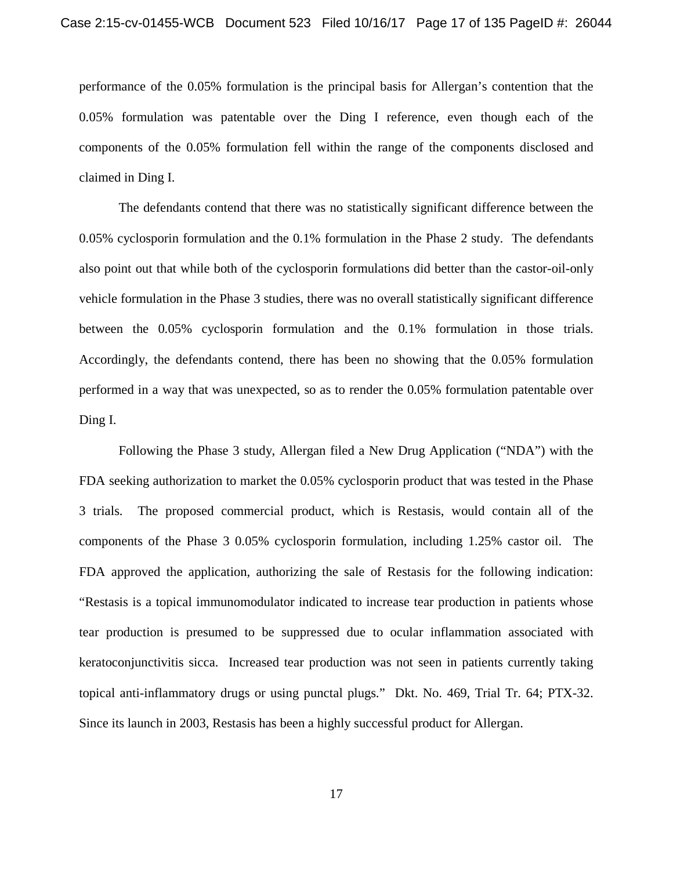performance of the 0.05% formulation is the principal basis for Allergan's contention that the 0.05% formulation was patentable over the Ding I reference, even though each of the components of the 0.05% formulation fell within the range of the components disclosed and claimed in Ding I.

The defendants contend that there was no statistically significant difference between the 0.05% cyclosporin formulation and the 0.1% formulation in the Phase 2 study. The defendants also point out that while both of the cyclosporin formulations did better than the castor-oil-only vehicle formulation in the Phase 3 studies, there was no overall statistically significant difference between the 0.05% cyclosporin formulation and the 0.1% formulation in those trials. Accordingly, the defendants contend, there has been no showing that the 0.05% formulation performed in a way that was unexpected, so as to render the 0.05% formulation patentable over Ding I.

Following the Phase 3 study, Allergan filed a New Drug Application ("NDA") with the FDA seeking authorization to market the 0.05% cyclosporin product that was tested in the Phase 3 trials. The proposed commercial product, which is Restasis, would contain all of the components of the Phase 3 0.05% cyclosporin formulation, including 1.25% castor oil. The FDA approved the application, authorizing the sale of Restasis for the following indication: "Restasis is a topical immunomodulator indicated to increase tear production in patients whose tear production is presumed to be suppressed due to ocular inflammation associated with keratoconjunctivitis sicca. Increased tear production was not seen in patients currently taking topical anti-inflammatory drugs or using punctal plugs." Dkt. No. 469, Trial Tr. 64; PTX-32. Since its launch in 2003, Restasis has been a highly successful product for Allergan.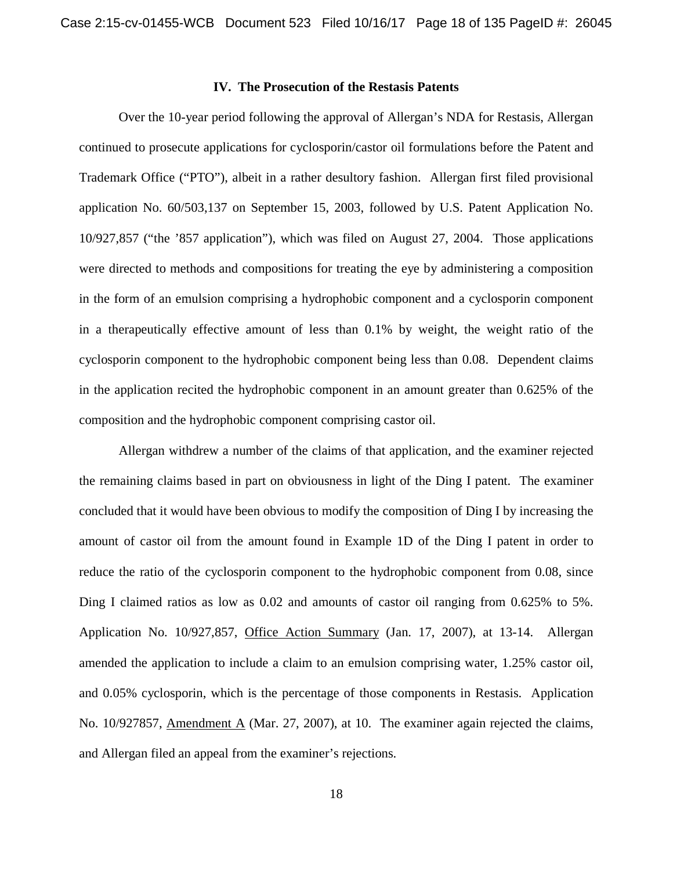## **IV. The Prosecution of the Restasis Patents**

Over the 10-year period following the approval of Allergan's NDA for Restasis, Allergan continued to prosecute applications for cyclosporin/castor oil formulations before the Patent and Trademark Office ("PTO"), albeit in a rather desultory fashion. Allergan first filed provisional application No. 60/503,137 on September 15, 2003, followed by U.S. Patent Application No. 10/927,857 ("the '857 application"), which was filed on August 27, 2004. Those applications were directed to methods and compositions for treating the eye by administering a composition in the form of an emulsion comprising a hydrophobic component and a cyclosporin component in a therapeutically effective amount of less than 0.1% by weight, the weight ratio of the cyclosporin component to the hydrophobic component being less than 0.08. Dependent claims in the application recited the hydrophobic component in an amount greater than 0.625% of the composition and the hydrophobic component comprising castor oil.

Allergan withdrew a number of the claims of that application, and the examiner rejected the remaining claims based in part on obviousness in light of the Ding I patent. The examiner concluded that it would have been obvious to modify the composition of Ding I by increasing the amount of castor oil from the amount found in Example 1D of the Ding I patent in order to reduce the ratio of the cyclosporin component to the hydrophobic component from 0.08, since Ding I claimed ratios as low as 0.02 and amounts of castor oil ranging from 0.625% to 5%. Application No. 10/927,857, Office Action Summary (Jan. 17, 2007), at 13-14. Allergan amended the application to include a claim to an emulsion comprising water, 1.25% castor oil, and 0.05% cyclosporin, which is the percentage of those components in Restasis. Application No. 10/927857, Amendment A (Mar. 27, 2007), at 10. The examiner again rejected the claims, and Allergan filed an appeal from the examiner's rejections.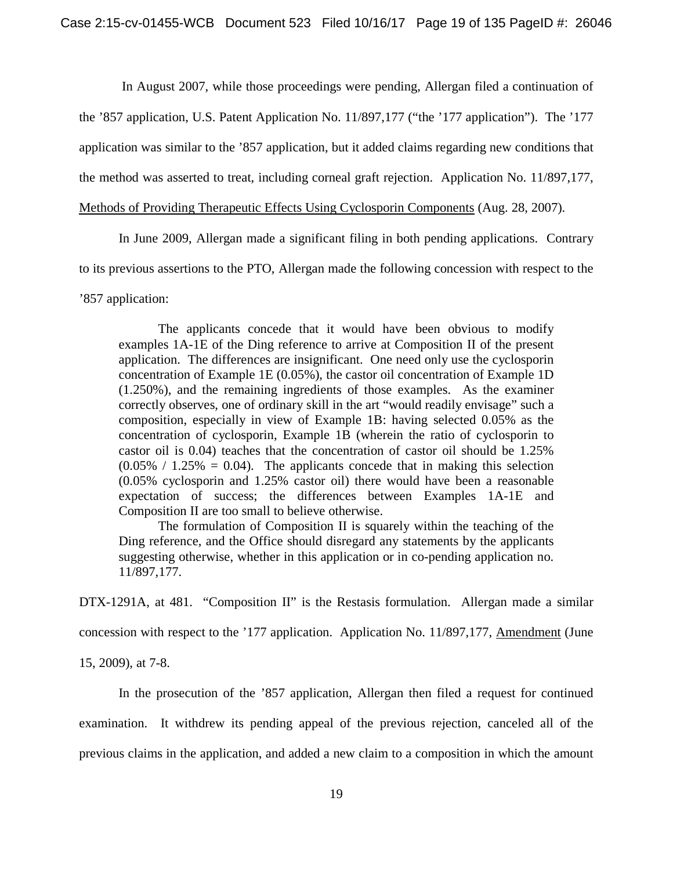In August 2007, while those proceedings were pending, Allergan filed a continuation of the '857 application, U.S. Patent Application No. 11/897,177 ("the '177 application"). The '177 application was similar to the '857 application, but it added claims regarding new conditions that the method was asserted to treat, including corneal graft rejection. Application No. 11/897,177,

Methods of Providing Therapeutic Effects Using Cyclosporin Components (Aug. 28, 2007).

In June 2009, Allergan made a significant filing in both pending applications. Contrary

to its previous assertions to the PTO, Allergan made the following concession with respect to the

'857 application:

The applicants concede that it would have been obvious to modify examples 1A-1E of the Ding reference to arrive at Composition II of the present application. The differences are insignificant. One need only use the cyclosporin concentration of Example 1E (0.05%), the castor oil concentration of Example 1D (1.250%), and the remaining ingredients of those examples. As the examiner correctly observes, one of ordinary skill in the art "would readily envisage" such a composition, especially in view of Example 1B: having selected 0.05% as the concentration of cyclosporin, Example 1B (wherein the ratio of cyclosporin to castor oil is 0.04) teaches that the concentration of castor oil should be 1.25%  $(0.05\% / 1.25\% = 0.04)$ . The applicants concede that in making this selection (0.05% cyclosporin and 1.25% castor oil) there would have been a reasonable expectation of success; the differences between Examples 1A-1E and Composition II are too small to believe otherwise.

The formulation of Composition II is squarely within the teaching of the Ding reference, and the Office should disregard any statements by the applicants suggesting otherwise, whether in this application or in co-pending application no. 11/897,177.

DTX-1291A, at 481. "Composition II" is the Restasis formulation. Allergan made a similar

concession with respect to the '177 application. Application No. 11/897,177, Amendment (June

15, 2009), at 7-8.

In the prosecution of the '857 application, Allergan then filed a request for continued examination. It withdrew its pending appeal of the previous rejection, canceled all of the previous claims in the application, and added a new claim to a composition in which the amount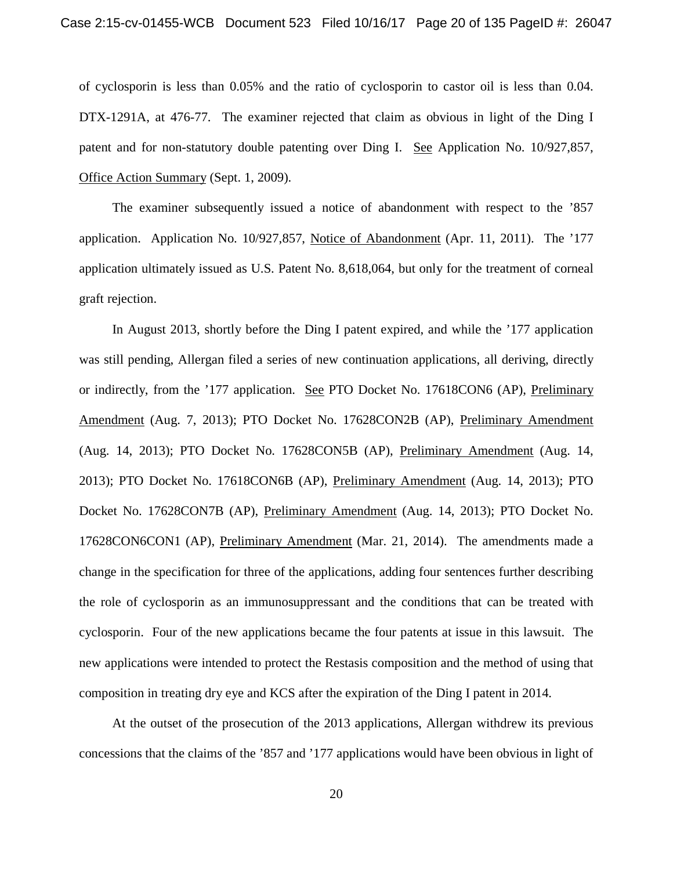of cyclosporin is less than 0.05% and the ratio of cyclosporin to castor oil is less than 0.04. DTX-1291A, at 476-77. The examiner rejected that claim as obvious in light of the Ding I patent and for non-statutory double patenting over Ding I. See Application No. 10/927,857, Office Action Summary (Sept. 1, 2009).

The examiner subsequently issued a notice of abandonment with respect to the '857 application. Application No. 10/927,857, Notice of Abandonment (Apr. 11, 2011). The '177 application ultimately issued as U.S. Patent No. 8,618,064, but only for the treatment of corneal graft rejection.

In August 2013, shortly before the Ding I patent expired, and while the '177 application was still pending, Allergan filed a series of new continuation applications, all deriving, directly or indirectly, from the '177 application. See PTO Docket No. 17618CON6 (AP), Preliminary Amendment (Aug. 7, 2013); PTO Docket No. 17628CON2B (AP), Preliminary Amendment (Aug. 14, 2013); PTO Docket No. 17628CON5B (AP), Preliminary Amendment (Aug. 14, 2013); PTO Docket No. 17618CON6B (AP), Preliminary Amendment (Aug. 14, 2013); PTO Docket No. 17628CON7B (AP), Preliminary Amendment (Aug. 14, 2013); PTO Docket No. 17628CON6CON1 (AP), Preliminary Amendment (Mar. 21, 2014). The amendments made a change in the specification for three of the applications, adding four sentences further describing the role of cyclosporin as an immunosuppressant and the conditions that can be treated with cyclosporin. Four of the new applications became the four patents at issue in this lawsuit. The new applications were intended to protect the Restasis composition and the method of using that composition in treating dry eye and KCS after the expiration of the Ding I patent in 2014.

At the outset of the prosecution of the 2013 applications, Allergan withdrew its previous concessions that the claims of the '857 and '177 applications would have been obvious in light of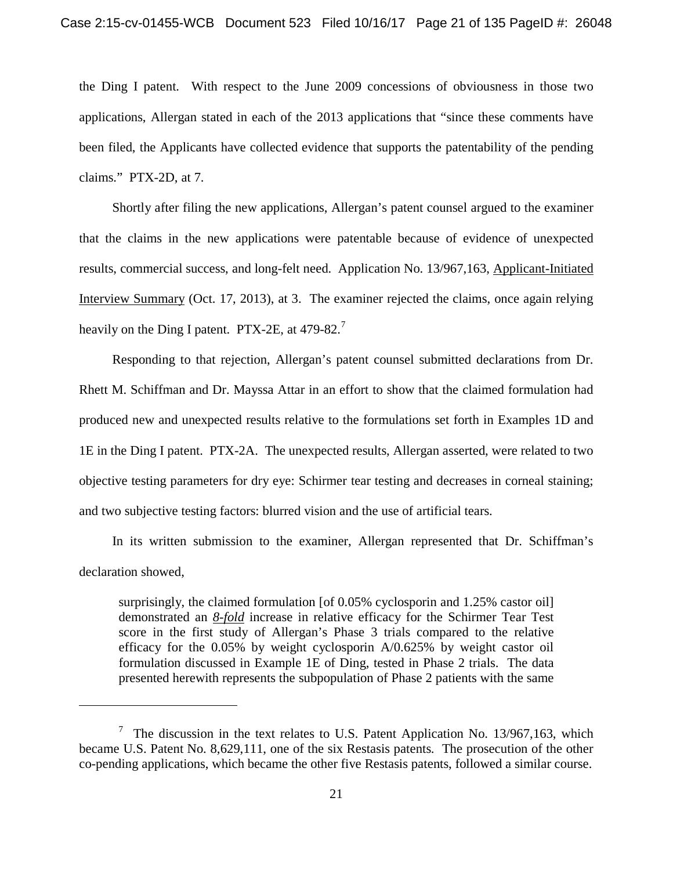the Ding I patent. With respect to the June 2009 concessions of obviousness in those two applications, Allergan stated in each of the 2013 applications that "since these comments have been filed, the Applicants have collected evidence that supports the patentability of the pending claims." PTX-2D, at 7.

Shortly after filing the new applications, Allergan's patent counsel argued to the examiner that the claims in the new applications were patentable because of evidence of unexpected results, commercial success, and long-felt need. Application No. 13/967,163, Applicant-Initiated Interview Summary (Oct. 17, 2013), at 3. The examiner rejected the claims, once again relying heavily on the Ding I patent. PTX-2E, at 479-82.<sup>7</sup>

Responding to that rejection, Allergan's patent counsel submitted declarations from Dr. Rhett M. Schiffman and Dr. Mayssa Attar in an effort to show that the claimed formulation had produced new and unexpected results relative to the formulations set forth in Examples 1D and 1E in the Ding I patent. PTX-2A. The unexpected results, Allergan asserted, were related to two objective testing parameters for dry eye: Schirmer tear testing and decreases in corneal staining; and two subjective testing factors: blurred vision and the use of artificial tears.

In its written submission to the examiner, Allergan represented that Dr. Schiffman's declaration showed,

surprisingly, the claimed formulation [of 0.05% cyclosporin and 1.25% castor oil] demonstrated an *8-fold* increase in relative efficacy for the Schirmer Tear Test score in the first study of Allergan's Phase 3 trials compared to the relative efficacy for the 0.05% by weight cyclosporin A/0.625% by weight castor oil formulation discussed in Example 1E of Ding, tested in Phase 2 trials. The data presented herewith represents the subpopulation of Phase 2 patients with the same

l

<sup>&</sup>lt;sup>7</sup> The discussion in the text relates to U.S. Patent Application No. 13/967,163, which became U.S. Patent No. 8,629,111, one of the six Restasis patents. The prosecution of the other co-pending applications, which became the other five Restasis patents, followed a similar course.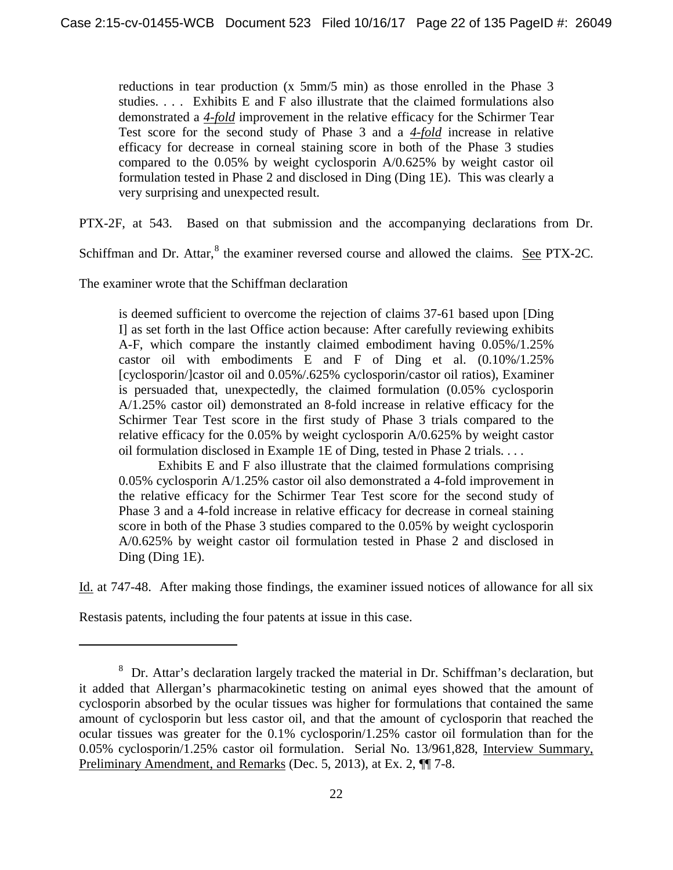reductions in tear production (x 5mm/5 min) as those enrolled in the Phase 3 studies. . . . Exhibits E and F also illustrate that the claimed formulations also demonstrated a *4-fold* improvement in the relative efficacy for the Schirmer Tear Test score for the second study of Phase 3 and a *4-fold* increase in relative efficacy for decrease in corneal staining score in both of the Phase 3 studies compared to the 0.05% by weight cyclosporin A/0.625% by weight castor oil formulation tested in Phase 2 and disclosed in Ding (Ding 1E). This was clearly a very surprising and unexpected result.

PTX-2F, at 543. Based on that submission and the accompanying declarations from Dr.

Schiffman and Dr. Attar,<sup>8</sup> the examiner reversed course and allowed the claims. See PTX-2C.

The examiner wrote that the Schiffman declaration

is deemed sufficient to overcome the rejection of claims 37-61 based upon [Ding I] as set forth in the last Office action because: After carefully reviewing exhibits A-F, which compare the instantly claimed embodiment having 0.05%/1.25% castor oil with embodiments E and F of Ding et al. (0.10%/1.25% [cyclosporin/]castor oil and 0.05%/.625% cyclosporin/castor oil ratios), Examiner is persuaded that, unexpectedly, the claimed formulation (0.05% cyclosporin A/1.25% castor oil) demonstrated an 8-fold increase in relative efficacy for the Schirmer Tear Test score in the first study of Phase 3 trials compared to the relative efficacy for the 0.05% by weight cyclosporin A/0.625% by weight castor oil formulation disclosed in Example 1E of Ding, tested in Phase 2 trials. . . .

 Exhibits E and F also illustrate that the claimed formulations comprising 0.05% cyclosporin A/1.25% castor oil also demonstrated a 4-fold improvement in the relative efficacy for the Schirmer Tear Test score for the second study of Phase 3 and a 4-fold increase in relative efficacy for decrease in corneal staining score in both of the Phase 3 studies compared to the 0.05% by weight cyclosporin A/0.625% by weight castor oil formulation tested in Phase 2 and disclosed in Ding (Ding 1E).

Id. at 747-48. After making those findings, the examiner issued notices of allowance for all six

Restasis patents, including the four patents at issue in this case.

 $\overline{\phantom{a}}$ 

<sup>&</sup>lt;sup>8</sup> Dr. Attar's declaration largely tracked the material in Dr. Schiffman's declaration, but it added that Allergan's pharmacokinetic testing on animal eyes showed that the amount of cyclosporin absorbed by the ocular tissues was higher for formulations that contained the same amount of cyclosporin but less castor oil, and that the amount of cyclosporin that reached the ocular tissues was greater for the 0.1% cyclosporin/1.25% castor oil formulation than for the 0.05% cyclosporin/1.25% castor oil formulation. Serial No. 13/961,828, Interview Summary, Preliminary Amendment, and Remarks (Dec. 5, 2013), at Ex. 2, ¶¶ 7-8.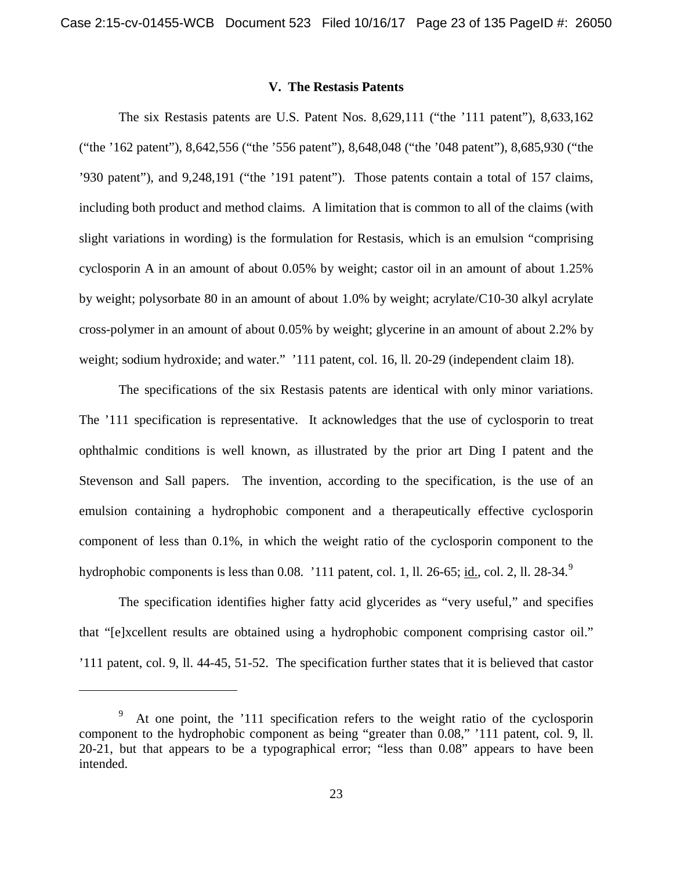# **V. The Restasis Patents**

The six Restasis patents are U.S. Patent Nos. 8,629,111 ("the '111 patent"), 8,633,162 ("the '162 patent"), 8,642,556 ("the '556 patent"), 8,648,048 ("the '048 patent"), 8,685,930 ("the '930 patent"), and 9,248,191 ("the '191 patent"). Those patents contain a total of 157 claims, including both product and method claims. A limitation that is common to all of the claims (with slight variations in wording) is the formulation for Restasis, which is an emulsion "comprising cyclosporin A in an amount of about 0.05% by weight; castor oil in an amount of about 1.25% by weight; polysorbate 80 in an amount of about 1.0% by weight; acrylate/C10-30 alkyl acrylate cross-polymer in an amount of about 0.05% by weight; glycerine in an amount of about 2.2% by weight; sodium hydroxide; and water." '111 patent, col. 16, ll. 20-29 (independent claim 18).

The specifications of the six Restasis patents are identical with only minor variations. The '111 specification is representative. It acknowledges that the use of cyclosporin to treat ophthalmic conditions is well known, as illustrated by the prior art Ding I patent and the Stevenson and Sall papers. The invention, according to the specification, is the use of an emulsion containing a hydrophobic component and a therapeutically effective cyclosporin component of less than 0.1%, in which the weight ratio of the cyclosporin component to the hydrophobic components is less than 0.08. '111 patent, col. 1, ll. 26-65; id., col. 2, ll. 28-34. $9$ 

The specification identifies higher fatty acid glycerides as "very useful," and specifies that "[e]xcellent results are obtained using a hydrophobic component comprising castor oil." '111 patent, col. 9, ll. 44-45, 51-52. The specification further states that it is believed that castor

l

<sup>9</sup> At one point, the '111 specification refers to the weight ratio of the cyclosporin component to the hydrophobic component as being "greater than 0.08," '111 patent, col. 9, ll. 20-21, but that appears to be a typographical error; "less than 0.08" appears to have been intended.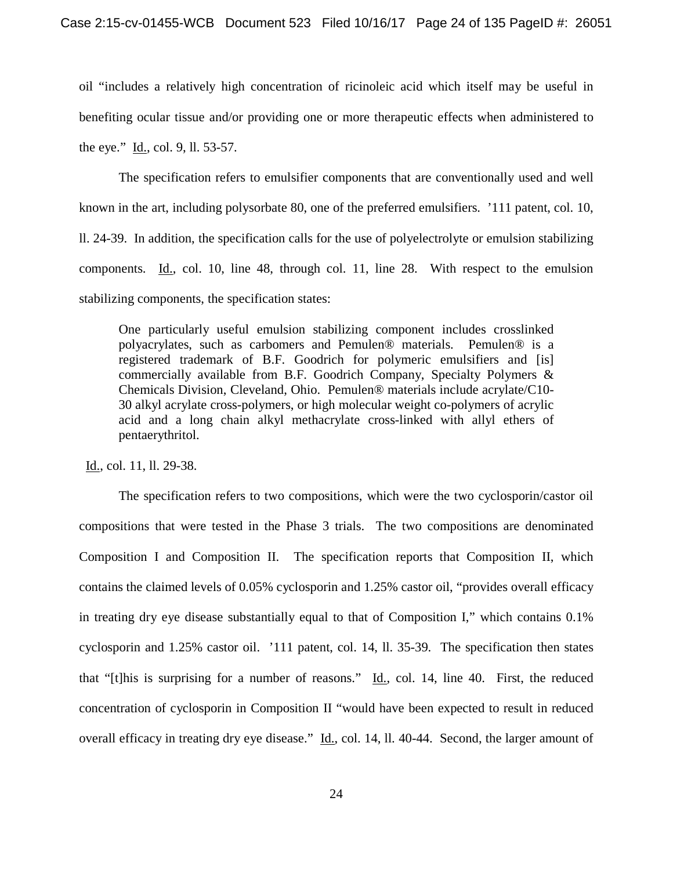oil "includes a relatively high concentration of ricinoleic acid which itself may be useful in benefiting ocular tissue and/or providing one or more therapeutic effects when administered to the eye." Id., col. 9, ll. 53-57.

The specification refers to emulsifier components that are conventionally used and well known in the art, including polysorbate 80, one of the preferred emulsifiers. '111 patent, col. 10, ll. 24-39. In addition, the specification calls for the use of polyelectrolyte or emulsion stabilizing components. Id., col. 10, line 48, through col. 11, line 28. With respect to the emulsion stabilizing components, the specification states:

One particularly useful emulsion stabilizing component includes crosslinked polyacrylates, such as carbomers and Pemulen® materials. Pemulen® is a registered trademark of B.F. Goodrich for polymeric emulsifiers and [is] commercially available from B.F. Goodrich Company, Specialty Polymers & Chemicals Division, Cleveland, Ohio. Pemulen® materials include acrylate/C10- 30 alkyl acrylate cross-polymers, or high molecular weight co-polymers of acrylic acid and a long chain alkyl methacrylate cross-linked with allyl ethers of pentaerythritol.

Id., col. 11, ll. 29-38.

The specification refers to two compositions, which were the two cyclosporin/castor oil compositions that were tested in the Phase 3 trials. The two compositions are denominated Composition I and Composition II. The specification reports that Composition II, which contains the claimed levels of 0.05% cyclosporin and 1.25% castor oil, "provides overall efficacy in treating dry eye disease substantially equal to that of Composition I," which contains 0.1% cyclosporin and 1.25% castor oil. '111 patent, col. 14, ll. 35-39. The specification then states that "[t]his is surprising for a number of reasons."  $\underline{Id}$ , col. 14, line 40. First, the reduced concentration of cyclosporin in Composition II "would have been expected to result in reduced overall efficacy in treating dry eye disease." Id., col. 14, ll. 40-44. Second, the larger amount of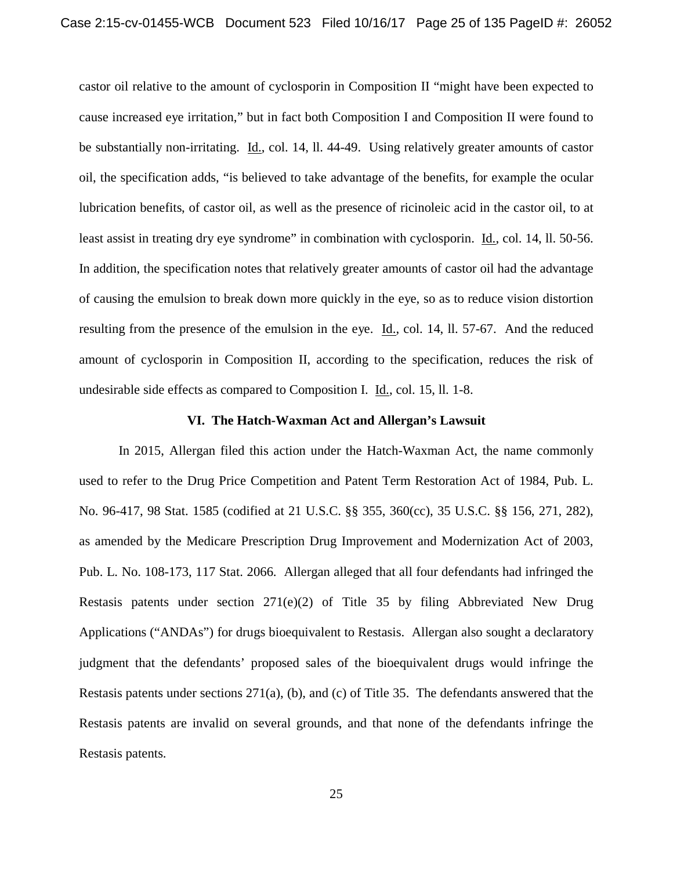castor oil relative to the amount of cyclosporin in Composition II "might have been expected to cause increased eye irritation," but in fact both Composition I and Composition II were found to be substantially non-irritating. Id., col. 14, ll. 44-49. Using relatively greater amounts of castor oil, the specification adds, "is believed to take advantage of the benefits, for example the ocular lubrication benefits, of castor oil, as well as the presence of ricinoleic acid in the castor oil, to at least assist in treating dry eye syndrome" in combination with cyclosporin. Id., col. 14, ll. 50-56. In addition, the specification notes that relatively greater amounts of castor oil had the advantage of causing the emulsion to break down more quickly in the eye, so as to reduce vision distortion resulting from the presence of the emulsion in the eye. Id., col. 14, ll. 57-67. And the reduced amount of cyclosporin in Composition II, according to the specification, reduces the risk of undesirable side effects as compared to Composition I. Id., col. 15, ll. 1-8.

### **VI. The Hatch-Waxman Act and Allergan's Lawsuit**

In 2015, Allergan filed this action under the Hatch-Waxman Act, the name commonly used to refer to the Drug Price Competition and Patent Term Restoration Act of 1984, Pub. L. No. 96-417, 98 Stat. 1585 (codified at 21 U.S.C. §§ 355, 360(cc), 35 U.S.C. §§ 156, 271, 282), as amended by the Medicare Prescription Drug Improvement and Modernization Act of 2003, Pub. L. No. 108-173, 117 Stat. 2066. Allergan alleged that all four defendants had infringed the Restasis patents under section 271(e)(2) of Title 35 by filing Abbreviated New Drug Applications ("ANDAs") for drugs bioequivalent to Restasis. Allergan also sought a declaratory judgment that the defendants' proposed sales of the bioequivalent drugs would infringe the Restasis patents under sections 271(a), (b), and (c) of Title 35. The defendants answered that the Restasis patents are invalid on several grounds, and that none of the defendants infringe the Restasis patents.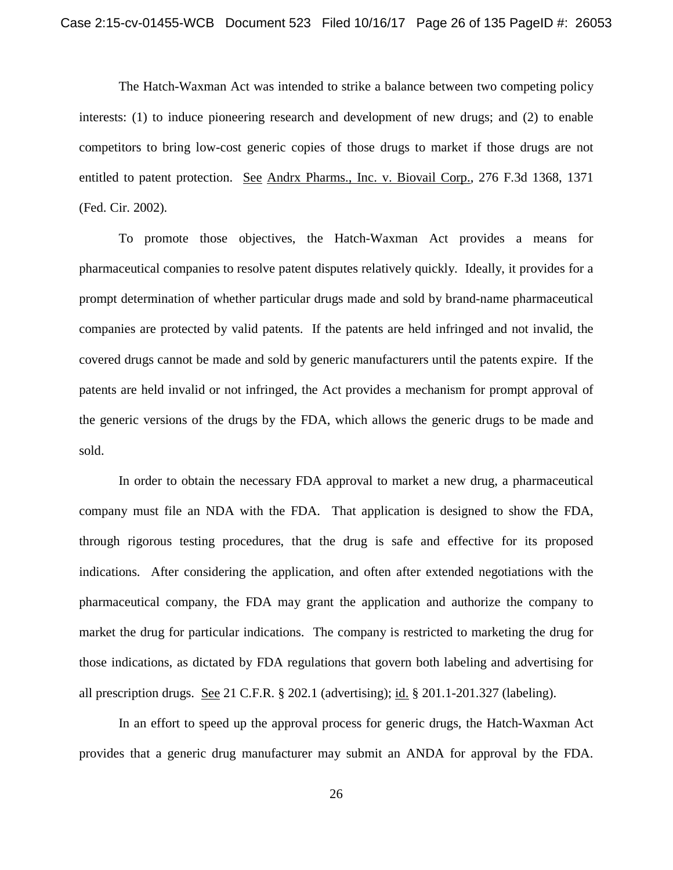The Hatch-Waxman Act was intended to strike a balance between two competing policy interests: (1) to induce pioneering research and development of new drugs; and (2) to enable competitors to bring low-cost generic copies of those drugs to market if those drugs are not entitled to patent protection. See Andrx Pharms., Inc. v. Biovail Corp., 276 F.3d 1368, 1371 (Fed. Cir. 2002).

To promote those objectives, the Hatch-Waxman Act provides a means for pharmaceutical companies to resolve patent disputes relatively quickly. Ideally, it provides for a prompt determination of whether particular drugs made and sold by brand-name pharmaceutical companies are protected by valid patents. If the patents are held infringed and not invalid, the covered drugs cannot be made and sold by generic manufacturers until the patents expire. If the patents are held invalid or not infringed, the Act provides a mechanism for prompt approval of the generic versions of the drugs by the FDA, which allows the generic drugs to be made and sold.

In order to obtain the necessary FDA approval to market a new drug, a pharmaceutical company must file an NDA with the FDA. That application is designed to show the FDA, through rigorous testing procedures, that the drug is safe and effective for its proposed indications. After considering the application, and often after extended negotiations with the pharmaceutical company, the FDA may grant the application and authorize the company to market the drug for particular indications. The company is restricted to marketing the drug for those indications, as dictated by FDA regulations that govern both labeling and advertising for all prescription drugs. See 21 C.F.R. § 202.1 (advertising); id. § 201.1-201.327 (labeling).

In an effort to speed up the approval process for generic drugs, the Hatch-Waxman Act provides that a generic drug manufacturer may submit an ANDA for approval by the FDA.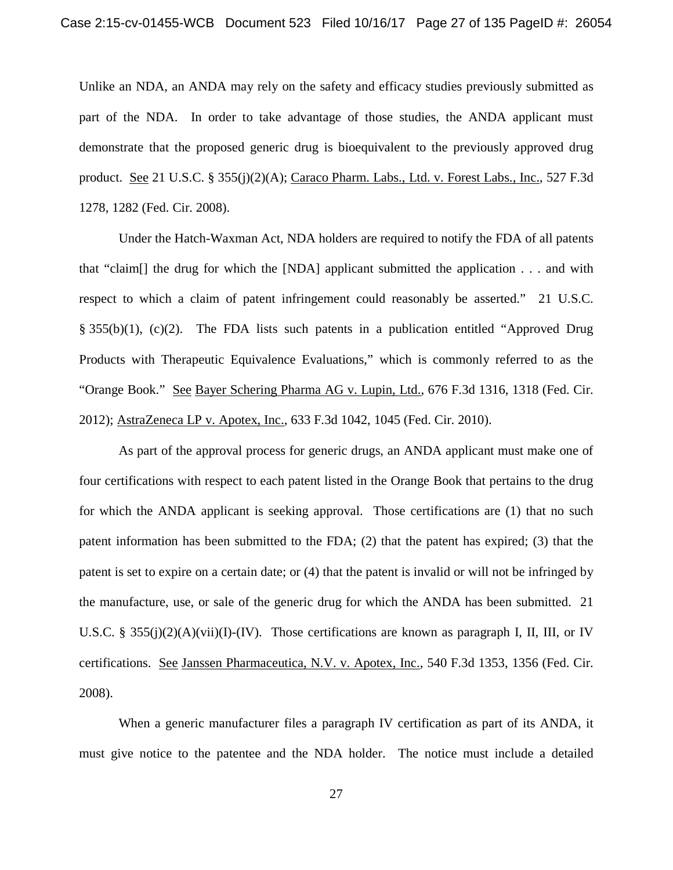Unlike an NDA, an ANDA may rely on the safety and efficacy studies previously submitted as part of the NDA. In order to take advantage of those studies, the ANDA applicant must demonstrate that the proposed generic drug is bioequivalent to the previously approved drug product. See 21 U.S.C. § 355(j)(2)(A); Caraco Pharm. Labs., Ltd. v. Forest Labs., Inc., 527 F.3d 1278, 1282 (Fed. Cir. 2008).

Under the Hatch-Waxman Act, NDA holders are required to notify the FDA of all patents that "claim[] the drug for which the [NDA] applicant submitted the application . . . and with respect to which a claim of patent infringement could reasonably be asserted." 21 U.S.C. § 355(b)(1), (c)(2). The FDA lists such patents in a publication entitled "Approved Drug Products with Therapeutic Equivalence Evaluations," which is commonly referred to as the "Orange Book." See Bayer Schering Pharma AG v. Lupin, Ltd., 676 F.3d 1316, 1318 (Fed. Cir. 2012); AstraZeneca LP v. Apotex, Inc., 633 F.3d 1042, 1045 (Fed. Cir. 2010).

As part of the approval process for generic drugs, an ANDA applicant must make one of four certifications with respect to each patent listed in the Orange Book that pertains to the drug for which the ANDA applicant is seeking approval. Those certifications are (1) that no such patent information has been submitted to the FDA; (2) that the patent has expired; (3) that the patent is set to expire on a certain date; or (4) that the patent is invalid or will not be infringed by the manufacture, use, or sale of the generic drug for which the ANDA has been submitted. 21 U.S.C. § 355(j)(2)(A)(vii)(I)-(IV). Those certifications are known as paragraph I, II, III, or IV certifications. See Janssen Pharmaceutica, N.V. v. Apotex, Inc., 540 F.3d 1353, 1356 (Fed. Cir. 2008).

When a generic manufacturer files a paragraph IV certification as part of its ANDA, it must give notice to the patentee and the NDA holder. The notice must include a detailed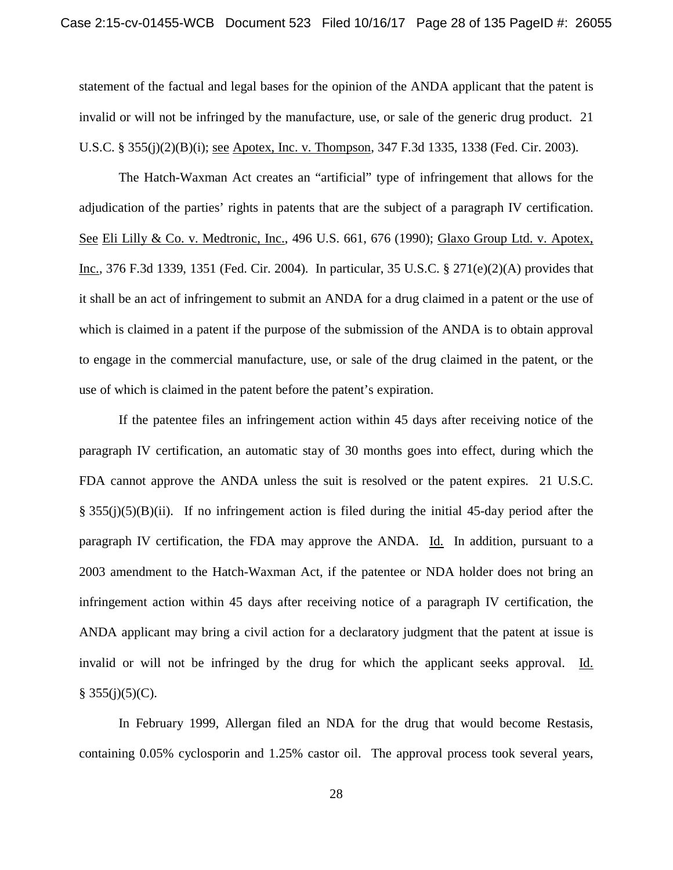statement of the factual and legal bases for the opinion of the ANDA applicant that the patent is invalid or will not be infringed by the manufacture, use, or sale of the generic drug product. 21 U.S.C. § 355(j)(2)(B)(i); see Apotex, Inc. v. Thompson, 347 F.3d 1335, 1338 (Fed. Cir. 2003).

The Hatch-Waxman Act creates an "artificial" type of infringement that allows for the adjudication of the parties' rights in patents that are the subject of a paragraph IV certification. See Eli Lilly & Co. v. Medtronic, Inc., 496 U.S. 661, 676 (1990); Glaxo Group Ltd. v. Apotex, Inc., 376 F.3d 1339, 1351 (Fed. Cir. 2004). In particular, 35 U.S.C. § 271(e)(2)(A) provides that it shall be an act of infringement to submit an ANDA for a drug claimed in a patent or the use of which is claimed in a patent if the purpose of the submission of the ANDA is to obtain approval to engage in the commercial manufacture, use, or sale of the drug claimed in the patent, or the use of which is claimed in the patent before the patent's expiration.

If the patentee files an infringement action within 45 days after receiving notice of the paragraph IV certification, an automatic stay of 30 months goes into effect, during which the FDA cannot approve the ANDA unless the suit is resolved or the patent expires. 21 U.S.C.  $\S$  355(j)(5)(B)(ii). If no infringement action is filed during the initial 45-day period after the paragraph IV certification, the FDA may approve the ANDA. Id. In addition, pursuant to a 2003 amendment to the Hatch-Waxman Act, if the patentee or NDA holder does not bring an infringement action within 45 days after receiving notice of a paragraph IV certification, the ANDA applicant may bring a civil action for a declaratory judgment that the patent at issue is invalid or will not be infringed by the drug for which the applicant seeks approval. Id.  $§ 355(j)(5)(C).$ 

In February 1999, Allergan filed an NDA for the drug that would become Restasis, containing 0.05% cyclosporin and 1.25% castor oil. The approval process took several years,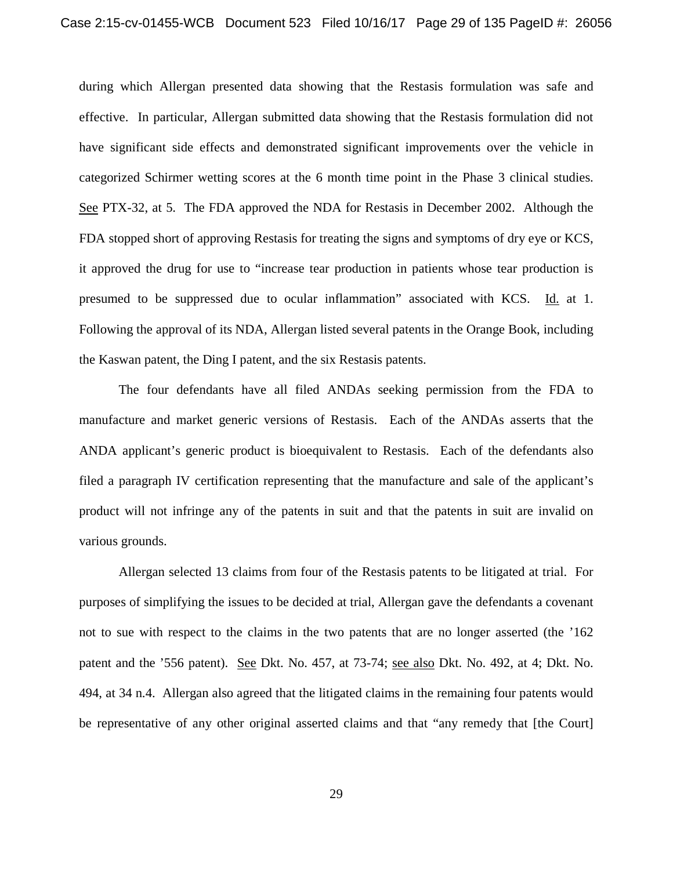during which Allergan presented data showing that the Restasis formulation was safe and effective. In particular, Allergan submitted data showing that the Restasis formulation did not have significant side effects and demonstrated significant improvements over the vehicle in categorized Schirmer wetting scores at the 6 month time point in the Phase 3 clinical studies. See PTX-32, at 5. The FDA approved the NDA for Restasis in December 2002. Although the FDA stopped short of approving Restasis for treating the signs and symptoms of dry eye or KCS, it approved the drug for use to "increase tear production in patients whose tear production is presumed to be suppressed due to ocular inflammation" associated with KCS. Id. at 1. Following the approval of its NDA, Allergan listed several patents in the Orange Book, including the Kaswan patent, the Ding I patent, and the six Restasis patents.

The four defendants have all filed ANDAs seeking permission from the FDA to manufacture and market generic versions of Restasis. Each of the ANDAs asserts that the ANDA applicant's generic product is bioequivalent to Restasis. Each of the defendants also filed a paragraph IV certification representing that the manufacture and sale of the applicant's product will not infringe any of the patents in suit and that the patents in suit are invalid on various grounds.

Allergan selected 13 claims from four of the Restasis patents to be litigated at trial. For purposes of simplifying the issues to be decided at trial, Allergan gave the defendants a covenant not to sue with respect to the claims in the two patents that are no longer asserted (the '162 patent and the '556 patent). See Dkt. No. 457, at 73-74; see also Dkt. No. 492, at 4; Dkt. No. 494, at 34 n.4. Allergan also agreed that the litigated claims in the remaining four patents would be representative of any other original asserted claims and that "any remedy that [the Court]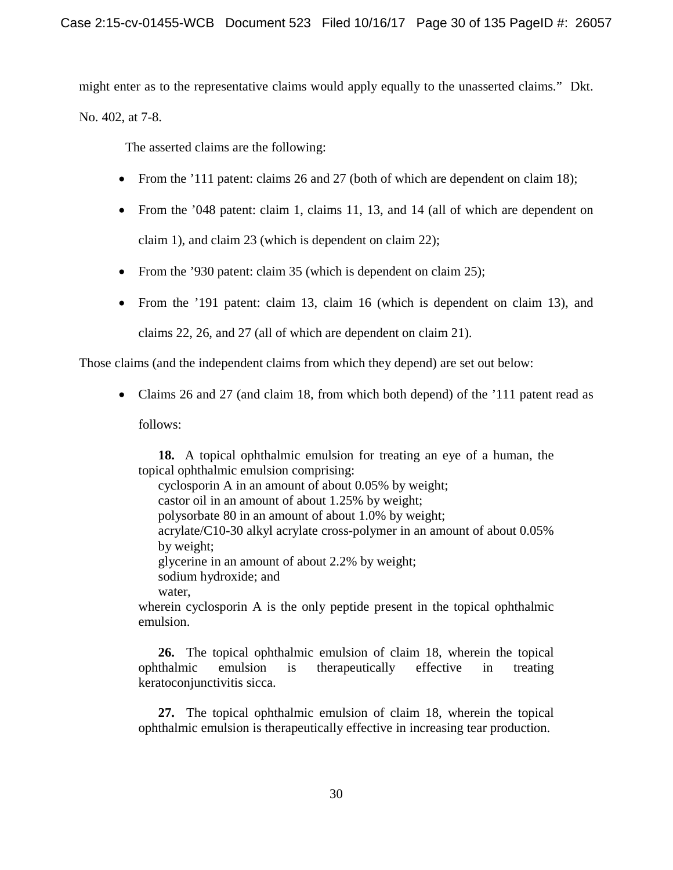might enter as to the representative claims would apply equally to the unasserted claims." Dkt.

No. 402, at 7-8.

The asserted claims are the following:

- From the '111 patent: claims 26 and 27 (both of which are dependent on claim 18);
- From the '048 patent: claim 1, claims 11, 13, and 14 (all of which are dependent on claim 1), and claim 23 (which is dependent on claim 22);
- From the '930 patent: claim 35 (which is dependent on claim 25);
- From the '191 patent: claim 13, claim 16 (which is dependent on claim 13), and claims 22, 26, and 27 (all of which are dependent on claim 21).

Those claims (and the independent claims from which they depend) are set out below:

• Claims 26 and 27 (and claim 18, from which both depend) of the '111 patent read as

follows:

**18.** A topical ophthalmic emulsion for treating an eye of a human, the topical ophthalmic emulsion comprising:

cyclosporin A in an amount of about 0.05% by weight; castor oil in an amount of about 1.25% by weight; polysorbate 80 in an amount of about 1.0% by weight; acrylate/C10-30 alkyl acrylate cross-polymer in an amount of about 0.05% by weight; glycerine in an amount of about 2.2% by weight; sodium hydroxide; and water,

wherein cyclosporin A is the only peptide present in the topical ophthalmic emulsion.

**26.** The topical ophthalmic emulsion of claim 18, wherein the topical ophthalmic emulsion is therapeutically effective in treating keratoconjunctivitis sicca.

**27.** The topical ophthalmic emulsion of claim 18, wherein the topical ophthalmic emulsion is therapeutically effective in increasing tear production.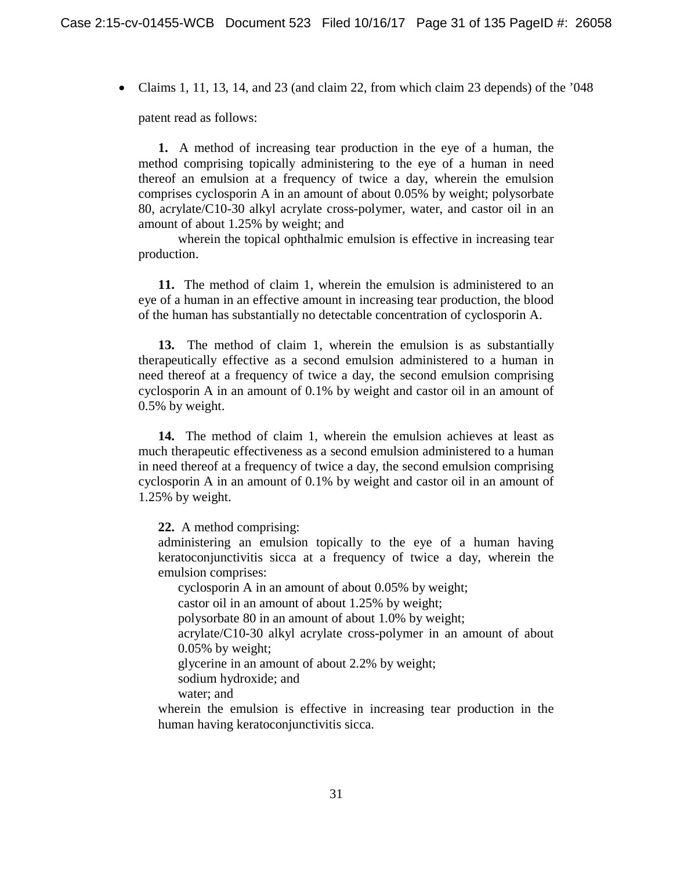• Claims 1, 11, 13, 14, and 23 (and claim 22, from which claim 23 depends) of the '048

patent read as follows:

**1.** A method of increasing tear production in the eye of a human, the method comprising topically administering to the eye of a human in need thereof an emulsion at a frequency of twice a day, wherein the emulsion comprises cyclosporin A in an amount of about 0.05% by weight; polysorbate 80, acrylate/C10-30 alkyl acrylate cross-polymer, water, and castor oil in an amount of about 1.25% by weight; and

wherein the topical ophthalmic emulsion is effective in increasing tear production.

**11.** The method of claim 1, wherein the emulsion is administered to an eye of a human in an effective amount in increasing tear production, the blood of the human has substantially no detectable concentration of cyclosporin A.

**13.** The method of claim 1, wherein the emulsion is as substantially therapeutically effective as a second emulsion administered to a human in need thereof at a frequency of twice a day, the second emulsion comprising cyclosporin A in an amount of 0.1% by weight and castor oil in an amount of 0.5% by weight.

**14.** The method of claim 1, wherein the emulsion achieves at least as much therapeutic effectiveness as a second emulsion administered to a human in need thereof at a frequency of twice a day, the second emulsion comprising cyclosporin A in an amount of 0.1% by weight and castor oil in an amount of 1.25% by weight.

**22.** A method comprising:

administering an emulsion topically to the eye of a human having keratoconjunctivitis sicca at a frequency of twice a day, wherein the emulsion comprises:

cyclosporin A in an amount of about 0.05% by weight;

castor oil in an amount of about 1.25% by weight;

polysorbate 80 in an amount of about 1.0% by weight;

acrylate/C10-30 alkyl acrylate cross-polymer in an amount of about 0.05% by weight;

glycerine in an amount of about 2.2% by weight;

sodium hydroxide; and

water; and

wherein the emulsion is effective in increasing tear production in the human having keratoconjunctivitis sicca.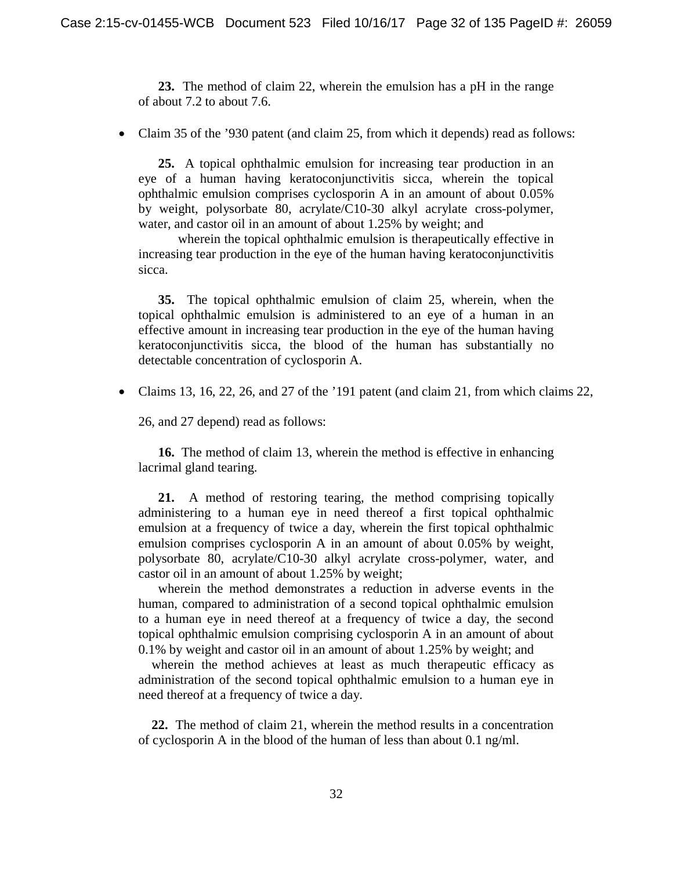**23.** The method of claim 22, wherein the emulsion has a pH in the range of about 7.2 to about 7.6.

• Claim 35 of the '930 patent (and claim 25, from which it depends) read as follows:

**25.** A topical ophthalmic emulsion for increasing tear production in an eye of a human having keratoconjunctivitis sicca, wherein the topical ophthalmic emulsion comprises cyclosporin A in an amount of about 0.05% by weight, polysorbate 80, acrylate/C10-30 alkyl acrylate cross-polymer, water, and castor oil in an amount of about 1.25% by weight; and

wherein the topical ophthalmic emulsion is therapeutically effective in increasing tear production in the eye of the human having keratoconjunctivitis sicca.

**35.** The topical ophthalmic emulsion of claim 25, wherein, when the topical ophthalmic emulsion is administered to an eye of a human in an effective amount in increasing tear production in the eye of the human having keratoconjunctivitis sicca, the blood of the human has substantially no detectable concentration of cyclosporin A.

• Claims 13, 16, 22, 26, and 27 of the '191 patent (and claim 21, from which claims 22,

26, and 27 depend) read as follows:

**16.** The method of claim 13, wherein the method is effective in enhancing lacrimal gland tearing.

**21.** A method of restoring tearing, the method comprising topically administering to a human eye in need thereof a first topical ophthalmic emulsion at a frequency of twice a day, wherein the first topical ophthalmic emulsion comprises cyclosporin A in an amount of about 0.05% by weight, polysorbate 80, acrylate/C10-30 alkyl acrylate cross-polymer, water, and castor oil in an amount of about 1.25% by weight;

wherein the method demonstrates a reduction in adverse events in the human, compared to administration of a second topical ophthalmic emulsion to a human eye in need thereof at a frequency of twice a day, the second topical ophthalmic emulsion comprising cyclosporin A in an amount of about 0.1% by weight and castor oil in an amount of about 1.25% by weight; and

wherein the method achieves at least as much therapeutic efficacy as administration of the second topical ophthalmic emulsion to a human eye in need thereof at a frequency of twice a day.

**22.** The method of claim 21, wherein the method results in a concentration of cyclosporin A in the blood of the human of less than about 0.1 ng/ml.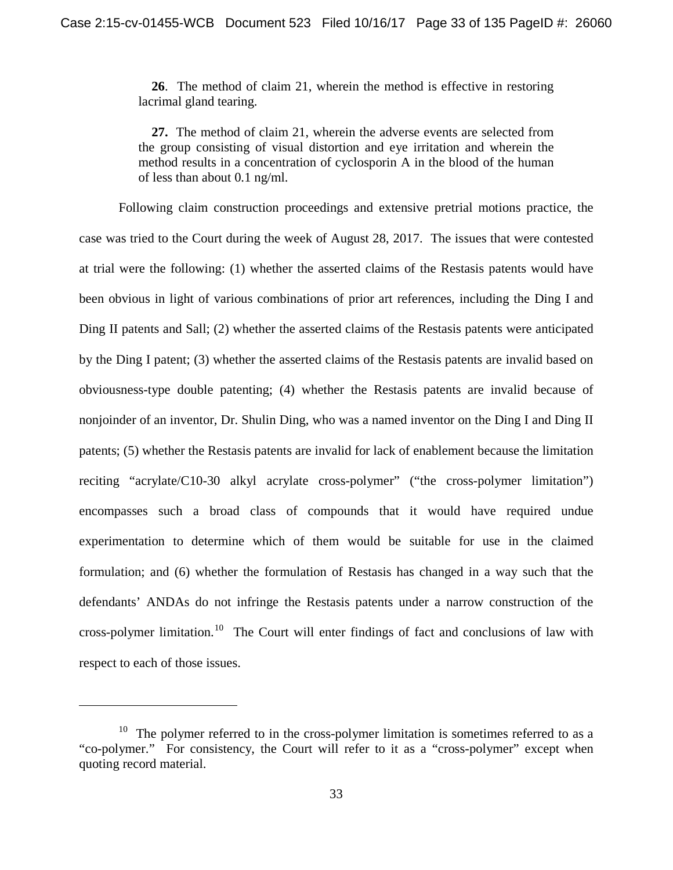**26**. The method of claim 21, wherein the method is effective in restoring lacrimal gland tearing.

**27.** The method of claim 21, wherein the adverse events are selected from the group consisting of visual distortion and eye irritation and wherein the method results in a concentration of cyclosporin A in the blood of the human of less than about 0.1 ng/ml.

Following claim construction proceedings and extensive pretrial motions practice, the case was tried to the Court during the week of August 28, 2017. The issues that were contested at trial were the following: (1) whether the asserted claims of the Restasis patents would have been obvious in light of various combinations of prior art references, including the Ding I and Ding II patents and Sall; (2) whether the asserted claims of the Restasis patents were anticipated by the Ding I patent; (3) whether the asserted claims of the Restasis patents are invalid based on obviousness-type double patenting; (4) whether the Restasis patents are invalid because of nonjoinder of an inventor, Dr. Shulin Ding, who was a named inventor on the Ding I and Ding II patents; (5) whether the Restasis patents are invalid for lack of enablement because the limitation reciting "acrylate/C10-30 alkyl acrylate cross-polymer" ("the cross-polymer limitation") encompasses such a broad class of compounds that it would have required undue experimentation to determine which of them would be suitable for use in the claimed formulation; and (6) whether the formulation of Restasis has changed in a way such that the defendants' ANDAs do not infringe the Restasis patents under a narrow construction of the cross-polymer limitation.<sup>10</sup> The Court will enter findings of fact and conclusions of law with respect to each of those issues.

l

 $10$  The polymer referred to in the cross-polymer limitation is sometimes referred to as a "co-polymer." For consistency, the Court will refer to it as a "cross-polymer" except when quoting record material.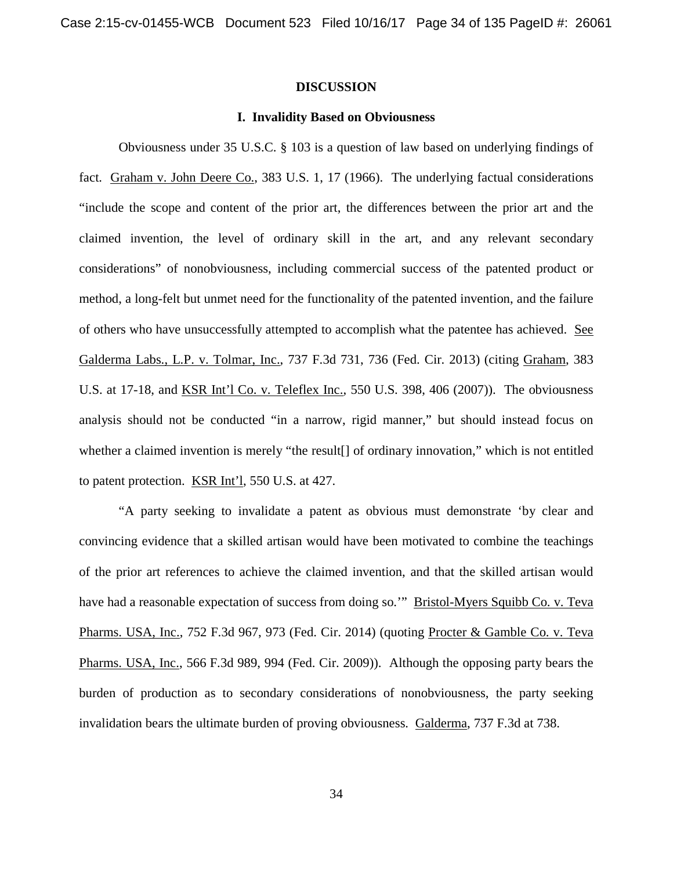#### **DISCUSSION**

## **I. Invalidity Based on Obviousness**

Obviousness under 35 U.S.C. § 103 is a question of law based on underlying findings of fact. Graham v. John Deere Co., 383 U.S. 1, 17 (1966). The underlying factual considerations "include the scope and content of the prior art, the differences between the prior art and the claimed invention, the level of ordinary skill in the art, and any relevant secondary considerations" of nonobviousness, including commercial success of the patented product or method, a long-felt but unmet need for the functionality of the patented invention, and the failure of others who have unsuccessfully attempted to accomplish what the patentee has achieved. See Galderma Labs., L.P. v. Tolmar, Inc., 737 F.3d 731, 736 (Fed. Cir. 2013) (citing Graham, 383 U.S. at 17-18, and KSR Int'l Co. v. Teleflex Inc., 550 U.S. 398, 406 (2007)). The obviousness analysis should not be conducted "in a narrow, rigid manner," but should instead focus on whether a claimed invention is merely "the result[] of ordinary innovation," which is not entitled to patent protection. KSR Int'l, 550 U.S. at 427.

"A party seeking to invalidate a patent as obvious must demonstrate 'by clear and convincing evidence that a skilled artisan would have been motivated to combine the teachings of the prior art references to achieve the claimed invention, and that the skilled artisan would have had a reasonable expectation of success from doing so.'" Bristol-Myers Squibb Co. v. Teva Pharms. USA, Inc., 752 F.3d 967, 973 (Fed. Cir. 2014) (quoting Procter & Gamble Co. v. Teva Pharms. USA, Inc., 566 F.3d 989, 994 (Fed. Cir. 2009)). Although the opposing party bears the burden of production as to secondary considerations of nonobviousness, the party seeking invalidation bears the ultimate burden of proving obviousness. Galderma, 737 F.3d at 738.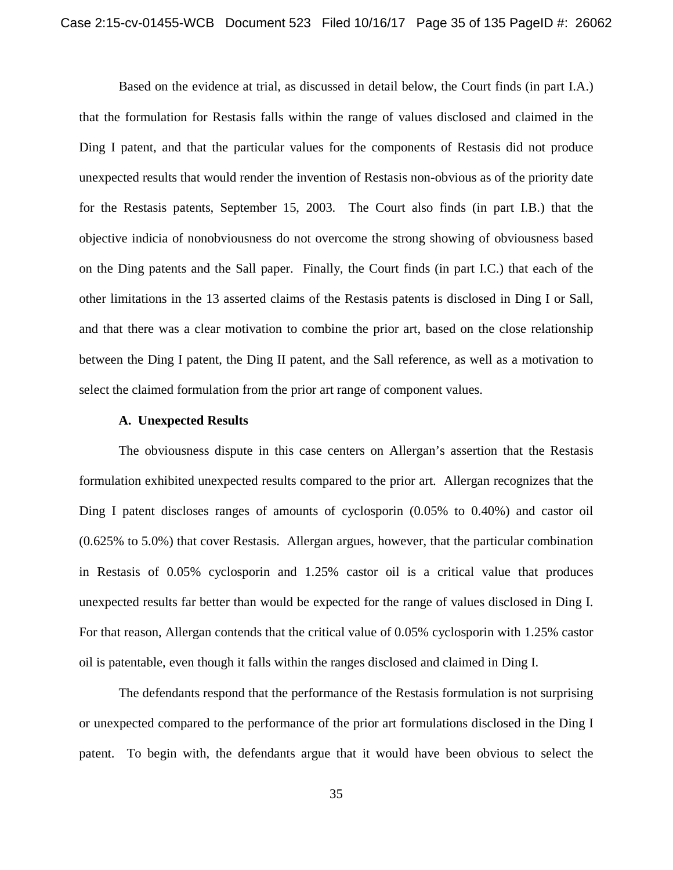Based on the evidence at trial, as discussed in detail below, the Court finds (in part I.A.) that the formulation for Restasis falls within the range of values disclosed and claimed in the Ding I patent, and that the particular values for the components of Restasis did not produce unexpected results that would render the invention of Restasis non-obvious as of the priority date for the Restasis patents, September 15, 2003. The Court also finds (in part I.B.) that the objective indicia of nonobviousness do not overcome the strong showing of obviousness based on the Ding patents and the Sall paper. Finally, the Court finds (in part I.C.) that each of the other limitations in the 13 asserted claims of the Restasis patents is disclosed in Ding I or Sall, and that there was a clear motivation to combine the prior art, based on the close relationship between the Ding I patent, the Ding II patent, and the Sall reference, as well as a motivation to select the claimed formulation from the prior art range of component values.

### **A. Unexpected Results**

The obviousness dispute in this case centers on Allergan's assertion that the Restasis formulation exhibited unexpected results compared to the prior art. Allergan recognizes that the Ding I patent discloses ranges of amounts of cyclosporin (0.05% to 0.40%) and castor oil (0.625% to 5.0%) that cover Restasis. Allergan argues, however, that the particular combination in Restasis of 0.05% cyclosporin and 1.25% castor oil is a critical value that produces unexpected results far better than would be expected for the range of values disclosed in Ding I. For that reason, Allergan contends that the critical value of 0.05% cyclosporin with 1.25% castor oil is patentable, even though it falls within the ranges disclosed and claimed in Ding I.

The defendants respond that the performance of the Restasis formulation is not surprising or unexpected compared to the performance of the prior art formulations disclosed in the Ding I patent. To begin with, the defendants argue that it would have been obvious to select the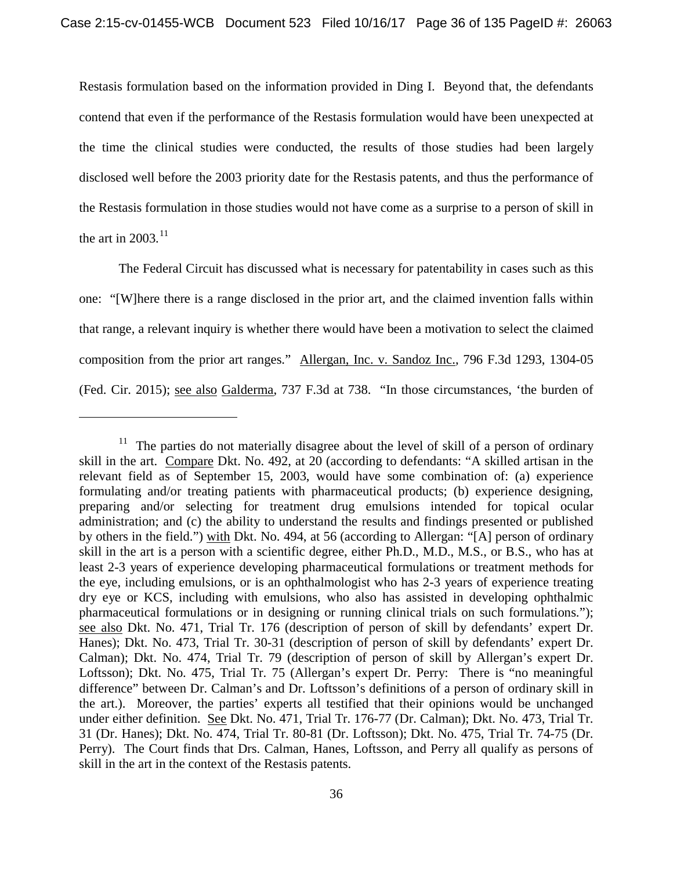Restasis formulation based on the information provided in Ding I. Beyond that, the defendants contend that even if the performance of the Restasis formulation would have been unexpected at the time the clinical studies were conducted, the results of those studies had been largely disclosed well before the 2003 priority date for the Restasis patents, and thus the performance of the Restasis formulation in those studies would not have come as a surprise to a person of skill in the art in  $2003$ .<sup>11</sup>

The Federal Circuit has discussed what is necessary for patentability in cases such as this one: "[W]here there is a range disclosed in the prior art, and the claimed invention falls within that range, a relevant inquiry is whether there would have been a motivation to select the claimed composition from the prior art ranges." Allergan, Inc. v. Sandoz Inc., 796 F.3d 1293, 1304-05 (Fed. Cir. 2015); see also Galderma, 737 F.3d at 738. "In those circumstances, 'the burden of

 $\overline{\phantom{a}}$ 

<sup>&</sup>lt;sup>11</sup> The parties do not materially disagree about the level of skill of a person of ordinary skill in the art. Compare Dkt. No. 492, at 20 (according to defendants: "A skilled artisan in the relevant field as of September 15, 2003, would have some combination of: (a) experience formulating and/or treating patients with pharmaceutical products; (b) experience designing, preparing and/or selecting for treatment drug emulsions intended for topical ocular administration; and (c) the ability to understand the results and findings presented or published by others in the field.") with Dkt. No. 494, at 56 (according to Allergan: "[A] person of ordinary skill in the art is a person with a scientific degree, either Ph.D., M.D., M.S., or B.S., who has at least 2-3 years of experience developing pharmaceutical formulations or treatment methods for the eye, including emulsions, or is an ophthalmologist who has 2-3 years of experience treating dry eye or KCS, including with emulsions, who also has assisted in developing ophthalmic pharmaceutical formulations or in designing or running clinical trials on such formulations."); see also Dkt. No. 471, Trial Tr. 176 (description of person of skill by defendants' expert Dr. Hanes); Dkt. No. 473, Trial Tr. 30-31 (description of person of skill by defendants' expert Dr. Calman); Dkt. No. 474, Trial Tr. 79 (description of person of skill by Allergan's expert Dr. Loftsson); Dkt. No. 475, Trial Tr. 75 (Allergan's expert Dr. Perry: There is "no meaningful difference" between Dr. Calman's and Dr. Loftsson's definitions of a person of ordinary skill in the art.). Moreover, the parties' experts all testified that their opinions would be unchanged under either definition. See Dkt. No. 471, Trial Tr. 176-77 (Dr. Calman); Dkt. No. 473, Trial Tr. 31 (Dr. Hanes); Dkt. No. 474, Trial Tr. 80-81 (Dr. Loftsson); Dkt. No. 475, Trial Tr. 74-75 (Dr. Perry). The Court finds that Drs. Calman, Hanes, Loftsson, and Perry all qualify as persons of skill in the art in the context of the Restasis patents.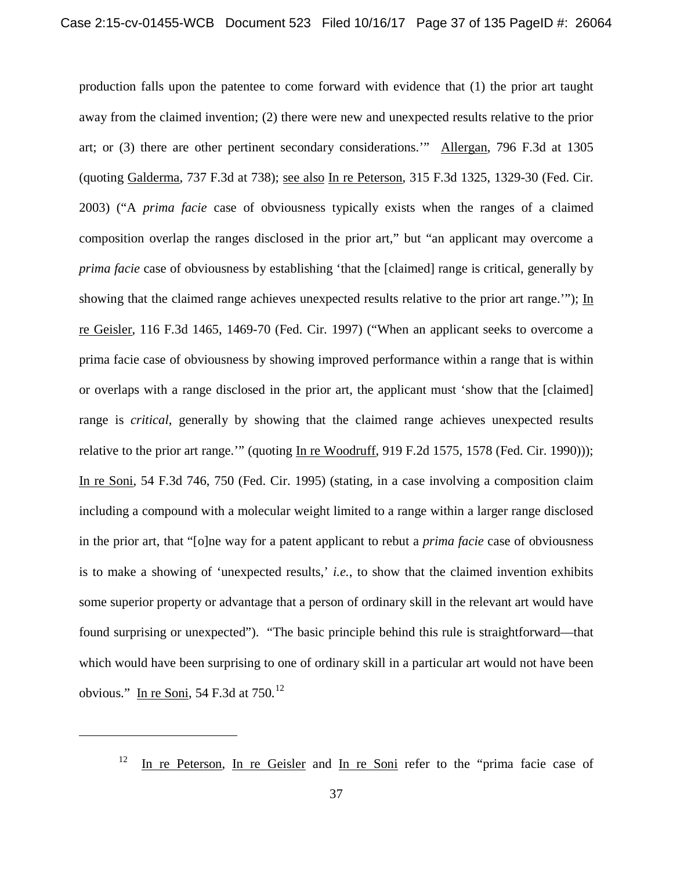production falls upon the patentee to come forward with evidence that (1) the prior art taught away from the claimed invention; (2) there were new and unexpected results relative to the prior art; or (3) there are other pertinent secondary considerations.'" Allergan, 796 F.3d at 1305 (quoting Galderma, 737 F.3d at 738); see also In re Peterson, 315 F.3d 1325, 1329-30 (Fed. Cir. 2003) ("A *prima facie* case of obviousness typically exists when the ranges of a claimed composition overlap the ranges disclosed in the prior art," but "an applicant may overcome a *prima facie* case of obviousness by establishing 'that the [claimed] range is critical, generally by showing that the claimed range achieves unexpected results relative to the prior art range.'"); In re Geisler, 116 F.3d 1465, 1469-70 (Fed. Cir. 1997) ("When an applicant seeks to overcome a prima facie case of obviousness by showing improved performance within a range that is within or overlaps with a range disclosed in the prior art, the applicant must 'show that the [claimed] range is *critical*, generally by showing that the claimed range achieves unexpected results relative to the prior art range.'" (quoting In re Woodruff, 919 F.2d 1575, 1578 (Fed. Cir. 1990))); In re Soni, 54 F.3d 746, 750 (Fed. Cir. 1995) (stating, in a case involving a composition claim including a compound with a molecular weight limited to a range within a larger range disclosed in the prior art, that "[o]ne way for a patent applicant to rebut a *prima facie* case of obviousness is to make a showing of 'unexpected results,' *i.e.*, to show that the claimed invention exhibits some superior property or advantage that a person of ordinary skill in the relevant art would have found surprising or unexpected"). "The basic principle behind this rule is straightforward—that which would have been surprising to one of ordinary skill in a particular art would not have been obvious." In re Soni, 54 F.3d at  $750$ .<sup>12</sup>

<sup>&</sup>lt;sup>12</sup> In re Peterson, In re Geisler and In re Soni refer to the "prima facie case of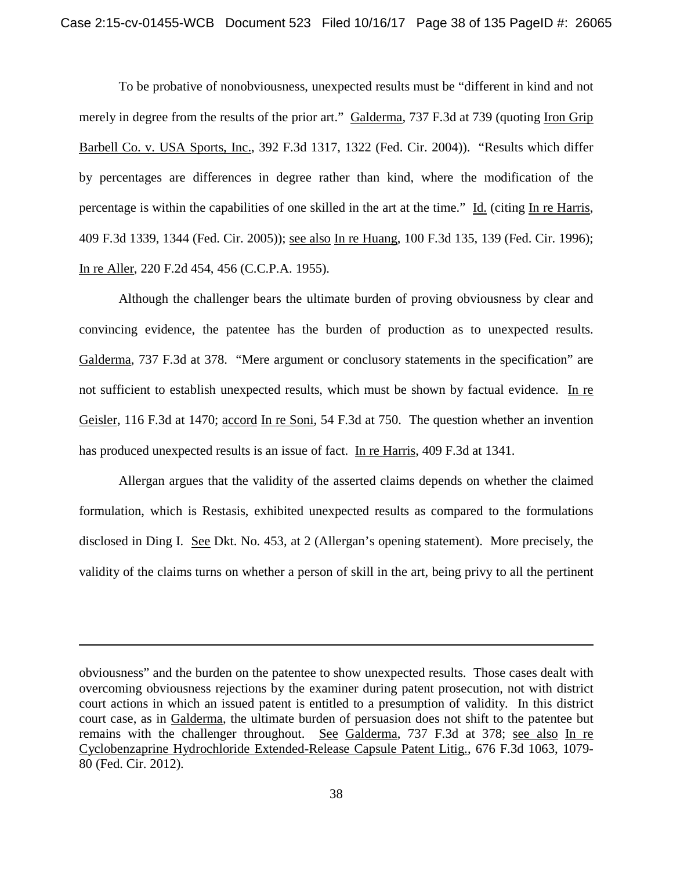To be probative of nonobviousness, unexpected results must be "different in kind and not merely in degree from the results of the prior art." Galderma, 737 F.3d at 739 (quoting Iron Grip Barbell Co. v. USA Sports, Inc., 392 F.3d 1317, 1322 (Fed. Cir. 2004)). "Results which differ by percentages are differences in degree rather than kind, where the modification of the percentage is within the capabilities of one skilled in the art at the time." Id. (citing In re Harris, 409 F.3d 1339, 1344 (Fed. Cir. 2005)); see also In re Huang, 100 F.3d 135, 139 (Fed. Cir. 1996); In re Aller, 220 F.2d 454, 456 (C.C.P.A. 1955).

Although the challenger bears the ultimate burden of proving obviousness by clear and convincing evidence, the patentee has the burden of production as to unexpected results. Galderma, 737 F.3d at 378. "Mere argument or conclusory statements in the specification" are not sufficient to establish unexpected results, which must be shown by factual evidence. In re Geisler, 116 F.3d at 1470; accord In re Soni, 54 F.3d at 750. The question whether an invention has produced unexpected results is an issue of fact. In re Harris, 409 F.3d at 1341.

Allergan argues that the validity of the asserted claims depends on whether the claimed formulation, which is Restasis, exhibited unexpected results as compared to the formulations disclosed in Ding I. See Dkt. No. 453, at 2 (Allergan's opening statement). More precisely, the validity of the claims turns on whether a person of skill in the art, being privy to all the pertinent

obviousness" and the burden on the patentee to show unexpected results. Those cases dealt with overcoming obviousness rejections by the examiner during patent prosecution, not with district court actions in which an issued patent is entitled to a presumption of validity. In this district court case, as in Galderma, the ultimate burden of persuasion does not shift to the patentee but remains with the challenger throughout. See Galderma, 737 F.3d at 378; see also In re Cyclobenzaprine Hydrochloride Extended-Release Capsule Patent Litig., 676 F.3d 1063, 1079- 80 (Fed. Cir. 2012).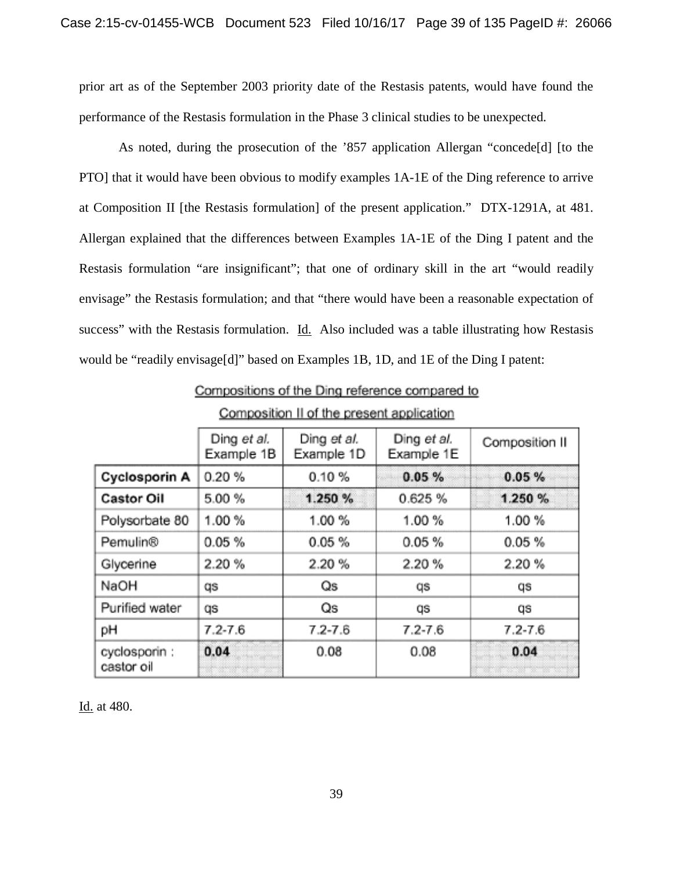prior art as of the September 2003 priority date of the Restasis patents, would have found the performance of the Restasis formulation in the Phase 3 clinical studies to be unexpected.

As noted, during the prosecution of the '857 application Allergan "concede[d] [to the PTO] that it would have been obvious to modify examples 1A-1E of the Ding reference to arrive at Composition II [the Restasis formulation] of the present application." DTX-1291A, at 481. Allergan explained that the differences between Examples 1A-1E of the Ding I patent and the Restasis formulation "are insignificant"; that one of ordinary skill in the art "would readily envisage" the Restasis formulation; and that "there would have been a reasonable expectation of success" with the Restasis formulation. Id. Also included was a table illustrating how Restasis would be "readily envisage[d]" based on Examples 1B, 1D, and 1E of the Ding I patent:

| Composition II of the present application |                           |                           |                           |                |
|-------------------------------------------|---------------------------|---------------------------|---------------------------|----------------|
|                                           | Ding et al.<br>Example 1B | Ding et al.<br>Example 1D | Ding et al.<br>Example 1E | Composition II |
| Cyclosporin A                             | 0.20%                     | 0.10%                     | 0.05%                     | 0.05%          |
| <b>Castor Oil</b>                         | 5.00 %                    | 1.250 %                   | 0.625%                    | 1.250 %        |
| Polysorbate 80                            | 1.00%                     | 1.00%                     | 1.00%                     | 1.00 %         |
| Pemulin®                                  | 0.05%                     | 0.05%                     | 0.05%                     | 0.05%          |
| Glycerine                                 | 2.20%                     | 2.20%                     | 2.20%                     | 2.20%          |
| NaOH                                      | qs                        | Qs                        | qs                        | qs             |
| Purified water                            | qs                        | Qs                        | qs                        | qs             |
| рH                                        | $7.2 - 7.6$               | $7.2 - 7.6$               | $7.2 - 7.6$               | $7.2 - 7.6$    |
| cyclosporin:<br>castor oil                | 0.04                      | 0.08                      | 0.08                      | 0.04           |

Compositions of the Ding reference compared to

Id. at 480.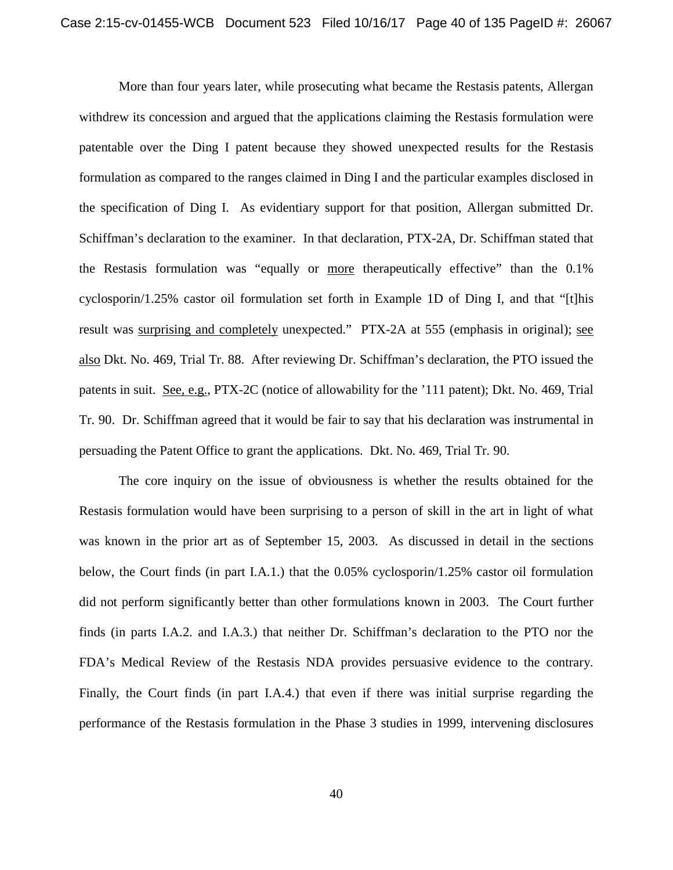More than four years later, while prosecuting what became the Restasis patents, Allergan withdrew its concession and argued that the applications claiming the Restasis formulation were patentable over the Ding I patent because they showed unexpected results for the Restasis formulation as compared to the ranges claimed in Ding I and the particular examples disclosed in the specification of Ding I. As evidentiary support for that position, Allergan submitted Dr. Schiffman's declaration to the examiner. In that declaration, PTX-2A, Dr. Schiffman stated that the Restasis formulation was "equally or more therapeutically effective" than the 0.1% cyclosporin/1.25% castor oil formulation set forth in Example 1D of Ding I, and that "[t]his result was surprising and completely unexpected." PTX-2A at 555 (emphasis in original); see also Dkt. No. 469, Trial Tr. 88. After reviewing Dr. Schiffman's declaration, the PTO issued the patents in suit. See, e.g., PTX-2C (notice of allowability for the '111 patent); Dkt. No. 469, Trial Tr. 90. Dr. Schiffman agreed that it would be fair to say that his declaration was instrumental in persuading the Patent Office to grant the applications. Dkt. No. 469, Trial Tr. 90.

The core inquiry on the issue of obviousness is whether the results obtained for the Restasis formulation would have been surprising to a person of skill in the art in light of what was known in the prior art as of September 15, 2003. As discussed in detail in the sections below, the Court finds (in part I.A.1.) that the 0.05% cyclosporin/1.25% castor oil formulation did not perform significantly better than other formulations known in 2003. The Court further finds (in parts I.A.2. and I.A.3.) that neither Dr. Schiffman's declaration to the PTO nor the FDA's Medical Review of the Restasis NDA provides persuasive evidence to the contrary. Finally, the Court finds (in part I.A.4.) that even if there was initial surprise regarding the performance of the Restasis formulation in the Phase 3 studies in 1999, intervening disclosures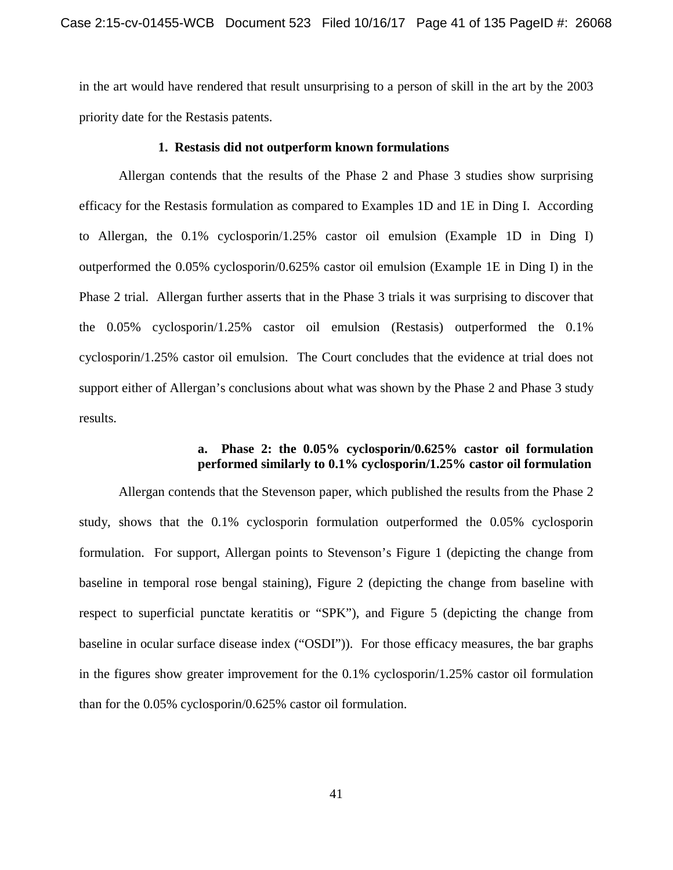in the art would have rendered that result unsurprising to a person of skill in the art by the 2003 priority date for the Restasis patents.

## **1. Restasis did not outperform known formulations**

Allergan contends that the results of the Phase 2 and Phase 3 studies show surprising efficacy for the Restasis formulation as compared to Examples 1D and 1E in Ding I. According to Allergan, the 0.1% cyclosporin/1.25% castor oil emulsion (Example 1D in Ding I) outperformed the 0.05% cyclosporin/0.625% castor oil emulsion (Example 1E in Ding I) in the Phase 2 trial. Allergan further asserts that in the Phase 3 trials it was surprising to discover that the 0.05% cyclosporin/1.25% castor oil emulsion (Restasis) outperformed the 0.1% cyclosporin/1.25% castor oil emulsion. The Court concludes that the evidence at trial does not support either of Allergan's conclusions about what was shown by the Phase 2 and Phase 3 study results.

## **a. Phase 2: the 0.05% cyclosporin/0.625% castor oil formulation performed similarly to 0.1% cyclosporin/1.25% castor oil formulation**

Allergan contends that the Stevenson paper, which published the results from the Phase 2 study, shows that the 0.1% cyclosporin formulation outperformed the 0.05% cyclosporin formulation. For support, Allergan points to Stevenson's Figure 1 (depicting the change from baseline in temporal rose bengal staining), Figure 2 (depicting the change from baseline with respect to superficial punctate keratitis or "SPK"), and Figure 5 (depicting the change from baseline in ocular surface disease index ("OSDI")). For those efficacy measures, the bar graphs in the figures show greater improvement for the 0.1% cyclosporin/1.25% castor oil formulation than for the 0.05% cyclosporin/0.625% castor oil formulation.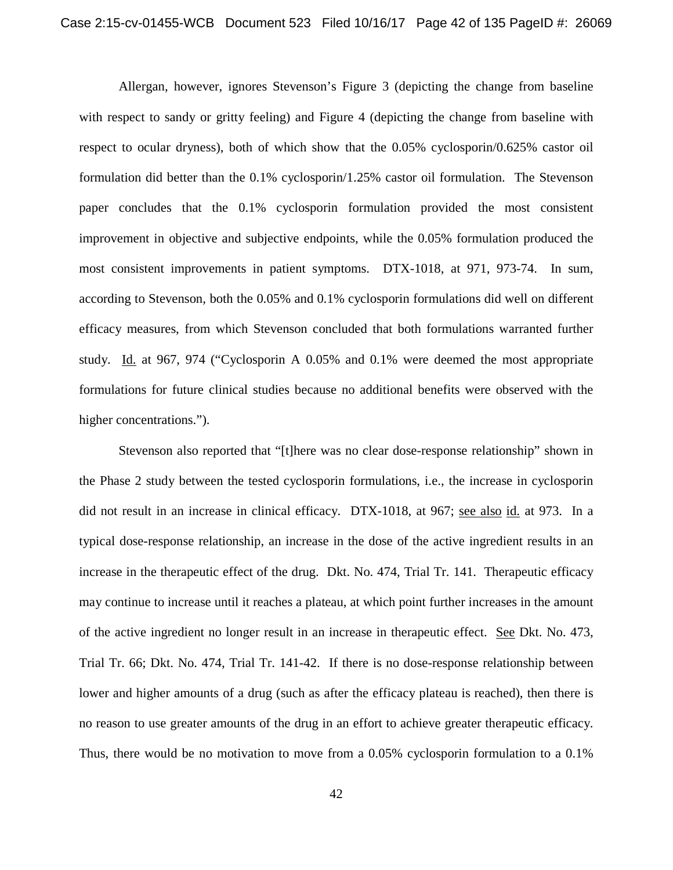Allergan, however, ignores Stevenson's Figure 3 (depicting the change from baseline with respect to sandy or gritty feeling) and Figure 4 (depicting the change from baseline with respect to ocular dryness), both of which show that the 0.05% cyclosporin/0.625% castor oil formulation did better than the 0.1% cyclosporin/1.25% castor oil formulation. The Stevenson paper concludes that the 0.1% cyclosporin formulation provided the most consistent improvement in objective and subjective endpoints, while the 0.05% formulation produced the most consistent improvements in patient symptoms. DTX-1018, at 971, 973-74. In sum, according to Stevenson, both the 0.05% and 0.1% cyclosporin formulations did well on different efficacy measures, from which Stevenson concluded that both formulations warranted further study. Id. at 967, 974 ("Cyclosporin A 0.05% and 0.1% were deemed the most appropriate formulations for future clinical studies because no additional benefits were observed with the higher concentrations.").

Stevenson also reported that "[t]here was no clear dose-response relationship" shown in the Phase 2 study between the tested cyclosporin formulations, i.e., the increase in cyclosporin did not result in an increase in clinical efficacy. DTX-1018, at 967; see also id. at 973. In a typical dose-response relationship, an increase in the dose of the active ingredient results in an increase in the therapeutic effect of the drug. Dkt. No. 474, Trial Tr. 141. Therapeutic efficacy may continue to increase until it reaches a plateau, at which point further increases in the amount of the active ingredient no longer result in an increase in therapeutic effect. See Dkt. No. 473, Trial Tr. 66; Dkt. No. 474, Trial Tr. 141-42. If there is no dose-response relationship between lower and higher amounts of a drug (such as after the efficacy plateau is reached), then there is no reason to use greater amounts of the drug in an effort to achieve greater therapeutic efficacy. Thus, there would be no motivation to move from a 0.05% cyclosporin formulation to a 0.1%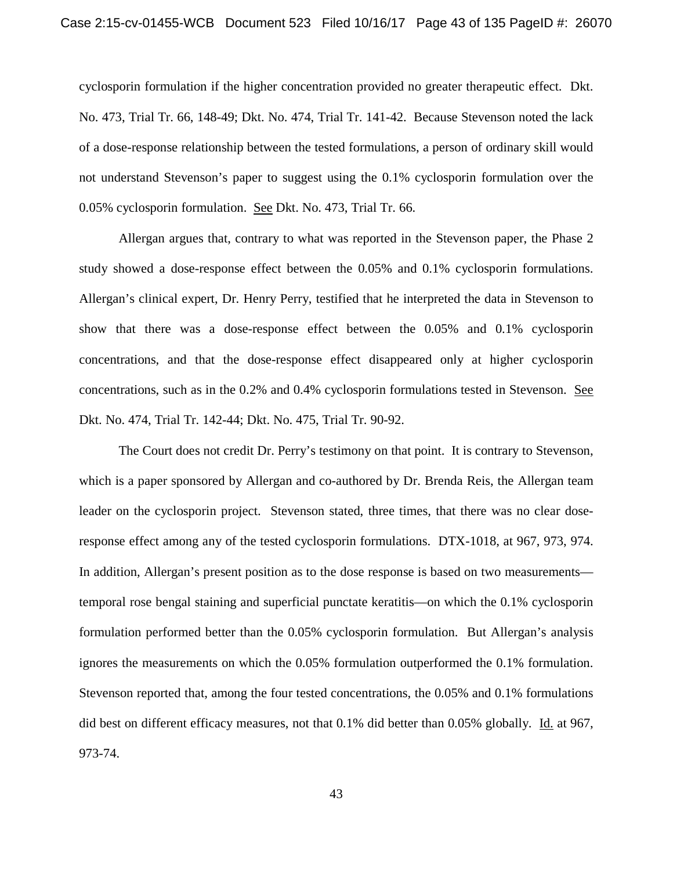cyclosporin formulation if the higher concentration provided no greater therapeutic effect. Dkt. No. 473, Trial Tr. 66, 148-49; Dkt. No. 474, Trial Tr. 141-42. Because Stevenson noted the lack of a dose-response relationship between the tested formulations, a person of ordinary skill would not understand Stevenson's paper to suggest using the 0.1% cyclosporin formulation over the 0.05% cyclosporin formulation. See Dkt. No. 473, Trial Tr. 66.

Allergan argues that, contrary to what was reported in the Stevenson paper, the Phase 2 study showed a dose-response effect between the 0.05% and 0.1% cyclosporin formulations. Allergan's clinical expert, Dr. Henry Perry, testified that he interpreted the data in Stevenson to show that there was a dose-response effect between the 0.05% and 0.1% cyclosporin concentrations, and that the dose-response effect disappeared only at higher cyclosporin concentrations, such as in the 0.2% and 0.4% cyclosporin formulations tested in Stevenson. See Dkt. No. 474, Trial Tr. 142-44; Dkt. No. 475, Trial Tr. 90-92.

The Court does not credit Dr. Perry's testimony on that point. It is contrary to Stevenson, which is a paper sponsored by Allergan and co-authored by Dr. Brenda Reis, the Allergan team leader on the cyclosporin project. Stevenson stated, three times, that there was no clear doseresponse effect among any of the tested cyclosporin formulations. DTX-1018, at 967, 973, 974. In addition, Allergan's present position as to the dose response is based on two measurements temporal rose bengal staining and superficial punctate keratitis—on which the 0.1% cyclosporin formulation performed better than the 0.05% cyclosporin formulation. But Allergan's analysis ignores the measurements on which the 0.05% formulation outperformed the 0.1% formulation. Stevenson reported that, among the four tested concentrations, the 0.05% and 0.1% formulations did best on different efficacy measures, not that 0.1% did better than 0.05% globally. Id. at 967, 973-74.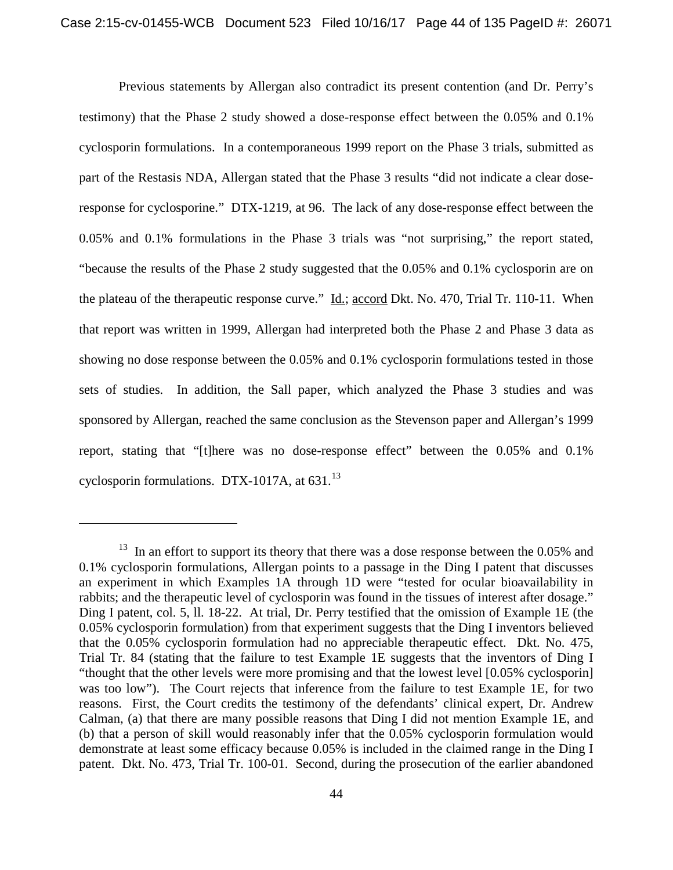Previous statements by Allergan also contradict its present contention (and Dr. Perry's testimony) that the Phase 2 study showed a dose-response effect between the 0.05% and 0.1% cyclosporin formulations. In a contemporaneous 1999 report on the Phase 3 trials, submitted as part of the Restasis NDA, Allergan stated that the Phase 3 results "did not indicate a clear doseresponse for cyclosporine." DTX-1219, at 96. The lack of any dose-response effect between the 0.05% and 0.1% formulations in the Phase 3 trials was "not surprising," the report stated, "because the results of the Phase 2 study suggested that the 0.05% and 0.1% cyclosporin are on the plateau of the therapeutic response curve." Id.; accord Dkt. No. 470, Trial Tr. 110-11. When that report was written in 1999, Allergan had interpreted both the Phase 2 and Phase 3 data as showing no dose response between the 0.05% and 0.1% cyclosporin formulations tested in those sets of studies. In addition, the Sall paper, which analyzed the Phase 3 studies and was sponsored by Allergan, reached the same conclusion as the Stevenson paper and Allergan's 1999 report, stating that "[t]here was no dose-response effect" between the 0.05% and 0.1% cyclosporin formulations. DTX-1017A, at  $631.<sup>13</sup>$ 

 $13$  In an effort to support its theory that there was a dose response between the 0.05% and 0.1% cyclosporin formulations, Allergan points to a passage in the Ding I patent that discusses an experiment in which Examples 1A through 1D were "tested for ocular bioavailability in rabbits; and the therapeutic level of cyclosporin was found in the tissues of interest after dosage." Ding I patent, col. 5, ll. 18-22. At trial, Dr. Perry testified that the omission of Example 1E (the 0.05% cyclosporin formulation) from that experiment suggests that the Ding I inventors believed that the 0.05% cyclosporin formulation had no appreciable therapeutic effect. Dkt. No. 475, Trial Tr. 84 (stating that the failure to test Example 1E suggests that the inventors of Ding I "thought that the other levels were more promising and that the lowest level [0.05% cyclosporin] was too low"). The Court rejects that inference from the failure to test Example 1E, for two reasons. First, the Court credits the testimony of the defendants' clinical expert, Dr. Andrew Calman, (a) that there are many possible reasons that Ding I did not mention Example 1E, and (b) that a person of skill would reasonably infer that the 0.05% cyclosporin formulation would demonstrate at least some efficacy because 0.05% is included in the claimed range in the Ding I patent. Dkt. No. 473, Trial Tr. 100-01. Second, during the prosecution of the earlier abandoned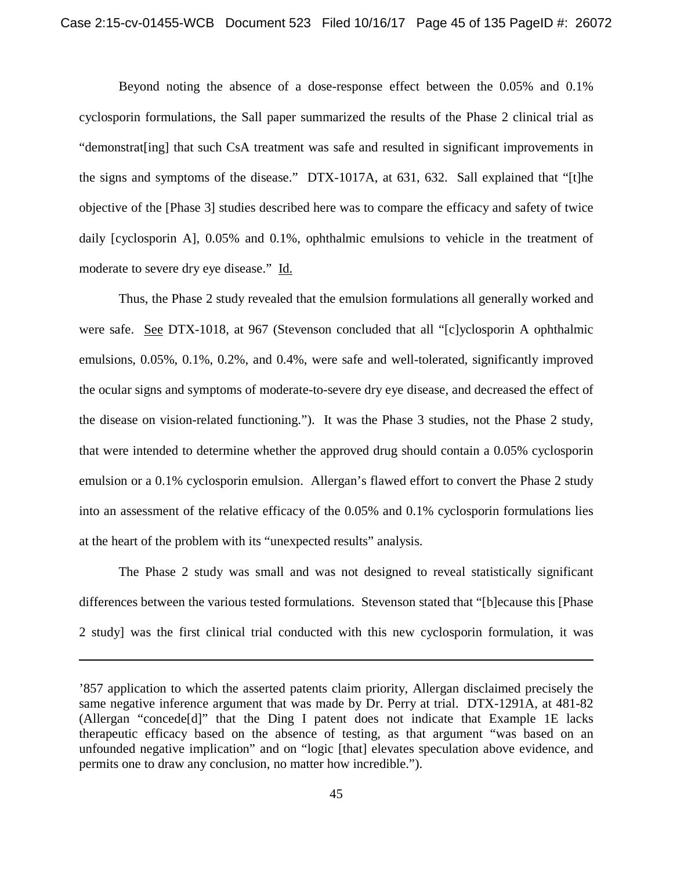Beyond noting the absence of a dose-response effect between the 0.05% and 0.1% cyclosporin formulations, the Sall paper summarized the results of the Phase 2 clinical trial as "demonstrat[ing] that such CsA treatment was safe and resulted in significant improvements in the signs and symptoms of the disease." DTX-1017A, at 631, 632. Sall explained that "[t]he objective of the [Phase 3] studies described here was to compare the efficacy and safety of twice daily [cyclosporin A], 0.05% and 0.1%, ophthalmic emulsions to vehicle in the treatment of moderate to severe dry eye disease." Id.

Thus, the Phase 2 study revealed that the emulsion formulations all generally worked and were safe. See DTX-1018, at 967 (Stevenson concluded that all "[c]yclosporin A ophthalmic emulsions, 0.05%, 0.1%, 0.2%, and 0.4%, were safe and well-tolerated, significantly improved the ocular signs and symptoms of moderate-to-severe dry eye disease, and decreased the effect of the disease on vision-related functioning."). It was the Phase 3 studies, not the Phase 2 study, that were intended to determine whether the approved drug should contain a 0.05% cyclosporin emulsion or a 0.1% cyclosporin emulsion. Allergan's flawed effort to convert the Phase 2 study into an assessment of the relative efficacy of the 0.05% and 0.1% cyclosporin formulations lies at the heart of the problem with its "unexpected results" analysis.

The Phase 2 study was small and was not designed to reveal statistically significant differences between the various tested formulations. Stevenson stated that "[b]ecause this [Phase 2 study] was the first clinical trial conducted with this new cyclosporin formulation, it was

<sup>&#</sup>x27;857 application to which the asserted patents claim priority, Allergan disclaimed precisely the same negative inference argument that was made by Dr. Perry at trial. DTX-1291A, at 481-82 (Allergan "concede[d]" that the Ding I patent does not indicate that Example 1E lacks therapeutic efficacy based on the absence of testing, as that argument "was based on an unfounded negative implication" and on "logic [that] elevates speculation above evidence, and permits one to draw any conclusion, no matter how incredible.").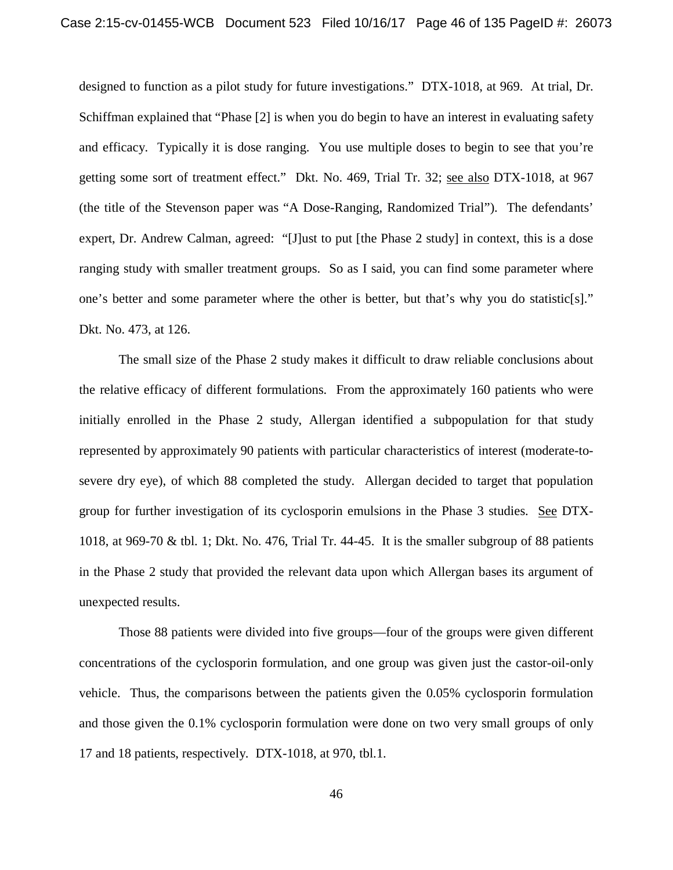designed to function as a pilot study for future investigations." DTX-1018, at 969. At trial, Dr. Schiffman explained that "Phase [2] is when you do begin to have an interest in evaluating safety and efficacy. Typically it is dose ranging. You use multiple doses to begin to see that you're getting some sort of treatment effect." Dkt. No. 469, Trial Tr. 32; see also DTX-1018, at 967 (the title of the Stevenson paper was "A Dose-Ranging, Randomized Trial"). The defendants' expert, Dr. Andrew Calman, agreed: "[J]ust to put [the Phase 2 study] in context, this is a dose ranging study with smaller treatment groups. So as I said, you can find some parameter where one's better and some parameter where the other is better, but that's why you do statistic[s]." Dkt. No. 473, at 126.

The small size of the Phase 2 study makes it difficult to draw reliable conclusions about the relative efficacy of different formulations. From the approximately 160 patients who were initially enrolled in the Phase 2 study, Allergan identified a subpopulation for that study represented by approximately 90 patients with particular characteristics of interest (moderate-tosevere dry eye), of which 88 completed the study. Allergan decided to target that population group for further investigation of its cyclosporin emulsions in the Phase 3 studies. See DTX-1018, at 969-70 & tbl. 1; Dkt. No. 476, Trial Tr. 44-45. It is the smaller subgroup of 88 patients in the Phase 2 study that provided the relevant data upon which Allergan bases its argument of unexpected results.

Those 88 patients were divided into five groups—four of the groups were given different concentrations of the cyclosporin formulation, and one group was given just the castor-oil-only vehicle. Thus, the comparisons between the patients given the 0.05% cyclosporin formulation and those given the 0.1% cyclosporin formulation were done on two very small groups of only 17 and 18 patients, respectively. DTX-1018, at 970, tbl.1.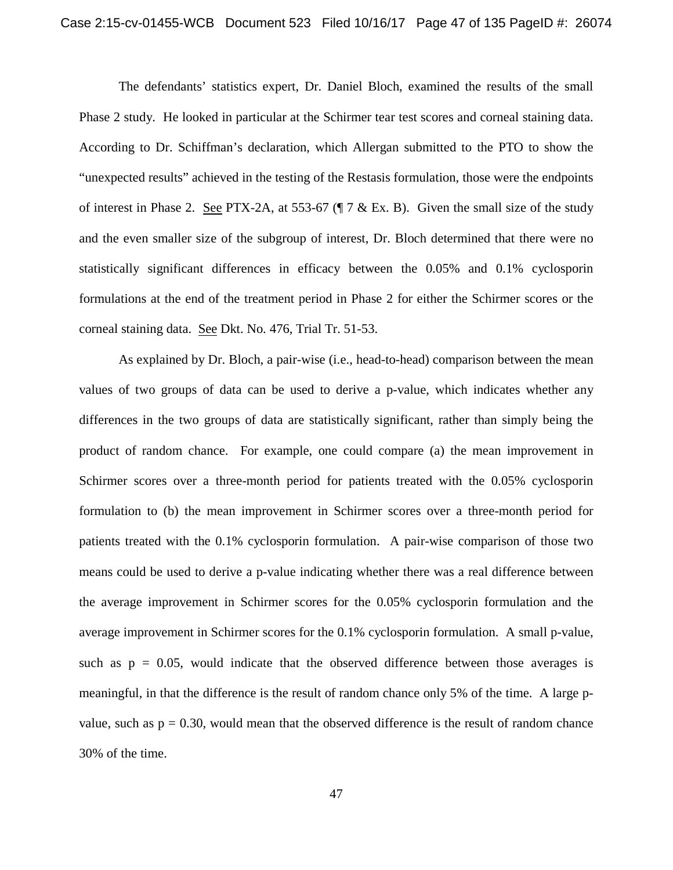The defendants' statistics expert, Dr. Daniel Bloch, examined the results of the small Phase 2 study. He looked in particular at the Schirmer tear test scores and corneal staining data. According to Dr. Schiffman's declaration, which Allergan submitted to the PTO to show the "unexpected results" achieved in the testing of the Restasis formulation, those were the endpoints of interest in Phase 2. See PTX-2A, at 553-67 (¶ 7 & Ex. B). Given the small size of the study and the even smaller size of the subgroup of interest, Dr. Bloch determined that there were no statistically significant differences in efficacy between the 0.05% and 0.1% cyclosporin formulations at the end of the treatment period in Phase 2 for either the Schirmer scores or the corneal staining data. See Dkt. No. 476, Trial Tr. 51-53.

As explained by Dr. Bloch, a pair-wise (i.e., head-to-head) comparison between the mean values of two groups of data can be used to derive a p-value, which indicates whether any differences in the two groups of data are statistically significant, rather than simply being the product of random chance. For example, one could compare (a) the mean improvement in Schirmer scores over a three-month period for patients treated with the 0.05% cyclosporin formulation to (b) the mean improvement in Schirmer scores over a three-month period for patients treated with the 0.1% cyclosporin formulation. A pair-wise comparison of those two means could be used to derive a p-value indicating whether there was a real difference between the average improvement in Schirmer scores for the 0.05% cyclosporin formulation and the average improvement in Schirmer scores for the 0.1% cyclosporin formulation. A small p-value, such as  $p = 0.05$ , would indicate that the observed difference between those averages is meaningful, in that the difference is the result of random chance only 5% of the time. A large pvalue, such as  $p = 0.30$ , would mean that the observed difference is the result of random chance 30% of the time.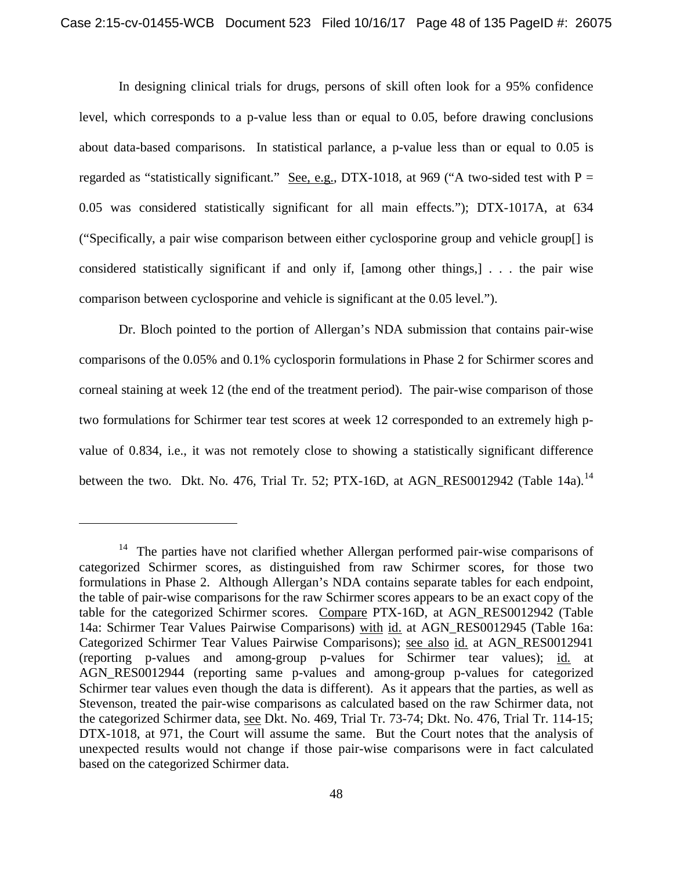In designing clinical trials for drugs, persons of skill often look for a 95% confidence level, which corresponds to a p-value less than or equal to 0.05, before drawing conclusions about data-based comparisons. In statistical parlance, a p-value less than or equal to 0.05 is regarded as "statistically significant." See, e.g., DTX-1018, at 969 ("A two-sided test with  $P =$ 0.05 was considered statistically significant for all main effects."); DTX-1017A, at 634 ("Specifically, a pair wise comparison between either cyclosporine group and vehicle group[] is considered statistically significant if and only if, [among other things,] . . . the pair wise comparison between cyclosporine and vehicle is significant at the 0.05 level.").

Dr. Bloch pointed to the portion of Allergan's NDA submission that contains pair-wise comparisons of the 0.05% and 0.1% cyclosporin formulations in Phase 2 for Schirmer scores and corneal staining at week 12 (the end of the treatment period). The pair-wise comparison of those two formulations for Schirmer tear test scores at week 12 corresponded to an extremely high pvalue of 0.834, i.e., it was not remotely close to showing a statistically significant difference between the two. Dkt. No. 476, Trial Tr. 52; PTX-16D, at AGN RES0012942 (Table 14a).<sup>14</sup>

<sup>&</sup>lt;sup>14</sup> The parties have not clarified whether Allergan performed pair-wise comparisons of categorized Schirmer scores, as distinguished from raw Schirmer scores, for those two formulations in Phase 2. Although Allergan's NDA contains separate tables for each endpoint, the table of pair-wise comparisons for the raw Schirmer scores appears to be an exact copy of the table for the categorized Schirmer scores. Compare PTX-16D, at AGN\_RES0012942 (Table 14a: Schirmer Tear Values Pairwise Comparisons) with id. at AGN\_RES0012945 (Table 16a: Categorized Schirmer Tear Values Pairwise Comparisons); see also id. at AGN\_RES0012941 (reporting p-values and among-group p-values for Schirmer tear values); id. at AGN\_RES0012944 (reporting same p-values and among-group p-values for categorized Schirmer tear values even though the data is different). As it appears that the parties, as well as Stevenson, treated the pair-wise comparisons as calculated based on the raw Schirmer data, not the categorized Schirmer data, see Dkt. No. 469, Trial Tr. 73-74; Dkt. No. 476, Trial Tr. 114-15; DTX-1018, at 971, the Court will assume the same. But the Court notes that the analysis of unexpected results would not change if those pair-wise comparisons were in fact calculated based on the categorized Schirmer data.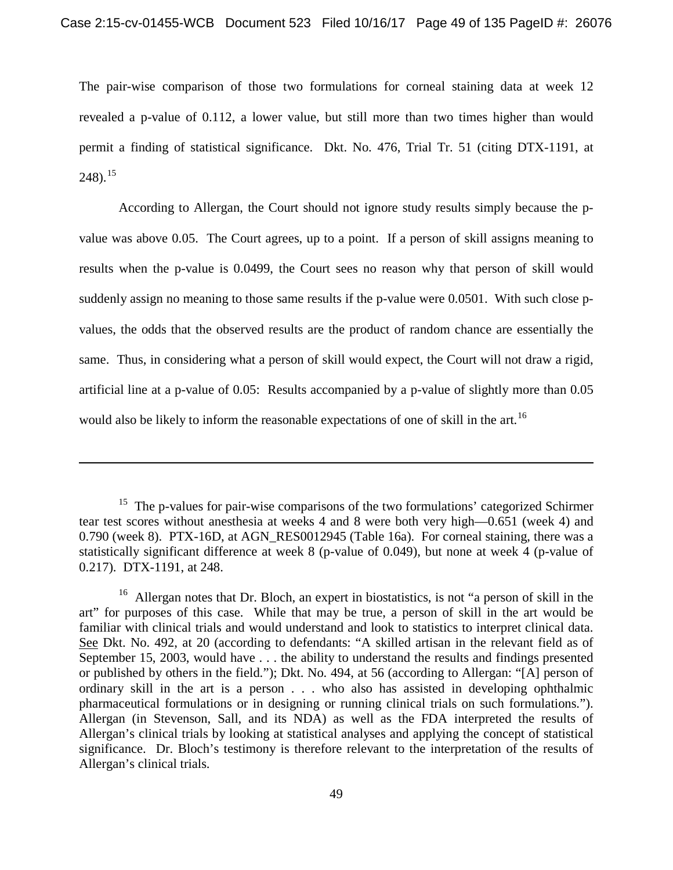The pair-wise comparison of those two formulations for corneal staining data at week 12 revealed a p-value of 0.112, a lower value, but still more than two times higher than would permit a finding of statistical significance. Dkt. No. 476, Trial Tr. 51 (citing DTX-1191, at 248).15

According to Allergan, the Court should not ignore study results simply because the pvalue was above 0.05. The Court agrees, up to a point. If a person of skill assigns meaning to results when the p-value is 0.0499, the Court sees no reason why that person of skill would suddenly assign no meaning to those same results if the p-value were 0.0501. With such close pvalues, the odds that the observed results are the product of random chance are essentially the same. Thus, in considering what a person of skill would expect, the Court will not draw a rigid, artificial line at a p-value of 0.05: Results accompanied by a p-value of slightly more than 0.05 would also be likely to inform the reasonable expectations of one of skill in the art.<sup>16</sup>

l

 $15$  The p-values for pair-wise comparisons of the two formulations' categorized Schirmer tear test scores without anesthesia at weeks 4 and 8 were both very high—0.651 (week 4) and 0.790 (week 8). PTX-16D, at AGN\_RES0012945 (Table 16a). For corneal staining, there was a statistically significant difference at week 8 (p-value of 0.049), but none at week 4 (p-value of 0.217). DTX-1191, at 248.

<sup>&</sup>lt;sup>16</sup> Allergan notes that Dr. Bloch, an expert in biostatistics, is not "a person of skill in the art" for purposes of this case. While that may be true, a person of skill in the art would be familiar with clinical trials and would understand and look to statistics to interpret clinical data. See Dkt. No. 492, at 20 (according to defendants: "A skilled artisan in the relevant field as of September 15, 2003, would have . . . the ability to understand the results and findings presented or published by others in the field."); Dkt. No. 494, at 56 (according to Allergan: "[A] person of ordinary skill in the art is a person . . . who also has assisted in developing ophthalmic pharmaceutical formulations or in designing or running clinical trials on such formulations."). Allergan (in Stevenson, Sall, and its NDA) as well as the FDA interpreted the results of Allergan's clinical trials by looking at statistical analyses and applying the concept of statistical significance. Dr. Bloch's testimony is therefore relevant to the interpretation of the results of Allergan's clinical trials.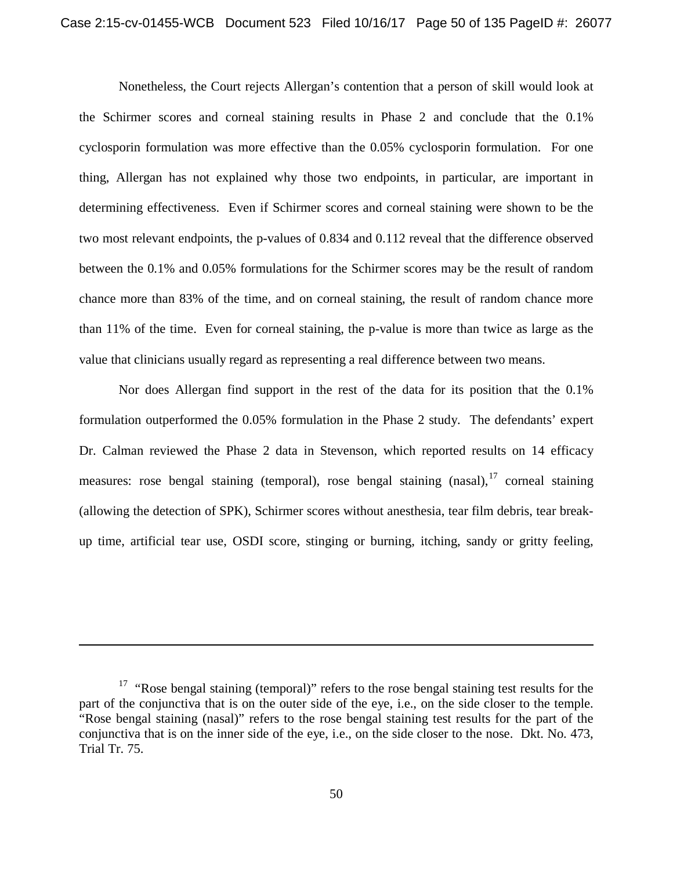Nonetheless, the Court rejects Allergan's contention that a person of skill would look at the Schirmer scores and corneal staining results in Phase 2 and conclude that the 0.1% cyclosporin formulation was more effective than the 0.05% cyclosporin formulation. For one thing, Allergan has not explained why those two endpoints, in particular, are important in determining effectiveness. Even if Schirmer scores and corneal staining were shown to be the two most relevant endpoints, the p-values of 0.834 and 0.112 reveal that the difference observed between the 0.1% and 0.05% formulations for the Schirmer scores may be the result of random chance more than 83% of the time, and on corneal staining, the result of random chance more than 11% of the time. Even for corneal staining, the p-value is more than twice as large as the value that clinicians usually regard as representing a real difference between two means.

Nor does Allergan find support in the rest of the data for its position that the 0.1% formulation outperformed the 0.05% formulation in the Phase 2 study. The defendants' expert Dr. Calman reviewed the Phase 2 data in Stevenson, which reported results on 14 efficacy measures: rose bengal staining (temporal), rose bengal staining  $(nasal)<sup>17</sup>$  corneal staining (allowing the detection of SPK), Schirmer scores without anesthesia, tear film debris, tear breakup time, artificial tear use, OSDI score, stinging or burning, itching, sandy or gritty feeling,

<sup>&</sup>lt;sup>17</sup> "Rose bengal staining (temporal)" refers to the rose bengal staining test results for the part of the conjunctiva that is on the outer side of the eye, i.e., on the side closer to the temple. "Rose bengal staining (nasal)" refers to the rose bengal staining test results for the part of the conjunctiva that is on the inner side of the eye, i.e., on the side closer to the nose. Dkt. No. 473, Trial Tr. 75.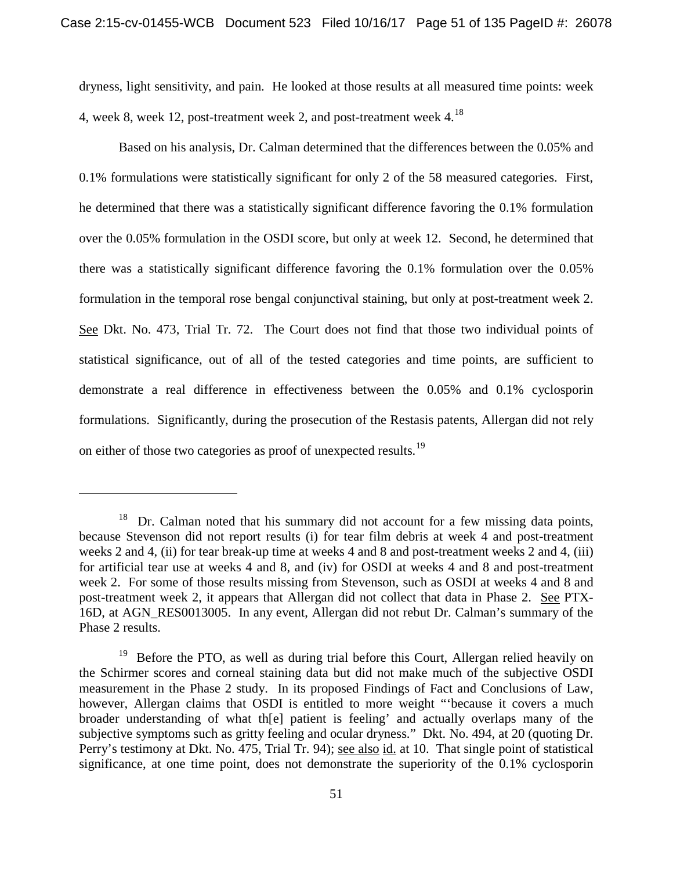dryness, light sensitivity, and pain. He looked at those results at all measured time points: week 4, week 8, week 12, post-treatment week 2, and post-treatment week 4.18

Based on his analysis, Dr. Calman determined that the differences between the 0.05% and 0.1% formulations were statistically significant for only 2 of the 58 measured categories. First, he determined that there was a statistically significant difference favoring the 0.1% formulation over the 0.05% formulation in the OSDI score, but only at week 12. Second, he determined that there was a statistically significant difference favoring the 0.1% formulation over the 0.05% formulation in the temporal rose bengal conjunctival staining, but only at post-treatment week 2. See Dkt. No. 473, Trial Tr. 72. The Court does not find that those two individual points of statistical significance, out of all of the tested categories and time points, are sufficient to demonstrate a real difference in effectiveness between the 0.05% and 0.1% cyclosporin formulations. Significantly, during the prosecution of the Restasis patents, Allergan did not rely on either of those two categories as proof of unexpected results.<sup>19</sup>

Dr. Calman noted that his summary did not account for a few missing data points, because Stevenson did not report results (i) for tear film debris at week 4 and post-treatment weeks 2 and 4, (ii) for tear break-up time at weeks 4 and 8 and post-treatment weeks 2 and 4, (iii) for artificial tear use at weeks 4 and 8, and (iv) for OSDI at weeks 4 and 8 and post-treatment week 2. For some of those results missing from Stevenson, such as OSDI at weeks 4 and 8 and post-treatment week 2, it appears that Allergan did not collect that data in Phase 2. See PTX-16D, at AGN\_RES0013005. In any event, Allergan did not rebut Dr. Calman's summary of the Phase 2 results.

 $19$  Before the PTO, as well as during trial before this Court, Allergan relied heavily on the Schirmer scores and corneal staining data but did not make much of the subjective OSDI measurement in the Phase 2 study. In its proposed Findings of Fact and Conclusions of Law, however, Allergan claims that OSDI is entitled to more weight "'because it covers a much broader understanding of what th[e] patient is feeling' and actually overlaps many of the subjective symptoms such as gritty feeling and ocular dryness." Dkt. No. 494, at 20 (quoting Dr. Perry's testimony at Dkt. No. 475, Trial Tr. 94); see also id. at 10. That single point of statistical significance, at one time point, does not demonstrate the superiority of the 0.1% cyclosporin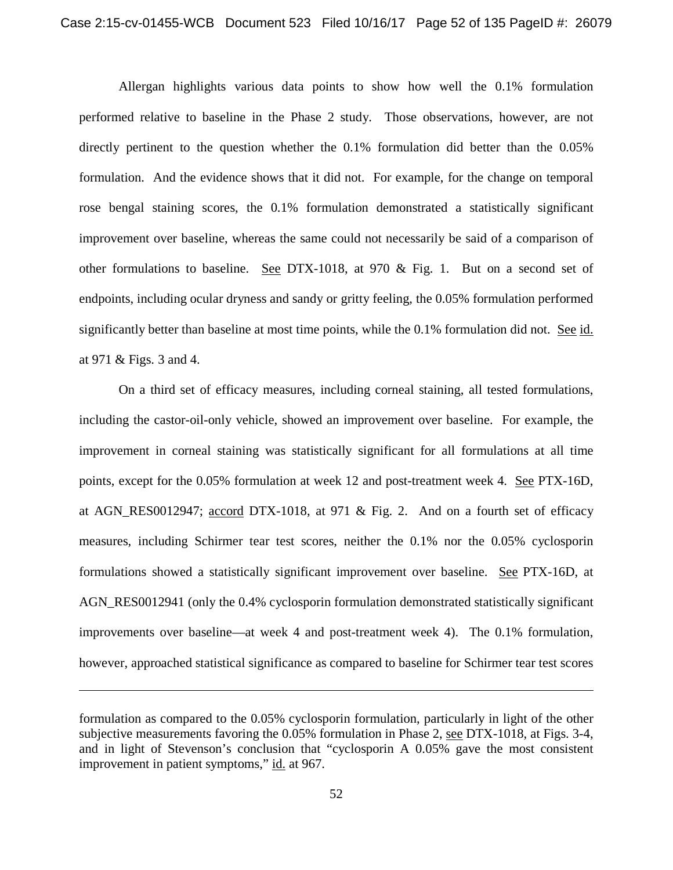Allergan highlights various data points to show how well the 0.1% formulation performed relative to baseline in the Phase 2 study. Those observations, however, are not directly pertinent to the question whether the 0.1% formulation did better than the 0.05% formulation. And the evidence shows that it did not. For example, for the change on temporal rose bengal staining scores, the 0.1% formulation demonstrated a statistically significant improvement over baseline, whereas the same could not necessarily be said of a comparison of other formulations to baseline. See DTX-1018, at 970 & Fig. 1. But on a second set of endpoints, including ocular dryness and sandy or gritty feeling, the 0.05% formulation performed significantly better than baseline at most time points, while the 0.1% formulation did not. See id. at 971 & Figs. 3 and 4.

On a third set of efficacy measures, including corneal staining, all tested formulations, including the castor-oil-only vehicle, showed an improvement over baseline. For example, the improvement in corneal staining was statistically significant for all formulations at all time points, except for the 0.05% formulation at week 12 and post-treatment week 4. See PTX-16D, at AGN\_RES0012947; accord DTX-1018, at 971 & Fig. 2. And on a fourth set of efficacy measures, including Schirmer tear test scores, neither the 0.1% nor the 0.05% cyclosporin formulations showed a statistically significant improvement over baseline. See PTX-16D, at AGN\_RES0012941 (only the 0.4% cyclosporin formulation demonstrated statistically significant improvements over baseline—at week 4 and post-treatment week 4). The 0.1% formulation, however, approached statistical significance as compared to baseline for Schirmer tear test scores

l

formulation as compared to the 0.05% cyclosporin formulation, particularly in light of the other subjective measurements favoring the 0.05% formulation in Phase 2, see DTX-1018, at Figs. 3-4, and in light of Stevenson's conclusion that "cyclosporin A 0.05% gave the most consistent improvement in patient symptoms," id. at 967.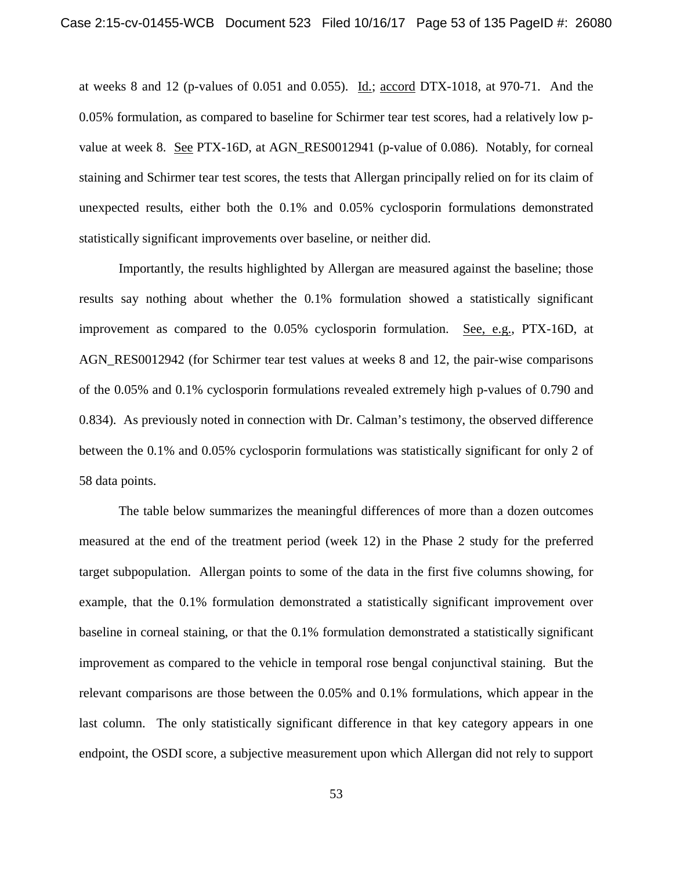at weeks 8 and 12 (p-values of 0.051 and 0.055). Id.; accord DTX-1018, at 970-71. And the 0.05% formulation, as compared to baseline for Schirmer tear test scores, had a relatively low pvalue at week 8. See PTX-16D, at AGN\_RES0012941 (p-value of 0.086). Notably, for corneal staining and Schirmer tear test scores, the tests that Allergan principally relied on for its claim of unexpected results, either both the 0.1% and 0.05% cyclosporin formulations demonstrated statistically significant improvements over baseline, or neither did.

Importantly, the results highlighted by Allergan are measured against the baseline; those results say nothing about whether the 0.1% formulation showed a statistically significant improvement as compared to the 0.05% cyclosporin formulation. See, e.g., PTX-16D, at AGN\_RES0012942 (for Schirmer tear test values at weeks 8 and 12, the pair-wise comparisons of the 0.05% and 0.1% cyclosporin formulations revealed extremely high p-values of 0.790 and 0.834). As previously noted in connection with Dr. Calman's testimony, the observed difference between the 0.1% and 0.05% cyclosporin formulations was statistically significant for only 2 of 58 data points.

The table below summarizes the meaningful differences of more than a dozen outcomes measured at the end of the treatment period (week 12) in the Phase 2 study for the preferred target subpopulation. Allergan points to some of the data in the first five columns showing, for example, that the 0.1% formulation demonstrated a statistically significant improvement over baseline in corneal staining, or that the 0.1% formulation demonstrated a statistically significant improvement as compared to the vehicle in temporal rose bengal conjunctival staining. But the relevant comparisons are those between the 0.05% and 0.1% formulations, which appear in the last column. The only statistically significant difference in that key category appears in one endpoint, the OSDI score, a subjective measurement upon which Allergan did not rely to support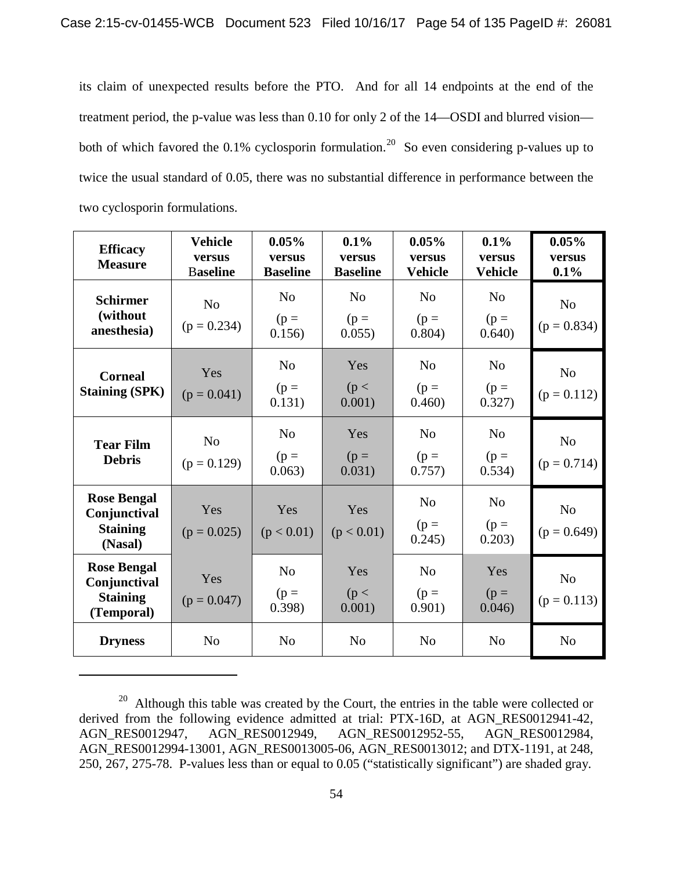its claim of unexpected results before the PTO. And for all 14 endpoints at the end of the treatment period, the p-value was less than 0.10 for only 2 of the 14—OSDI and blurred vision both of which favored the 0.1% cyclosporin formulation.<sup>20</sup> So even considering p-values up to twice the usual standard of 0.05, there was no substantial difference in performance between the two cyclosporin formulations.

| <b>Efficacy</b><br><b>Measure</b>                                   | <b>Vehicle</b><br>versus<br><b>Baseline</b> | 0.05%<br>versus<br><b>Baseline</b> | 0.1%<br>versus<br><b>Baseline</b>  | 0.05%<br>versus<br><b>Vehicle</b>  | 0.1%<br>versus<br><b>Vehicle</b>   | 0.05%<br>versus<br>0.1%         |
|---------------------------------------------------------------------|---------------------------------------------|------------------------------------|------------------------------------|------------------------------------|------------------------------------|---------------------------------|
| <b>Schirmer</b><br>(without<br>anesthesia)                          | N <sub>o</sub><br>$(p = 0.234)$             | N <sub>o</sub><br>$(p =$<br>0.156) | N <sub>o</sub><br>$(p =$<br>0.055) | N <sub>o</sub><br>$(p =$<br>0.804) | N <sub>0</sub><br>$(p =$<br>0.640) | N <sub>o</sub><br>$(p = 0.834)$ |
| <b>Corneal</b><br><b>Staining (SPK)</b>                             | Yes<br>$(p = 0.041)$                        | N <sub>0</sub><br>$(p =$<br>0.131) | Yes<br>(p <<br>0.001)              | N <sub>o</sub><br>$(p =$<br>0.460) | N <sub>0</sub><br>$(p =$<br>0.327) | N <sub>o</sub><br>$(p = 0.112)$ |
| <b>Tear Film</b><br><b>Debris</b>                                   | N <sub>0</sub><br>$(p = 0.129)$             | N <sub>0</sub><br>$(p =$<br>0.063) | Yes<br>$(p =$<br>0.031)            | N <sub>o</sub><br>$(p =$<br>0.757) | N <sub>0</sub><br>$(p =$<br>0.534) | N <sub>o</sub><br>$(p = 0.714)$ |
| <b>Rose Bengal</b><br>Conjunctival<br><b>Staining</b><br>(Nasal)    | Yes<br>$(p = 0.025)$                        | Yes<br>(p < 0.01)                  | Yes<br>(p < 0.01)                  | N <sub>o</sub><br>$(p =$<br>0.245) | N <sub>0</sub><br>$(p =$<br>0.203) | N <sub>o</sub><br>$(p = 0.649)$ |
| <b>Rose Bengal</b><br>Conjunctival<br><b>Staining</b><br>(Temporal) | Yes<br>$(p = 0.047)$                        | N <sub>0</sub><br>$(p =$<br>0.398) | Yes<br>(p <<br>0.001)              | No<br>$(p =$<br>0.901)             | Yes<br>$(p =$<br>0.046)            | N <sub>o</sub><br>$(p = 0.113)$ |
| <b>Dryness</b>                                                      | N <sub>o</sub>                              | N <sub>o</sub>                     | N <sub>o</sub>                     | N <sub>o</sub>                     | N <sub>o</sub>                     | N <sub>o</sub>                  |

 $20$  Although this table was created by the Court, the entries in the table were collected or derived from the following evidence admitted at trial: PTX-16D, at AGN\_RES0012941-42, AGN RES0012947, AGN RES0012949, AGN RES0012984, AGN\_RES0012949, AGN\_RES0012952-55, AGN\_RES0012984, AGN\_RES0012994-13001, AGN\_RES0013005-06, AGN\_RES0013012; and DTX-1191, at 248, 250, 267, 275-78. P-values less than or equal to 0.05 ("statistically significant") are shaded gray.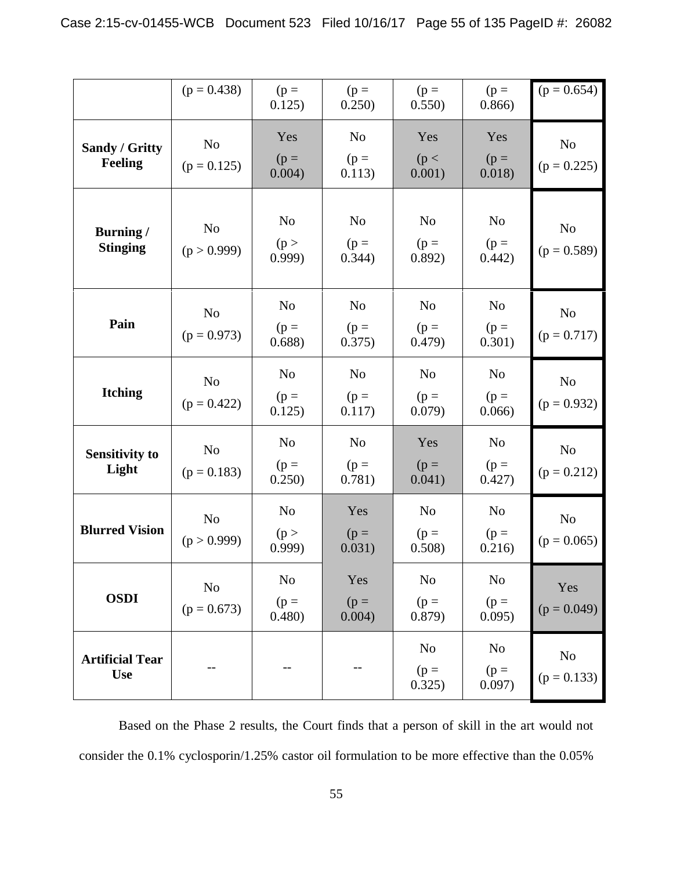|                                      | $(p = 0.438)$                   | $(p =$<br>0.125)                   | $(p =$<br>0.250)                   | $(p =$<br>0.550)                   | $(p =$<br>0.866                    | $(p = 0.654)$                   |
|--------------------------------------|---------------------------------|------------------------------------|------------------------------------|------------------------------------|------------------------------------|---------------------------------|
| Sandy / Gritty<br>Feeling            | N <sub>o</sub><br>$(p = 0.125)$ | Yes<br>$(p =$<br>0.004)            | N <sub>o</sub><br>$(p =$<br>0.113) | Yes<br>(p <<br>0.001)              | Yes<br>$(p =$<br>0.018)            | N <sub>o</sub><br>$(p = 0.225)$ |
| <b>Burning</b> /<br><b>Stinging</b>  | N <sub>o</sub><br>(p > 0.999)   | N <sub>o</sub><br>(p ><br>0.999    | N <sub>o</sub><br>$(p =$<br>0.344) | N <sub>o</sub><br>$(p =$<br>0.892) | N <sub>o</sub><br>$(p =$<br>0.442) | N <sub>o</sub><br>$(p = 0.589)$ |
| Pain                                 | N <sub>o</sub><br>$(p = 0.973)$ | N <sub>o</sub><br>$(p =$<br>0.688) | N <sub>o</sub><br>$(p =$<br>0.375) | N <sub>o</sub><br>$(p =$<br>0.479) | N <sub>o</sub><br>$(p =$<br>0.301) | N <sub>0</sub><br>$(p = 0.717)$ |
| <b>Itching</b>                       | N <sub>o</sub><br>$(p = 0.422)$ | N <sub>o</sub><br>$(p =$<br>0.125) | N <sub>o</sub><br>$(p =$<br>0.117) | N <sub>o</sub><br>$(p =$<br>0.079) | N <sub>o</sub><br>$(p =$<br>0.066  | N <sub>o</sub><br>$(p = 0.932)$ |
| <b>Sensitivity to</b><br>Light       | N <sub>o</sub><br>$(p = 0.183)$ | N <sub>o</sub><br>$(p =$<br>0.250) | N <sub>o</sub><br>$(p =$<br>0.781) | Yes<br>$(p =$<br>0.041)            | N <sub>o</sub><br>$(p =$<br>0.427) | No<br>$(p = 0.212)$             |
| <b>Blurred Vision</b>                | N <sub>o</sub><br>(p > 0.999)   | N <sub>o</sub><br>(p ><br>0.999    | Yes<br>$(p =$<br>0.031)            | N <sub>o</sub><br>$(p =$<br>0.508) | N <sub>o</sub><br>$(p =$<br>0.216) | N <sub>o</sub><br>$(p = 0.065)$ |
| <b>OSDI</b>                          | N <sub>o</sub><br>$(p = 0.673)$ | N <sub>o</sub><br>$(p =$<br>0.480) | Yes<br>$(p =$<br>0.004)            | N <sub>o</sub><br>$(p =$<br>0.879) | N <sub>0</sub><br>$(p =$<br>0.095) | Yes<br>$(p = 0.049)$            |
| <b>Artificial Tear</b><br><b>Use</b> |                                 | --                                 | --                                 | N <sub>o</sub><br>$(p =$<br>0.325) | N <sub>0</sub><br>$(p =$<br>0.097) | No<br>$(p = 0.133)$             |

Based on the Phase 2 results, the Court finds that a person of skill in the art would not consider the 0.1% cyclosporin/1.25% castor oil formulation to be more effective than the 0.05%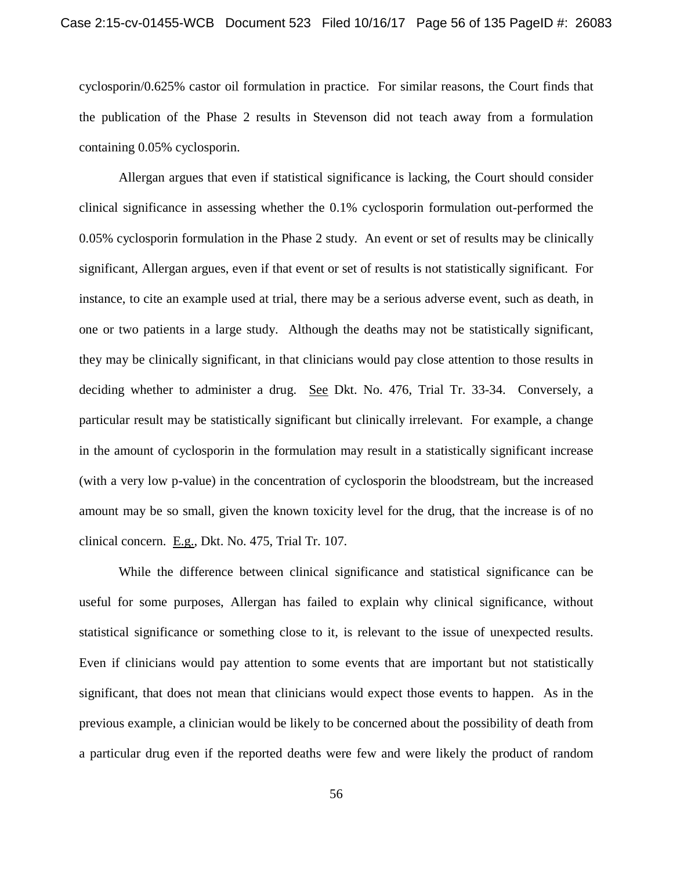cyclosporin/0.625% castor oil formulation in practice. For similar reasons, the Court finds that the publication of the Phase 2 results in Stevenson did not teach away from a formulation containing 0.05% cyclosporin.

Allergan argues that even if statistical significance is lacking, the Court should consider clinical significance in assessing whether the 0.1% cyclosporin formulation out-performed the 0.05% cyclosporin formulation in the Phase 2 study. An event or set of results may be clinically significant, Allergan argues, even if that event or set of results is not statistically significant. For instance, to cite an example used at trial, there may be a serious adverse event, such as death, in one or two patients in a large study. Although the deaths may not be statistically significant, they may be clinically significant, in that clinicians would pay close attention to those results in deciding whether to administer a drug. See Dkt. No. 476, Trial Tr. 33-34. Conversely, a particular result may be statistically significant but clinically irrelevant. For example, a change in the amount of cyclosporin in the formulation may result in a statistically significant increase (with a very low p-value) in the concentration of cyclosporin the bloodstream, but the increased amount may be so small, given the known toxicity level for the drug, that the increase is of no clinical concern. E.g., Dkt. No. 475, Trial Tr. 107.

While the difference between clinical significance and statistical significance can be useful for some purposes, Allergan has failed to explain why clinical significance, without statistical significance or something close to it, is relevant to the issue of unexpected results. Even if clinicians would pay attention to some events that are important but not statistically significant, that does not mean that clinicians would expect those events to happen. As in the previous example, a clinician would be likely to be concerned about the possibility of death from a particular drug even if the reported deaths were few and were likely the product of random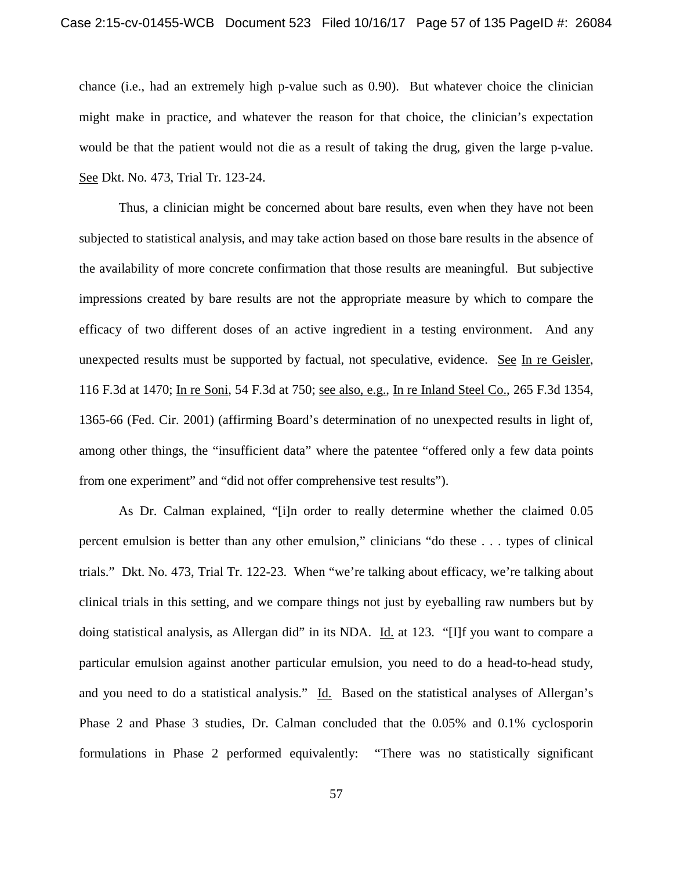chance (i.e., had an extremely high p-value such as 0.90). But whatever choice the clinician might make in practice, and whatever the reason for that choice, the clinician's expectation would be that the patient would not die as a result of taking the drug, given the large p-value. See Dkt. No. 473, Trial Tr. 123-24.

Thus, a clinician might be concerned about bare results, even when they have not been subjected to statistical analysis, and may take action based on those bare results in the absence of the availability of more concrete confirmation that those results are meaningful. But subjective impressions created by bare results are not the appropriate measure by which to compare the efficacy of two different doses of an active ingredient in a testing environment. And any unexpected results must be supported by factual, not speculative, evidence. See In re Geisler, 116 F.3d at 1470; In re Soni, 54 F.3d at 750; see also, e.g., In re Inland Steel Co., 265 F.3d 1354, 1365-66 (Fed. Cir. 2001) (affirming Board's determination of no unexpected results in light of, among other things, the "insufficient data" where the patentee "offered only a few data points from one experiment" and "did not offer comprehensive test results").

As Dr. Calman explained, "[i]n order to really determine whether the claimed 0.05 percent emulsion is better than any other emulsion," clinicians "do these . . . types of clinical trials." Dkt. No. 473, Trial Tr. 122-23. When "we're talking about efficacy, we're talking about clinical trials in this setting, and we compare things not just by eyeballing raw numbers but by doing statistical analysis, as Allergan did" in its NDA. Id. at 123. "[I]f you want to compare a particular emulsion against another particular emulsion, you need to do a head-to-head study, and you need to do a statistical analysis." Id. Based on the statistical analyses of Allergan's Phase 2 and Phase 3 studies, Dr. Calman concluded that the 0.05% and 0.1% cyclosporin formulations in Phase 2 performed equivalently: "There was no statistically significant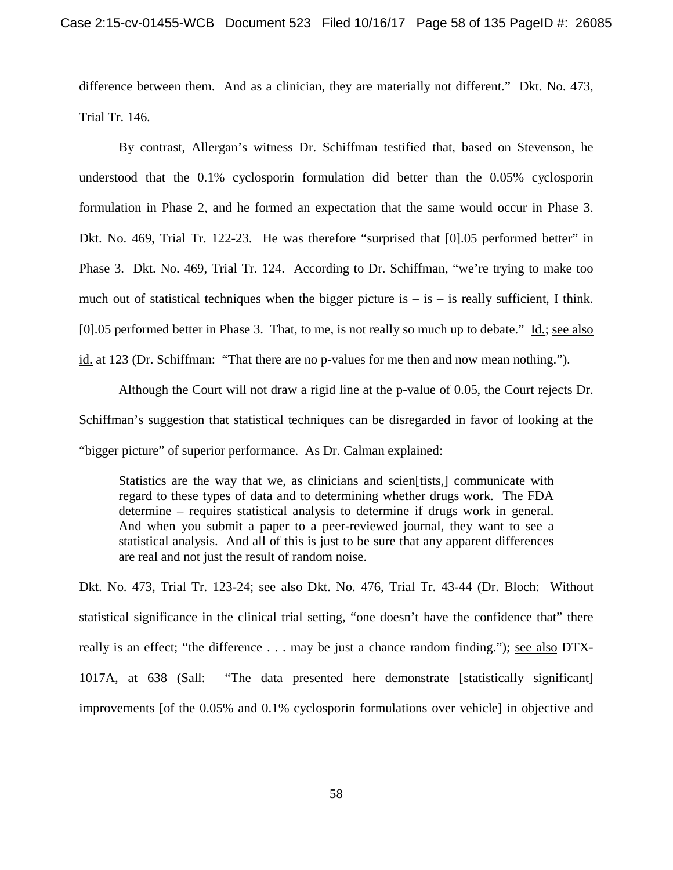difference between them. And as a clinician, they are materially not different." Dkt. No. 473, Trial Tr. 146.

By contrast, Allergan's witness Dr. Schiffman testified that, based on Stevenson, he understood that the 0.1% cyclosporin formulation did better than the 0.05% cyclosporin formulation in Phase 2, and he formed an expectation that the same would occur in Phase 3. Dkt. No. 469, Trial Tr. 122-23. He was therefore "surprised that [0].05 performed better" in Phase 3. Dkt. No. 469, Trial Tr. 124. According to Dr. Schiffman, "we're trying to make too much out of statistical techniques when the bigger picture is  $-$  is  $-$  is really sufficient, I think. [0].05 performed better in Phase 3. That, to me, is not really so much up to debate." Id.; see also id. at 123 (Dr. Schiffman: "That there are no p-values for me then and now mean nothing.").

Although the Court will not draw a rigid line at the p-value of 0.05, the Court rejects Dr. Schiffman's suggestion that statistical techniques can be disregarded in favor of looking at the "bigger picture" of superior performance. As Dr. Calman explained:

Statistics are the way that we, as clinicians and scien[tists,] communicate with regard to these types of data and to determining whether drugs work. The FDA determine – requires statistical analysis to determine if drugs work in general. And when you submit a paper to a peer-reviewed journal, they want to see a statistical analysis. And all of this is just to be sure that any apparent differences are real and not just the result of random noise.

Dkt. No. 473, Trial Tr. 123-24; see also Dkt. No. 476, Trial Tr. 43-44 (Dr. Bloch: Without statistical significance in the clinical trial setting, "one doesn't have the confidence that" there really is an effect; "the difference . . . may be just a chance random finding."); see also DTX-1017A, at 638 (Sall: "The data presented here demonstrate [statistically significant] improvements [of the 0.05% and 0.1% cyclosporin formulations over vehicle] in objective and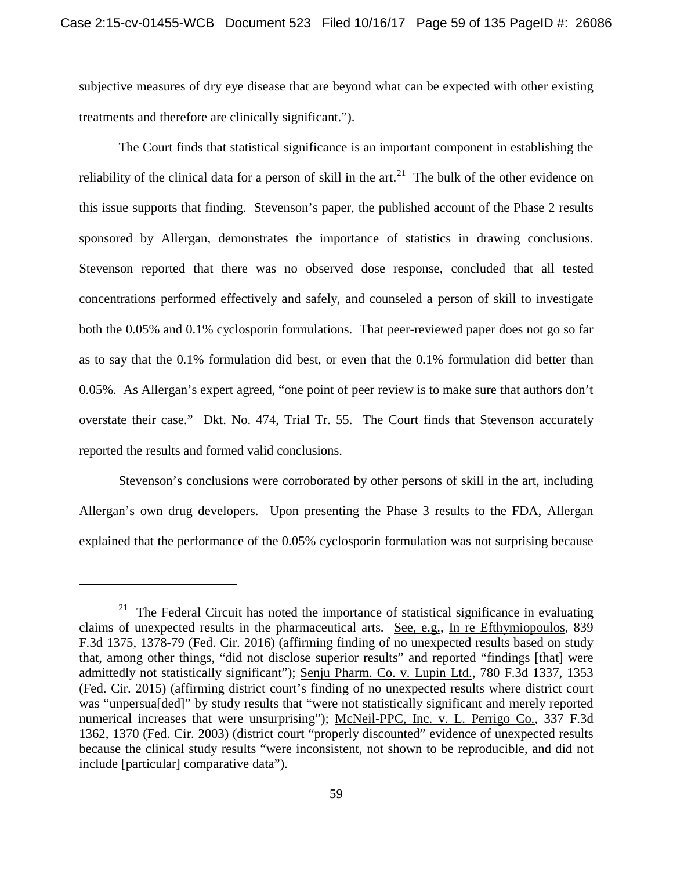subjective measures of dry eye disease that are beyond what can be expected with other existing treatments and therefore are clinically significant.").

The Court finds that statistical significance is an important component in establishing the reliability of the clinical data for a person of skill in the  $art<sup>21</sup>$ . The bulk of the other evidence on this issue supports that finding. Stevenson's paper, the published account of the Phase 2 results sponsored by Allergan, demonstrates the importance of statistics in drawing conclusions. Stevenson reported that there was no observed dose response, concluded that all tested concentrations performed effectively and safely, and counseled a person of skill to investigate both the 0.05% and 0.1% cyclosporin formulations. That peer-reviewed paper does not go so far as to say that the 0.1% formulation did best, or even that the 0.1% formulation did better than 0.05%. As Allergan's expert agreed, "one point of peer review is to make sure that authors don't overstate their case." Dkt. No. 474, Trial Tr. 55. The Court finds that Stevenson accurately reported the results and formed valid conclusions.

Stevenson's conclusions were corroborated by other persons of skill in the art, including Allergan's own drug developers. Upon presenting the Phase 3 results to the FDA, Allergan explained that the performance of the 0.05% cyclosporin formulation was not surprising because

 $21$  The Federal Circuit has noted the importance of statistical significance in evaluating claims of unexpected results in the pharmaceutical arts. See, e.g., In re Efthymiopoulos, 839 F.3d 1375, 1378-79 (Fed. Cir. 2016) (affirming finding of no unexpected results based on study that, among other things, "did not disclose superior results" and reported "findings [that] were admittedly not statistically significant"); Senju Pharm. Co. v. Lupin Ltd., 780 F.3d 1337, 1353 (Fed. Cir. 2015) (affirming district court's finding of no unexpected results where district court was "unpersua[ded]" by study results that "were not statistically significant and merely reported numerical increases that were unsurprising"); McNeil-PPC, Inc. v. L. Perrigo Co., 337 F.3d 1362, 1370 (Fed. Cir. 2003) (district court "properly discounted" evidence of unexpected results because the clinical study results "were inconsistent, not shown to be reproducible, and did not include [particular] comparative data").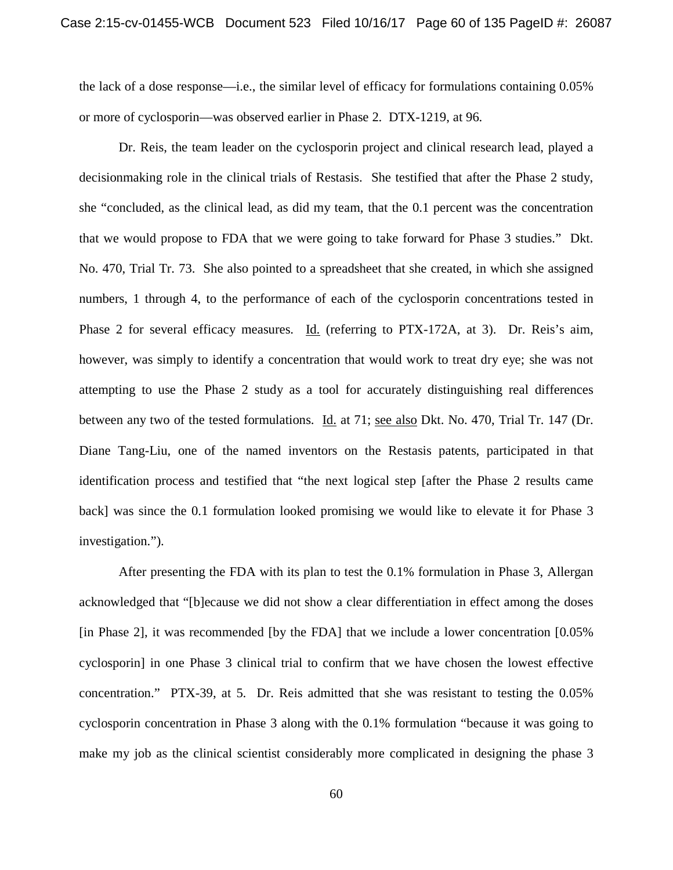the lack of a dose response—i.e., the similar level of efficacy for formulations containing 0.05% or more of cyclosporin—was observed earlier in Phase 2. DTX-1219, at 96.

Dr. Reis, the team leader on the cyclosporin project and clinical research lead, played a decisionmaking role in the clinical trials of Restasis. She testified that after the Phase 2 study, she "concluded, as the clinical lead, as did my team, that the 0.1 percent was the concentration that we would propose to FDA that we were going to take forward for Phase 3 studies." Dkt. No. 470, Trial Tr. 73. She also pointed to a spreadsheet that she created, in which she assigned numbers, 1 through 4, to the performance of each of the cyclosporin concentrations tested in Phase 2 for several efficacy measures. Id. (referring to PTX-172A, at 3). Dr. Reis's aim, however, was simply to identify a concentration that would work to treat dry eye; she was not attempting to use the Phase 2 study as a tool for accurately distinguishing real differences between any two of the tested formulations. Id. at 71; see also Dkt. No. 470, Trial Tr. 147 (Dr. Diane Tang-Liu, one of the named inventors on the Restasis patents, participated in that identification process and testified that "the next logical step [after the Phase 2 results came back] was since the 0.1 formulation looked promising we would like to elevate it for Phase 3 investigation.").

After presenting the FDA with its plan to test the 0.1% formulation in Phase 3, Allergan acknowledged that "[b]ecause we did not show a clear differentiation in effect among the doses [in Phase 2], it was recommended [by the FDA] that we include a lower concentration [0.05% cyclosporin] in one Phase 3 clinical trial to confirm that we have chosen the lowest effective concentration." PTX-39, at 5. Dr. Reis admitted that she was resistant to testing the 0.05% cyclosporin concentration in Phase 3 along with the 0.1% formulation "because it was going to make my job as the clinical scientist considerably more complicated in designing the phase 3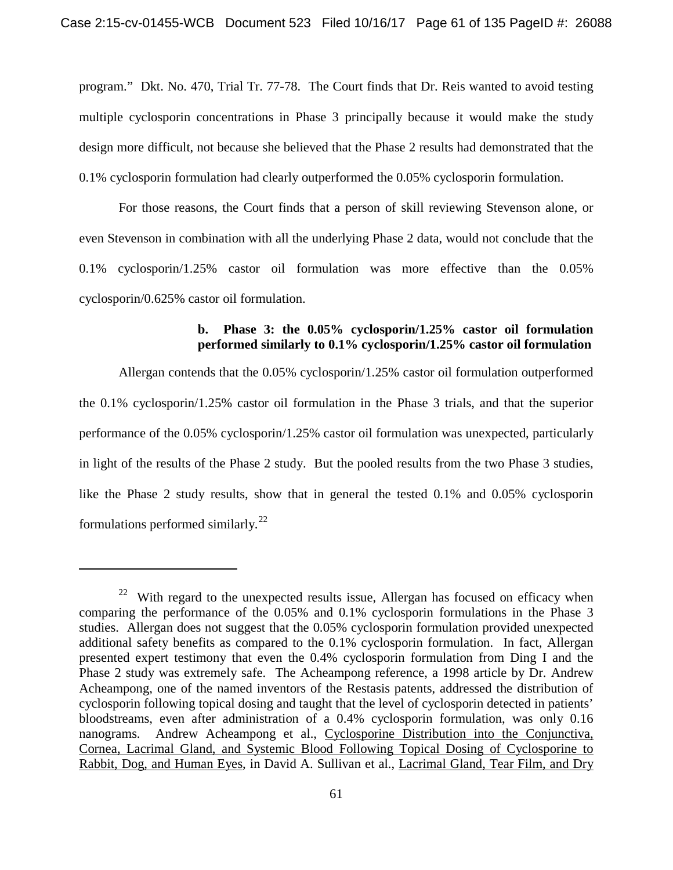program." Dkt. No. 470, Trial Tr. 77-78. The Court finds that Dr. Reis wanted to avoid testing multiple cyclosporin concentrations in Phase 3 principally because it would make the study design more difficult, not because she believed that the Phase 2 results had demonstrated that the 0.1% cyclosporin formulation had clearly outperformed the 0.05% cyclosporin formulation.

For those reasons, the Court finds that a person of skill reviewing Stevenson alone, or even Stevenson in combination with all the underlying Phase 2 data, would not conclude that the 0.1% cyclosporin/1.25% castor oil formulation was more effective than the 0.05% cyclosporin/0.625% castor oil formulation.

## **b. Phase 3: the 0.05% cyclosporin/1.25% castor oil formulation performed similarly to 0.1% cyclosporin/1.25% castor oil formulation**

Allergan contends that the 0.05% cyclosporin/1.25% castor oil formulation outperformed the 0.1% cyclosporin/1.25% castor oil formulation in the Phase 3 trials, and that the superior performance of the 0.05% cyclosporin/1.25% castor oil formulation was unexpected, particularly in light of the results of the Phase 2 study. But the pooled results from the two Phase 3 studies, like the Phase 2 study results, show that in general the tested 0.1% and 0.05% cyclosporin formulations performed similarly.<sup>22</sup>

 $22$  With regard to the unexpected results issue, Allergan has focused on efficacy when comparing the performance of the 0.05% and 0.1% cyclosporin formulations in the Phase 3 studies. Allergan does not suggest that the 0.05% cyclosporin formulation provided unexpected additional safety benefits as compared to the 0.1% cyclosporin formulation. In fact, Allergan presented expert testimony that even the 0.4% cyclosporin formulation from Ding I and the Phase 2 study was extremely safe. The Acheampong reference, a 1998 article by Dr. Andrew Acheampong, one of the named inventors of the Restasis patents, addressed the distribution of cyclosporin following topical dosing and taught that the level of cyclosporin detected in patients' bloodstreams, even after administration of a 0.4% cyclosporin formulation, was only 0.16 nanograms. Andrew Acheampong et al., Cyclosporine Distribution into the Conjunctiva, Cornea, Lacrimal Gland, and Systemic Blood Following Topical Dosing of Cyclosporine to Rabbit, Dog, and Human Eyes, in David A. Sullivan et al., Lacrimal Gland, Tear Film, and Dry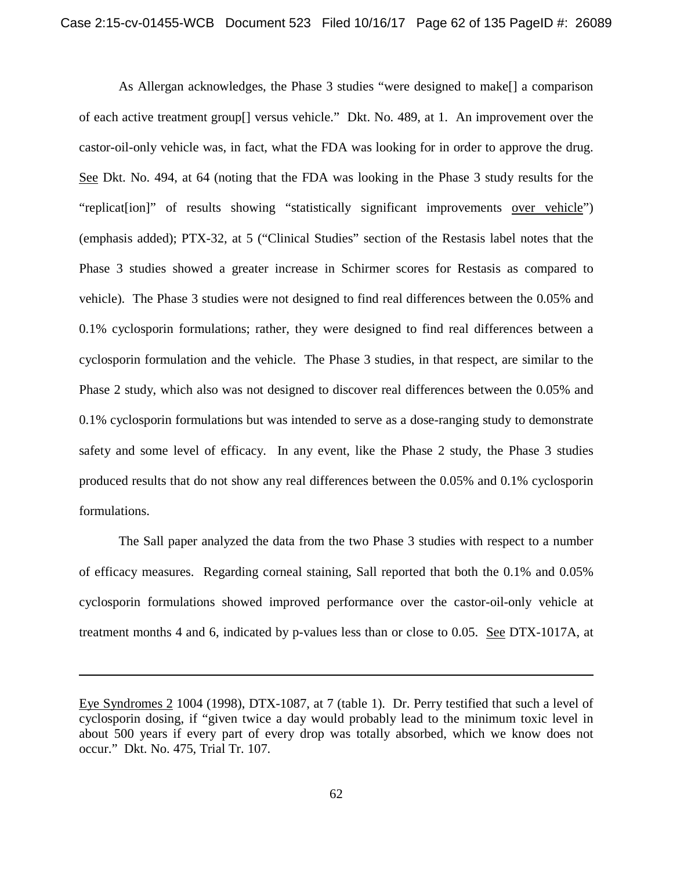As Allergan acknowledges, the Phase 3 studies "were designed to make[] a comparison of each active treatment group[] versus vehicle." Dkt. No. 489, at 1. An improvement over the castor-oil-only vehicle was, in fact, what the FDA was looking for in order to approve the drug. See Dkt. No. 494, at 64 (noting that the FDA was looking in the Phase 3 study results for the "replicate ion]" of results showing "statistically significant improvements over vehicle") (emphasis added); PTX-32, at 5 ("Clinical Studies" section of the Restasis label notes that the Phase 3 studies showed a greater increase in Schirmer scores for Restasis as compared to vehicle). The Phase 3 studies were not designed to find real differences between the 0.05% and 0.1% cyclosporin formulations; rather, they were designed to find real differences between a cyclosporin formulation and the vehicle. The Phase 3 studies, in that respect, are similar to the Phase 2 study, which also was not designed to discover real differences between the 0.05% and 0.1% cyclosporin formulations but was intended to serve as a dose-ranging study to demonstrate safety and some level of efficacy. In any event, like the Phase 2 study, the Phase 3 studies produced results that do not show any real differences between the 0.05% and 0.1% cyclosporin formulations.

The Sall paper analyzed the data from the two Phase 3 studies with respect to a number of efficacy measures. Regarding corneal staining, Sall reported that both the 0.1% and 0.05% cyclosporin formulations showed improved performance over the castor-oil-only vehicle at treatment months 4 and 6, indicated by p-values less than or close to 0.05. See DTX-1017A, at

Eye Syndromes 2 1004 (1998), DTX-1087, at 7 (table 1). Dr. Perry testified that such a level of cyclosporin dosing, if "given twice a day would probably lead to the minimum toxic level in about 500 years if every part of every drop was totally absorbed, which we know does not occur." Dkt. No. 475, Trial Tr. 107.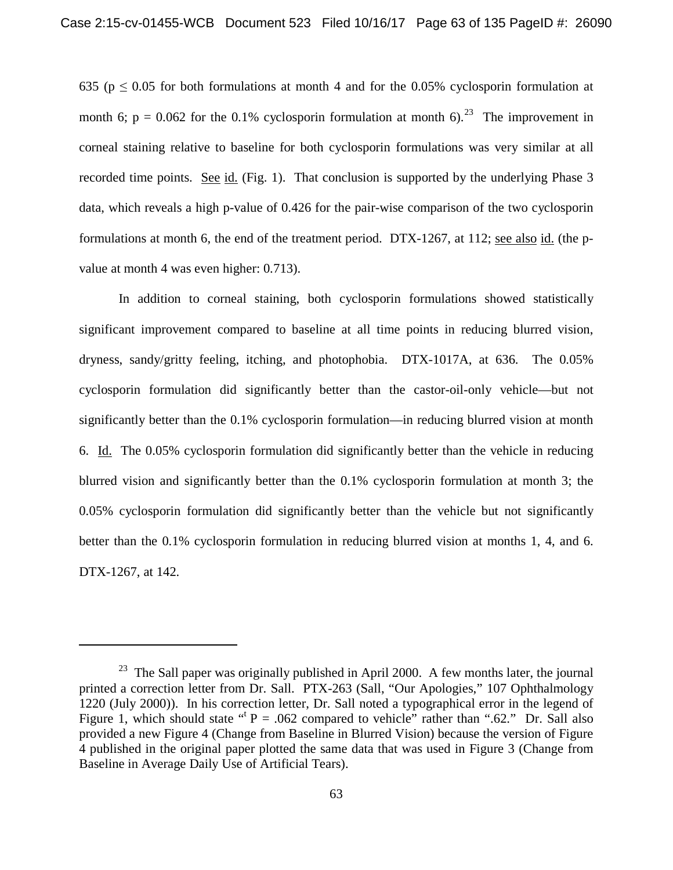635 ( $p \le 0.05$  for both formulations at month 4 and for the 0.05% cyclosporin formulation at month 6;  $p = 0.062$  for the 0.1% cyclosporin formulation at month 6).<sup>23</sup> The improvement in corneal staining relative to baseline for both cyclosporin formulations was very similar at all recorded time points. See id. (Fig. 1). That conclusion is supported by the underlying Phase 3 data, which reveals a high p-value of 0.426 for the pair-wise comparison of the two cyclosporin formulations at month 6, the end of the treatment period. DTX-1267, at 112; see also id. (the pvalue at month 4 was even higher: 0.713).

In addition to corneal staining, both cyclosporin formulations showed statistically significant improvement compared to baseline at all time points in reducing blurred vision, dryness, sandy/gritty feeling, itching, and photophobia. DTX-1017A, at 636. The 0.05% cyclosporin formulation did significantly better than the castor-oil-only vehicle—but not significantly better than the 0.1% cyclosporin formulation—in reducing blurred vision at month 6. Id. The 0.05% cyclosporin formulation did significantly better than the vehicle in reducing blurred vision and significantly better than the 0.1% cyclosporin formulation at month 3; the 0.05% cyclosporin formulation did significantly better than the vehicle but not significantly better than the 0.1% cyclosporin formulation in reducing blurred vision at months 1, 4, and 6. DTX-1267, at 142.

 $23$  The Sall paper was originally published in April 2000. A few months later, the journal printed a correction letter from Dr. Sall. PTX-263 (Sall, "Our Apologies," 107 Ophthalmology 1220 (July 2000)). In his correction letter, Dr. Sall noted a typographical error in the legend of Figure 1, which should state  $f''$  P = .062 compared to vehicle" rather than ".62." Dr. Sall also provided a new Figure 4 (Change from Baseline in Blurred Vision) because the version of Figure 4 published in the original paper plotted the same data that was used in Figure 3 (Change from Baseline in Average Daily Use of Artificial Tears).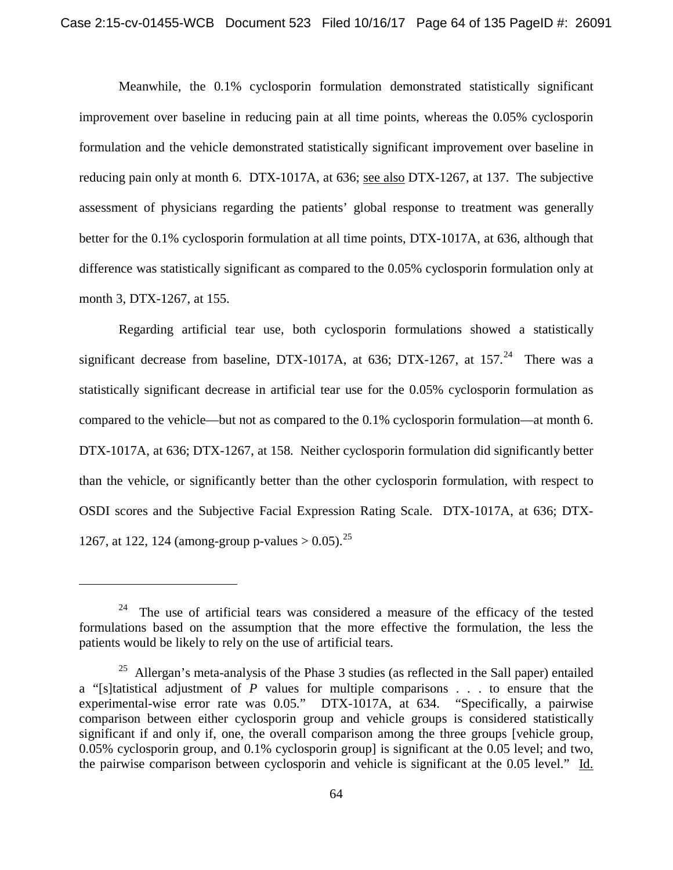Meanwhile, the 0.1% cyclosporin formulation demonstrated statistically significant improvement over baseline in reducing pain at all time points, whereas the 0.05% cyclosporin formulation and the vehicle demonstrated statistically significant improvement over baseline in reducing pain only at month 6. DTX-1017A, at 636; see also DTX-1267, at 137. The subjective assessment of physicians regarding the patients' global response to treatment was generally better for the 0.1% cyclosporin formulation at all time points, DTX-1017A, at 636, although that difference was statistically significant as compared to the 0.05% cyclosporin formulation only at month 3, DTX-1267, at 155.

Regarding artificial tear use, both cyclosporin formulations showed a statistically significant decrease from baseline, DTX-1017A, at 636; DTX-1267, at 157. $^{24}$  There was a statistically significant decrease in artificial tear use for the 0.05% cyclosporin formulation as compared to the vehicle—but not as compared to the 0.1% cyclosporin formulation—at month 6. DTX-1017A, at 636; DTX-1267, at 158. Neither cyclosporin formulation did significantly better than the vehicle, or significantly better than the other cyclosporin formulation, with respect to OSDI scores and the Subjective Facial Expression Rating Scale. DTX-1017A, at 636; DTX-1267, at 122, 124 (among-group p-values  $> 0.05$ ).<sup>25</sup>

 $24$  The use of artificial tears was considered a measure of the efficacy of the tested formulations based on the assumption that the more effective the formulation, the less the patients would be likely to rely on the use of artificial tears.

 $25$  Allergan's meta-analysis of the Phase 3 studies (as reflected in the Sall paper) entailed a "[s]tatistical adjustment of *P* values for multiple comparisons . . . to ensure that the experimental-wise error rate was 0.05." DTX-1017A, at 634. "Specifically, a pairwise comparison between either cyclosporin group and vehicle groups is considered statistically significant if and only if, one, the overall comparison among the three groups [vehicle group, 0.05% cyclosporin group, and 0.1% cyclosporin group] is significant at the 0.05 level; and two, the pairwise comparison between cyclosporin and vehicle is significant at the 0.05 level." Id.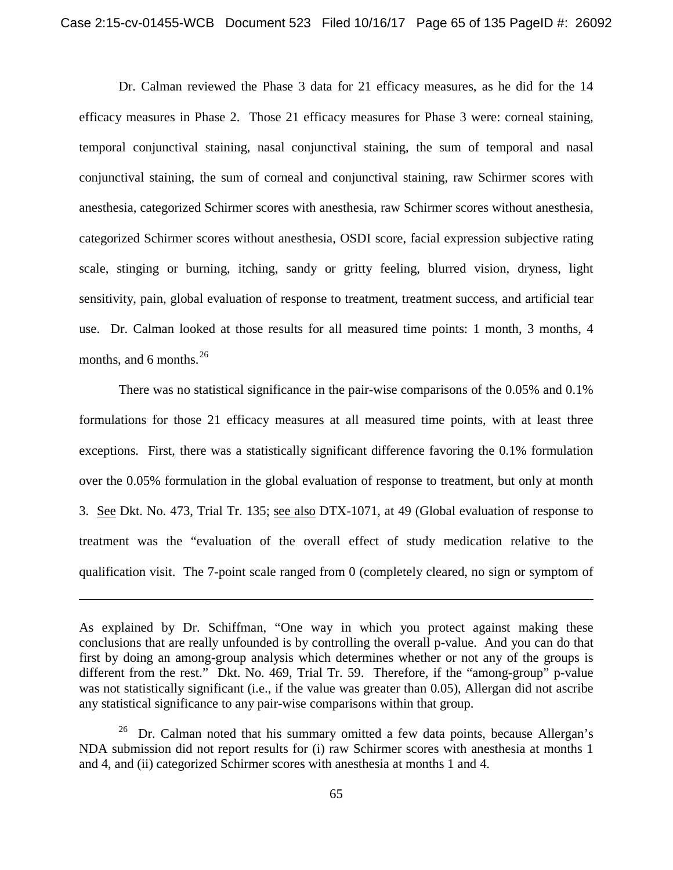Dr. Calman reviewed the Phase 3 data for 21 efficacy measures, as he did for the 14 efficacy measures in Phase 2. Those 21 efficacy measures for Phase 3 were: corneal staining, temporal conjunctival staining, nasal conjunctival staining, the sum of temporal and nasal conjunctival staining, the sum of corneal and conjunctival staining, raw Schirmer scores with anesthesia, categorized Schirmer scores with anesthesia, raw Schirmer scores without anesthesia, categorized Schirmer scores without anesthesia, OSDI score, facial expression subjective rating scale, stinging or burning, itching, sandy or gritty feeling, blurred vision, dryness, light sensitivity, pain, global evaluation of response to treatment, treatment success, and artificial tear use. Dr. Calman looked at those results for all measured time points: 1 month, 3 months, 4 months, and 6 months.  $26$ 

There was no statistical significance in the pair-wise comparisons of the 0.05% and 0.1% formulations for those 21 efficacy measures at all measured time points, with at least three exceptions. First, there was a statistically significant difference favoring the 0.1% formulation over the 0.05% formulation in the global evaluation of response to treatment, but only at month 3. See Dkt. No. 473, Trial Tr. 135; see also DTX-1071, at 49 (Global evaluation of response to treatment was the "evaluation of the overall effect of study medication relative to the qualification visit. The 7-point scale ranged from 0 (completely cleared, no sign or symptom of

As explained by Dr. Schiffman, "One way in which you protect against making these conclusions that are really unfounded is by controlling the overall p-value. And you can do that first by doing an among-group analysis which determines whether or not any of the groups is different from the rest." Dkt. No. 469, Trial Tr. 59. Therefore, if the "among-group" p-value was not statistically significant (i.e., if the value was greater than 0.05), Allergan did not ascribe any statistical significance to any pair-wise comparisons within that group.

<sup>&</sup>lt;sup>26</sup> Dr. Calman noted that his summary omitted a few data points, because Allergan's NDA submission did not report results for (i) raw Schirmer scores with anesthesia at months 1 and 4, and (ii) categorized Schirmer scores with anesthesia at months 1 and 4.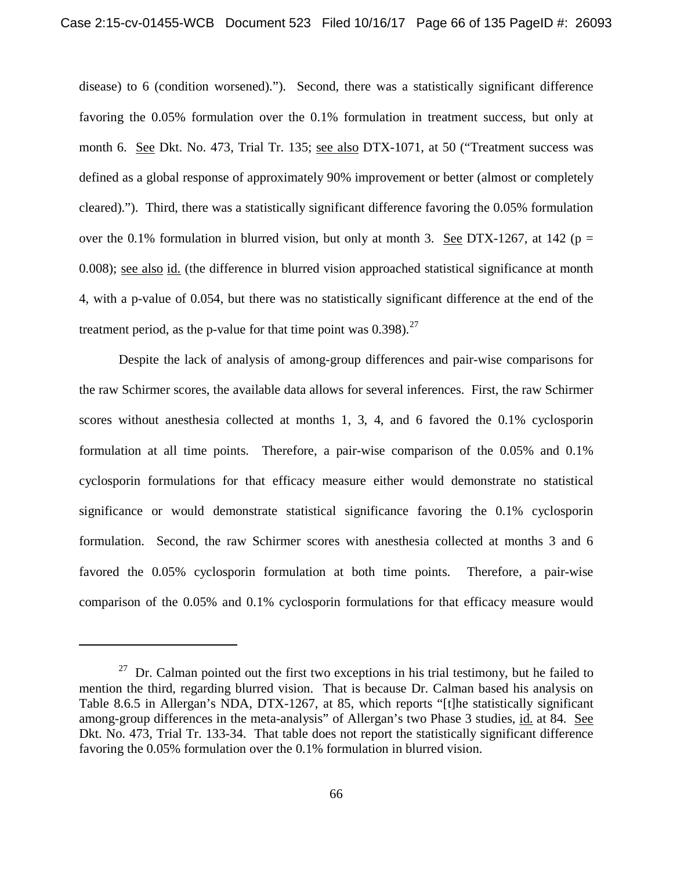disease) to 6 (condition worsened)."). Second, there was a statistically significant difference favoring the 0.05% formulation over the 0.1% formulation in treatment success, but only at month 6. See Dkt. No. 473, Trial Tr. 135; see also DTX-1071, at 50 ("Treatment success was defined as a global response of approximately 90% improvement or better (almost or completely cleared)."). Third, there was a statistically significant difference favoring the 0.05% formulation over the 0.1% formulation in blurred vision, but only at month 3. See DTX-1267, at 142 ( $p =$ 0.008); see also id. (the difference in blurred vision approached statistical significance at month 4, with a p-value of 0.054, but there was no statistically significant difference at the end of the treatment period, as the p-value for that time point was  $0.398$ ).<sup>27</sup>

Despite the lack of analysis of among-group differences and pair-wise comparisons for the raw Schirmer scores, the available data allows for several inferences. First, the raw Schirmer scores without anesthesia collected at months 1, 3, 4, and 6 favored the 0.1% cyclosporin formulation at all time points. Therefore, a pair-wise comparison of the 0.05% and 0.1% cyclosporin formulations for that efficacy measure either would demonstrate no statistical significance or would demonstrate statistical significance favoring the 0.1% cyclosporin formulation. Second, the raw Schirmer scores with anesthesia collected at months 3 and 6 favored the 0.05% cyclosporin formulation at both time points. Therefore, a pair-wise comparison of the 0.05% and 0.1% cyclosporin formulations for that efficacy measure would

 $27$  Dr. Calman pointed out the first two exceptions in his trial testimony, but he failed to mention the third, regarding blurred vision. That is because Dr. Calman based his analysis on Table 8.6.5 in Allergan's NDA, DTX-1267, at 85, which reports "[t]he statistically significant among-group differences in the meta-analysis" of Allergan's two Phase 3 studies, id. at 84. See Dkt. No. 473, Trial Tr. 133-34. That table does not report the statistically significant difference favoring the 0.05% formulation over the 0.1% formulation in blurred vision.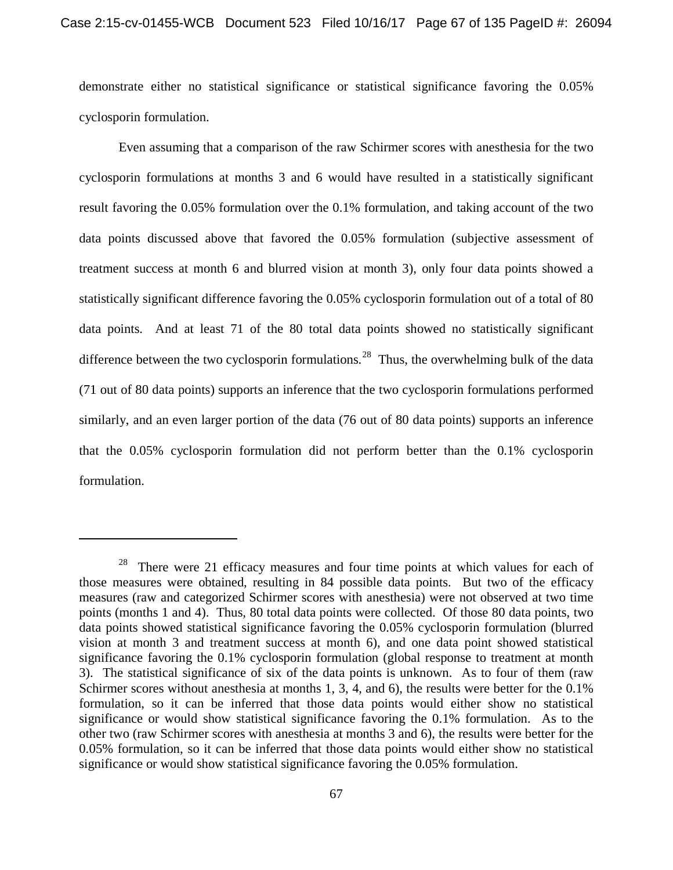demonstrate either no statistical significance or statistical significance favoring the 0.05% cyclosporin formulation.

Even assuming that a comparison of the raw Schirmer scores with anesthesia for the two cyclosporin formulations at months 3 and 6 would have resulted in a statistically significant result favoring the 0.05% formulation over the 0.1% formulation, and taking account of the two data points discussed above that favored the 0.05% formulation (subjective assessment of treatment success at month 6 and blurred vision at month 3), only four data points showed a statistically significant difference favoring the 0.05% cyclosporin formulation out of a total of 80 data points. And at least 71 of the 80 total data points showed no statistically significant difference between the two cyclosporin formulations.<sup>28</sup> Thus, the overwhelming bulk of the data (71 out of 80 data points) supports an inference that the two cyclosporin formulations performed similarly, and an even larger portion of the data (76 out of 80 data points) supports an inference that the 0.05% cyclosporin formulation did not perform better than the 0.1% cyclosporin formulation.

l

<sup>&</sup>lt;sup>28</sup> There were 21 efficacy measures and four time points at which values for each of those measures were obtained, resulting in 84 possible data points. But two of the efficacy measures (raw and categorized Schirmer scores with anesthesia) were not observed at two time points (months 1 and 4). Thus, 80 total data points were collected. Of those 80 data points, two data points showed statistical significance favoring the 0.05% cyclosporin formulation (blurred vision at month 3 and treatment success at month 6), and one data point showed statistical significance favoring the 0.1% cyclosporin formulation (global response to treatment at month 3). The statistical significance of six of the data points is unknown. As to four of them (raw Schirmer scores without anesthesia at months 1, 3, 4, and 6), the results were better for the 0.1% formulation, so it can be inferred that those data points would either show no statistical significance or would show statistical significance favoring the 0.1% formulation. As to the other two (raw Schirmer scores with anesthesia at months 3 and 6), the results were better for the 0.05% formulation, so it can be inferred that those data points would either show no statistical significance or would show statistical significance favoring the 0.05% formulation.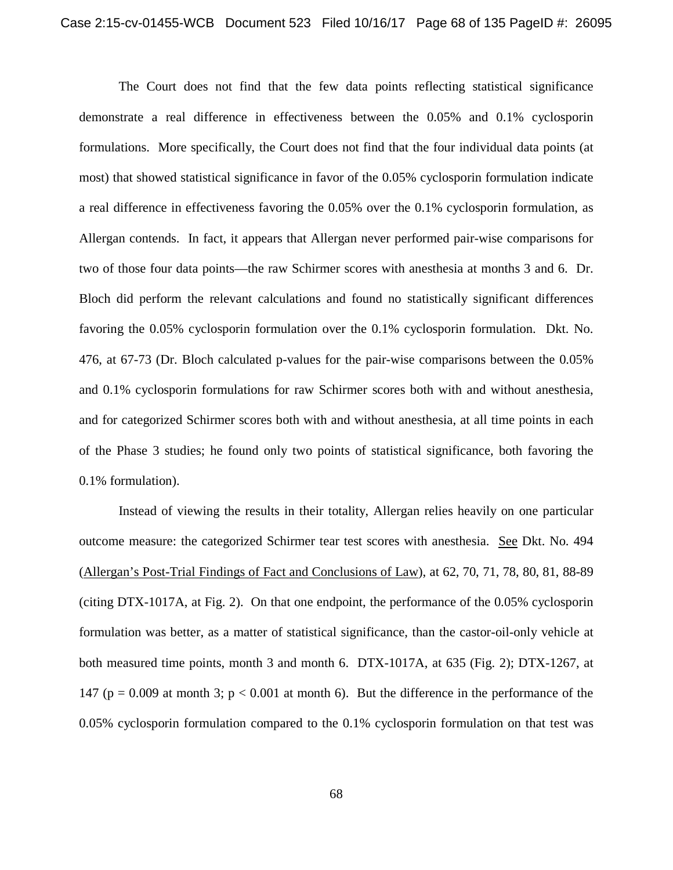The Court does not find that the few data points reflecting statistical significance demonstrate a real difference in effectiveness between the 0.05% and 0.1% cyclosporin formulations. More specifically, the Court does not find that the four individual data points (at most) that showed statistical significance in favor of the 0.05% cyclosporin formulation indicate a real difference in effectiveness favoring the 0.05% over the 0.1% cyclosporin formulation, as Allergan contends. In fact, it appears that Allergan never performed pair-wise comparisons for two of those four data points—the raw Schirmer scores with anesthesia at months 3 and 6. Dr. Bloch did perform the relevant calculations and found no statistically significant differences favoring the 0.05% cyclosporin formulation over the 0.1% cyclosporin formulation. Dkt. No. 476, at 67-73 (Dr. Bloch calculated p-values for the pair-wise comparisons between the 0.05% and 0.1% cyclosporin formulations for raw Schirmer scores both with and without anesthesia, and for categorized Schirmer scores both with and without anesthesia, at all time points in each of the Phase 3 studies; he found only two points of statistical significance, both favoring the 0.1% formulation).

Instead of viewing the results in their totality, Allergan relies heavily on one particular outcome measure: the categorized Schirmer tear test scores with anesthesia. See Dkt. No. 494 (Allergan's Post-Trial Findings of Fact and Conclusions of Law), at 62, 70, 71, 78, 80, 81, 88-89 (citing DTX-1017A, at Fig. 2). On that one endpoint, the performance of the 0.05% cyclosporin formulation was better, as a matter of statistical significance, than the castor-oil-only vehicle at both measured time points, month 3 and month 6. DTX-1017A, at 635 (Fig. 2); DTX-1267, at 147 ( $p = 0.009$  at month 3;  $p < 0.001$  at month 6). But the difference in the performance of the 0.05% cyclosporin formulation compared to the 0.1% cyclosporin formulation on that test was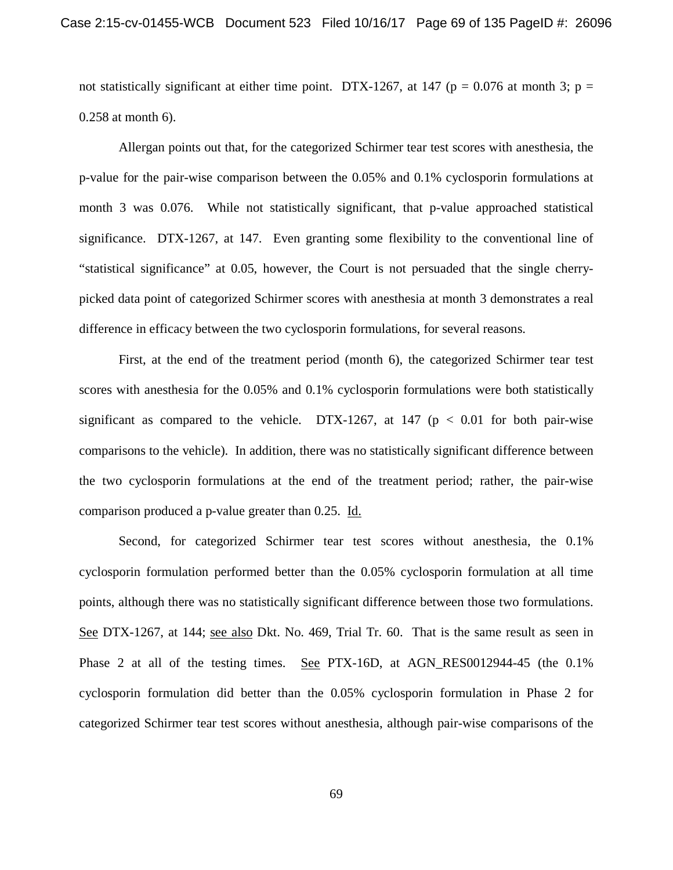not statistically significant at either time point. DTX-1267, at 147 ( $p = 0.076$  at month 3;  $p =$ 0.258 at month 6).

Allergan points out that, for the categorized Schirmer tear test scores with anesthesia, the p-value for the pair-wise comparison between the 0.05% and 0.1% cyclosporin formulations at month 3 was 0.076. While not statistically significant, that p-value approached statistical significance. DTX-1267, at 147. Even granting some flexibility to the conventional line of "statistical significance" at 0.05, however, the Court is not persuaded that the single cherrypicked data point of categorized Schirmer scores with anesthesia at month 3 demonstrates a real difference in efficacy between the two cyclosporin formulations, for several reasons.

First, at the end of the treatment period (month 6), the categorized Schirmer tear test scores with anesthesia for the 0.05% and 0.1% cyclosporin formulations were both statistically significant as compared to the vehicle. DTX-1267, at 147 ( $p < 0.01$  for both pair-wise comparisons to the vehicle). In addition, there was no statistically significant difference between the two cyclosporin formulations at the end of the treatment period; rather, the pair-wise comparison produced a p-value greater than 0.25. Id.

Second, for categorized Schirmer tear test scores without anesthesia, the 0.1% cyclosporin formulation performed better than the 0.05% cyclosporin formulation at all time points, although there was no statistically significant difference between those two formulations. See DTX-1267, at 144; see also Dkt. No. 469, Trial Tr. 60. That is the same result as seen in Phase 2 at all of the testing times. See PTX-16D, at AGN\_RES0012944-45 (the 0.1% cyclosporin formulation did better than the 0.05% cyclosporin formulation in Phase 2 for categorized Schirmer tear test scores without anesthesia, although pair-wise comparisons of the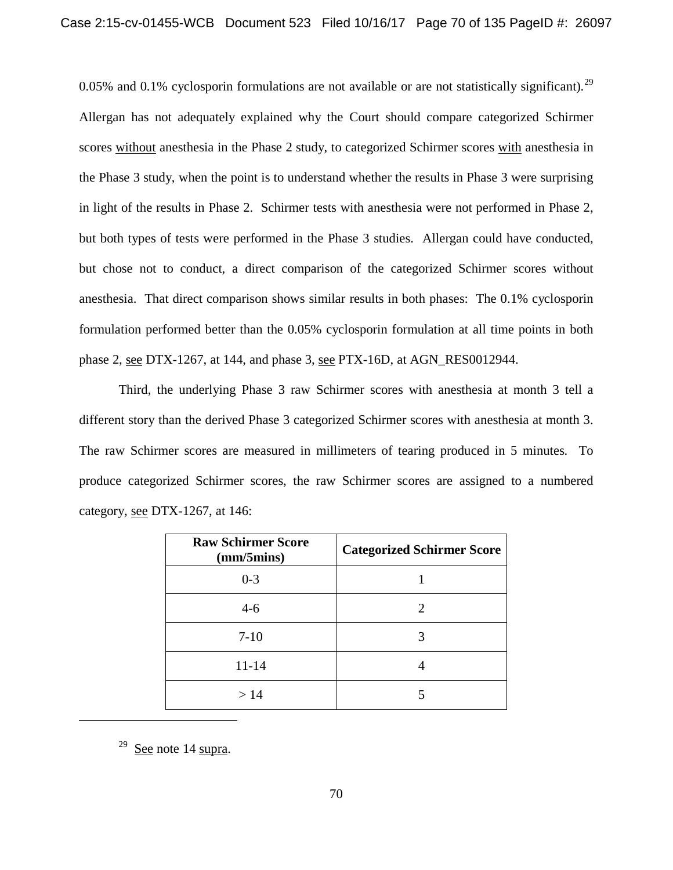0.05% and 0.1% cyclosporin formulations are not available or are not statistically significant).<sup>29</sup> Allergan has not adequately explained why the Court should compare categorized Schirmer scores without anesthesia in the Phase 2 study, to categorized Schirmer scores with anesthesia in the Phase 3 study, when the point is to understand whether the results in Phase 3 were surprising in light of the results in Phase 2. Schirmer tests with anesthesia were not performed in Phase 2, but both types of tests were performed in the Phase 3 studies. Allergan could have conducted, but chose not to conduct, a direct comparison of the categorized Schirmer scores without anesthesia. That direct comparison shows similar results in both phases: The 0.1% cyclosporin formulation performed better than the 0.05% cyclosporin formulation at all time points in both phase 2, see DTX-1267, at 144, and phase 3, see PTX-16D, at AGN\_RES0012944.

Third, the underlying Phase 3 raw Schirmer scores with anesthesia at month 3 tell a different story than the derived Phase 3 categorized Schirmer scores with anesthesia at month 3. The raw Schirmer scores are measured in millimeters of tearing produced in 5 minutes. To produce categorized Schirmer scores, the raw Schirmer scores are assigned to a numbered category, see DTX-1267, at 146:

| <b>Raw Schirmer Score</b><br>(mm/5) | <b>Categorized Schirmer Score</b> |
|-------------------------------------|-----------------------------------|
| $0 - 3$                             |                                   |
| $4-6$                               | 2                                 |
| $7-10$                              |                                   |
| $11 - 14$                           |                                   |
| >14                                 |                                   |

 $29$  See note 14 supra.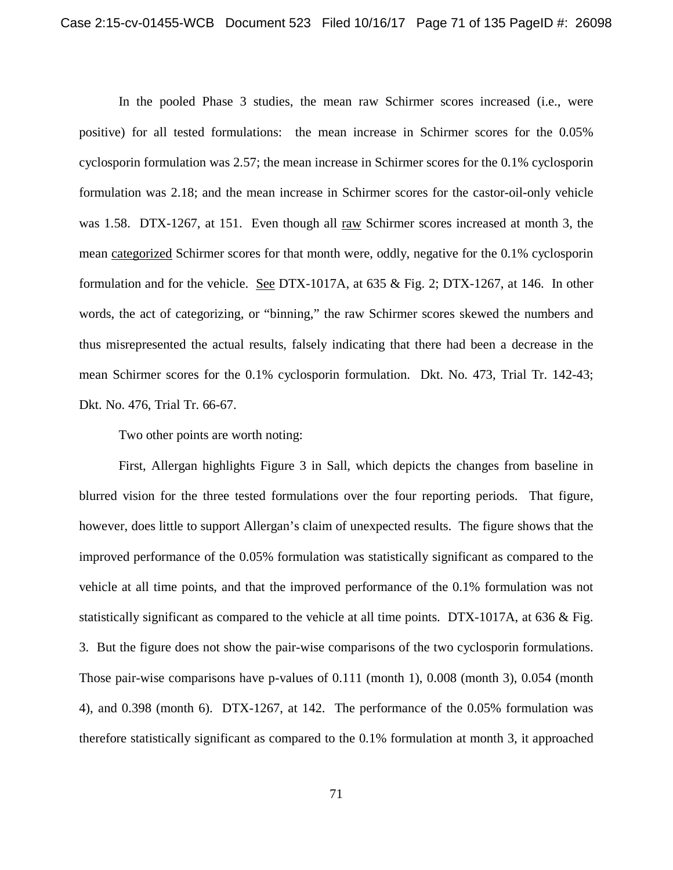In the pooled Phase 3 studies, the mean raw Schirmer scores increased (i.e., were positive) for all tested formulations: the mean increase in Schirmer scores for the 0.05% cyclosporin formulation was 2.57; the mean increase in Schirmer scores for the 0.1% cyclosporin formulation was 2.18; and the mean increase in Schirmer scores for the castor-oil-only vehicle was 1.58. DTX-1267, at 151. Even though all raw Schirmer scores increased at month 3, the mean categorized Schirmer scores for that month were, oddly, negative for the 0.1% cyclosporin formulation and for the vehicle. See DTX-1017A, at 635 & Fig. 2; DTX-1267, at 146. In other words, the act of categorizing, or "binning," the raw Schirmer scores skewed the numbers and thus misrepresented the actual results, falsely indicating that there had been a decrease in the mean Schirmer scores for the 0.1% cyclosporin formulation. Dkt. No. 473, Trial Tr. 142-43; Dkt. No. 476, Trial Tr. 66-67.

Two other points are worth noting:

First, Allergan highlights Figure 3 in Sall, which depicts the changes from baseline in blurred vision for the three tested formulations over the four reporting periods. That figure, however, does little to support Allergan's claim of unexpected results. The figure shows that the improved performance of the 0.05% formulation was statistically significant as compared to the vehicle at all time points, and that the improved performance of the 0.1% formulation was not statistically significant as compared to the vehicle at all time points. DTX-1017A, at 636 & Fig. 3. But the figure does not show the pair-wise comparisons of the two cyclosporin formulations. Those pair-wise comparisons have p-values of 0.111 (month 1), 0.008 (month 3), 0.054 (month 4), and 0.398 (month 6). DTX-1267, at 142. The performance of the 0.05% formulation was therefore statistically significant as compared to the 0.1% formulation at month 3, it approached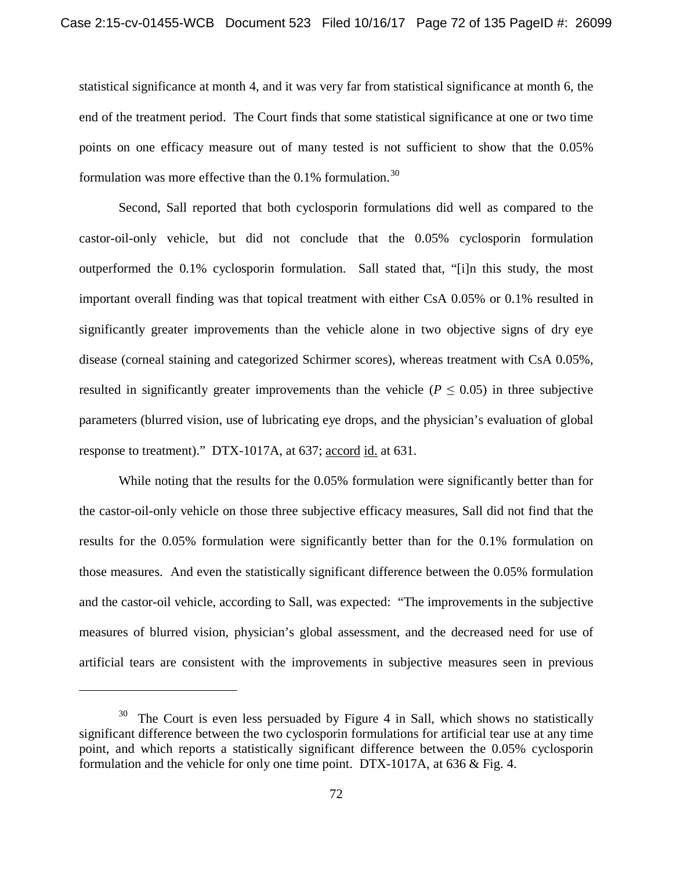statistical significance at month 4, and it was very far from statistical significance at month 6, the end of the treatment period. The Court finds that some statistical significance at one or two time points on one efficacy measure out of many tested is not sufficient to show that the 0.05% formulation was more effective than the  $0.1\%$  formulation.<sup>30</sup>

Second, Sall reported that both cyclosporin formulations did well as compared to the castor-oil-only vehicle, but did not conclude that the 0.05% cyclosporin formulation outperformed the 0.1% cyclosporin formulation. Sall stated that, "[i]n this study, the most important overall finding was that topical treatment with either CsA 0.05% or 0.1% resulted in significantly greater improvements than the vehicle alone in two objective signs of dry eye disease (corneal staining and categorized Schirmer scores), whereas treatment with CsA 0.05%, resulted in significantly greater improvements than the vehicle ( $P \leq 0.05$ ) in three subjective parameters (blurred vision, use of lubricating eye drops, and the physician's evaluation of global response to treatment)." DTX-1017A, at 637; accord id. at 631.

While noting that the results for the 0.05% formulation were significantly better than for the castor-oil-only vehicle on those three subjective efficacy measures, Sall did not find that the results for the 0.05% formulation were significantly better than for the 0.1% formulation on those measures. And even the statistically significant difference between the 0.05% formulation and the castor-oil vehicle, according to Sall, was expected: "The improvements in the subjective measures of blurred vision, physician's global assessment, and the decreased need for use of artificial tears are consistent with the improvements in subjective measures seen in previous

l

 $30$  The Court is even less persuaded by Figure 4 in Sall, which shows no statistically significant difference between the two cyclosporin formulations for artificial tear use at any time point, and which reports a statistically significant difference between the 0.05% cyclosporin formulation and the vehicle for only one time point. DTX-1017A, at 636 & Fig. 4.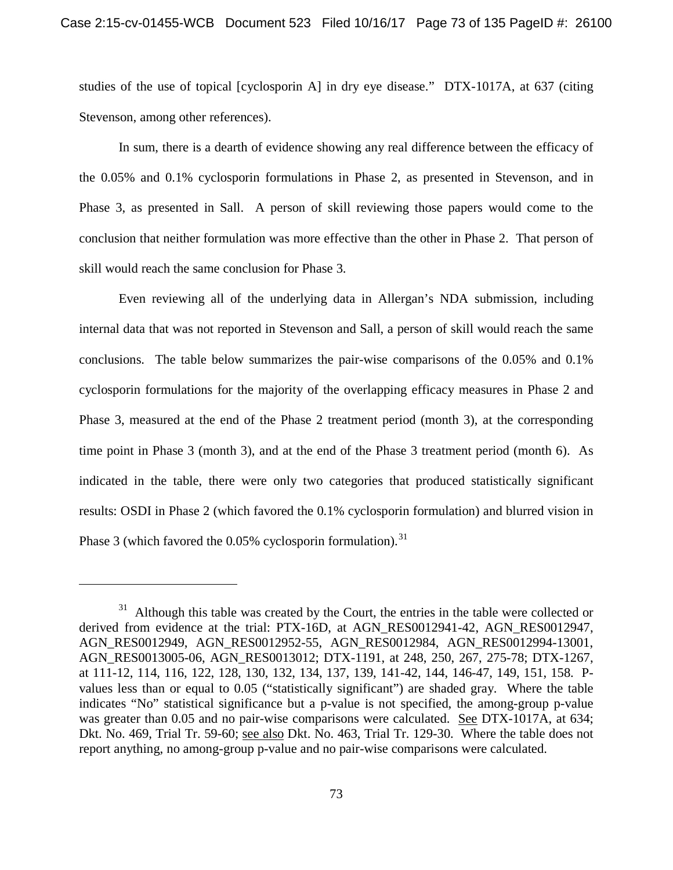studies of the use of topical [cyclosporin A] in dry eye disease." DTX-1017A, at 637 (citing Stevenson, among other references).

In sum, there is a dearth of evidence showing any real difference between the efficacy of the 0.05% and 0.1% cyclosporin formulations in Phase 2, as presented in Stevenson, and in Phase 3, as presented in Sall. A person of skill reviewing those papers would come to the conclusion that neither formulation was more effective than the other in Phase 2. That person of skill would reach the same conclusion for Phase 3.

Even reviewing all of the underlying data in Allergan's NDA submission, including internal data that was not reported in Stevenson and Sall, a person of skill would reach the same conclusions. The table below summarizes the pair-wise comparisons of the 0.05% and 0.1% cyclosporin formulations for the majority of the overlapping efficacy measures in Phase 2 and Phase 3, measured at the end of the Phase 2 treatment period (month 3), at the corresponding time point in Phase 3 (month 3), and at the end of the Phase 3 treatment period (month 6). As indicated in the table, there were only two categories that produced statistically significant results: OSDI in Phase 2 (which favored the 0.1% cyclosporin formulation) and blurred vision in Phase 3 (which favored the  $0.05\%$  cyclosporin formulation).<sup>31</sup>

 $31$  Although this table was created by the Court, the entries in the table were collected or derived from evidence at the trial: PTX-16D, at AGN\_RES0012941-42, AGN\_RES0012947, AGN\_RES0012949, AGN\_RES0012952-55, AGN\_RES0012984, AGN\_RES0012994-13001, AGN\_RES0013005-06, AGN\_RES0013012; DTX-1191, at 248, 250, 267, 275-78; DTX-1267, at 111-12, 114, 116, 122, 128, 130, 132, 134, 137, 139, 141-42, 144, 146-47, 149, 151, 158. Pvalues less than or equal to 0.05 ("statistically significant") are shaded gray. Where the table indicates "No" statistical significance but a p-value is not specified, the among-group p-value was greater than 0.05 and no pair-wise comparisons were calculated. See DTX-1017A, at 634; Dkt. No. 469, Trial Tr. 59-60; see also Dkt. No. 463, Trial Tr. 129-30. Where the table does not report anything, no among-group p-value and no pair-wise comparisons were calculated.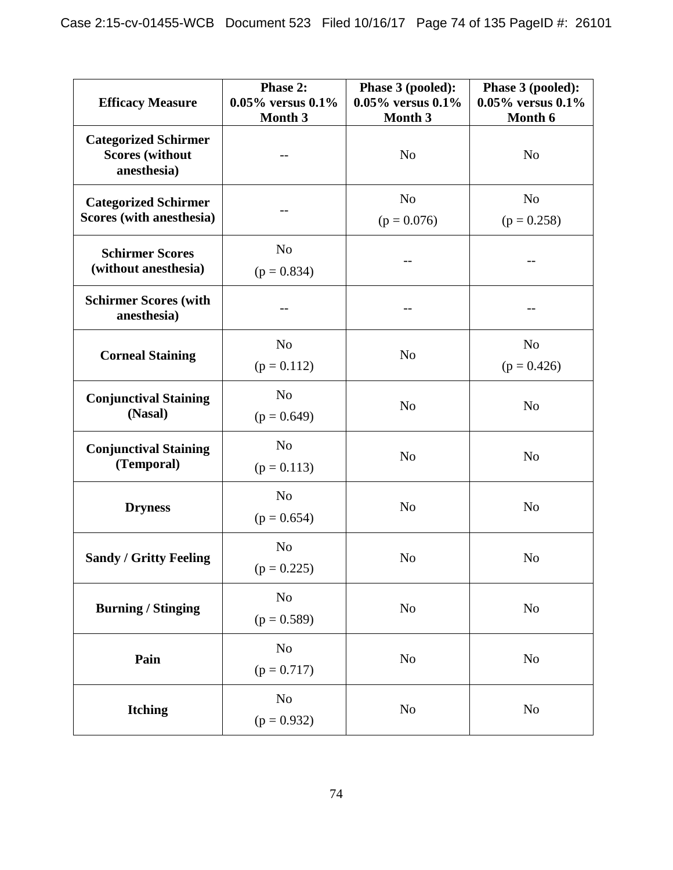| <b>Efficacy Measure</b>                                              | Phase 2:<br>$0.05\%$ versus $0.1\%$<br>Month 3 | Phase 3 (pooled):<br>$0.05\%$ versus $0.1\%$<br>Month 3 | Phase 3 (pooled):<br>$0.05\%$ versus $0.1\%$<br>Month 6 |  |
|----------------------------------------------------------------------|------------------------------------------------|---------------------------------------------------------|---------------------------------------------------------|--|
| <b>Categorized Schirmer</b><br><b>Scores (without</b><br>anesthesia) |                                                | N <sub>o</sub>                                          | N <sub>o</sub>                                          |  |
| <b>Categorized Schirmer</b><br>Scores (with anesthesia)              |                                                | N <sub>o</sub><br>$(p = 0.076)$                         | N <sub>o</sub><br>$(p = 0.258)$                         |  |
| <b>Schirmer Scores</b><br>(without anesthesia)                       | N <sub>o</sub><br>$(p = 0.834)$                |                                                         |                                                         |  |
| <b>Schirmer Scores (with</b><br>anesthesia)                          |                                                |                                                         |                                                         |  |
| <b>Corneal Staining</b>                                              | N <sub>o</sub><br>$(p = 0.112)$                | N <sub>o</sub>                                          | N <sub>o</sub><br>$(p = 0.426)$                         |  |
| <b>Conjunctival Staining</b><br>(Nasal)                              | N <sub>o</sub><br>$(p = 0.649)$                | N <sub>o</sub>                                          | N <sub>o</sub>                                          |  |
| <b>Conjunctival Staining</b><br>(Temporal)                           | N <sub>o</sub><br>$(p = 0.113)$                | N <sub>o</sub>                                          | N <sub>o</sub>                                          |  |
| <b>Dryness</b>                                                       | N <sub>o</sub><br>$(p = 0.654)$                | N <sub>o</sub>                                          | N <sub>o</sub>                                          |  |
| <b>Sandy / Gritty Feeling</b>                                        | N <sub>o</sub><br>$(p = 0.225)$                | N <sub>o</sub>                                          | N <sub>o</sub>                                          |  |
| <b>Burning / Stinging</b>                                            | N <sub>o</sub><br>$(p = 0.589)$                | No                                                      | N <sub>0</sub>                                          |  |
| Pain                                                                 | N <sub>o</sub><br>$(p = 0.717)$                | $\rm No$                                                | N <sub>o</sub>                                          |  |
| <b>Itching</b>                                                       | N <sub>o</sub><br>$(p = 0.932)$                | No                                                      | N <sub>0</sub>                                          |  |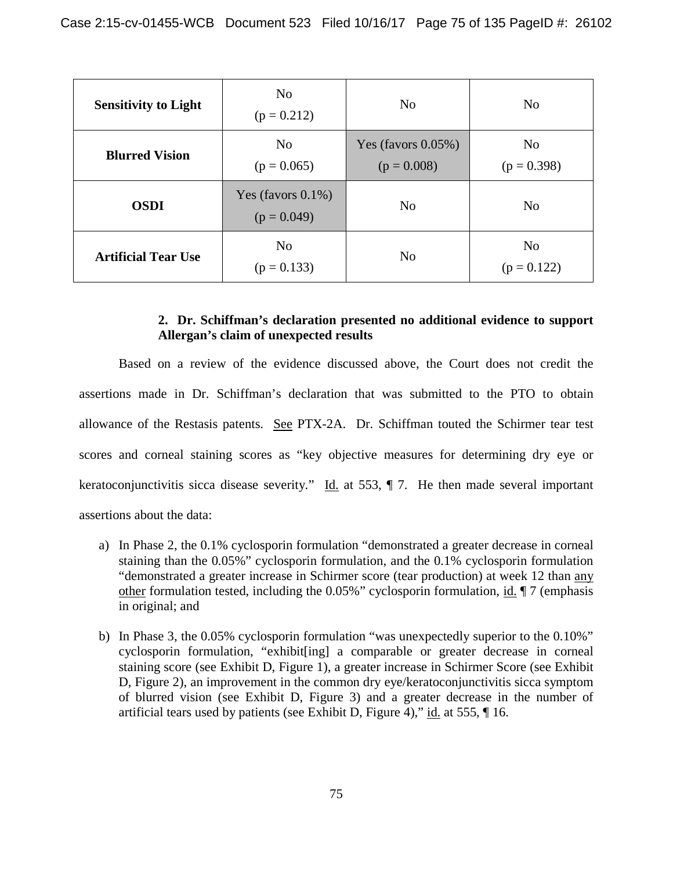| <b>Sensitivity to Light</b> | N <sub>0</sub><br>$(p = 0.212)$        |                                         | N <sub>o</sub>                  |
|-----------------------------|----------------------------------------|-----------------------------------------|---------------------------------|
| <b>Blurred Vision</b>       | N <sub>o</sub><br>$(p = 0.065)$        | Yes (favors $0.05\%$ )<br>$(p = 0.008)$ | N <sub>o</sub><br>$(p = 0.398)$ |
| <b>OSDI</b>                 | Yes (favors $0.1\%$ )<br>$(p = 0.049)$ | N <sub>o</sub>                          | N <sub>o</sub>                  |
| <b>Artificial Tear Use</b>  | N <sub>0</sub><br>$(p = 0.133)$        | N <sub>o</sub>                          | N <sub>0</sub><br>$(p = 0.122)$ |

# **2. Dr. Schiffman's declaration presented no additional evidence to support Allergan's claim of unexpected results**

Based on a review of the evidence discussed above, the Court does not credit the assertions made in Dr. Schiffman's declaration that was submitted to the PTO to obtain allowance of the Restasis patents. See PTX-2A. Dr. Schiffman touted the Schirmer tear test scores and corneal staining scores as "key objective measures for determining dry eye or keratoconjunctivitis sicca disease severity." Id. at 553,  $\P$  7. He then made several important assertions about the data:

- a) In Phase 2, the 0.1% cyclosporin formulation "demonstrated a greater decrease in corneal staining than the 0.05%" cyclosporin formulation, and the 0.1% cyclosporin formulation "demonstrated a greater increase in Schirmer score (tear production) at week 12 than any other formulation tested, including the 0.05%" cyclosporin formulation, id. ¶ 7 (emphasis in original; and
- b) In Phase 3, the 0.05% cyclosporin formulation "was unexpectedly superior to the 0.10%" cyclosporin formulation, "exhibit[ing] a comparable or greater decrease in corneal staining score (see Exhibit D, Figure 1), a greater increase in Schirmer Score (see Exhibit D, Figure 2), an improvement in the common dry eye/keratoconjunctivitis sicca symptom of blurred vision (see Exhibit D, Figure 3) and a greater decrease in the number of artificial tears used by patients (see Exhibit D, Figure 4)," id. at 555, ¶ 16.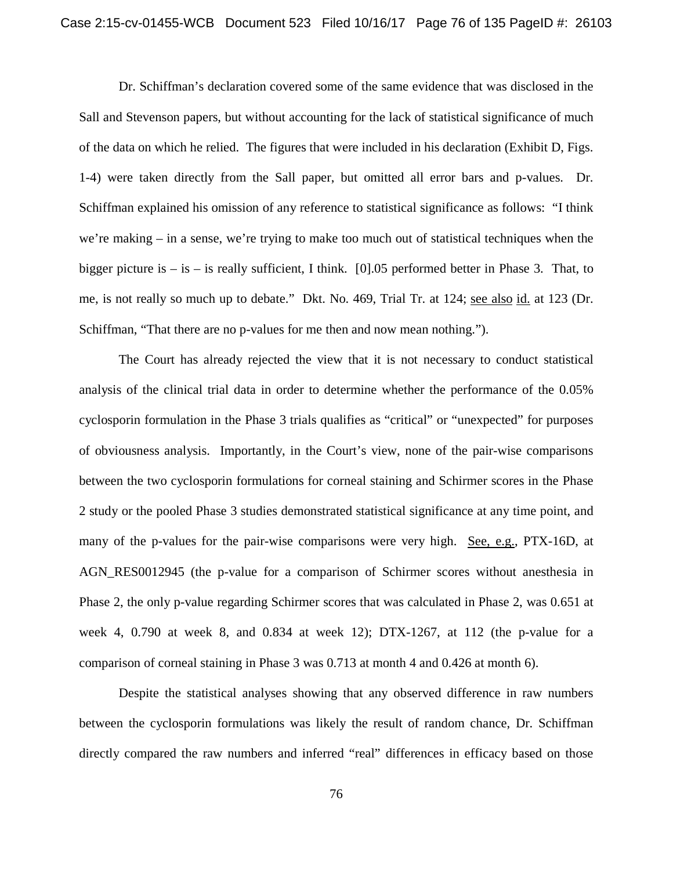Dr. Schiffman's declaration covered some of the same evidence that was disclosed in the Sall and Stevenson papers, but without accounting for the lack of statistical significance of much of the data on which he relied. The figures that were included in his declaration (Exhibit D, Figs. 1-4) were taken directly from the Sall paper, but omitted all error bars and p-values. Dr. Schiffman explained his omission of any reference to statistical significance as follows: "I think we're making – in a sense, we're trying to make too much out of statistical techniques when the bigger picture is  $-$  is  $-$  is really sufficient, I think. [0].05 performed better in Phase 3. That, to me, is not really so much up to debate." Dkt. No. 469, Trial Tr. at 124; see also id. at 123 (Dr. Schiffman, "That there are no p-values for me then and now mean nothing.").

The Court has already rejected the view that it is not necessary to conduct statistical analysis of the clinical trial data in order to determine whether the performance of the 0.05% cyclosporin formulation in the Phase 3 trials qualifies as "critical" or "unexpected" for purposes of obviousness analysis. Importantly, in the Court's view, none of the pair-wise comparisons between the two cyclosporin formulations for corneal staining and Schirmer scores in the Phase 2 study or the pooled Phase 3 studies demonstrated statistical significance at any time point, and many of the p-values for the pair-wise comparisons were very high. See, e.g., PTX-16D, at AGN\_RES0012945 (the p-value for a comparison of Schirmer scores without anesthesia in Phase 2, the only p-value regarding Schirmer scores that was calculated in Phase 2, was 0.651 at week 4, 0.790 at week 8, and 0.834 at week 12); DTX-1267, at 112 (the p-value for a comparison of corneal staining in Phase 3 was 0.713 at month 4 and 0.426 at month 6).

Despite the statistical analyses showing that any observed difference in raw numbers between the cyclosporin formulations was likely the result of random chance, Dr. Schiffman directly compared the raw numbers and inferred "real" differences in efficacy based on those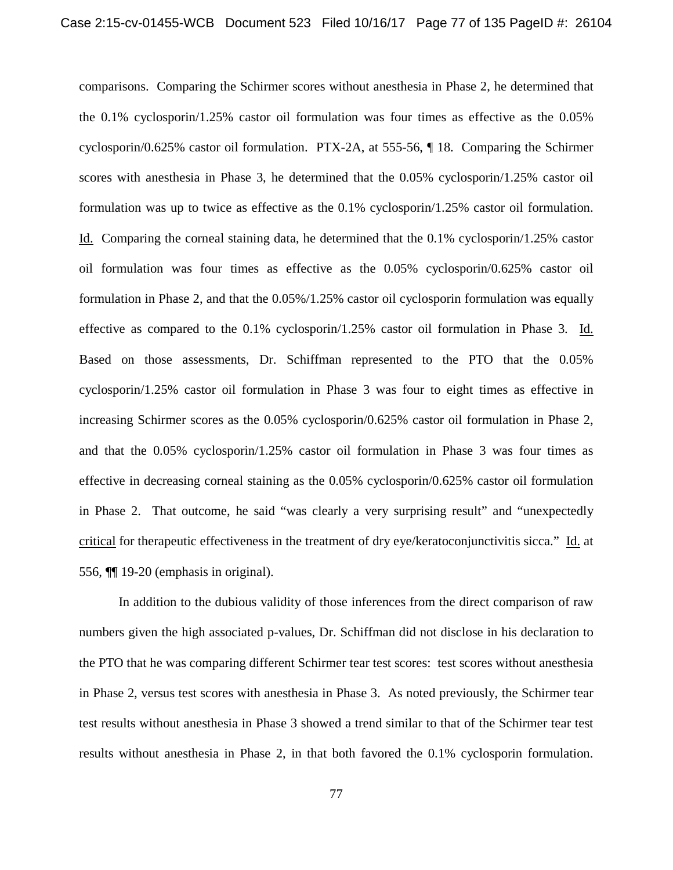comparisons. Comparing the Schirmer scores without anesthesia in Phase 2, he determined that the 0.1% cyclosporin/1.25% castor oil formulation was four times as effective as the 0.05% cyclosporin/0.625% castor oil formulation. PTX-2A, at 555-56, ¶ 18. Comparing the Schirmer scores with anesthesia in Phase 3, he determined that the 0.05% cyclosporin/1.25% castor oil formulation was up to twice as effective as the 0.1% cyclosporin/1.25% castor oil formulation. Id. Comparing the corneal staining data, he determined that the 0.1% cyclosporin/1.25% castor oil formulation was four times as effective as the 0.05% cyclosporin/0.625% castor oil formulation in Phase 2, and that the 0.05%/1.25% castor oil cyclosporin formulation was equally effective as compared to the 0.1% cyclosporin/1.25% castor oil formulation in Phase 3. Id. Based on those assessments, Dr. Schiffman represented to the PTO that the 0.05% cyclosporin/1.25% castor oil formulation in Phase 3 was four to eight times as effective in increasing Schirmer scores as the 0.05% cyclosporin/0.625% castor oil formulation in Phase 2, and that the 0.05% cyclosporin/1.25% castor oil formulation in Phase 3 was four times as effective in decreasing corneal staining as the 0.05% cyclosporin/0.625% castor oil formulation in Phase 2. That outcome, he said "was clearly a very surprising result" and "unexpectedly critical for therapeutic effectiveness in the treatment of dry eye/keratoconjunctivitis sicca." Id. at 556, ¶¶ 19-20 (emphasis in original).

In addition to the dubious validity of those inferences from the direct comparison of raw numbers given the high associated p-values, Dr. Schiffman did not disclose in his declaration to the PTO that he was comparing different Schirmer tear test scores: test scores without anesthesia in Phase 2, versus test scores with anesthesia in Phase 3. As noted previously, the Schirmer tear test results without anesthesia in Phase 3 showed a trend similar to that of the Schirmer tear test results without anesthesia in Phase 2, in that both favored the 0.1% cyclosporin formulation.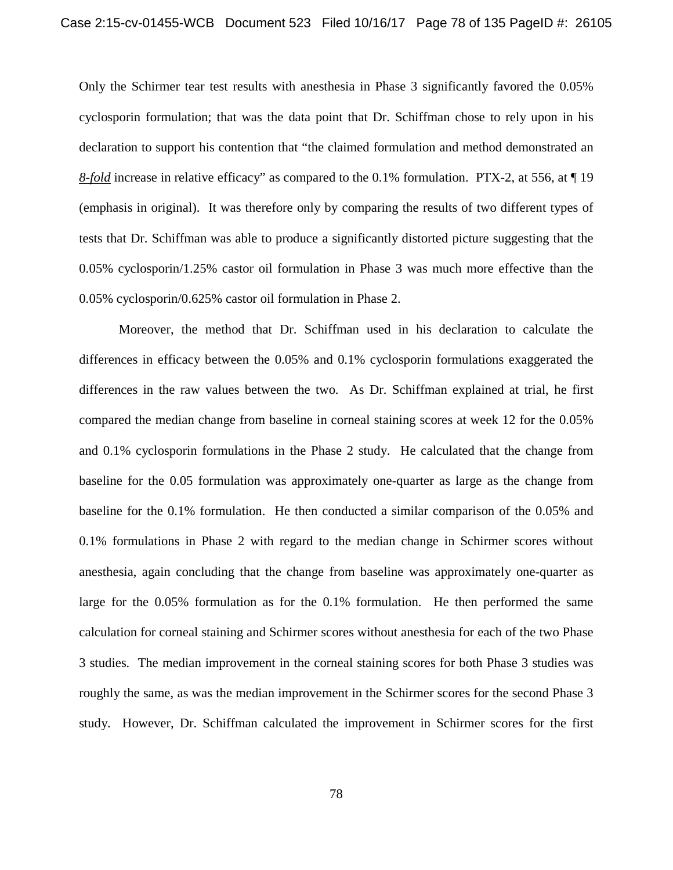Only the Schirmer tear test results with anesthesia in Phase 3 significantly favored the 0.05% cyclosporin formulation; that was the data point that Dr. Schiffman chose to rely upon in his declaration to support his contention that "the claimed formulation and method demonstrated an *8-fold* increase in relative efficacy" as compared to the 0.1% formulation. PTX-2, at 556, at ¶ 19 (emphasis in original). It was therefore only by comparing the results of two different types of tests that Dr. Schiffman was able to produce a significantly distorted picture suggesting that the 0.05% cyclosporin/1.25% castor oil formulation in Phase 3 was much more effective than the 0.05% cyclosporin/0.625% castor oil formulation in Phase 2.

Moreover, the method that Dr. Schiffman used in his declaration to calculate the differences in efficacy between the 0.05% and 0.1% cyclosporin formulations exaggerated the differences in the raw values between the two. As Dr. Schiffman explained at trial, he first compared the median change from baseline in corneal staining scores at week 12 for the 0.05% and 0.1% cyclosporin formulations in the Phase 2 study. He calculated that the change from baseline for the 0.05 formulation was approximately one-quarter as large as the change from baseline for the 0.1% formulation. He then conducted a similar comparison of the 0.05% and 0.1% formulations in Phase 2 with regard to the median change in Schirmer scores without anesthesia, again concluding that the change from baseline was approximately one-quarter as large for the 0.05% formulation as for the 0.1% formulation. He then performed the same calculation for corneal staining and Schirmer scores without anesthesia for each of the two Phase 3 studies. The median improvement in the corneal staining scores for both Phase 3 studies was roughly the same, as was the median improvement in the Schirmer scores for the second Phase 3 study. However, Dr. Schiffman calculated the improvement in Schirmer scores for the first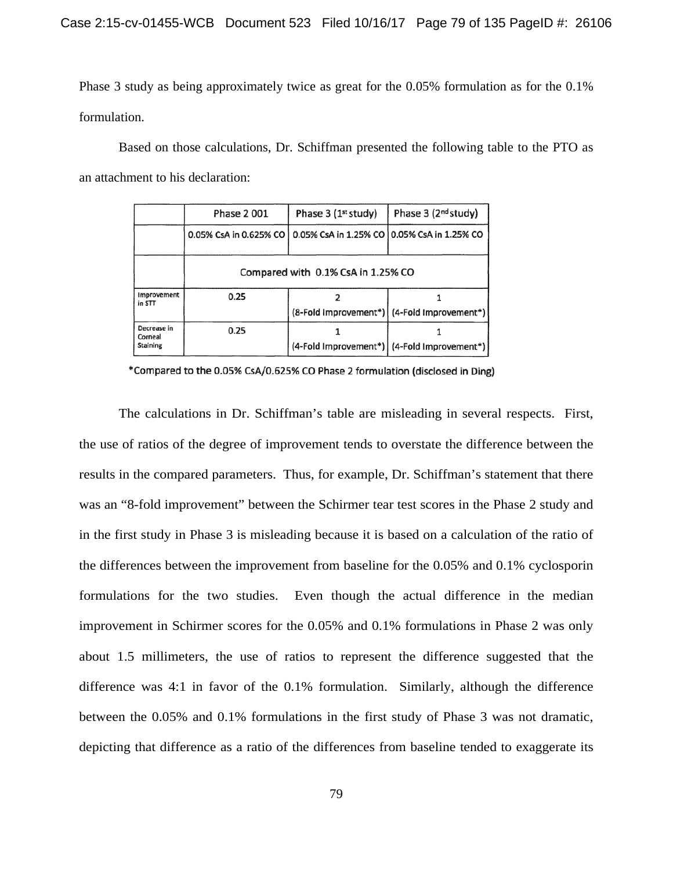Phase 3 study as being approximately twice as great for the 0.05% formulation as for the 0.1% formulation.

Based on those calculations, Dr. Schiffman presented the following table to the PTO as an attachment to his declaration:

|                                           | Phase 2001                                                             | Phase 3 (1 <sup>st</sup> study) | Phase 3 (2 <sup>nd</sup> study)               |  |  |
|-------------------------------------------|------------------------------------------------------------------------|---------------------------------|-----------------------------------------------|--|--|
|                                           | 0.05% CsA in 0.625% CO   0.05% CsA in 1.25% CO   0.05% CsA in 1.25% CO |                                 |                                               |  |  |
|                                           | Compared with 0.1% CsA in 1.25% CO                                     |                                 |                                               |  |  |
| Improvement<br>in STT                     | 0.25                                                                   |                                 |                                               |  |  |
|                                           |                                                                        |                                 | (8-Fold improvement*)   (4-Fold improvement*) |  |  |
| Decrease in<br>Corneal<br><b>Staining</b> | 0.25                                                                   |                                 |                                               |  |  |
|                                           |                                                                        |                                 | (4-Fold Improvement*)   (4-Fold Improvement*) |  |  |

\*Compared to the 0.05% CsA/0.625% CO Phase 2 formulation (disclosed in Ding)

The calculations in Dr. Schiffman's table are misleading in several respects. First, the use of ratios of the degree of improvement tends to overstate the difference between the results in the compared parameters. Thus, for example, Dr. Schiffman's statement that there was an "8-fold improvement" between the Schirmer tear test scores in the Phase 2 study and in the first study in Phase 3 is misleading because it is based on a calculation of the ratio of the differences between the improvement from baseline for the 0.05% and 0.1% cyclosporin formulations for the two studies. Even though the actual difference in the median improvement in Schirmer scores for the 0.05% and 0.1% formulations in Phase 2 was only about 1.5 millimeters, the use of ratios to represent the difference suggested that the difference was 4:1 in favor of the 0.1% formulation. Similarly, although the difference between the 0.05% and 0.1% formulations in the first study of Phase 3 was not dramatic, depicting that difference as a ratio of the differences from baseline tended to exaggerate its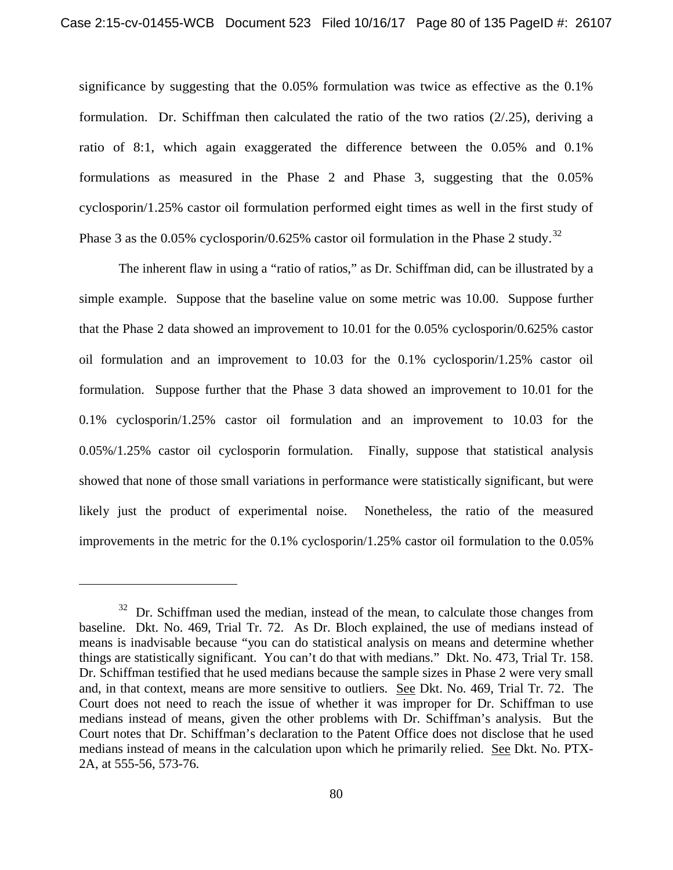significance by suggesting that the 0.05% formulation was twice as effective as the 0.1% formulation. Dr. Schiffman then calculated the ratio of the two ratios (2/.25), deriving a ratio of 8:1, which again exaggerated the difference between the 0.05% and 0.1% formulations as measured in the Phase 2 and Phase 3, suggesting that the 0.05% cyclosporin/1.25% castor oil formulation performed eight times as well in the first study of Phase 3 as the  $0.05\%$  cyclosporin/0.625% castor oil formulation in the Phase 2 study.<sup>32</sup>

The inherent flaw in using a "ratio of ratios," as Dr. Schiffman did, can be illustrated by a simple example. Suppose that the baseline value on some metric was 10.00. Suppose further that the Phase 2 data showed an improvement to 10.01 for the 0.05% cyclosporin/0.625% castor oil formulation and an improvement to 10.03 for the 0.1% cyclosporin/1.25% castor oil formulation. Suppose further that the Phase 3 data showed an improvement to 10.01 for the 0.1% cyclosporin/1.25% castor oil formulation and an improvement to 10.03 for the 0.05%/1.25% castor oil cyclosporin formulation. Finally, suppose that statistical analysis showed that none of those small variations in performance were statistically significant, but were likely just the product of experimental noise. Nonetheless, the ratio of the measured improvements in the metric for the 0.1% cyclosporin/1.25% castor oil formulation to the 0.05%

 $32$  Dr. Schiffman used the median, instead of the mean, to calculate those changes from baseline. Dkt. No. 469, Trial Tr. 72. As Dr. Bloch explained, the use of medians instead of means is inadvisable because "you can do statistical analysis on means and determine whether things are statistically significant. You can't do that with medians." Dkt. No. 473, Trial Tr. 158. Dr. Schiffman testified that he used medians because the sample sizes in Phase 2 were very small and, in that context, means are more sensitive to outliers. See Dkt. No. 469, Trial Tr. 72. The Court does not need to reach the issue of whether it was improper for Dr. Schiffman to use medians instead of means, given the other problems with Dr. Schiffman's analysis. But the Court notes that Dr. Schiffman's declaration to the Patent Office does not disclose that he used medians instead of means in the calculation upon which he primarily relied. See Dkt. No. PTX-2A, at 555-56, 573-76.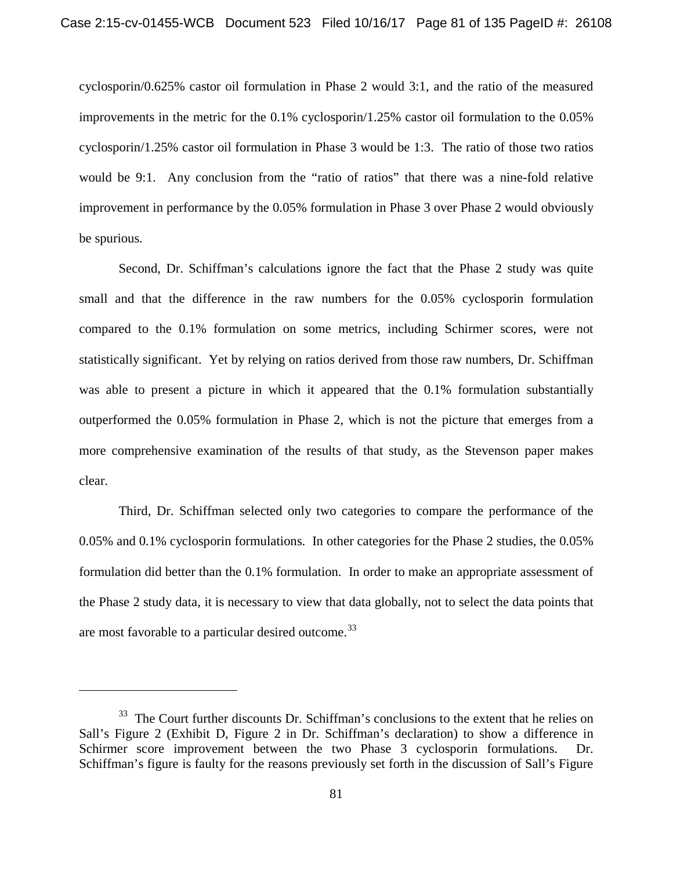cyclosporin/0.625% castor oil formulation in Phase 2 would 3:1, and the ratio of the measured improvements in the metric for the 0.1% cyclosporin/1.25% castor oil formulation to the 0.05% cyclosporin/1.25% castor oil formulation in Phase 3 would be 1:3. The ratio of those two ratios would be 9:1. Any conclusion from the "ratio of ratios" that there was a nine-fold relative improvement in performance by the 0.05% formulation in Phase 3 over Phase 2 would obviously be spurious.

Second, Dr. Schiffman's calculations ignore the fact that the Phase 2 study was quite small and that the difference in the raw numbers for the 0.05% cyclosporin formulation compared to the 0.1% formulation on some metrics, including Schirmer scores, were not statistically significant. Yet by relying on ratios derived from those raw numbers, Dr. Schiffman was able to present a picture in which it appeared that the 0.1% formulation substantially outperformed the 0.05% formulation in Phase 2, which is not the picture that emerges from a more comprehensive examination of the results of that study, as the Stevenson paper makes clear.

Third, Dr. Schiffman selected only two categories to compare the performance of the 0.05% and 0.1% cyclosporin formulations. In other categories for the Phase 2 studies, the 0.05% formulation did better than the 0.1% formulation. In order to make an appropriate assessment of the Phase 2 study data, it is necessary to view that data globally, not to select the data points that are most favorable to a particular desired outcome.<sup>33</sup>

l

 $33$  The Court further discounts Dr. Schiffman's conclusions to the extent that he relies on Sall's Figure 2 (Exhibit D, Figure 2 in Dr. Schiffman's declaration) to show a difference in Schirmer score improvement between the two Phase 3 cyclosporin formulations. Dr. Schiffman's figure is faulty for the reasons previously set forth in the discussion of Sall's Figure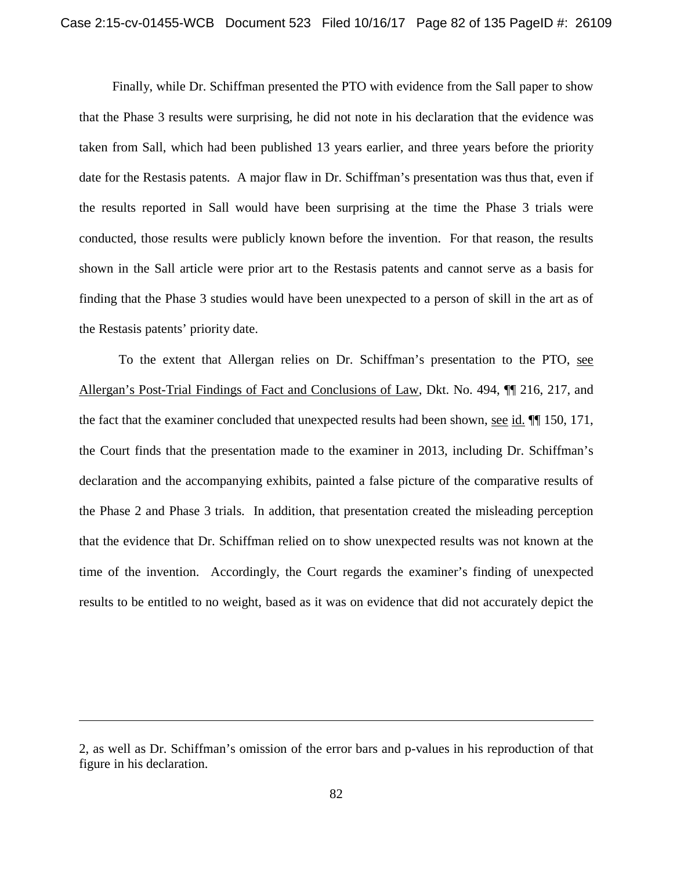Finally, while Dr. Schiffman presented the PTO with evidence from the Sall paper to show that the Phase 3 results were surprising, he did not note in his declaration that the evidence was taken from Sall, which had been published 13 years earlier, and three years before the priority date for the Restasis patents. A major flaw in Dr. Schiffman's presentation was thus that, even if the results reported in Sall would have been surprising at the time the Phase 3 trials were conducted, those results were publicly known before the invention. For that reason, the results shown in the Sall article were prior art to the Restasis patents and cannot serve as a basis for finding that the Phase 3 studies would have been unexpected to a person of skill in the art as of the Restasis patents' priority date.

To the extent that Allergan relies on Dr. Schiffman's presentation to the PTO, see Allergan's Post-Trial Findings of Fact and Conclusions of Law, Dkt. No. 494, ¶¶ 216, 217, and the fact that the examiner concluded that unexpected results had been shown, see id.  $\P$  150, 171, the Court finds that the presentation made to the examiner in 2013, including Dr. Schiffman's declaration and the accompanying exhibits, painted a false picture of the comparative results of the Phase 2 and Phase 3 trials. In addition, that presentation created the misleading perception that the evidence that Dr. Schiffman relied on to show unexpected results was not known at the time of the invention. Accordingly, the Court regards the examiner's finding of unexpected results to be entitled to no weight, based as it was on evidence that did not accurately depict the

<sup>2,</sup> as well as Dr. Schiffman's omission of the error bars and p-values in his reproduction of that figure in his declaration.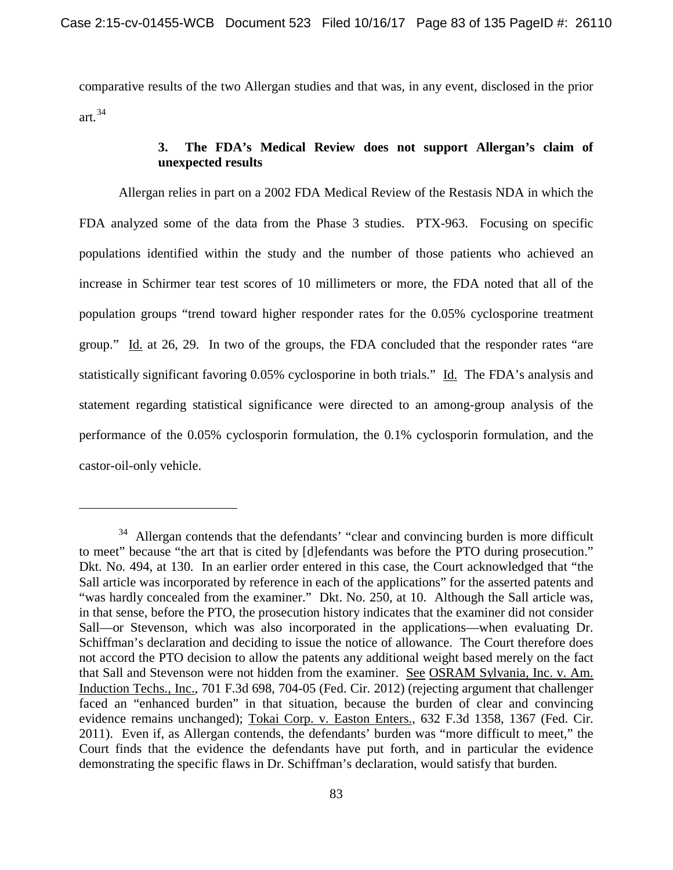comparative results of the two Allergan studies and that was, in any event, disclosed in the prior art. $34$ 

# **3. The FDA's Medical Review does not support Allergan's claim of unexpected results**

Allergan relies in part on a 2002 FDA Medical Review of the Restasis NDA in which the FDA analyzed some of the data from the Phase 3 studies. PTX-963. Focusing on specific populations identified within the study and the number of those patients who achieved an increase in Schirmer tear test scores of 10 millimeters or more, the FDA noted that all of the population groups "trend toward higher responder rates for the 0.05% cyclosporine treatment group." Id. at 26, 29. In two of the groups, the FDA concluded that the responder rates "are statistically significant favoring 0.05% cyclosporine in both trials." Id. The FDA's analysis and statement regarding statistical significance were directed to an among-group analysis of the performance of the 0.05% cyclosporin formulation, the 0.1% cyclosporin formulation, and the castor-oil-only vehicle.

<sup>&</sup>lt;sup>34</sup> Allergan contends that the defendants' "clear and convincing burden is more difficult to meet" because "the art that is cited by [d]efendants was before the PTO during prosecution." Dkt. No. 494, at 130. In an earlier order entered in this case, the Court acknowledged that "the Sall article was incorporated by reference in each of the applications" for the asserted patents and "was hardly concealed from the examiner." Dkt. No. 250, at 10. Although the Sall article was, in that sense, before the PTO, the prosecution history indicates that the examiner did not consider Sall—or Stevenson, which was also incorporated in the applications—when evaluating Dr. Schiffman's declaration and deciding to issue the notice of allowance. The Court therefore does not accord the PTO decision to allow the patents any additional weight based merely on the fact that Sall and Stevenson were not hidden from the examiner. See OSRAM Sylvania, Inc. v. Am. Induction Techs., Inc., 701 F.3d 698, 704-05 (Fed. Cir. 2012) (rejecting argument that challenger faced an "enhanced burden" in that situation, because the burden of clear and convincing evidence remains unchanged); Tokai Corp. v. Easton Enters., 632 F.3d 1358, 1367 (Fed. Cir. 2011). Even if, as Allergan contends, the defendants' burden was "more difficult to meet," the Court finds that the evidence the defendants have put forth, and in particular the evidence demonstrating the specific flaws in Dr. Schiffman's declaration, would satisfy that burden.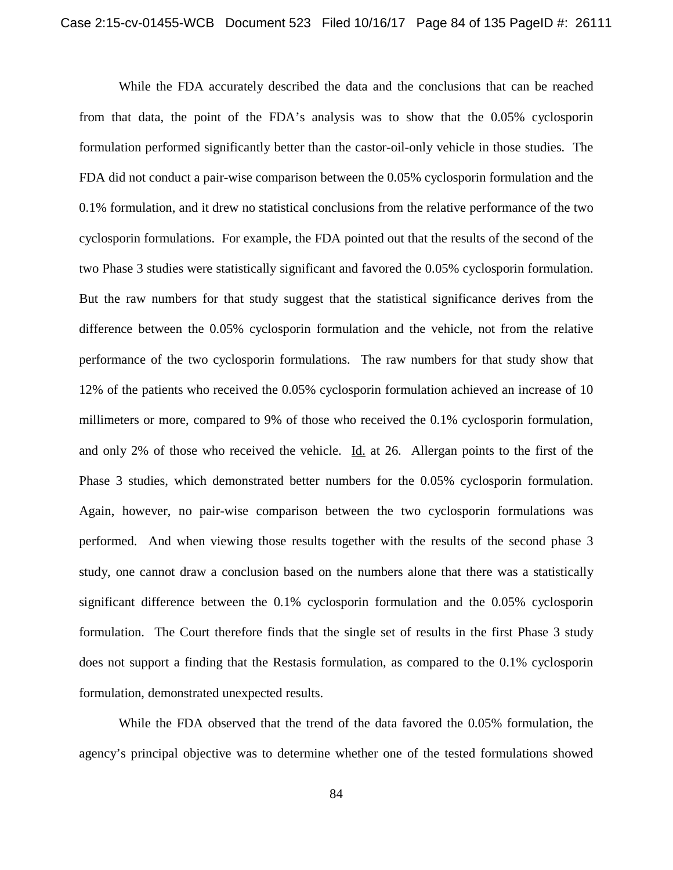While the FDA accurately described the data and the conclusions that can be reached from that data, the point of the FDA's analysis was to show that the 0.05% cyclosporin formulation performed significantly better than the castor-oil-only vehicle in those studies. The FDA did not conduct a pair-wise comparison between the 0.05% cyclosporin formulation and the 0.1% formulation, and it drew no statistical conclusions from the relative performance of the two cyclosporin formulations. For example, the FDA pointed out that the results of the second of the two Phase 3 studies were statistically significant and favored the 0.05% cyclosporin formulation. But the raw numbers for that study suggest that the statistical significance derives from the difference between the 0.05% cyclosporin formulation and the vehicle, not from the relative performance of the two cyclosporin formulations. The raw numbers for that study show that 12% of the patients who received the 0.05% cyclosporin formulation achieved an increase of 10 millimeters or more, compared to 9% of those who received the 0.1% cyclosporin formulation, and only 2% of those who received the vehicle. Id. at 26. Allergan points to the first of the Phase 3 studies, which demonstrated better numbers for the 0.05% cyclosporin formulation. Again, however, no pair-wise comparison between the two cyclosporin formulations was performed. And when viewing those results together with the results of the second phase 3 study, one cannot draw a conclusion based on the numbers alone that there was a statistically significant difference between the 0.1% cyclosporin formulation and the 0.05% cyclosporin formulation. The Court therefore finds that the single set of results in the first Phase 3 study does not support a finding that the Restasis formulation, as compared to the 0.1% cyclosporin formulation, demonstrated unexpected results.

While the FDA observed that the trend of the data favored the 0.05% formulation, the agency's principal objective was to determine whether one of the tested formulations showed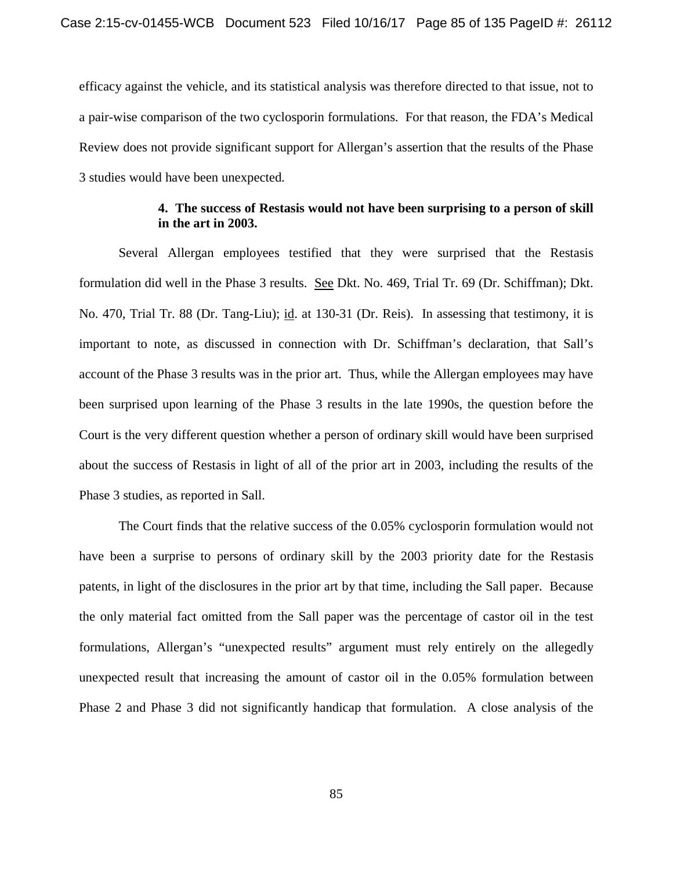efficacy against the vehicle, and its statistical analysis was therefore directed to that issue, not to a pair-wise comparison of the two cyclosporin formulations. For that reason, the FDA's Medical Review does not provide significant support for Allergan's assertion that the results of the Phase 3 studies would have been unexpected.

### **4. The success of Restasis would not have been surprising to a person of skill in the art in 2003.**

Several Allergan employees testified that they were surprised that the Restasis formulation did well in the Phase 3 results. See Dkt. No. 469, Trial Tr. 69 (Dr. Schiffman); Dkt. No. 470, Trial Tr. 88 (Dr. Tang-Liu); id. at 130-31 (Dr. Reis). In assessing that testimony, it is important to note, as discussed in connection with Dr. Schiffman's declaration, that Sall's account of the Phase 3 results was in the prior art. Thus, while the Allergan employees may have been surprised upon learning of the Phase 3 results in the late 1990s, the question before the Court is the very different question whether a person of ordinary skill would have been surprised about the success of Restasis in light of all of the prior art in 2003, including the results of the Phase 3 studies, as reported in Sall.

The Court finds that the relative success of the 0.05% cyclosporin formulation would not have been a surprise to persons of ordinary skill by the 2003 priority date for the Restasis patents, in light of the disclosures in the prior art by that time, including the Sall paper. Because the only material fact omitted from the Sall paper was the percentage of castor oil in the test formulations, Allergan's "unexpected results" argument must rely entirely on the allegedly unexpected result that increasing the amount of castor oil in the 0.05% formulation between Phase 2 and Phase 3 did not significantly handicap that formulation. A close analysis of the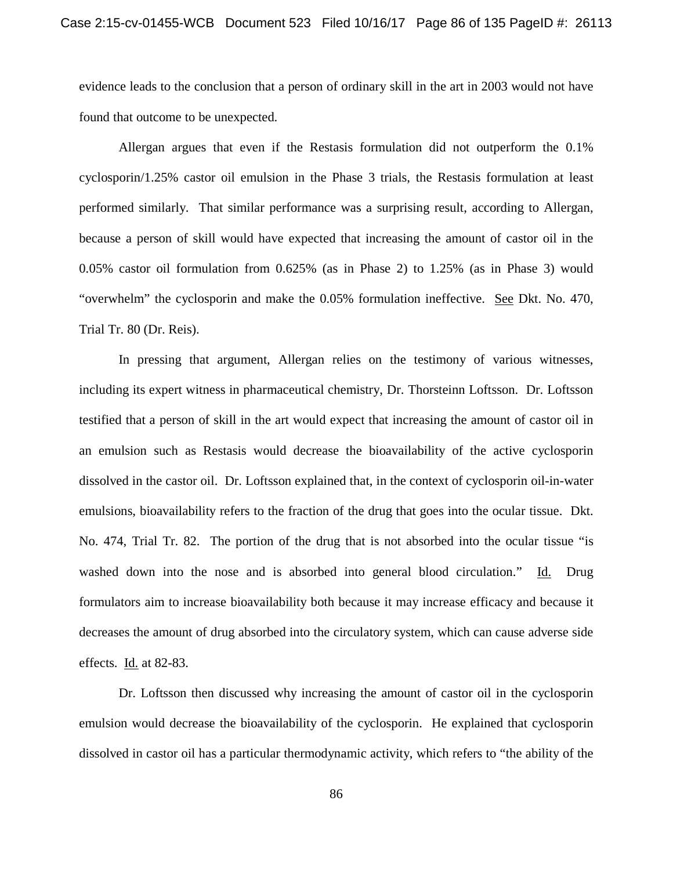evidence leads to the conclusion that a person of ordinary skill in the art in 2003 would not have found that outcome to be unexpected.

Allergan argues that even if the Restasis formulation did not outperform the 0.1% cyclosporin/1.25% castor oil emulsion in the Phase 3 trials, the Restasis formulation at least performed similarly. That similar performance was a surprising result, according to Allergan, because a person of skill would have expected that increasing the amount of castor oil in the 0.05% castor oil formulation from 0.625% (as in Phase 2) to 1.25% (as in Phase 3) would "overwhelm" the cyclosporin and make the 0.05% formulation ineffective. See Dkt. No. 470, Trial Tr. 80 (Dr. Reis).

In pressing that argument, Allergan relies on the testimony of various witnesses, including its expert witness in pharmaceutical chemistry, Dr. Thorsteinn Loftsson. Dr. Loftsson testified that a person of skill in the art would expect that increasing the amount of castor oil in an emulsion such as Restasis would decrease the bioavailability of the active cyclosporin dissolved in the castor oil. Dr. Loftsson explained that, in the context of cyclosporin oil-in-water emulsions, bioavailability refers to the fraction of the drug that goes into the ocular tissue. Dkt. No. 474, Trial Tr. 82. The portion of the drug that is not absorbed into the ocular tissue "is washed down into the nose and is absorbed into general blood circulation." Id. Drug formulators aim to increase bioavailability both because it may increase efficacy and because it decreases the amount of drug absorbed into the circulatory system, which can cause adverse side effects. Id. at 82-83.

Dr. Loftsson then discussed why increasing the amount of castor oil in the cyclosporin emulsion would decrease the bioavailability of the cyclosporin. He explained that cyclosporin dissolved in castor oil has a particular thermodynamic activity, which refers to "the ability of the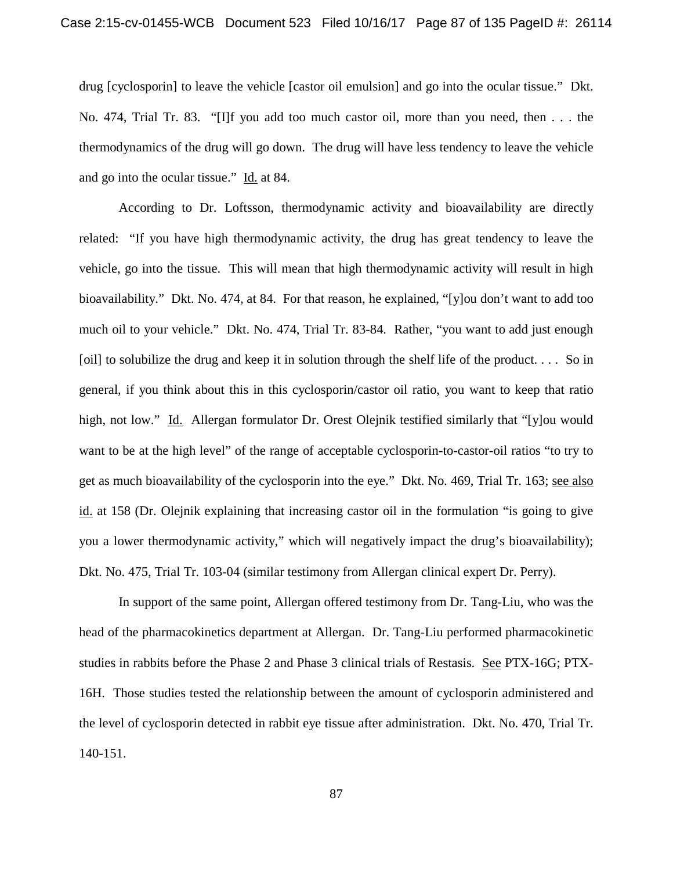drug [cyclosporin] to leave the vehicle [castor oil emulsion] and go into the ocular tissue." Dkt. No. 474, Trial Tr. 83. "[I]f you add too much castor oil, more than you need, then . . . the thermodynamics of the drug will go down. The drug will have less tendency to leave the vehicle and go into the ocular tissue." Id. at 84.

According to Dr. Loftsson, thermodynamic activity and bioavailability are directly related: "If you have high thermodynamic activity, the drug has great tendency to leave the vehicle, go into the tissue. This will mean that high thermodynamic activity will result in high bioavailability." Dkt. No. 474, at 84. For that reason, he explained, "[y]ou don't want to add too much oil to your vehicle." Dkt. No. 474, Trial Tr. 83-84. Rather, "you want to add just enough [oil] to solubilize the drug and keep it in solution through the shelf life of the product.... So in general, if you think about this in this cyclosporin/castor oil ratio, you want to keep that ratio high, not low." Id. Allergan formulator Dr. Orest Olejnik testified similarly that "[y]ou would want to be at the high level" of the range of acceptable cyclosporin-to-castor-oil ratios "to try to get as much bioavailability of the cyclosporin into the eye." Dkt. No. 469, Trial Tr. 163; see also id. at 158 (Dr. Olejnik explaining that increasing castor oil in the formulation "is going to give you a lower thermodynamic activity," which will negatively impact the drug's bioavailability); Dkt. No. 475, Trial Tr. 103-04 (similar testimony from Allergan clinical expert Dr. Perry).

In support of the same point, Allergan offered testimony from Dr. Tang-Liu, who was the head of the pharmacokinetics department at Allergan. Dr. Tang-Liu performed pharmacokinetic studies in rabbits before the Phase 2 and Phase 3 clinical trials of Restasis. See PTX-16G; PTX-16H. Those studies tested the relationship between the amount of cyclosporin administered and the level of cyclosporin detected in rabbit eye tissue after administration. Dkt. No. 470, Trial Tr. 140-151.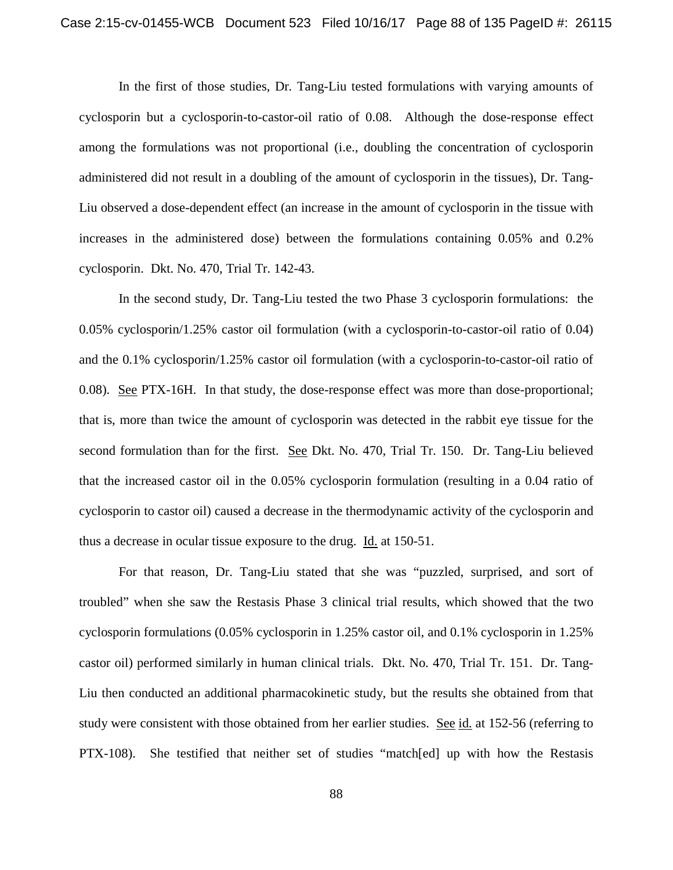In the first of those studies, Dr. Tang-Liu tested formulations with varying amounts of cyclosporin but a cyclosporin-to-castor-oil ratio of 0.08. Although the dose-response effect among the formulations was not proportional (i.e., doubling the concentration of cyclosporin administered did not result in a doubling of the amount of cyclosporin in the tissues), Dr. Tang-Liu observed a dose-dependent effect (an increase in the amount of cyclosporin in the tissue with increases in the administered dose) between the formulations containing 0.05% and 0.2% cyclosporin. Dkt. No. 470, Trial Tr. 142-43.

In the second study, Dr. Tang-Liu tested the two Phase 3 cyclosporin formulations: the 0.05% cyclosporin/1.25% castor oil formulation (with a cyclosporin-to-castor-oil ratio of 0.04) and the 0.1% cyclosporin/1.25% castor oil formulation (with a cyclosporin-to-castor-oil ratio of 0.08). See PTX-16H. In that study, the dose-response effect was more than dose-proportional; that is, more than twice the amount of cyclosporin was detected in the rabbit eye tissue for the second formulation than for the first. See Dkt. No. 470, Trial Tr. 150. Dr. Tang-Liu believed that the increased castor oil in the 0.05% cyclosporin formulation (resulting in a 0.04 ratio of cyclosporin to castor oil) caused a decrease in the thermodynamic activity of the cyclosporin and thus a decrease in ocular tissue exposure to the drug. Id. at 150-51.

For that reason, Dr. Tang-Liu stated that she was "puzzled, surprised, and sort of troubled" when she saw the Restasis Phase 3 clinical trial results, which showed that the two cyclosporin formulations (0.05% cyclosporin in 1.25% castor oil, and 0.1% cyclosporin in 1.25% castor oil) performed similarly in human clinical trials. Dkt. No. 470, Trial Tr. 151. Dr. Tang-Liu then conducted an additional pharmacokinetic study, but the results she obtained from that study were consistent with those obtained from her earlier studies. See id. at 152-56 (referring to PTX-108). She testified that neither set of studies "match[ed] up with how the Restasis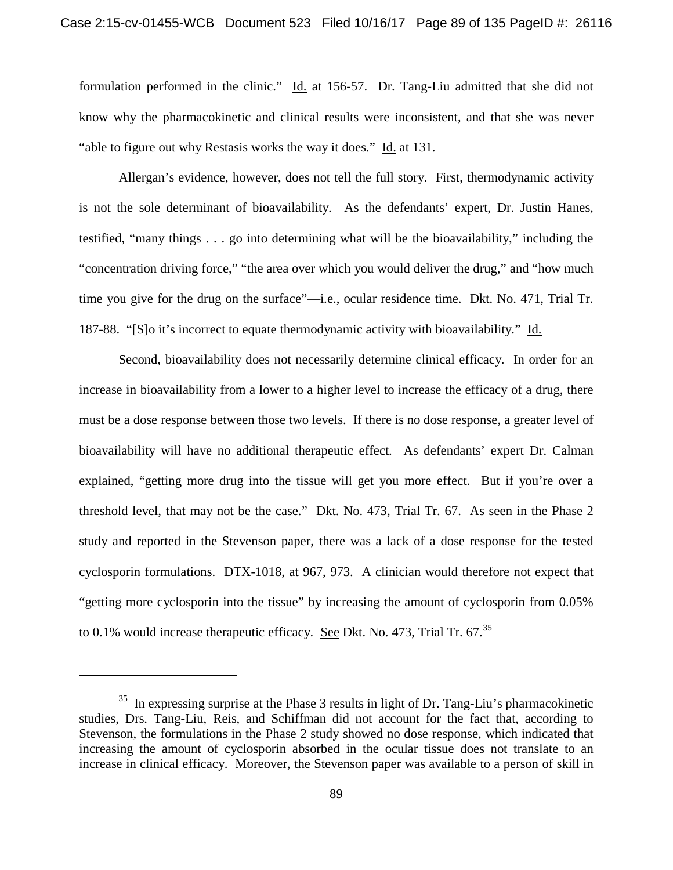formulation performed in the clinic." Id. at 156-57. Dr. Tang-Liu admitted that she did not know why the pharmacokinetic and clinical results were inconsistent, and that she was never "able to figure out why Restasis works the way it does." Id. at 131.

Allergan's evidence, however, does not tell the full story. First, thermodynamic activity is not the sole determinant of bioavailability. As the defendants' expert, Dr. Justin Hanes, testified, "many things . . . go into determining what will be the bioavailability," including the "concentration driving force," "the area over which you would deliver the drug," and "how much time you give for the drug on the surface"—i.e., ocular residence time. Dkt. No. 471, Trial Tr. 187-88. "[S]o it's incorrect to equate thermodynamic activity with bioavailability." Id.

Second, bioavailability does not necessarily determine clinical efficacy. In order for an increase in bioavailability from a lower to a higher level to increase the efficacy of a drug, there must be a dose response between those two levels. If there is no dose response, a greater level of bioavailability will have no additional therapeutic effect. As defendants' expert Dr. Calman explained, "getting more drug into the tissue will get you more effect. But if you're over a threshold level, that may not be the case." Dkt. No. 473, Trial Tr. 67. As seen in the Phase 2 study and reported in the Stevenson paper, there was a lack of a dose response for the tested cyclosporin formulations. DTX-1018, at 967, 973. A clinician would therefore not expect that "getting more cyclosporin into the tissue" by increasing the amount of cyclosporin from 0.05% to 0.1% would increase therapeutic efficacy. See Dkt. No. 473, Trial Tr.  $67^{35}$ 

 $35$  In expressing surprise at the Phase 3 results in light of Dr. Tang-Liu's pharmacokinetic studies, Drs. Tang-Liu, Reis, and Schiffman did not account for the fact that, according to Stevenson, the formulations in the Phase 2 study showed no dose response, which indicated that increasing the amount of cyclosporin absorbed in the ocular tissue does not translate to an increase in clinical efficacy. Moreover, the Stevenson paper was available to a person of skill in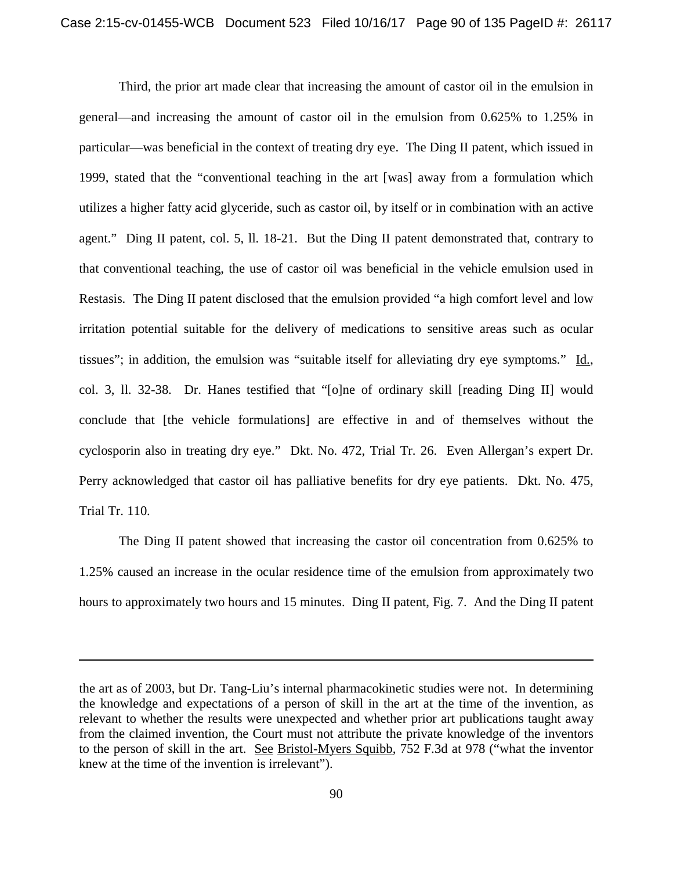Third, the prior art made clear that increasing the amount of castor oil in the emulsion in general—and increasing the amount of castor oil in the emulsion from 0.625% to 1.25% in particular—was beneficial in the context of treating dry eye. The Ding II patent, which issued in 1999, stated that the "conventional teaching in the art [was] away from a formulation which utilizes a higher fatty acid glyceride, such as castor oil, by itself or in combination with an active agent." Ding II patent, col. 5, ll. 18-21. But the Ding II patent demonstrated that, contrary to that conventional teaching, the use of castor oil was beneficial in the vehicle emulsion used in Restasis. The Ding II patent disclosed that the emulsion provided "a high comfort level and low irritation potential suitable for the delivery of medications to sensitive areas such as ocular tissues"; in addition, the emulsion was "suitable itself for alleviating dry eye symptoms." Id., col. 3, ll. 32-38. Dr. Hanes testified that "[o]ne of ordinary skill [reading Ding II] would conclude that [the vehicle formulations] are effective in and of themselves without the cyclosporin also in treating dry eye." Dkt. No. 472, Trial Tr. 26. Even Allergan's expert Dr. Perry acknowledged that castor oil has palliative benefits for dry eye patients. Dkt. No. 475, Trial Tr. 110.

The Ding II patent showed that increasing the castor oil concentration from 0.625% to 1.25% caused an increase in the ocular residence time of the emulsion from approximately two hours to approximately two hours and 15 minutes. Ding II patent, Fig. 7. And the Ding II patent

the art as of 2003, but Dr. Tang-Liu's internal pharmacokinetic studies were not. In determining the knowledge and expectations of a person of skill in the art at the time of the invention, as relevant to whether the results were unexpected and whether prior art publications taught away from the claimed invention, the Court must not attribute the private knowledge of the inventors to the person of skill in the art. See Bristol-Myers Squibb, 752 F.3d at 978 ("what the inventor knew at the time of the invention is irrelevant").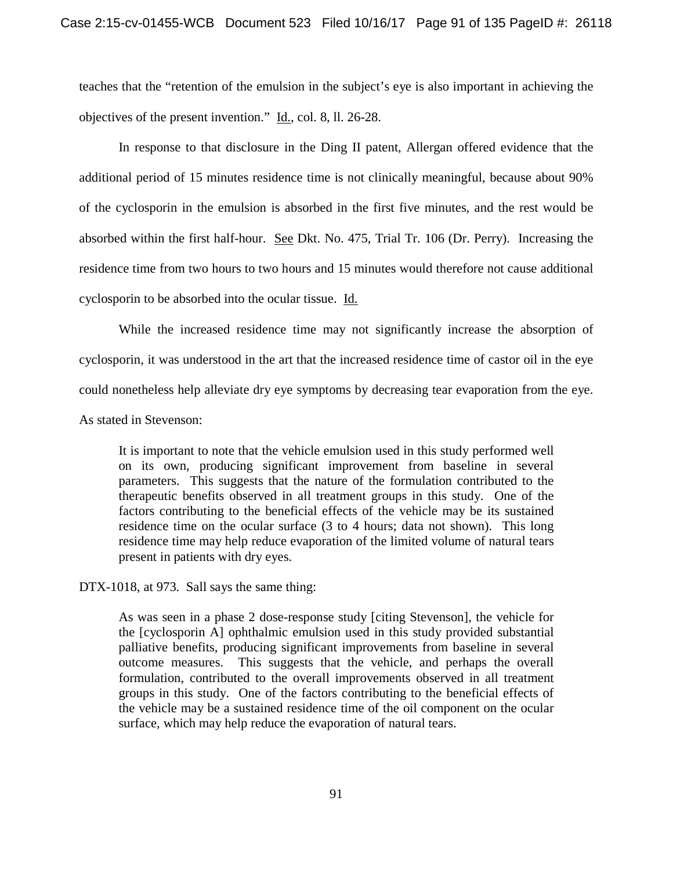teaches that the "retention of the emulsion in the subject's eye is also important in achieving the objectives of the present invention." Id., col. 8, ll. 26-28.

In response to that disclosure in the Ding II patent, Allergan offered evidence that the additional period of 15 minutes residence time is not clinically meaningful, because about 90% of the cyclosporin in the emulsion is absorbed in the first five minutes, and the rest would be absorbed within the first half-hour. See Dkt. No. 475, Trial Tr. 106 (Dr. Perry). Increasing the residence time from two hours to two hours and 15 minutes would therefore not cause additional cyclosporin to be absorbed into the ocular tissue. Id.

While the increased residence time may not significantly increase the absorption of cyclosporin, it was understood in the art that the increased residence time of castor oil in the eye could nonetheless help alleviate dry eye symptoms by decreasing tear evaporation from the eye.

As stated in Stevenson:

It is important to note that the vehicle emulsion used in this study performed well on its own, producing significant improvement from baseline in several parameters. This suggests that the nature of the formulation contributed to the therapeutic benefits observed in all treatment groups in this study. One of the factors contributing to the beneficial effects of the vehicle may be its sustained residence time on the ocular surface (3 to 4 hours; data not shown). This long residence time may help reduce evaporation of the limited volume of natural tears present in patients with dry eyes.

DTX-1018, at 973. Sall says the same thing:

As was seen in a phase 2 dose-response study [citing Stevenson], the vehicle for the [cyclosporin A] ophthalmic emulsion used in this study provided substantial palliative benefits, producing significant improvements from baseline in several outcome measures. This suggests that the vehicle, and perhaps the overall formulation, contributed to the overall improvements observed in all treatment groups in this study. One of the factors contributing to the beneficial effects of the vehicle may be a sustained residence time of the oil component on the ocular surface, which may help reduce the evaporation of natural tears.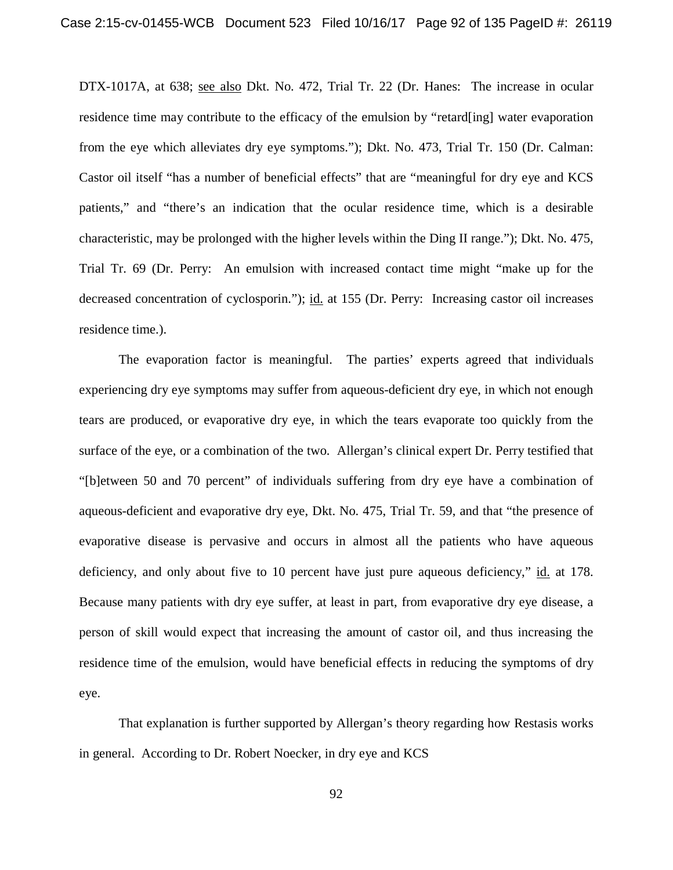DTX-1017A, at 638; see also Dkt. No. 472, Trial Tr. 22 (Dr. Hanes: The increase in ocular residence time may contribute to the efficacy of the emulsion by "retard[ing] water evaporation from the eye which alleviates dry eye symptoms."); Dkt. No. 473, Trial Tr. 150 (Dr. Calman: Castor oil itself "has a number of beneficial effects" that are "meaningful for dry eye and KCS patients," and "there's an indication that the ocular residence time, which is a desirable characteristic, may be prolonged with the higher levels within the Ding II range."); Dkt. No. 475, Trial Tr. 69 (Dr. Perry: An emulsion with increased contact time might "make up for the decreased concentration of cyclosporin."); id. at 155 (Dr. Perry: Increasing castor oil increases residence time.).

The evaporation factor is meaningful. The parties' experts agreed that individuals experiencing dry eye symptoms may suffer from aqueous-deficient dry eye, in which not enough tears are produced, or evaporative dry eye, in which the tears evaporate too quickly from the surface of the eye, or a combination of the two. Allergan's clinical expert Dr. Perry testified that "[b]etween 50 and 70 percent" of individuals suffering from dry eye have a combination of aqueous-deficient and evaporative dry eye, Dkt. No. 475, Trial Tr. 59, and that "the presence of evaporative disease is pervasive and occurs in almost all the patients who have aqueous deficiency, and only about five to 10 percent have just pure aqueous deficiency," id. at 178. Because many patients with dry eye suffer, at least in part, from evaporative dry eye disease, a person of skill would expect that increasing the amount of castor oil, and thus increasing the residence time of the emulsion, would have beneficial effects in reducing the symptoms of dry eye.

That explanation is further supported by Allergan's theory regarding how Restasis works in general. According to Dr. Robert Noecker, in dry eye and KCS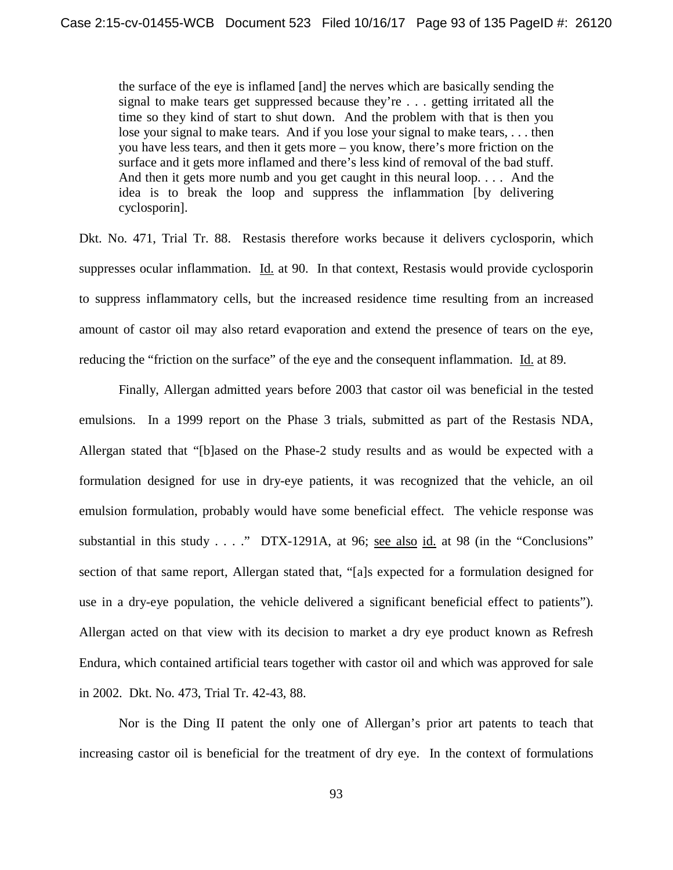the surface of the eye is inflamed [and] the nerves which are basically sending the signal to make tears get suppressed because they're . . . getting irritated all the time so they kind of start to shut down. And the problem with that is then you lose your signal to make tears. And if you lose your signal to make tears, . . . then you have less tears, and then it gets more – you know, there's more friction on the surface and it gets more inflamed and there's less kind of removal of the bad stuff. And then it gets more numb and you get caught in this neural loop. . . . And the idea is to break the loop and suppress the inflammation [by delivering cyclosporin].

Dkt. No. 471, Trial Tr. 88. Restasis therefore works because it delivers cyclosporin, which suppresses ocular inflammation. Id. at 90. In that context, Restasis would provide cyclosporin to suppress inflammatory cells, but the increased residence time resulting from an increased amount of castor oil may also retard evaporation and extend the presence of tears on the eye, reducing the "friction on the surface" of the eye and the consequent inflammation. Id. at 89.

Finally, Allergan admitted years before 2003 that castor oil was beneficial in the tested emulsions. In a 1999 report on the Phase 3 trials, submitted as part of the Restasis NDA, Allergan stated that "[b]ased on the Phase-2 study results and as would be expected with a formulation designed for use in dry-eye patients, it was recognized that the vehicle, an oil emulsion formulation, probably would have some beneficial effect. The vehicle response was substantial in this study  $\ldots$  ." DTX-1291A, at 96; <u>see also id.</u> at 98 (in the "Conclusions" section of that same report, Allergan stated that, "[a]s expected for a formulation designed for use in a dry-eye population, the vehicle delivered a significant beneficial effect to patients"). Allergan acted on that view with its decision to market a dry eye product known as Refresh Endura, which contained artificial tears together with castor oil and which was approved for sale in 2002. Dkt. No. 473, Trial Tr. 42-43, 88.

Nor is the Ding II patent the only one of Allergan's prior art patents to teach that increasing castor oil is beneficial for the treatment of dry eye. In the context of formulations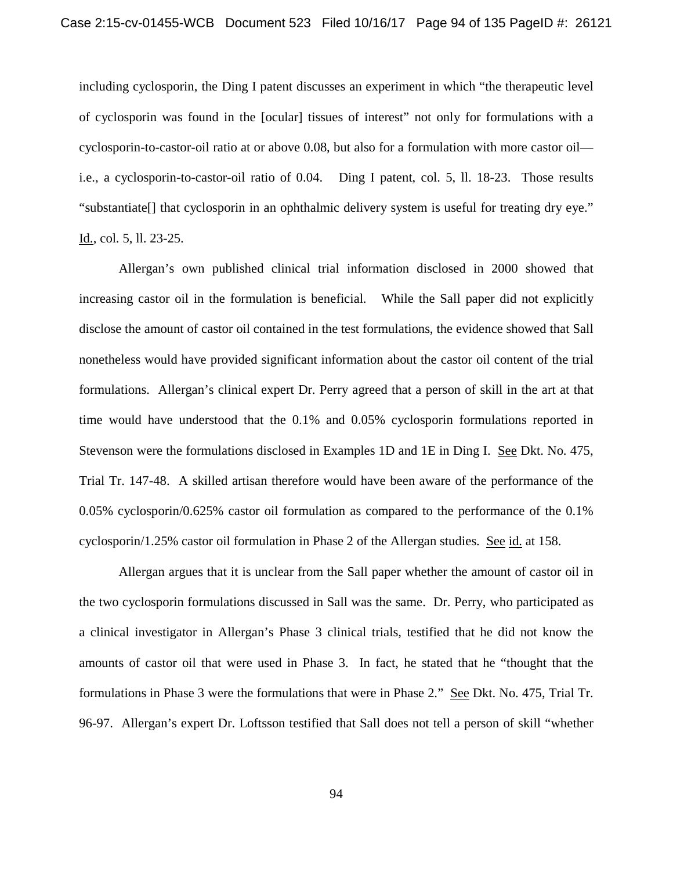including cyclosporin, the Ding I patent discusses an experiment in which "the therapeutic level of cyclosporin was found in the [ocular] tissues of interest" not only for formulations with a cyclosporin-to-castor-oil ratio at or above 0.08, but also for a formulation with more castor oil i.e., a cyclosporin-to-castor-oil ratio of 0.04. Ding I patent, col. 5, ll. 18-23. Those results "substantiate[] that cyclosporin in an ophthalmic delivery system is useful for treating dry eye." Id., col. 5, ll. 23-25.

Allergan's own published clinical trial information disclosed in 2000 showed that increasing castor oil in the formulation is beneficial. While the Sall paper did not explicitly disclose the amount of castor oil contained in the test formulations, the evidence showed that Sall nonetheless would have provided significant information about the castor oil content of the trial formulations. Allergan's clinical expert Dr. Perry agreed that a person of skill in the art at that time would have understood that the 0.1% and 0.05% cyclosporin formulations reported in Stevenson were the formulations disclosed in Examples 1D and 1E in Ding I. See Dkt. No. 475, Trial Tr. 147-48. A skilled artisan therefore would have been aware of the performance of the 0.05% cyclosporin/0.625% castor oil formulation as compared to the performance of the 0.1% cyclosporin/1.25% castor oil formulation in Phase 2 of the Allergan studies. See id. at 158.

Allergan argues that it is unclear from the Sall paper whether the amount of castor oil in the two cyclosporin formulations discussed in Sall was the same. Dr. Perry, who participated as a clinical investigator in Allergan's Phase 3 clinical trials, testified that he did not know the amounts of castor oil that were used in Phase 3. In fact, he stated that he "thought that the formulations in Phase 3 were the formulations that were in Phase 2." See Dkt. No. 475, Trial Tr. 96-97. Allergan's expert Dr. Loftsson testified that Sall does not tell a person of skill "whether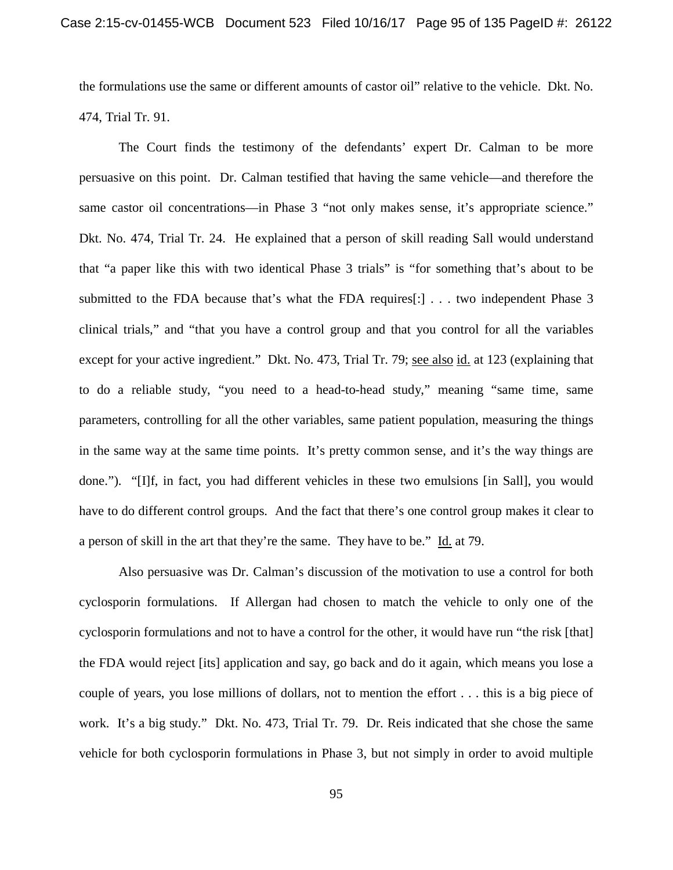the formulations use the same or different amounts of castor oil" relative to the vehicle. Dkt. No. 474, Trial Tr. 91.

The Court finds the testimony of the defendants' expert Dr. Calman to be more persuasive on this point. Dr. Calman testified that having the same vehicle—and therefore the same castor oil concentrations—in Phase 3 "not only makes sense, it's appropriate science." Dkt. No. 474, Trial Tr. 24. He explained that a person of skill reading Sall would understand that "a paper like this with two identical Phase 3 trials" is "for something that's about to be submitted to the FDA because that's what the FDA requires[:] . . . two independent Phase 3 clinical trials," and "that you have a control group and that you control for all the variables except for your active ingredient." Dkt. No. 473, Trial Tr. 79; see also id. at 123 (explaining that to do a reliable study, "you need to a head-to-head study," meaning "same time, same parameters, controlling for all the other variables, same patient population, measuring the things in the same way at the same time points. It's pretty common sense, and it's the way things are done."). "[I]f, in fact, you had different vehicles in these two emulsions [in Sall], you would have to do different control groups. And the fact that there's one control group makes it clear to a person of skill in the art that they're the same. They have to be." Id. at 79.

Also persuasive was Dr. Calman's discussion of the motivation to use a control for both cyclosporin formulations. If Allergan had chosen to match the vehicle to only one of the cyclosporin formulations and not to have a control for the other, it would have run "the risk [that] the FDA would reject [its] application and say, go back and do it again, which means you lose a couple of years, you lose millions of dollars, not to mention the effort . . . this is a big piece of work. It's a big study." Dkt. No. 473, Trial Tr. 79. Dr. Reis indicated that she chose the same vehicle for both cyclosporin formulations in Phase 3, but not simply in order to avoid multiple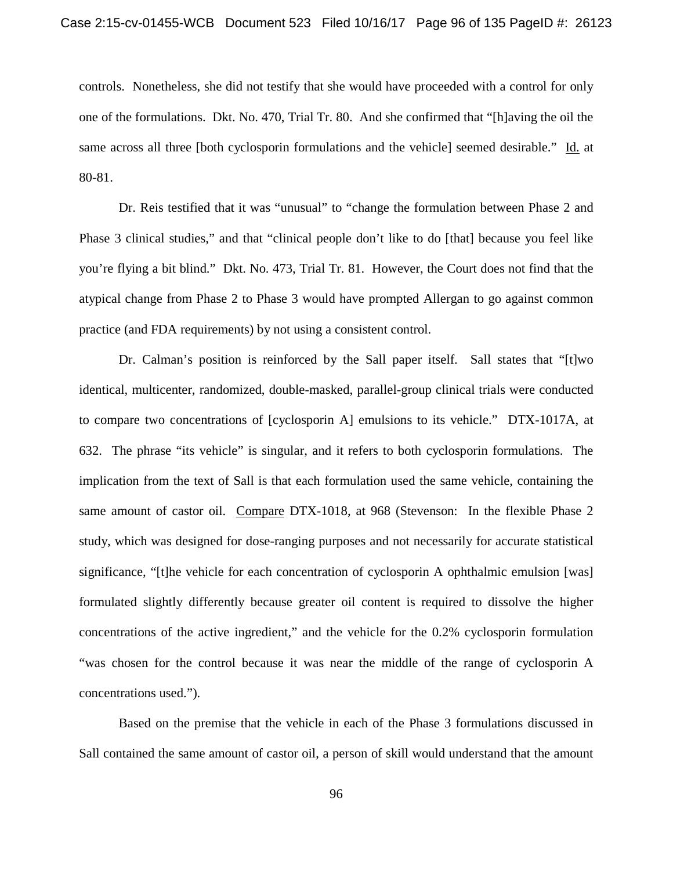controls. Nonetheless, she did not testify that she would have proceeded with a control for only one of the formulations. Dkt. No. 470, Trial Tr. 80. And she confirmed that "[h]aving the oil the same across all three [both cyclosporin formulations and the vehicle] seemed desirable." Id. at 80-81.

Dr. Reis testified that it was "unusual" to "change the formulation between Phase 2 and Phase 3 clinical studies," and that "clinical people don't like to do [that] because you feel like you're flying a bit blind." Dkt. No. 473, Trial Tr. 81. However, the Court does not find that the atypical change from Phase 2 to Phase 3 would have prompted Allergan to go against common practice (and FDA requirements) by not using a consistent control.

Dr. Calman's position is reinforced by the Sall paper itself. Sall states that "[t]wo identical, multicenter, randomized, double-masked, parallel-group clinical trials were conducted to compare two concentrations of [cyclosporin A] emulsions to its vehicle." DTX-1017A, at 632. The phrase "its vehicle" is singular, and it refers to both cyclosporin formulations. The implication from the text of Sall is that each formulation used the same vehicle, containing the same amount of castor oil. Compare DTX-1018, at 968 (Stevenson: In the flexible Phase 2 study, which was designed for dose-ranging purposes and not necessarily for accurate statistical significance, "[t]he vehicle for each concentration of cyclosporin A ophthalmic emulsion [was] formulated slightly differently because greater oil content is required to dissolve the higher concentrations of the active ingredient," and the vehicle for the 0.2% cyclosporin formulation "was chosen for the control because it was near the middle of the range of cyclosporin A concentrations used.").

Based on the premise that the vehicle in each of the Phase 3 formulations discussed in Sall contained the same amount of castor oil, a person of skill would understand that the amount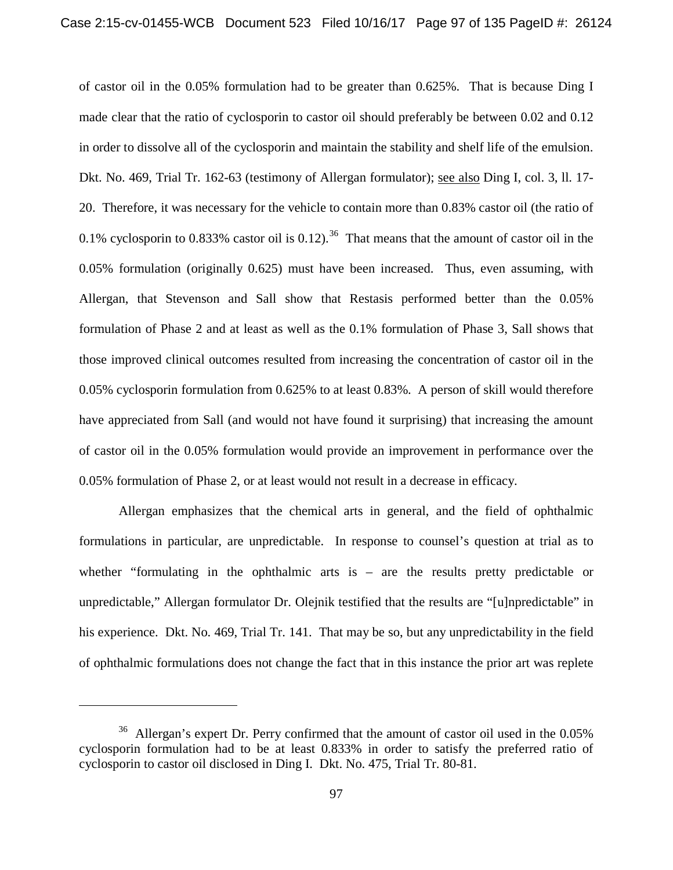of castor oil in the 0.05% formulation had to be greater than 0.625%. That is because Ding I made clear that the ratio of cyclosporin to castor oil should preferably be between 0.02 and 0.12 in order to dissolve all of the cyclosporin and maintain the stability and shelf life of the emulsion. Dkt. No. 469, Trial Tr. 162-63 (testimony of Allergan formulator); see also Ding I, col. 3, ll. 17- 20. Therefore, it was necessary for the vehicle to contain more than 0.83% castor oil (the ratio of 0.1% cyclosporin to 0.833% castor oil is 0.12).<sup>36</sup> That means that the amount of castor oil in the 0.05% formulation (originally 0.625) must have been increased. Thus, even assuming, with Allergan, that Stevenson and Sall show that Restasis performed better than the 0.05% formulation of Phase 2 and at least as well as the 0.1% formulation of Phase 3, Sall shows that those improved clinical outcomes resulted from increasing the concentration of castor oil in the 0.05% cyclosporin formulation from 0.625% to at least 0.83%. A person of skill would therefore have appreciated from Sall (and would not have found it surprising) that increasing the amount of castor oil in the 0.05% formulation would provide an improvement in performance over the 0.05% formulation of Phase 2, or at least would not result in a decrease in efficacy.

Allergan emphasizes that the chemical arts in general, and the field of ophthalmic formulations in particular, are unpredictable. In response to counsel's question at trial as to whether "formulating in the ophthalmic arts is – are the results pretty predictable or unpredictable," Allergan formulator Dr. Olejnik testified that the results are "[u]npredictable" in his experience. Dkt. No. 469, Trial Tr. 141. That may be so, but any unpredictability in the field of ophthalmic formulations does not change the fact that in this instance the prior art was replete

l

<sup>36</sup> Allergan's expert Dr. Perry confirmed that the amount of castor oil used in the 0.05% cyclosporin formulation had to be at least 0.833% in order to satisfy the preferred ratio of cyclosporin to castor oil disclosed in Ding I. Dkt. No. 475, Trial Tr. 80-81.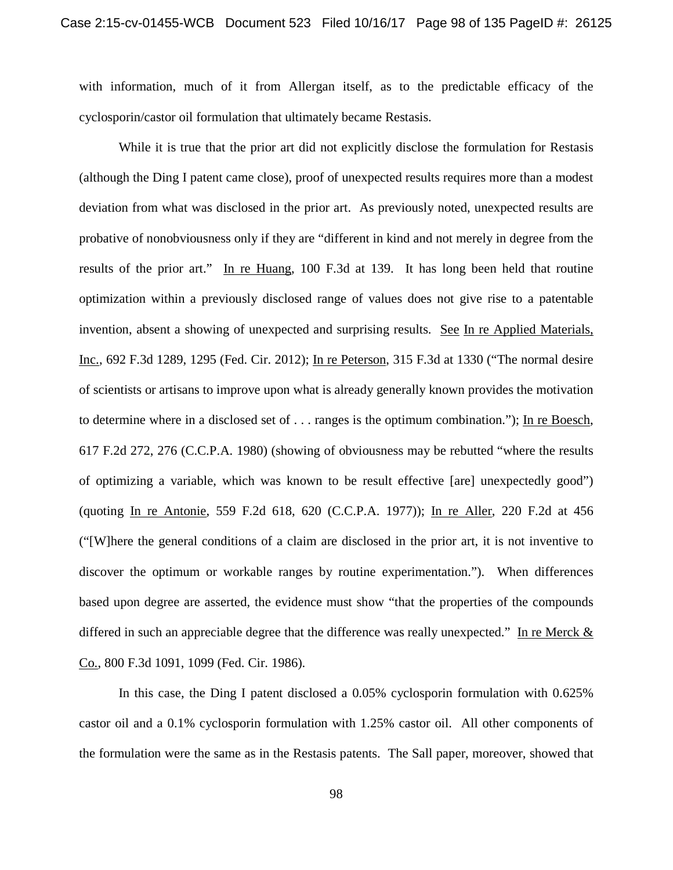with information, much of it from Allergan itself, as to the predictable efficacy of the cyclosporin/castor oil formulation that ultimately became Restasis.

While it is true that the prior art did not explicitly disclose the formulation for Restasis (although the Ding I patent came close), proof of unexpected results requires more than a modest deviation from what was disclosed in the prior art. As previously noted, unexpected results are probative of nonobviousness only if they are "different in kind and not merely in degree from the results of the prior art." In re Huang, 100 F.3d at 139. It has long been held that routine optimization within a previously disclosed range of values does not give rise to a patentable invention, absent a showing of unexpected and surprising results. See In re Applied Materials, Inc., 692 F.3d 1289, 1295 (Fed. Cir. 2012); In re Peterson, 315 F.3d at 1330 ("The normal desire of scientists or artisans to improve upon what is already generally known provides the motivation to determine where in a disclosed set of . . . ranges is the optimum combination."); In re Boesch, 617 F.2d 272, 276 (C.C.P.A. 1980) (showing of obviousness may be rebutted "where the results of optimizing a variable, which was known to be result effective [are] unexpectedly good") (quoting In re Antonie, 559 F.2d 618, 620 (C.C.P.A. 1977)); In re Aller, 220 F.2d at 456 ("[W]here the general conditions of a claim are disclosed in the prior art, it is not inventive to discover the optimum or workable ranges by routine experimentation."). When differences based upon degree are asserted, the evidence must show "that the properties of the compounds differed in such an appreciable degree that the difference was really unexpected." In re Merck  $\&$ Co., 800 F.3d 1091, 1099 (Fed. Cir. 1986).

In this case, the Ding I patent disclosed a 0.05% cyclosporin formulation with 0.625% castor oil and a 0.1% cyclosporin formulation with 1.25% castor oil. All other components of the formulation were the same as in the Restasis patents. The Sall paper, moreover, showed that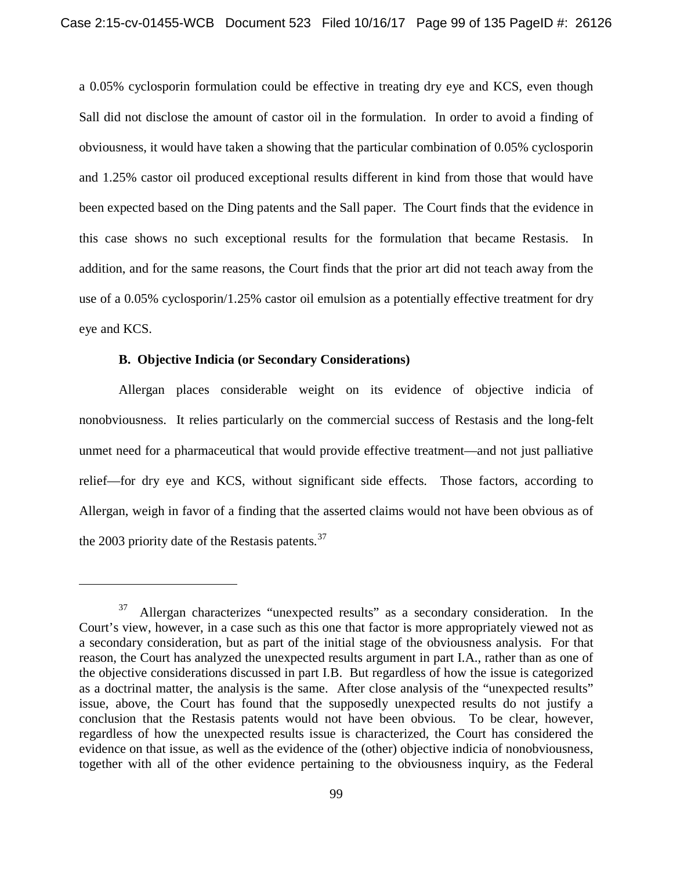a 0.05% cyclosporin formulation could be effective in treating dry eye and KCS, even though Sall did not disclose the amount of castor oil in the formulation. In order to avoid a finding of obviousness, it would have taken a showing that the particular combination of 0.05% cyclosporin and 1.25% castor oil produced exceptional results different in kind from those that would have been expected based on the Ding patents and the Sall paper. The Court finds that the evidence in this case shows no such exceptional results for the formulation that became Restasis. In addition, and for the same reasons, the Court finds that the prior art did not teach away from the use of a 0.05% cyclosporin/1.25% castor oil emulsion as a potentially effective treatment for dry eye and KCS.

### **B. Objective Indicia (or Secondary Considerations)**

 $\overline{\phantom{a}}$ 

Allergan places considerable weight on its evidence of objective indicia of nonobviousness. It relies particularly on the commercial success of Restasis and the long-felt unmet need for a pharmaceutical that would provide effective treatment—and not just palliative relief—for dry eye and KCS, without significant side effects. Those factors, according to Allergan, weigh in favor of a finding that the asserted claims would not have been obvious as of the 2003 priority date of the Restasis patents. $37$ 

 $37$  Allergan characterizes "unexpected results" as a secondary consideration. In the Court's view, however, in a case such as this one that factor is more appropriately viewed not as a secondary consideration, but as part of the initial stage of the obviousness analysis. For that reason, the Court has analyzed the unexpected results argument in part I.A., rather than as one of the objective considerations discussed in part I.B. But regardless of how the issue is categorized as a doctrinal matter, the analysis is the same. After close analysis of the "unexpected results" issue, above, the Court has found that the supposedly unexpected results do not justify a conclusion that the Restasis patents would not have been obvious. To be clear, however, regardless of how the unexpected results issue is characterized, the Court has considered the evidence on that issue, as well as the evidence of the (other) objective indicia of nonobviousness, together with all of the other evidence pertaining to the obviousness inquiry, as the Federal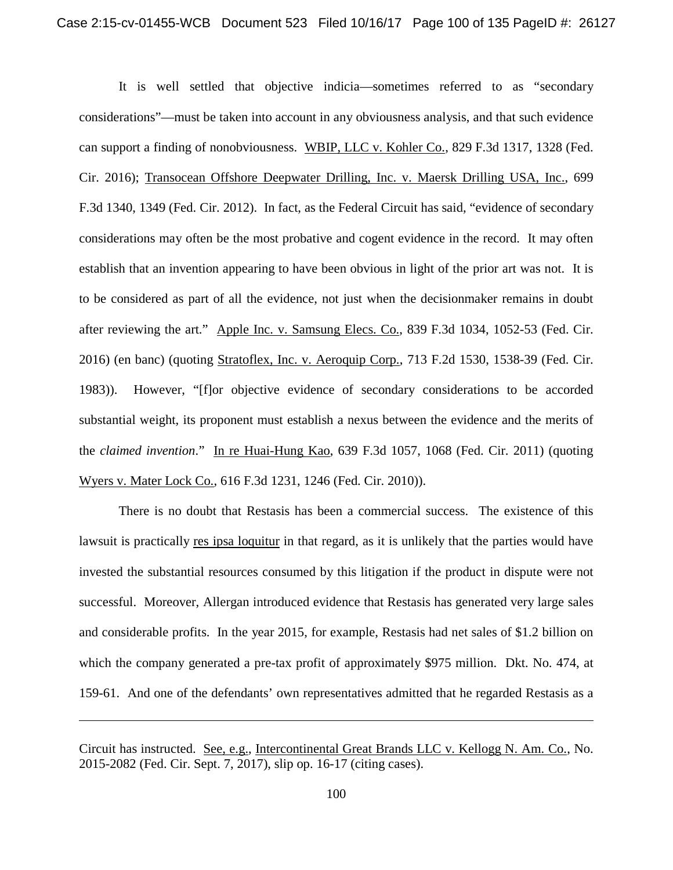It is well settled that objective indicia—sometimes referred to as "secondary considerations"—must be taken into account in any obviousness analysis, and that such evidence can support a finding of nonobviousness. WBIP, LLC v. Kohler Co., 829 F.3d 1317, 1328 (Fed. Cir. 2016); Transocean Offshore Deepwater Drilling, Inc. v. Maersk Drilling USA, Inc., 699 F.3d 1340, 1349 (Fed. Cir. 2012). In fact, as the Federal Circuit has said, "evidence of secondary considerations may often be the most probative and cogent evidence in the record. It may often establish that an invention appearing to have been obvious in light of the prior art was not. It is to be considered as part of all the evidence, not just when the decisionmaker remains in doubt after reviewing the art." Apple Inc. v. Samsung Elecs. Co., 839 F.3d 1034, 1052-53 (Fed. Cir. 2016) (en banc) (quoting Stratoflex, Inc. v. Aeroquip Corp., 713 F.2d 1530, 1538-39 (Fed. Cir. 1983)). However, "[f]or objective evidence of secondary considerations to be accorded substantial weight, its proponent must establish a nexus between the evidence and the merits of the *claimed invention*." In re Huai-Hung Kao, 639 F.3d 1057, 1068 (Fed. Cir. 2011) (quoting Wyers v. Mater Lock Co., 616 F.3d 1231, 1246 (Fed. Cir. 2010)).

There is no doubt that Restasis has been a commercial success. The existence of this lawsuit is practically res ipsa loquitur in that regard, as it is unlikely that the parties would have invested the substantial resources consumed by this litigation if the product in dispute were not successful. Moreover, Allergan introduced evidence that Restasis has generated very large sales and considerable profits. In the year 2015, for example, Restasis had net sales of \$1.2 billion on which the company generated a pre-tax profit of approximately \$975 million. Dkt. No. 474, at 159-61. And one of the defendants' own representatives admitted that he regarded Restasis as a

Circuit has instructed. See, e.g., Intercontinental Great Brands LLC v. Kellogg N. Am. Co., No. 2015-2082 (Fed. Cir. Sept. 7, 2017), slip op. 16-17 (citing cases).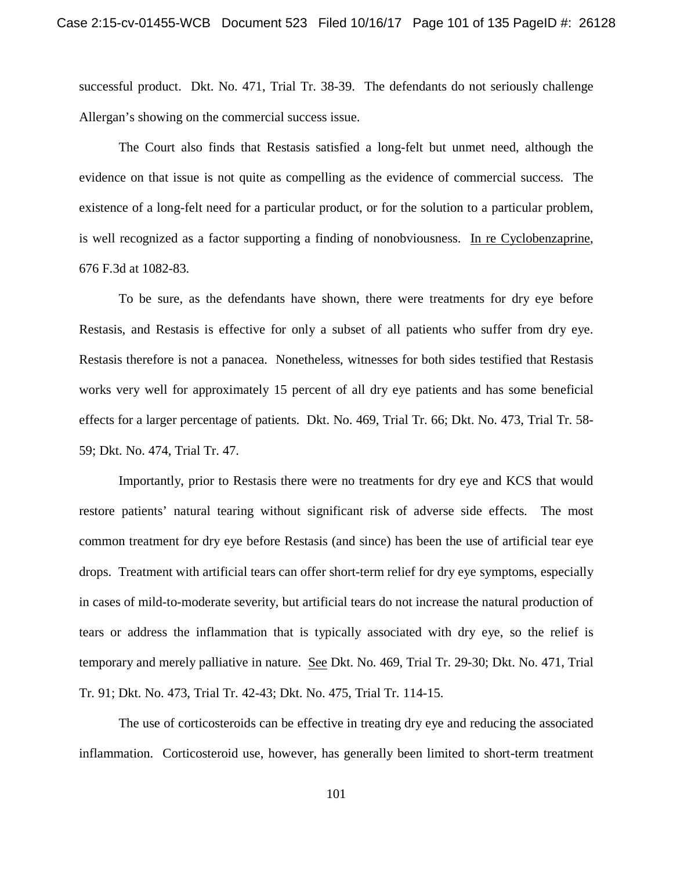successful product. Dkt. No. 471, Trial Tr. 38-39. The defendants do not seriously challenge Allergan's showing on the commercial success issue.

The Court also finds that Restasis satisfied a long-felt but unmet need, although the evidence on that issue is not quite as compelling as the evidence of commercial success. The existence of a long-felt need for a particular product, or for the solution to a particular problem, is well recognized as a factor supporting a finding of nonobviousness. In re Cyclobenzaprine, 676 F.3d at 1082-83.

To be sure, as the defendants have shown, there were treatments for dry eye before Restasis, and Restasis is effective for only a subset of all patients who suffer from dry eye. Restasis therefore is not a panacea. Nonetheless, witnesses for both sides testified that Restasis works very well for approximately 15 percent of all dry eye patients and has some beneficial effects for a larger percentage of patients. Dkt. No. 469, Trial Tr. 66; Dkt. No. 473, Trial Tr. 58- 59; Dkt. No. 474, Trial Tr. 47.

Importantly, prior to Restasis there were no treatments for dry eye and KCS that would restore patients' natural tearing without significant risk of adverse side effects. The most common treatment for dry eye before Restasis (and since) has been the use of artificial tear eye drops. Treatment with artificial tears can offer short-term relief for dry eye symptoms, especially in cases of mild-to-moderate severity, but artificial tears do not increase the natural production of tears or address the inflammation that is typically associated with dry eye, so the relief is temporary and merely palliative in nature. See Dkt. No. 469, Trial Tr. 29-30; Dkt. No. 471, Trial Tr. 91; Dkt. No. 473, Trial Tr. 42-43; Dkt. No. 475, Trial Tr. 114-15.

The use of corticosteroids can be effective in treating dry eye and reducing the associated inflammation. Corticosteroid use, however, has generally been limited to short-term treatment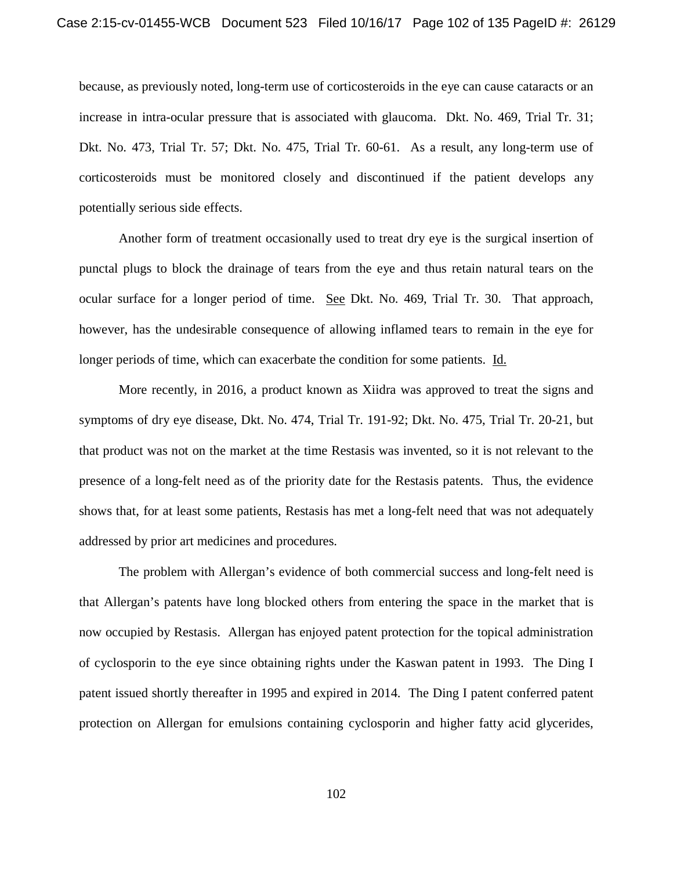because, as previously noted, long-term use of corticosteroids in the eye can cause cataracts or an increase in intra-ocular pressure that is associated with glaucoma. Dkt. No. 469, Trial Tr. 31; Dkt. No. 473, Trial Tr. 57; Dkt. No. 475, Trial Tr. 60-61. As a result, any long-term use of corticosteroids must be monitored closely and discontinued if the patient develops any potentially serious side effects.

Another form of treatment occasionally used to treat dry eye is the surgical insertion of punctal plugs to block the drainage of tears from the eye and thus retain natural tears on the ocular surface for a longer period of time. See Dkt. No. 469, Trial Tr. 30. That approach, however, has the undesirable consequence of allowing inflamed tears to remain in the eye for longer periods of time, which can exacerbate the condition for some patients. Id.

More recently, in 2016, a product known as Xiidra was approved to treat the signs and symptoms of dry eye disease, Dkt. No. 474, Trial Tr. 191-92; Dkt. No. 475, Trial Tr. 20-21, but that product was not on the market at the time Restasis was invented, so it is not relevant to the presence of a long-felt need as of the priority date for the Restasis patents. Thus, the evidence shows that, for at least some patients, Restasis has met a long-felt need that was not adequately addressed by prior art medicines and procedures.

The problem with Allergan's evidence of both commercial success and long-felt need is that Allergan's patents have long blocked others from entering the space in the market that is now occupied by Restasis. Allergan has enjoyed patent protection for the topical administration of cyclosporin to the eye since obtaining rights under the Kaswan patent in 1993. The Ding I patent issued shortly thereafter in 1995 and expired in 2014. The Ding I patent conferred patent protection on Allergan for emulsions containing cyclosporin and higher fatty acid glycerides,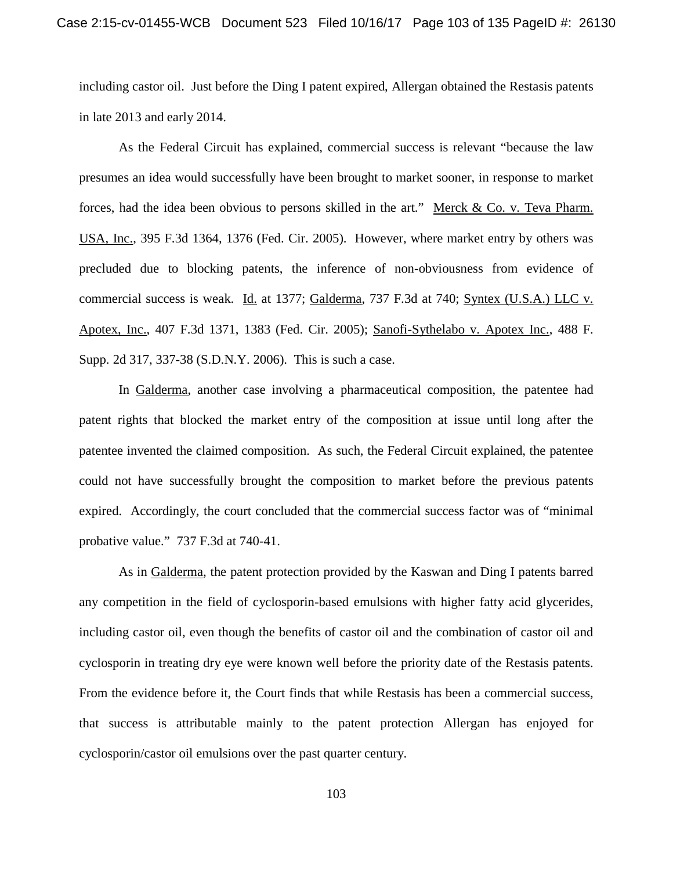including castor oil. Just before the Ding I patent expired, Allergan obtained the Restasis patents in late 2013 and early 2014.

As the Federal Circuit has explained, commercial success is relevant "because the law presumes an idea would successfully have been brought to market sooner, in response to market forces, had the idea been obvious to persons skilled in the art." Merck & Co. v. Teva Pharm. USA, Inc., 395 F.3d 1364, 1376 (Fed. Cir. 2005). However, where market entry by others was precluded due to blocking patents, the inference of non-obviousness from evidence of commercial success is weak. Id. at 1377; Galderma, 737 F.3d at 740; Syntex (U.S.A.) LLC v. Apotex, Inc., 407 F.3d 1371, 1383 (Fed. Cir. 2005); Sanofi-Sythelabo v. Apotex Inc., 488 F. Supp. 2d 317, 337-38 (S.D.N.Y. 2006). This is such a case.

In Galderma, another case involving a pharmaceutical composition, the patentee had patent rights that blocked the market entry of the composition at issue until long after the patentee invented the claimed composition. As such, the Federal Circuit explained, the patentee could not have successfully brought the composition to market before the previous patents expired. Accordingly, the court concluded that the commercial success factor was of "minimal probative value." 737 F.3d at 740-41.

As in Galderma, the patent protection provided by the Kaswan and Ding I patents barred any competition in the field of cyclosporin-based emulsions with higher fatty acid glycerides, including castor oil, even though the benefits of castor oil and the combination of castor oil and cyclosporin in treating dry eye were known well before the priority date of the Restasis patents. From the evidence before it, the Court finds that while Restasis has been a commercial success, that success is attributable mainly to the patent protection Allergan has enjoyed for cyclosporin/castor oil emulsions over the past quarter century.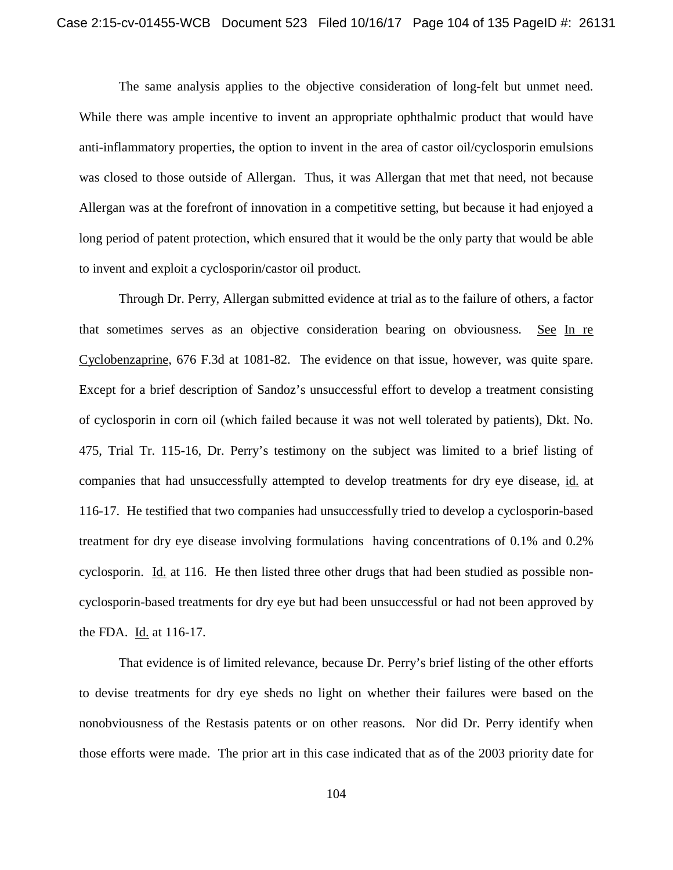The same analysis applies to the objective consideration of long-felt but unmet need. While there was ample incentive to invent an appropriate ophthalmic product that would have anti-inflammatory properties, the option to invent in the area of castor oil/cyclosporin emulsions was closed to those outside of Allergan. Thus, it was Allergan that met that need, not because Allergan was at the forefront of innovation in a competitive setting, but because it had enjoyed a long period of patent protection, which ensured that it would be the only party that would be able to invent and exploit a cyclosporin/castor oil product.

Through Dr. Perry, Allergan submitted evidence at trial as to the failure of others, a factor that sometimes serves as an objective consideration bearing on obviousness. See In re Cyclobenzaprine, 676 F.3d at 1081-82. The evidence on that issue, however, was quite spare. Except for a brief description of Sandoz's unsuccessful effort to develop a treatment consisting of cyclosporin in corn oil (which failed because it was not well tolerated by patients), Dkt. No. 475, Trial Tr. 115-16, Dr. Perry's testimony on the subject was limited to a brief listing of companies that had unsuccessfully attempted to develop treatments for dry eye disease, id. at 116-17. He testified that two companies had unsuccessfully tried to develop a cyclosporin-based treatment for dry eye disease involving formulations having concentrations of 0.1% and 0.2% cyclosporin. Id. at 116. He then listed three other drugs that had been studied as possible noncyclosporin-based treatments for dry eye but had been unsuccessful or had not been approved by the FDA. Id. at 116-17.

That evidence is of limited relevance, because Dr. Perry's brief listing of the other efforts to devise treatments for dry eye sheds no light on whether their failures were based on the nonobviousness of the Restasis patents or on other reasons. Nor did Dr. Perry identify when those efforts were made. The prior art in this case indicated that as of the 2003 priority date for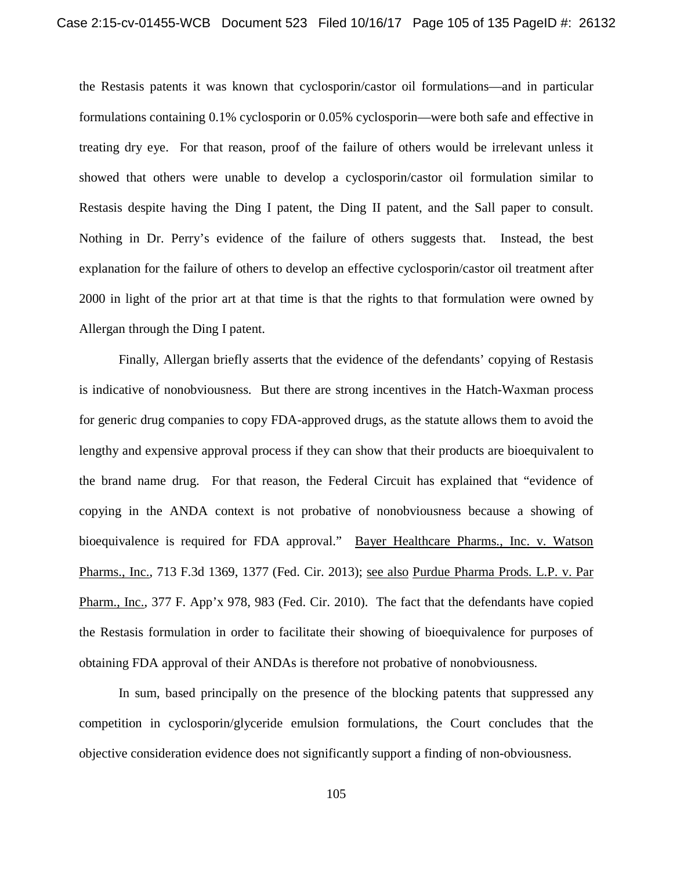the Restasis patents it was known that cyclosporin/castor oil formulations—and in particular formulations containing 0.1% cyclosporin or 0.05% cyclosporin—were both safe and effective in treating dry eye. For that reason, proof of the failure of others would be irrelevant unless it showed that others were unable to develop a cyclosporin/castor oil formulation similar to Restasis despite having the Ding I patent, the Ding II patent, and the Sall paper to consult. Nothing in Dr. Perry's evidence of the failure of others suggests that. Instead, the best explanation for the failure of others to develop an effective cyclosporin/castor oil treatment after 2000 in light of the prior art at that time is that the rights to that formulation were owned by Allergan through the Ding I patent.

Finally, Allergan briefly asserts that the evidence of the defendants' copying of Restasis is indicative of nonobviousness. But there are strong incentives in the Hatch-Waxman process for generic drug companies to copy FDA-approved drugs, as the statute allows them to avoid the lengthy and expensive approval process if they can show that their products are bioequivalent to the brand name drug. For that reason, the Federal Circuit has explained that "evidence of copying in the ANDA context is not probative of nonobviousness because a showing of bioequivalence is required for FDA approval." Bayer Healthcare Pharms., Inc. v. Watson Pharms., Inc., 713 F.3d 1369, 1377 (Fed. Cir. 2013); see also Purdue Pharma Prods. L.P. v. Par Pharm., Inc., 377 F. App'x 978, 983 (Fed. Cir. 2010). The fact that the defendants have copied the Restasis formulation in order to facilitate their showing of bioequivalence for purposes of obtaining FDA approval of their ANDAs is therefore not probative of nonobviousness.

In sum, based principally on the presence of the blocking patents that suppressed any competition in cyclosporin/glyceride emulsion formulations, the Court concludes that the objective consideration evidence does not significantly support a finding of non-obviousness.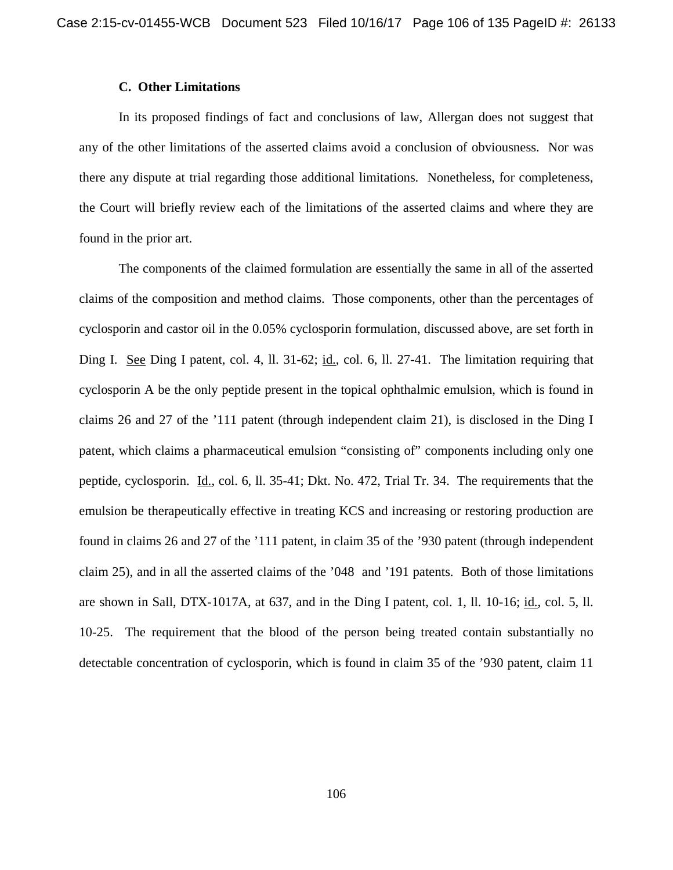### **C. Other Limitations**

In its proposed findings of fact and conclusions of law, Allergan does not suggest that any of the other limitations of the asserted claims avoid a conclusion of obviousness. Nor was there any dispute at trial regarding those additional limitations. Nonetheless, for completeness, the Court will briefly review each of the limitations of the asserted claims and where they are found in the prior art.

The components of the claimed formulation are essentially the same in all of the asserted claims of the composition and method claims. Those components, other than the percentages of cyclosporin and castor oil in the 0.05% cyclosporin formulation, discussed above, are set forth in Ding I. See Ding I patent, col. 4, ll. 31-62; id., col. 6, ll. 27-41. The limitation requiring that cyclosporin A be the only peptide present in the topical ophthalmic emulsion, which is found in claims 26 and 27 of the '111 patent (through independent claim 21), is disclosed in the Ding I patent, which claims a pharmaceutical emulsion "consisting of" components including only one peptide, cyclosporin. Id., col. 6, ll. 35-41; Dkt. No. 472, Trial Tr. 34. The requirements that the emulsion be therapeutically effective in treating KCS and increasing or restoring production are found in claims 26 and 27 of the '111 patent, in claim 35 of the '930 patent (through independent claim 25), and in all the asserted claims of the '048 and '191 patents. Both of those limitations are shown in Sall, DTX-1017A, at 637, and in the Ding I patent, col. 1, ll. 10-16; id., col. 5, ll. 10-25. The requirement that the blood of the person being treated contain substantially no detectable concentration of cyclosporin, which is found in claim 35 of the '930 patent, claim 11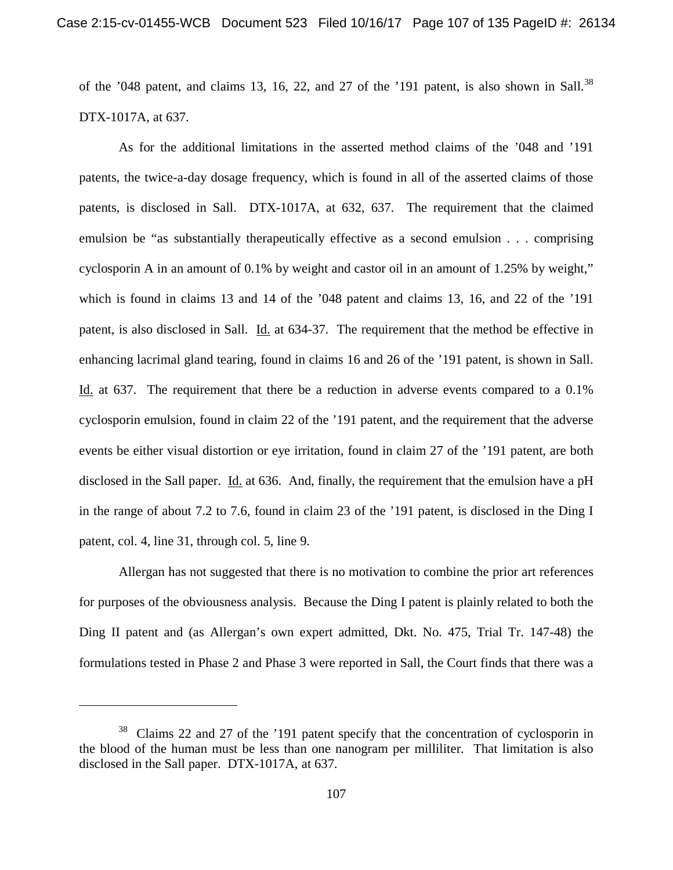of the '048 patent, and claims 13, 16, 22, and 27 of the '191 patent, is also shown in Sall.<sup>38</sup> DTX-1017A, at 637.

As for the additional limitations in the asserted method claims of the '048 and '191 patents, the twice-a-day dosage frequency, which is found in all of the asserted claims of those patents, is disclosed in Sall. DTX-1017A, at 632, 637. The requirement that the claimed emulsion be "as substantially therapeutically effective as a second emulsion . . . comprising cyclosporin A in an amount of 0.1% by weight and castor oil in an amount of 1.25% by weight," which is found in claims 13 and 14 of the '048 patent and claims 13, 16, and 22 of the '191 patent, is also disclosed in Sall. Id. at 634-37. The requirement that the method be effective in enhancing lacrimal gland tearing, found in claims 16 and 26 of the '191 patent, is shown in Sall. Id. at 637. The requirement that there be a reduction in adverse events compared to a 0.1% cyclosporin emulsion, found in claim 22 of the '191 patent, and the requirement that the adverse events be either visual distortion or eye irritation, found in claim 27 of the '191 patent, are both disclosed in the Sall paper. Id. at 636. And, finally, the requirement that the emulsion have a pH in the range of about 7.2 to 7.6, found in claim 23 of the '191 patent, is disclosed in the Ding I patent, col. 4, line 31, through col. 5, line 9.

Allergan has not suggested that there is no motivation to combine the prior art references for purposes of the obviousness analysis. Because the Ding I patent is plainly related to both the Ding II patent and (as Allergan's own expert admitted, Dkt. No. 475, Trial Tr. 147-48) the formulations tested in Phase 2 and Phase 3 were reported in Sall, the Court finds that there was a

l

<sup>&</sup>lt;sup>38</sup> Claims 22 and 27 of the '191 patent specify that the concentration of cyclosporin in the blood of the human must be less than one nanogram per milliliter. That limitation is also disclosed in the Sall paper. DTX-1017A, at 637.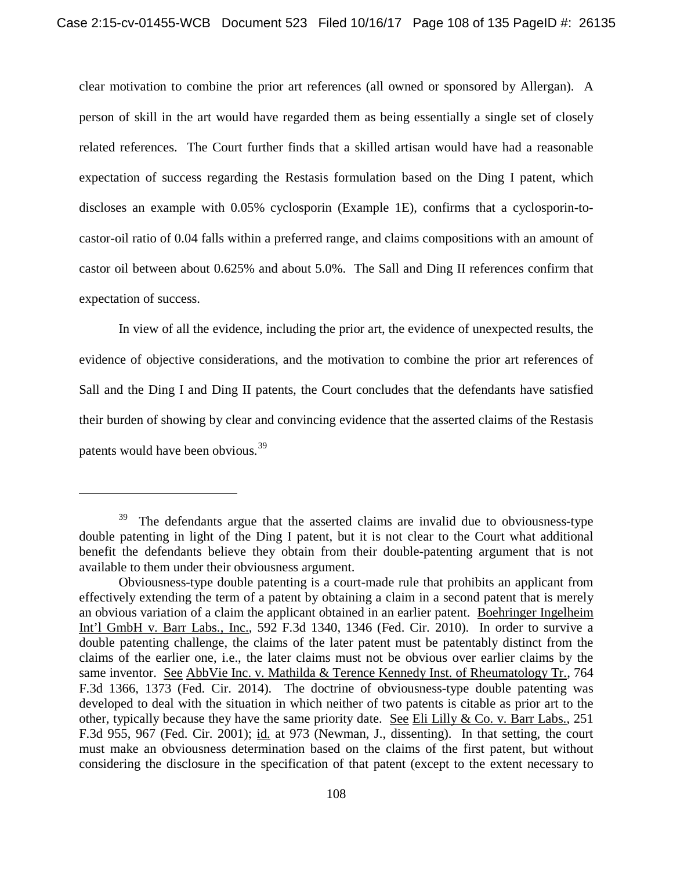clear motivation to combine the prior art references (all owned or sponsored by Allergan). A person of skill in the art would have regarded them as being essentially a single set of closely related references. The Court further finds that a skilled artisan would have had a reasonable expectation of success regarding the Restasis formulation based on the Ding I patent, which discloses an example with 0.05% cyclosporin (Example 1E), confirms that a cyclosporin-tocastor-oil ratio of 0.04 falls within a preferred range, and claims compositions with an amount of castor oil between about 0.625% and about 5.0%. The Sall and Ding II references confirm that expectation of success.

In view of all the evidence, including the prior art, the evidence of unexpected results, the evidence of objective considerations, and the motivation to combine the prior art references of Sall and the Ding I and Ding II patents, the Court concludes that the defendants have satisfied their burden of showing by clear and convincing evidence that the asserted claims of the Restasis patents would have been obvious.39

 $39$  The defendants argue that the asserted claims are invalid due to obviousness-type double patenting in light of the Ding I patent, but it is not clear to the Court what additional benefit the defendants believe they obtain from their double-patenting argument that is not available to them under their obviousness argument.

Obviousness-type double patenting is a court-made rule that prohibits an applicant from effectively extending the term of a patent by obtaining a claim in a second patent that is merely an obvious variation of a claim the applicant obtained in an earlier patent. Boehringer Ingelheim Int'l GmbH v. Barr Labs., Inc., 592 F.3d 1340, 1346 (Fed. Cir. 2010). In order to survive a double patenting challenge, the claims of the later patent must be patentably distinct from the claims of the earlier one, i.e., the later claims must not be obvious over earlier claims by the same inventor. See AbbVie Inc. v. Mathilda & Terence Kennedy Inst. of Rheumatology Tr., 764 F.3d 1366, 1373 (Fed. Cir. 2014). The doctrine of obviousness-type double patenting was developed to deal with the situation in which neither of two patents is citable as prior art to the other, typically because they have the same priority date. See Eli Lilly & Co. v. Barr Labs., 251 F.3d 955, 967 (Fed. Cir. 2001); id. at 973 (Newman, J., dissenting). In that setting, the court must make an obviousness determination based on the claims of the first patent, but without considering the disclosure in the specification of that patent (except to the extent necessary to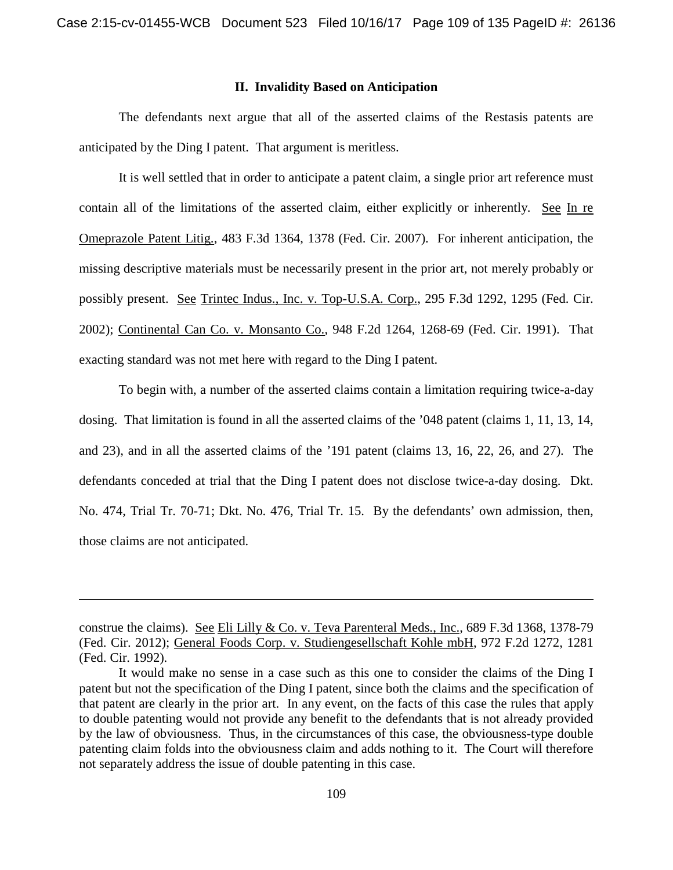## **II. Invalidity Based on Anticipation**

The defendants next argue that all of the asserted claims of the Restasis patents are anticipated by the Ding I patent. That argument is meritless.

It is well settled that in order to anticipate a patent claim, a single prior art reference must contain all of the limitations of the asserted claim, either explicitly or inherently. See In re Omeprazole Patent Litig., 483 F.3d 1364, 1378 (Fed. Cir. 2007). For inherent anticipation, the missing descriptive materials must be necessarily present in the prior art, not merely probably or possibly present. See Trintec Indus., Inc. v. Top-U.S.A. Corp., 295 F.3d 1292, 1295 (Fed. Cir. 2002); Continental Can Co. v. Monsanto Co., 948 F.2d 1264, 1268-69 (Fed. Cir. 1991). That exacting standard was not met here with regard to the Ding I patent.

To begin with, a number of the asserted claims contain a limitation requiring twice-a-day dosing. That limitation is found in all the asserted claims of the '048 patent (claims 1, 11, 13, 14, and 23), and in all the asserted claims of the '191 patent (claims 13, 16, 22, 26, and 27). The defendants conceded at trial that the Ding I patent does not disclose twice-a-day dosing. Dkt. No. 474, Trial Tr. 70-71; Dkt. No. 476, Trial Tr. 15. By the defendants' own admission, then, those claims are not anticipated.

 $\overline{\phantom{a}}$ 

construe the claims). See Eli Lilly & Co. v. Teva Parenteral Meds., Inc., 689 F.3d 1368, 1378-79 (Fed. Cir. 2012); General Foods Corp. v. Studiengesellschaft Kohle mbH, 972 F.2d 1272, 1281 (Fed. Cir. 1992).

It would make no sense in a case such as this one to consider the claims of the Ding I patent but not the specification of the Ding I patent, since both the claims and the specification of that patent are clearly in the prior art. In any event, on the facts of this case the rules that apply to double patenting would not provide any benefit to the defendants that is not already provided by the law of obviousness. Thus, in the circumstances of this case, the obviousness-type double patenting claim folds into the obviousness claim and adds nothing to it. The Court will therefore not separately address the issue of double patenting in this case.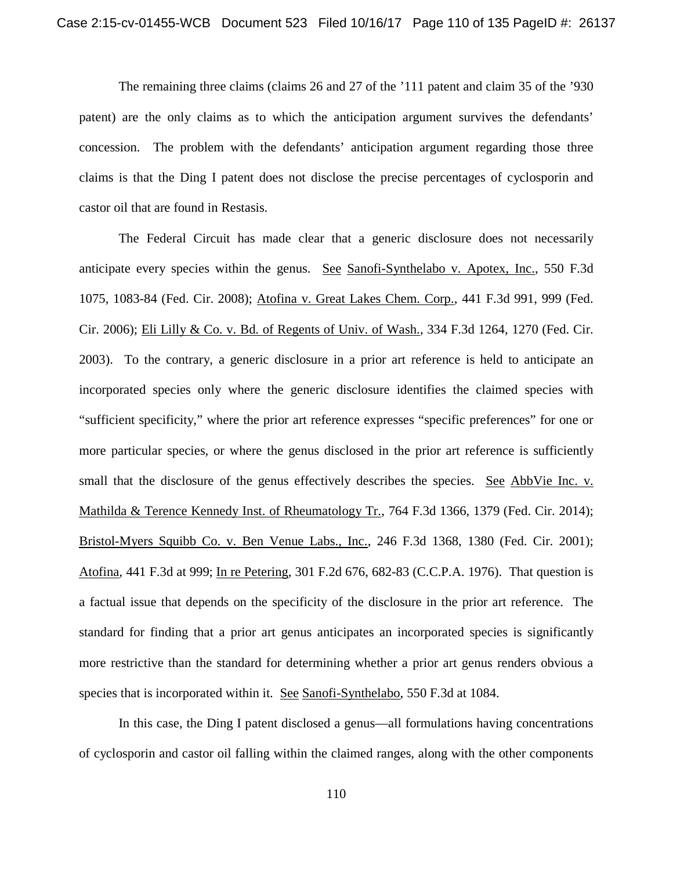The remaining three claims (claims 26 and 27 of the '111 patent and claim 35 of the '930 patent) are the only claims as to which the anticipation argument survives the defendants' concession. The problem with the defendants' anticipation argument regarding those three claims is that the Ding I patent does not disclose the precise percentages of cyclosporin and castor oil that are found in Restasis.

The Federal Circuit has made clear that a generic disclosure does not necessarily anticipate every species within the genus. See Sanofi-Synthelabo v. Apotex, Inc., 550 F.3d 1075, 1083-84 (Fed. Cir. 2008); Atofina v. Great Lakes Chem. Corp., 441 F.3d 991, 999 (Fed. Cir. 2006); Eli Lilly & Co. v. Bd. of Regents of Univ. of Wash., 334 F.3d 1264, 1270 (Fed. Cir. 2003). To the contrary, a generic disclosure in a prior art reference is held to anticipate an incorporated species only where the generic disclosure identifies the claimed species with "sufficient specificity," where the prior art reference expresses "specific preferences" for one or more particular species, or where the genus disclosed in the prior art reference is sufficiently small that the disclosure of the genus effectively describes the species. See AbbVie Inc. v. Mathilda & Terence Kennedy Inst. of Rheumatology Tr., 764 F.3d 1366, 1379 (Fed. Cir. 2014); Bristol-Myers Squibb Co. v. Ben Venue Labs., Inc., 246 F.3d 1368, 1380 (Fed. Cir. 2001); Atofina, 441 F.3d at 999; In re Petering, 301 F.2d 676, 682-83 (C.C.P.A. 1976). That question is a factual issue that depends on the specificity of the disclosure in the prior art reference. The standard for finding that a prior art genus anticipates an incorporated species is significantly more restrictive than the standard for determining whether a prior art genus renders obvious a species that is incorporated within it. See Sanofi-Synthelabo, 550 F.3d at 1084.

In this case, the Ding I patent disclosed a genus—all formulations having concentrations of cyclosporin and castor oil falling within the claimed ranges, along with the other components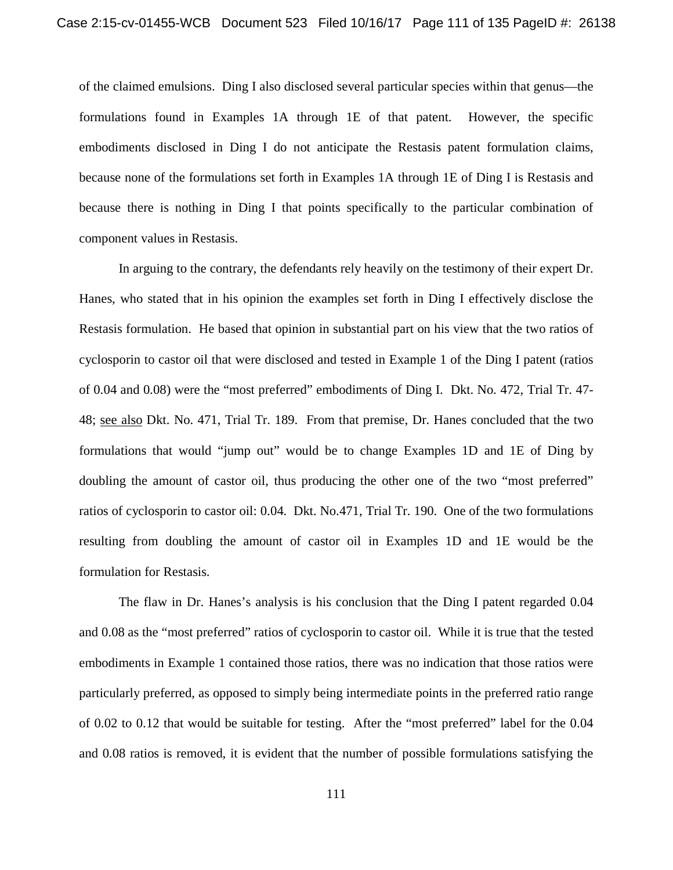of the claimed emulsions. Ding I also disclosed several particular species within that genus—the formulations found in Examples 1A through 1E of that patent. However, the specific embodiments disclosed in Ding I do not anticipate the Restasis patent formulation claims, because none of the formulations set forth in Examples 1A through 1E of Ding I is Restasis and because there is nothing in Ding I that points specifically to the particular combination of component values in Restasis.

In arguing to the contrary, the defendants rely heavily on the testimony of their expert Dr. Hanes, who stated that in his opinion the examples set forth in Ding I effectively disclose the Restasis formulation. He based that opinion in substantial part on his view that the two ratios of cyclosporin to castor oil that were disclosed and tested in Example 1 of the Ding I patent (ratios of 0.04 and 0.08) were the "most preferred" embodiments of Ding I. Dkt. No. 472, Trial Tr. 47- 48; see also Dkt. No. 471, Trial Tr. 189. From that premise, Dr. Hanes concluded that the two formulations that would "jump out" would be to change Examples 1D and 1E of Ding by doubling the amount of castor oil, thus producing the other one of the two "most preferred" ratios of cyclosporin to castor oil: 0.04. Dkt. No.471, Trial Tr. 190. One of the two formulations resulting from doubling the amount of castor oil in Examples 1D and 1E would be the formulation for Restasis.

The flaw in Dr. Hanes's analysis is his conclusion that the Ding I patent regarded 0.04 and 0.08 as the "most preferred" ratios of cyclosporin to castor oil. While it is true that the tested embodiments in Example 1 contained those ratios, there was no indication that those ratios were particularly preferred, as opposed to simply being intermediate points in the preferred ratio range of 0.02 to 0.12 that would be suitable for testing. After the "most preferred" label for the 0.04 and 0.08 ratios is removed, it is evident that the number of possible formulations satisfying the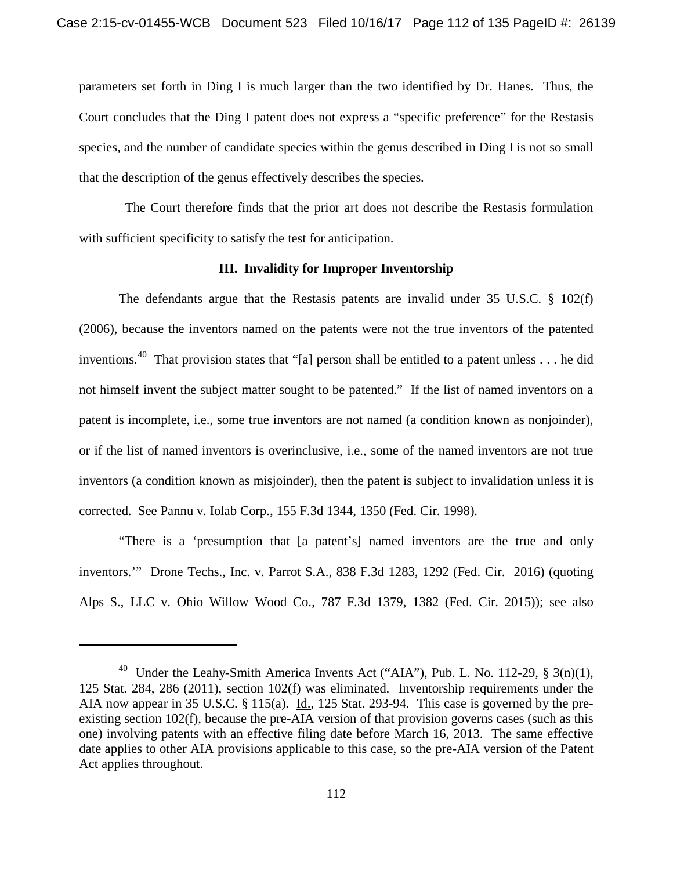parameters set forth in Ding I is much larger than the two identified by Dr. Hanes. Thus, the Court concludes that the Ding I patent does not express a "specific preference" for the Restasis species, and the number of candidate species within the genus described in Ding I is not so small that the description of the genus effectively describes the species.

 The Court therefore finds that the prior art does not describe the Restasis formulation with sufficient specificity to satisfy the test for anticipation.

## **III. Invalidity for Improper Inventorship**

The defendants argue that the Restasis patents are invalid under 35 U.S.C. § 102(f) (2006), because the inventors named on the patents were not the true inventors of the patented inventions.<sup>40</sup> That provision states that "[a] person shall be entitled to a patent unless . . . he did not himself invent the subject matter sought to be patented." If the list of named inventors on a patent is incomplete, i.e., some true inventors are not named (a condition known as nonjoinder), or if the list of named inventors is overinclusive, i.e., some of the named inventors are not true inventors (a condition known as misjoinder), then the patent is subject to invalidation unless it is corrected. See Pannu v. Iolab Corp., 155 F.3d 1344, 1350 (Fed. Cir. 1998).

"There is a 'presumption that [a patent's] named inventors are the true and only inventors.'" Drone Techs., Inc. v. Parrot S.A., 838 F.3d 1283, 1292 (Fed. Cir. 2016) (quoting Alps S., LLC v. Ohio Willow Wood Co., 787 F.3d 1379, 1382 (Fed. Cir. 2015)); see also

 $\overline{\phantom{a}}$ 

<sup>&</sup>lt;sup>40</sup> Under the Leahy-Smith America Invents Act ("AIA"), Pub. L. No. 112-29,  $\S$  3(n)(1), 125 Stat. 284, 286 (2011), section 102(f) was eliminated. Inventorship requirements under the AIA now appear in 35 U.S.C. § 115(a). Id., 125 Stat. 293-94. This case is governed by the preexisting section 102(f), because the pre-AIA version of that provision governs cases (such as this one) involving patents with an effective filing date before March 16, 2013. The same effective date applies to other AIA provisions applicable to this case, so the pre-AIA version of the Patent Act applies throughout.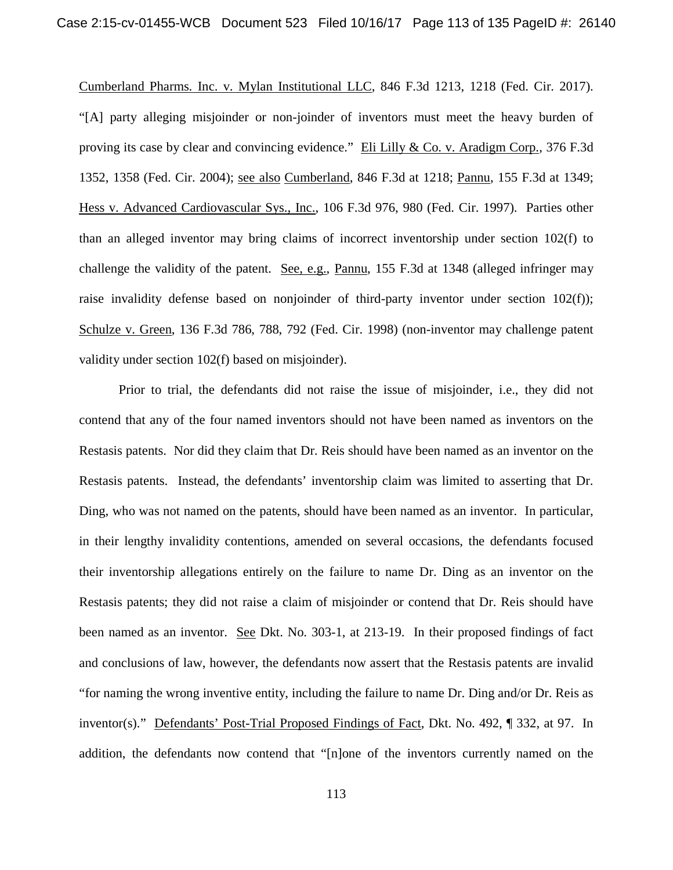Cumberland Pharms. Inc. v. Mylan Institutional LLC, 846 F.3d 1213, 1218 (Fed. Cir. 2017). "[A] party alleging misjoinder or non-joinder of inventors must meet the heavy burden of proving its case by clear and convincing evidence." Eli Lilly & Co. v. Aradigm Corp., 376 F.3d 1352, 1358 (Fed. Cir. 2004); see also Cumberland, 846 F.3d at 1218; Pannu, 155 F.3d at 1349; Hess v. Advanced Cardiovascular Sys., Inc., 106 F.3d 976, 980 (Fed. Cir. 1997). Parties other than an alleged inventor may bring claims of incorrect inventorship under section 102(f) to challenge the validity of the patent. See, e.g., Pannu, 155 F.3d at 1348 (alleged infringer may raise invalidity defense based on nonjoinder of third-party inventor under section 102(f)); Schulze v. Green, 136 F.3d 786, 788, 792 (Fed. Cir. 1998) (non-inventor may challenge patent validity under section 102(f) based on misjoinder).

Prior to trial, the defendants did not raise the issue of misjoinder, i.e., they did not contend that any of the four named inventors should not have been named as inventors on the Restasis patents. Nor did they claim that Dr. Reis should have been named as an inventor on the Restasis patents. Instead, the defendants' inventorship claim was limited to asserting that Dr. Ding, who was not named on the patents, should have been named as an inventor. In particular, in their lengthy invalidity contentions, amended on several occasions, the defendants focused their inventorship allegations entirely on the failure to name Dr. Ding as an inventor on the Restasis patents; they did not raise a claim of misjoinder or contend that Dr. Reis should have been named as an inventor. See Dkt. No. 303-1, at 213-19. In their proposed findings of fact and conclusions of law, however, the defendants now assert that the Restasis patents are invalid "for naming the wrong inventive entity, including the failure to name Dr. Ding and/or Dr. Reis as inventor(s)." Defendants' Post-Trial Proposed Findings of Fact, Dkt. No. 492, ¶ 332, at 97. In addition, the defendants now contend that "[n]one of the inventors currently named on the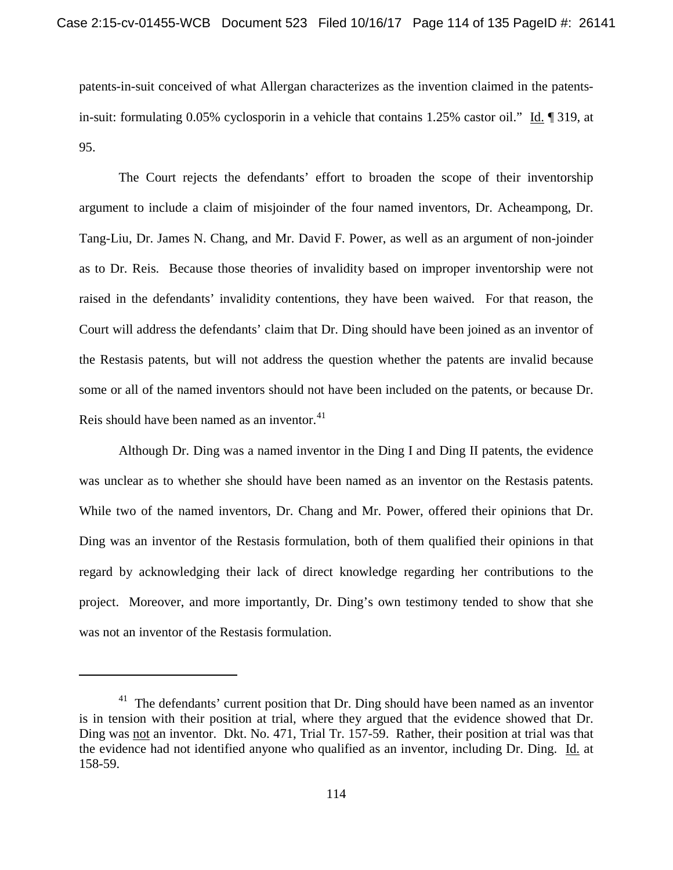patents-in-suit conceived of what Allergan characterizes as the invention claimed in the patentsin-suit: formulating 0.05% cyclosporin in a vehicle that contains 1.25% castor oil." Id. ¶ 319, at 95.

The Court rejects the defendants' effort to broaden the scope of their inventorship argument to include a claim of misjoinder of the four named inventors, Dr. Acheampong, Dr. Tang-Liu, Dr. James N. Chang, and Mr. David F. Power, as well as an argument of non-joinder as to Dr. Reis. Because those theories of invalidity based on improper inventorship were not raised in the defendants' invalidity contentions, they have been waived. For that reason, the Court will address the defendants' claim that Dr. Ding should have been joined as an inventor of the Restasis patents, but will not address the question whether the patents are invalid because some or all of the named inventors should not have been included on the patents, or because Dr. Reis should have been named as an inventor.<sup>41</sup>

Although Dr. Ding was a named inventor in the Ding I and Ding II patents, the evidence was unclear as to whether she should have been named as an inventor on the Restasis patents. While two of the named inventors, Dr. Chang and Mr. Power, offered their opinions that Dr. Ding was an inventor of the Restasis formulation, both of them qualified their opinions in that regard by acknowledging their lack of direct knowledge regarding her contributions to the project. Moreover, and more importantly, Dr. Ding's own testimony tended to show that she was not an inventor of the Restasis formulation.

 $\overline{\phantom{a}}$ 

 $41$  The defendants' current position that Dr. Ding should have been named as an inventor is in tension with their position at trial, where they argued that the evidence showed that Dr. Ding was not an inventor. Dkt. No. 471, Trial Tr. 157-59. Rather, their position at trial was that the evidence had not identified anyone who qualified as an inventor, including Dr. Ding. Id. at 158-59.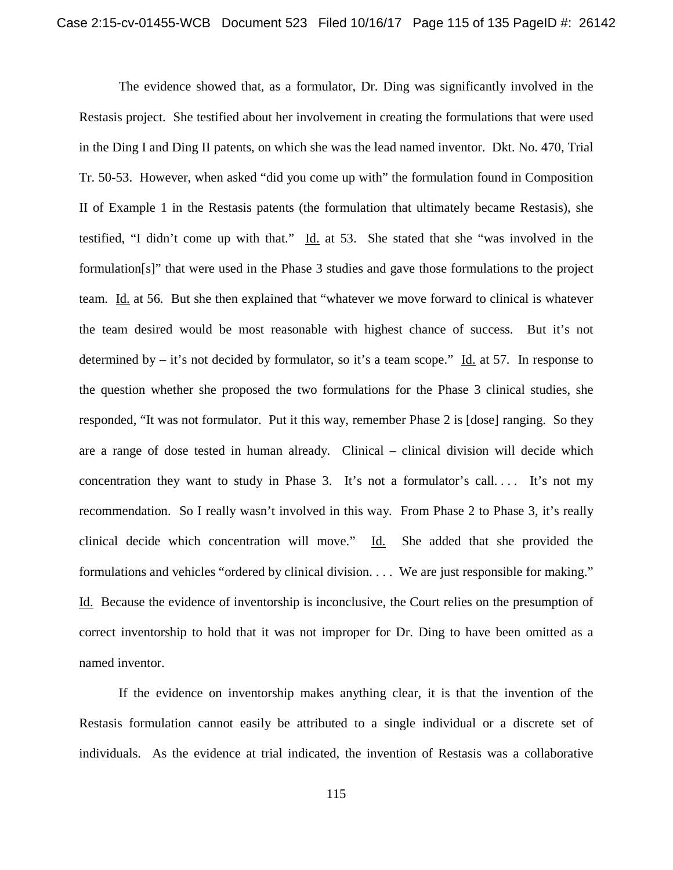The evidence showed that, as a formulator, Dr. Ding was significantly involved in the Restasis project. She testified about her involvement in creating the formulations that were used in the Ding I and Ding II patents, on which she was the lead named inventor. Dkt. No. 470, Trial Tr. 50-53. However, when asked "did you come up with" the formulation found in Composition II of Example 1 in the Restasis patents (the formulation that ultimately became Restasis), she testified, "I didn't come up with that." Id. at 53. She stated that she "was involved in the formulation[s]" that were used in the Phase 3 studies and gave those formulations to the project team. Id. at 56. But she then explained that "whatever we move forward to clinical is whatever the team desired would be most reasonable with highest chance of success. But it's not determined by  $-$  it's not decided by formulator, so it's a team scope." Id. at 57. In response to the question whether she proposed the two formulations for the Phase 3 clinical studies, she responded, "It was not formulator. Put it this way, remember Phase 2 is [dose] ranging. So they are a range of dose tested in human already. Clinical – clinical division will decide which concentration they want to study in Phase 3. It's not a formulator's call.... It's not my recommendation. So I really wasn't involved in this way. From Phase 2 to Phase 3, it's really clinical decide which concentration will move." Id. She added that she provided the formulations and vehicles "ordered by clinical division. . . . We are just responsible for making." Id. Because the evidence of inventorship is inconclusive, the Court relies on the presumption of correct inventorship to hold that it was not improper for Dr. Ding to have been omitted as a named inventor.

If the evidence on inventorship makes anything clear, it is that the invention of the Restasis formulation cannot easily be attributed to a single individual or a discrete set of individuals. As the evidence at trial indicated, the invention of Restasis was a collaborative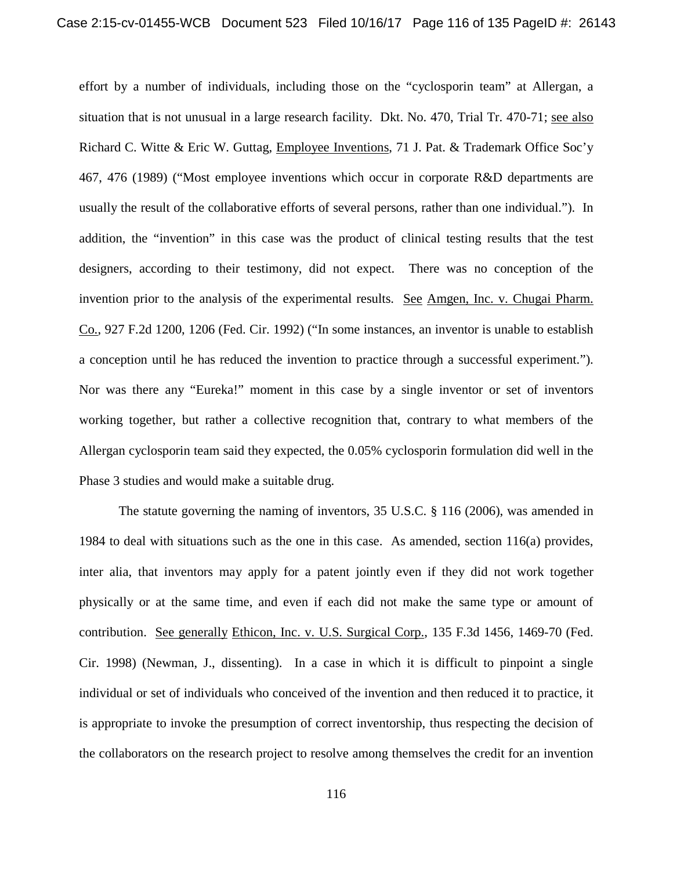effort by a number of individuals, including those on the "cyclosporin team" at Allergan, a situation that is not unusual in a large research facility. Dkt. No. 470, Trial Tr. 470-71; see also Richard C. Witte & Eric W. Guttag, Employee Inventions, 71 J. Pat. & Trademark Office Soc'y 467, 476 (1989) ("Most employee inventions which occur in corporate R&D departments are usually the result of the collaborative efforts of several persons, rather than one individual."). In addition, the "invention" in this case was the product of clinical testing results that the test designers, according to their testimony, did not expect. There was no conception of the invention prior to the analysis of the experimental results. See Amgen, Inc. v. Chugai Pharm. Co., 927 F.2d 1200, 1206 (Fed. Cir. 1992) ("In some instances, an inventor is unable to establish a conception until he has reduced the invention to practice through a successful experiment."). Nor was there any "Eureka!" moment in this case by a single inventor or set of inventors working together, but rather a collective recognition that, contrary to what members of the Allergan cyclosporin team said they expected, the 0.05% cyclosporin formulation did well in the Phase 3 studies and would make a suitable drug.

The statute governing the naming of inventors, 35 U.S.C. § 116 (2006), was amended in 1984 to deal with situations such as the one in this case. As amended, section 116(a) provides, inter alia, that inventors may apply for a patent jointly even if they did not work together physically or at the same time, and even if each did not make the same type or amount of contribution. See generally Ethicon, Inc. v. U.S. Surgical Corp., 135 F.3d 1456, 1469-70 (Fed. Cir. 1998) (Newman, J., dissenting). In a case in which it is difficult to pinpoint a single individual or set of individuals who conceived of the invention and then reduced it to practice, it is appropriate to invoke the presumption of correct inventorship, thus respecting the decision of the collaborators on the research project to resolve among themselves the credit for an invention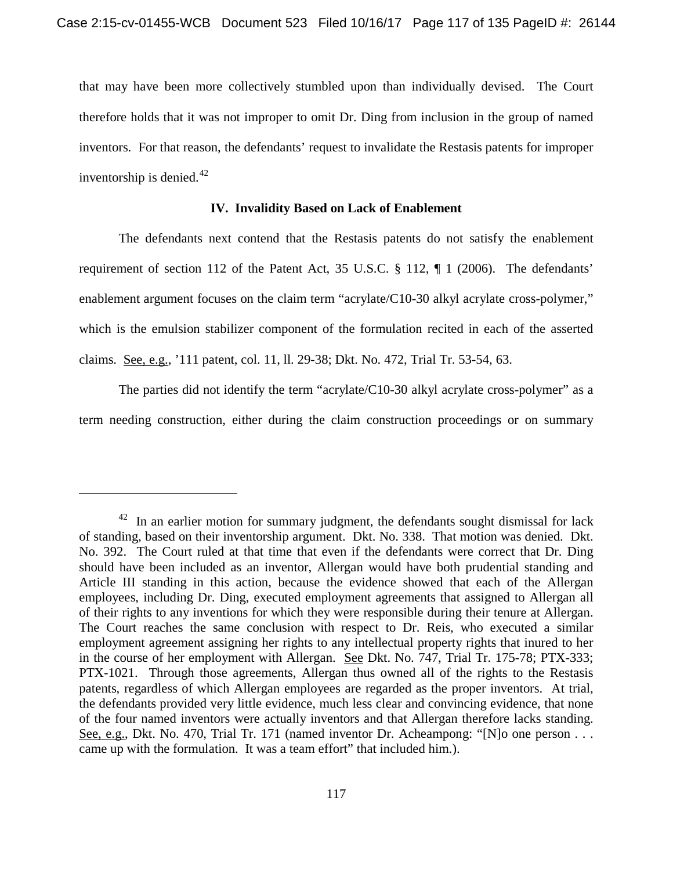that may have been more collectively stumbled upon than individually devised. The Court therefore holds that it was not improper to omit Dr. Ding from inclusion in the group of named inventors. For that reason, the defendants' request to invalidate the Restasis patents for improper inventorship is denied. $42$ 

## **IV. Invalidity Based on Lack of Enablement**

The defendants next contend that the Restasis patents do not satisfy the enablement requirement of section 112 of the Patent Act, 35 U.S.C. § 112, ¶ 1 (2006). The defendants' enablement argument focuses on the claim term "acrylate/C10-30 alkyl acrylate cross-polymer," which is the emulsion stabilizer component of the formulation recited in each of the asserted claims. See, e.g., '111 patent, col. 11, ll. 29-38; Dkt. No. 472, Trial Tr. 53-54, 63.

The parties did not identify the term "acrylate/C10-30 alkyl acrylate cross-polymer" as a term needing construction, either during the claim construction proceedings or on summary

 $\overline{\phantom{a}}$ 

 $42$  In an earlier motion for summary judgment, the defendants sought dismissal for lack of standing, based on their inventorship argument. Dkt. No. 338. That motion was denied. Dkt. No. 392. The Court ruled at that time that even if the defendants were correct that Dr. Ding should have been included as an inventor, Allergan would have both prudential standing and Article III standing in this action, because the evidence showed that each of the Allergan employees, including Dr. Ding, executed employment agreements that assigned to Allergan all of their rights to any inventions for which they were responsible during their tenure at Allergan. The Court reaches the same conclusion with respect to Dr. Reis, who executed a similar employment agreement assigning her rights to any intellectual property rights that inured to her in the course of her employment with Allergan. See Dkt. No. 747, Trial Tr. 175-78; PTX-333; PTX-1021. Through those agreements, Allergan thus owned all of the rights to the Restasis patents, regardless of which Allergan employees are regarded as the proper inventors. At trial, the defendants provided very little evidence, much less clear and convincing evidence, that none of the four named inventors were actually inventors and that Allergan therefore lacks standing. See, e.g., Dkt. No. 470, Trial Tr. 171 (named inventor Dr. Acheampong: "[N]o one person . . . came up with the formulation. It was a team effort" that included him.).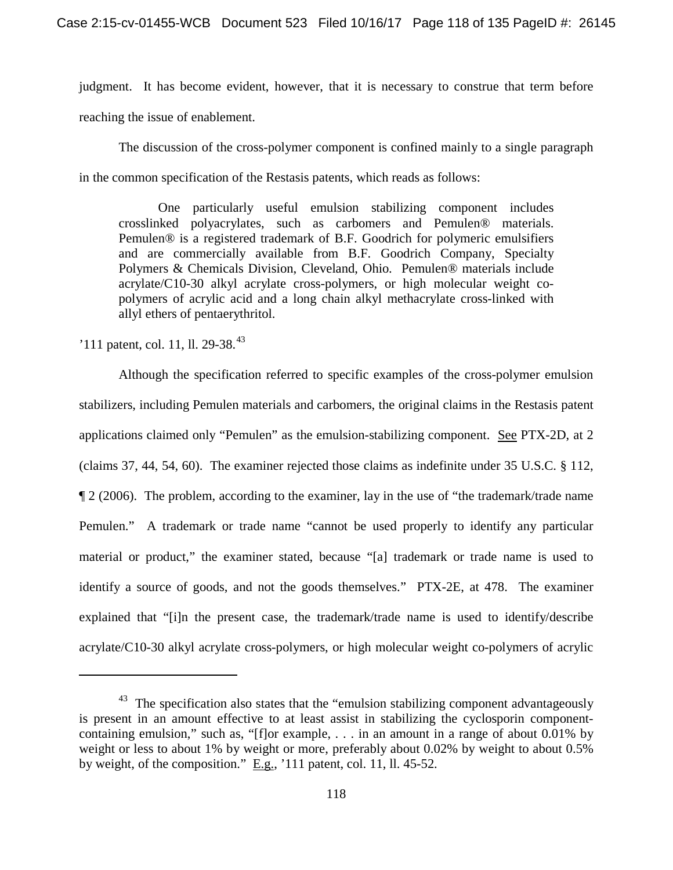judgment. It has become evident, however, that it is necessary to construe that term before reaching the issue of enablement.

The discussion of the cross-polymer component is confined mainly to a single paragraph in the common specification of the Restasis patents, which reads as follows:

One particularly useful emulsion stabilizing component includes crosslinked polyacrylates, such as carbomers and Pemulen® materials. Pemulen® is a registered trademark of B.F. Goodrich for polymeric emulsifiers and are commercially available from B.F. Goodrich Company, Specialty Polymers & Chemicals Division, Cleveland, Ohio. Pemulen® materials include acrylate/C10-30 alkyl acrylate cross-polymers, or high molecular weight copolymers of acrylic acid and a long chain alkyl methacrylate cross-linked with allyl ethers of pentaerythritol.

 $'111$  patent, col. 11, ll. 29-38.<sup>43</sup>

 $\overline{\phantom{a}}$ 

Although the specification referred to specific examples of the cross-polymer emulsion stabilizers, including Pemulen materials and carbomers, the original claims in the Restasis patent applications claimed only "Pemulen" as the emulsion-stabilizing component. See PTX-2D, at 2 (claims 37, 44, 54, 60). The examiner rejected those claims as indefinite under 35 U.S.C. § 112, ¶ 2 (2006). The problem, according to the examiner, lay in the use of "the trademark/trade name Pemulen." A trademark or trade name "cannot be used properly to identify any particular material or product," the examiner stated, because "[a] trademark or trade name is used to identify a source of goods, and not the goods themselves." PTX-2E, at 478. The examiner explained that "[i]n the present case, the trademark/trade name is used to identify/describe acrylate/C10-30 alkyl acrylate cross-polymers, or high molecular weight co-polymers of acrylic

 $43$  The specification also states that the "emulsion stabilizing component advantageously is present in an amount effective to at least assist in stabilizing the cyclosporin componentcontaining emulsion," such as, "[f]or example, . . . in an amount in a range of about 0.01% by weight or less to about 1% by weight or more, preferably about 0.02% by weight to about 0.5% by weight, of the composition." E.g., '111 patent, col. 11, ll. 45-52.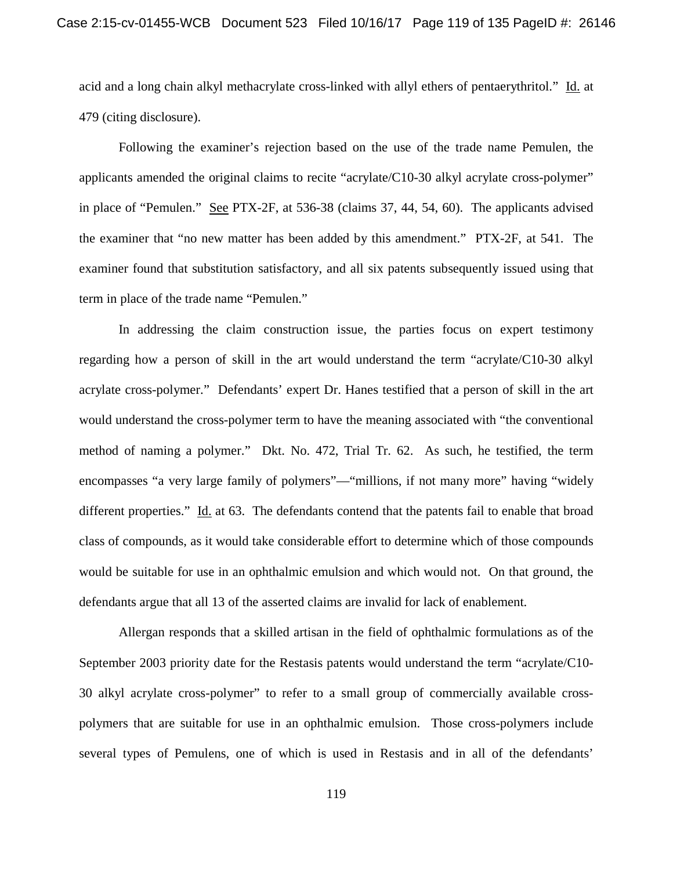acid and a long chain alkyl methacrylate cross-linked with allyl ethers of pentaerythritol." Id. at 479 (citing disclosure).

Following the examiner's rejection based on the use of the trade name Pemulen, the applicants amended the original claims to recite "acrylate/C10-30 alkyl acrylate cross-polymer" in place of "Pemulen." See PTX-2F, at 536-38 (claims 37, 44, 54, 60). The applicants advised the examiner that "no new matter has been added by this amendment." PTX-2F, at 541. The examiner found that substitution satisfactory, and all six patents subsequently issued using that term in place of the trade name "Pemulen."

In addressing the claim construction issue, the parties focus on expert testimony regarding how a person of skill in the art would understand the term "acrylate/C10-30 alkyl acrylate cross-polymer." Defendants' expert Dr. Hanes testified that a person of skill in the art would understand the cross-polymer term to have the meaning associated with "the conventional method of naming a polymer." Dkt. No. 472, Trial Tr. 62. As such, he testified, the term encompasses "a very large family of polymers"—"millions, if not many more" having "widely different properties." Id. at 63. The defendants contend that the patents fail to enable that broad class of compounds, as it would take considerable effort to determine which of those compounds would be suitable for use in an ophthalmic emulsion and which would not. On that ground, the defendants argue that all 13 of the asserted claims are invalid for lack of enablement.

Allergan responds that a skilled artisan in the field of ophthalmic formulations as of the September 2003 priority date for the Restasis patents would understand the term "acrylate/C10- 30 alkyl acrylate cross-polymer" to refer to a small group of commercially available crosspolymers that are suitable for use in an ophthalmic emulsion. Those cross-polymers include several types of Pemulens, one of which is used in Restasis and in all of the defendants'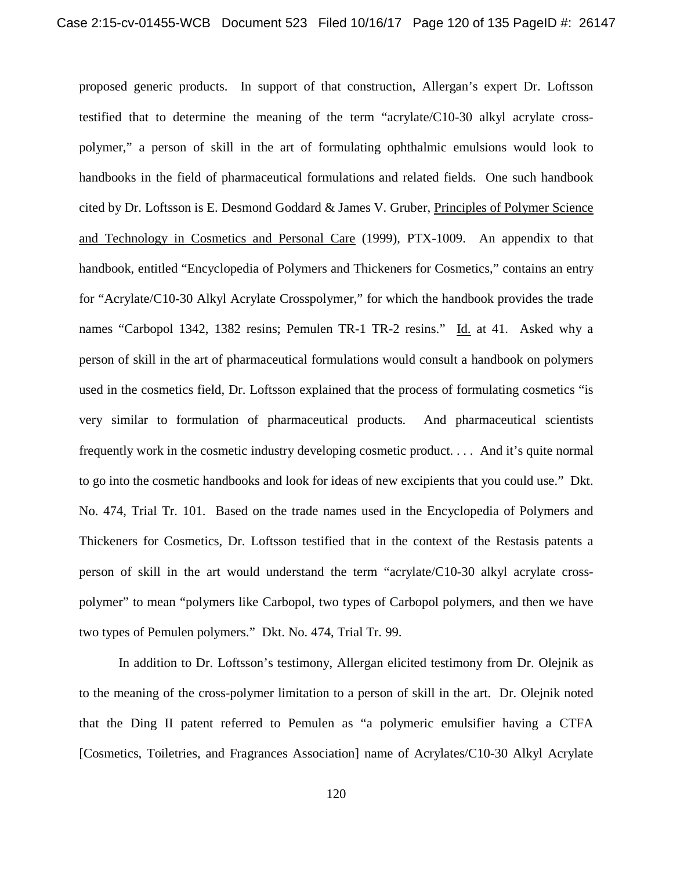proposed generic products. In support of that construction, Allergan's expert Dr. Loftsson testified that to determine the meaning of the term "acrylate/C10-30 alkyl acrylate crosspolymer," a person of skill in the art of formulating ophthalmic emulsions would look to handbooks in the field of pharmaceutical formulations and related fields. One such handbook cited by Dr. Loftsson is E. Desmond Goddard & James V. Gruber, Principles of Polymer Science and Technology in Cosmetics and Personal Care (1999), PTX-1009. An appendix to that handbook, entitled "Encyclopedia of Polymers and Thickeners for Cosmetics," contains an entry for "Acrylate/C10-30 Alkyl Acrylate Crosspolymer," for which the handbook provides the trade names "Carbopol 1342, 1382 resins; Pemulen TR-1 TR-2 resins." Id. at 41. Asked why a person of skill in the art of pharmaceutical formulations would consult a handbook on polymers used in the cosmetics field, Dr. Loftsson explained that the process of formulating cosmetics "is very similar to formulation of pharmaceutical products. And pharmaceutical scientists frequently work in the cosmetic industry developing cosmetic product. . . . And it's quite normal to go into the cosmetic handbooks and look for ideas of new excipients that you could use." Dkt. No. 474, Trial Tr. 101. Based on the trade names used in the Encyclopedia of Polymers and Thickeners for Cosmetics, Dr. Loftsson testified that in the context of the Restasis patents a person of skill in the art would understand the term "acrylate/C10-30 alkyl acrylate crosspolymer" to mean "polymers like Carbopol, two types of Carbopol polymers, and then we have two types of Pemulen polymers." Dkt. No. 474, Trial Tr. 99.

In addition to Dr. Loftsson's testimony, Allergan elicited testimony from Dr. Olejnik as to the meaning of the cross-polymer limitation to a person of skill in the art. Dr. Olejnik noted that the Ding II patent referred to Pemulen as "a polymeric emulsifier having a CTFA [Cosmetics, Toiletries, and Fragrances Association] name of Acrylates/C10-30 Alkyl Acrylate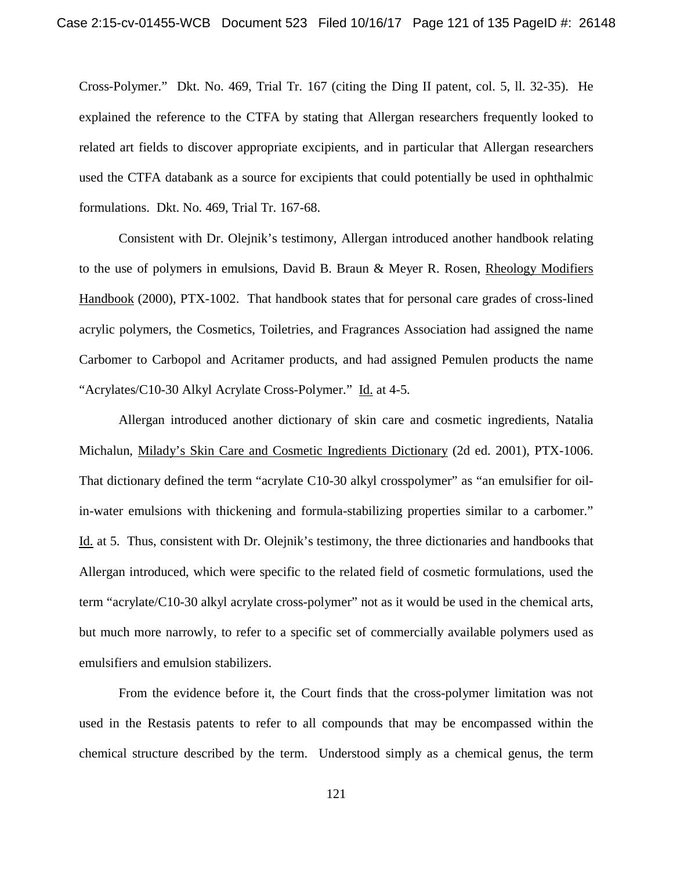Cross-Polymer." Dkt. No. 469, Trial Tr. 167 (citing the Ding II patent, col. 5, ll. 32-35). He explained the reference to the CTFA by stating that Allergan researchers frequently looked to related art fields to discover appropriate excipients, and in particular that Allergan researchers used the CTFA databank as a source for excipients that could potentially be used in ophthalmic formulations. Dkt. No. 469, Trial Tr. 167-68.

Consistent with Dr. Olejnik's testimony, Allergan introduced another handbook relating to the use of polymers in emulsions, David B. Braun & Meyer R. Rosen, Rheology Modifiers Handbook (2000), PTX-1002. That handbook states that for personal care grades of cross-lined acrylic polymers, the Cosmetics, Toiletries, and Fragrances Association had assigned the name Carbomer to Carbopol and Acritamer products, and had assigned Pemulen products the name "Acrylates/C10-30 Alkyl Acrylate Cross-Polymer." Id. at 4-5.

Allergan introduced another dictionary of skin care and cosmetic ingredients, Natalia Michalun, Milady's Skin Care and Cosmetic Ingredients Dictionary (2d ed. 2001), PTX-1006. That dictionary defined the term "acrylate C10-30 alkyl crosspolymer" as "an emulsifier for oilin-water emulsions with thickening and formula-stabilizing properties similar to a carbomer." Id. at 5. Thus, consistent with Dr. Olejnik's testimony, the three dictionaries and handbooks that Allergan introduced, which were specific to the related field of cosmetic formulations, used the term "acrylate/C10-30 alkyl acrylate cross-polymer" not as it would be used in the chemical arts, but much more narrowly, to refer to a specific set of commercially available polymers used as emulsifiers and emulsion stabilizers.

From the evidence before it, the Court finds that the cross-polymer limitation was not used in the Restasis patents to refer to all compounds that may be encompassed within the chemical structure described by the term. Understood simply as a chemical genus, the term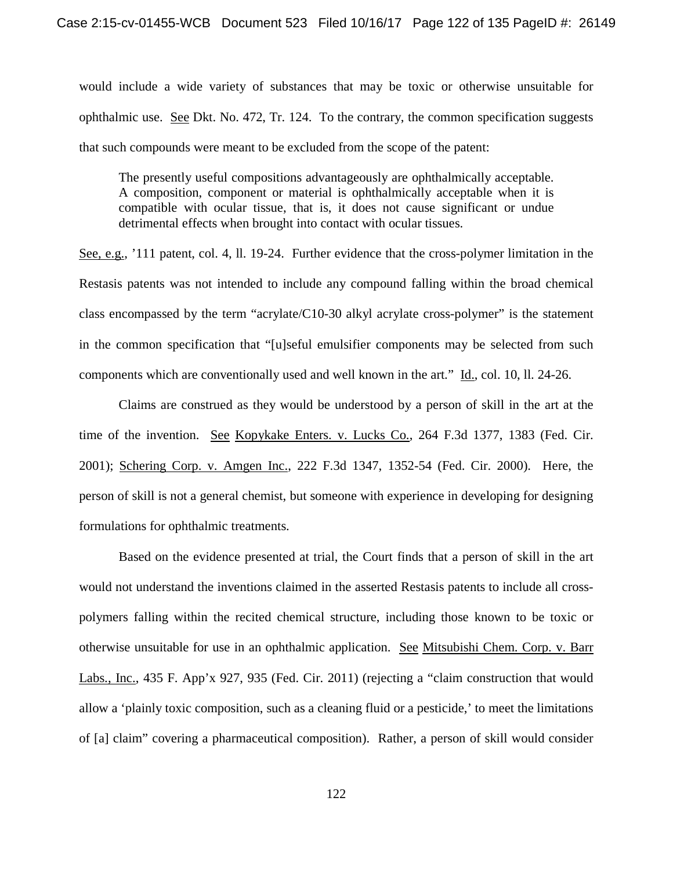would include a wide variety of substances that may be toxic or otherwise unsuitable for ophthalmic use. See Dkt. No. 472, Tr. 124. To the contrary, the common specification suggests that such compounds were meant to be excluded from the scope of the patent:

The presently useful compositions advantageously are ophthalmically acceptable. A composition, component or material is ophthalmically acceptable when it is compatible with ocular tissue, that is, it does not cause significant or undue detrimental effects when brought into contact with ocular tissues.

See, e.g., '111 patent, col. 4, ll. 19-24. Further evidence that the cross-polymer limitation in the Restasis patents was not intended to include any compound falling within the broad chemical class encompassed by the term "acrylate/C10-30 alkyl acrylate cross-polymer" is the statement in the common specification that "[u]seful emulsifier components may be selected from such components which are conventionally used and well known in the art." Id., col. 10, ll. 24-26.

Claims are construed as they would be understood by a person of skill in the art at the time of the invention. See Kopykake Enters. v. Lucks Co., 264 F.3d 1377, 1383 (Fed. Cir. 2001); Schering Corp. v. Amgen Inc., 222 F.3d 1347, 1352-54 (Fed. Cir. 2000). Here, the person of skill is not a general chemist, but someone with experience in developing for designing formulations for ophthalmic treatments.

Based on the evidence presented at trial, the Court finds that a person of skill in the art would not understand the inventions claimed in the asserted Restasis patents to include all crosspolymers falling within the recited chemical structure, including those known to be toxic or otherwise unsuitable for use in an ophthalmic application. See Mitsubishi Chem. Corp. v. Barr Labs., Inc., 435 F. App'x 927, 935 (Fed. Cir. 2011) (rejecting a "claim construction that would allow a 'plainly toxic composition, such as a cleaning fluid or a pesticide,' to meet the limitations of [a] claim" covering a pharmaceutical composition). Rather, a person of skill would consider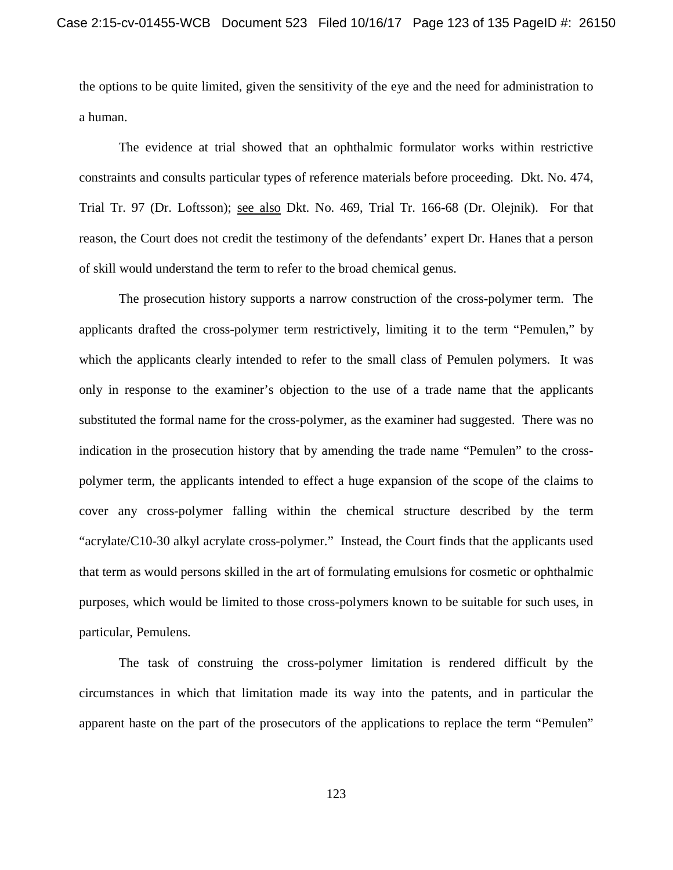the options to be quite limited, given the sensitivity of the eye and the need for administration to a human.

The evidence at trial showed that an ophthalmic formulator works within restrictive constraints and consults particular types of reference materials before proceeding. Dkt. No. 474, Trial Tr. 97 (Dr. Loftsson); see also Dkt. No. 469, Trial Tr. 166-68 (Dr. Olejnik). For that reason, the Court does not credit the testimony of the defendants' expert Dr. Hanes that a person of skill would understand the term to refer to the broad chemical genus.

The prosecution history supports a narrow construction of the cross-polymer term. The applicants drafted the cross-polymer term restrictively, limiting it to the term "Pemulen," by which the applicants clearly intended to refer to the small class of Pemulen polymers. It was only in response to the examiner's objection to the use of a trade name that the applicants substituted the formal name for the cross-polymer, as the examiner had suggested. There was no indication in the prosecution history that by amending the trade name "Pemulen" to the crosspolymer term, the applicants intended to effect a huge expansion of the scope of the claims to cover any cross-polymer falling within the chemical structure described by the term "acrylate/C10-30 alkyl acrylate cross-polymer." Instead, the Court finds that the applicants used that term as would persons skilled in the art of formulating emulsions for cosmetic or ophthalmic purposes, which would be limited to those cross-polymers known to be suitable for such uses, in particular, Pemulens.

The task of construing the cross-polymer limitation is rendered difficult by the circumstances in which that limitation made its way into the patents, and in particular the apparent haste on the part of the prosecutors of the applications to replace the term "Pemulen"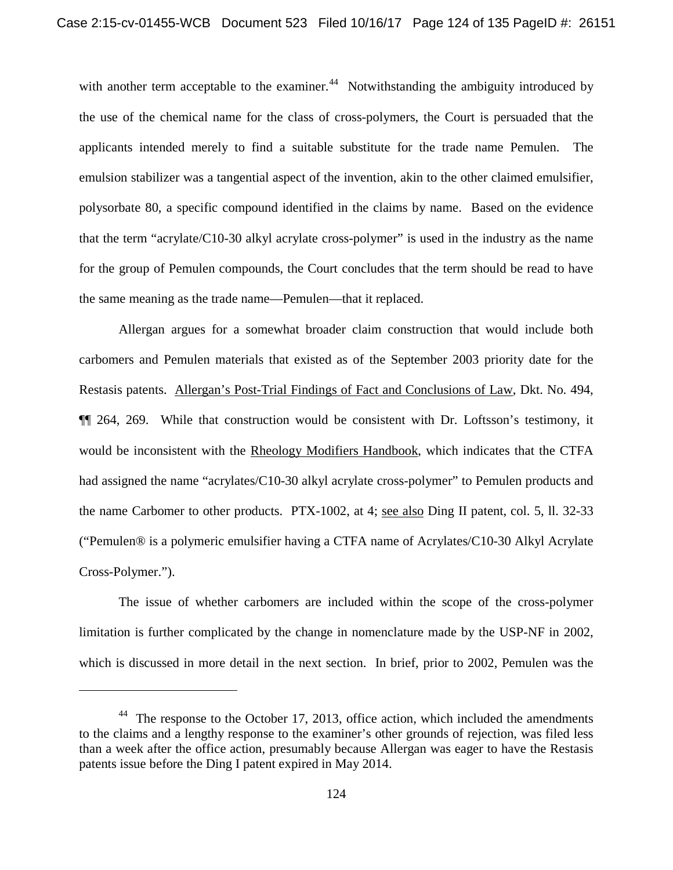with another term acceptable to the examiner.<sup>44</sup> Notwithstanding the ambiguity introduced by the use of the chemical name for the class of cross-polymers, the Court is persuaded that the applicants intended merely to find a suitable substitute for the trade name Pemulen. The emulsion stabilizer was a tangential aspect of the invention, akin to the other claimed emulsifier, polysorbate 80, a specific compound identified in the claims by name. Based on the evidence that the term "acrylate/C10-30 alkyl acrylate cross-polymer" is used in the industry as the name for the group of Pemulen compounds, the Court concludes that the term should be read to have the same meaning as the trade name—Pemulen—that it replaced.

Allergan argues for a somewhat broader claim construction that would include both carbomers and Pemulen materials that existed as of the September 2003 priority date for the Restasis patents. Allergan's Post-Trial Findings of Fact and Conclusions of Law, Dkt. No. 494, ¶¶ 264, 269. While that construction would be consistent with Dr. Loftsson's testimony, it would be inconsistent with the Rheology Modifiers Handbook, which indicates that the CTFA had assigned the name "acrylates/C10-30 alkyl acrylate cross-polymer" to Pemulen products and the name Carbomer to other products. PTX-1002, at 4; see also Ding II patent, col. 5, ll. 32-33 ("Pemulen® is a polymeric emulsifier having a CTFA name of Acrylates/C10-30 Alkyl Acrylate Cross-Polymer.").

The issue of whether carbomers are included within the scope of the cross-polymer limitation is further complicated by the change in nomenclature made by the USP-NF in 2002, which is discussed in more detail in the next section. In brief, prior to 2002, Pemulen was the

l

 $44$  The response to the October 17, 2013, office action, which included the amendments to the claims and a lengthy response to the examiner's other grounds of rejection, was filed less than a week after the office action, presumably because Allergan was eager to have the Restasis patents issue before the Ding I patent expired in May 2014.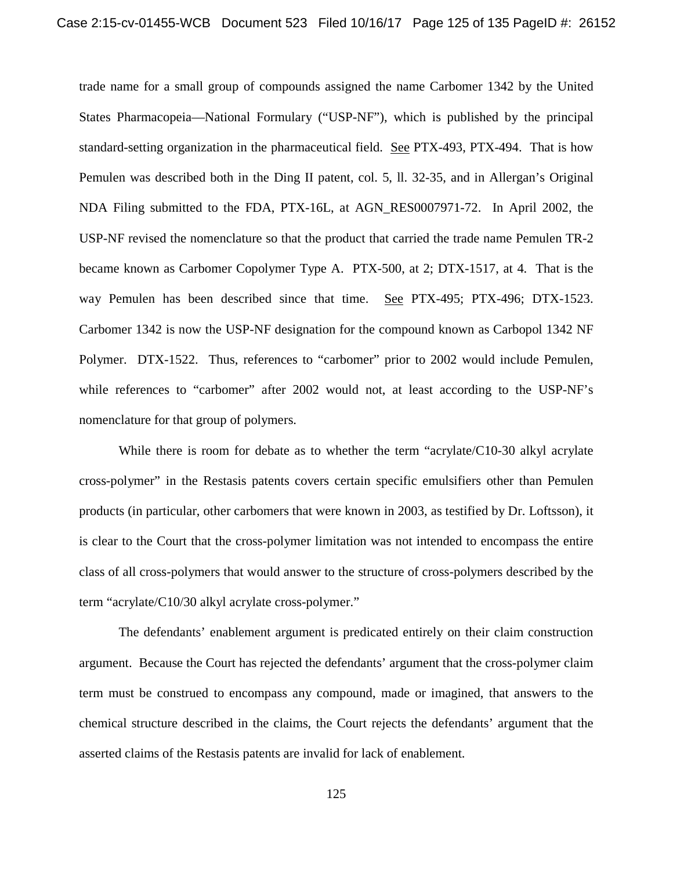trade name for a small group of compounds assigned the name Carbomer 1342 by the United States Pharmacopeia—National Formulary ("USP-NF"), which is published by the principal standard-setting organization in the pharmaceutical field. See PTX-493, PTX-494. That is how Pemulen was described both in the Ding II patent, col. 5, ll. 32-35, and in Allergan's Original NDA Filing submitted to the FDA, PTX-16L, at AGN\_RES0007971-72. In April 2002, the USP-NF revised the nomenclature so that the product that carried the trade name Pemulen TR-2 became known as Carbomer Copolymer Type A. PTX-500, at 2; DTX-1517, at 4. That is the way Pemulen has been described since that time. See PTX-495; PTX-496; DTX-1523. Carbomer 1342 is now the USP-NF designation for the compound known as Carbopol 1342 NF Polymer. DTX-1522. Thus, references to "carbomer" prior to 2002 would include Pemulen, while references to "carbomer" after 2002 would not, at least according to the USP-NF's nomenclature for that group of polymers.

While there is room for debate as to whether the term "acrylate/C10-30 alkyl acrylate cross-polymer" in the Restasis patents covers certain specific emulsifiers other than Pemulen products (in particular, other carbomers that were known in 2003, as testified by Dr. Loftsson), it is clear to the Court that the cross-polymer limitation was not intended to encompass the entire class of all cross-polymers that would answer to the structure of cross-polymers described by the term "acrylate/C10/30 alkyl acrylate cross-polymer."

The defendants' enablement argument is predicated entirely on their claim construction argument. Because the Court has rejected the defendants' argument that the cross-polymer claim term must be construed to encompass any compound, made or imagined, that answers to the chemical structure described in the claims, the Court rejects the defendants' argument that the asserted claims of the Restasis patents are invalid for lack of enablement.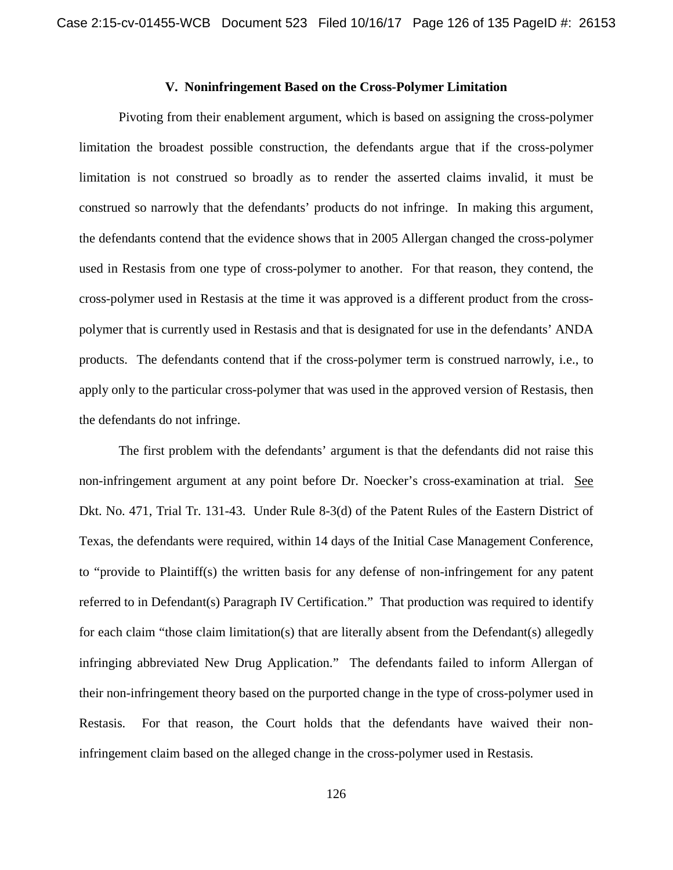## **V. Noninfringement Based on the Cross-Polymer Limitation**

Pivoting from their enablement argument, which is based on assigning the cross-polymer limitation the broadest possible construction, the defendants argue that if the cross-polymer limitation is not construed so broadly as to render the asserted claims invalid, it must be construed so narrowly that the defendants' products do not infringe. In making this argument, the defendants contend that the evidence shows that in 2005 Allergan changed the cross-polymer used in Restasis from one type of cross-polymer to another. For that reason, they contend, the cross-polymer used in Restasis at the time it was approved is a different product from the crosspolymer that is currently used in Restasis and that is designated for use in the defendants' ANDA products. The defendants contend that if the cross-polymer term is construed narrowly, i.e., to apply only to the particular cross-polymer that was used in the approved version of Restasis, then the defendants do not infringe.

The first problem with the defendants' argument is that the defendants did not raise this non-infringement argument at any point before Dr. Noecker's cross-examination at trial. See Dkt. No. 471, Trial Tr. 131-43. Under Rule 8-3(d) of the Patent Rules of the Eastern District of Texas, the defendants were required, within 14 days of the Initial Case Management Conference, to "provide to Plaintiff(s) the written basis for any defense of non-infringement for any patent referred to in Defendant(s) Paragraph IV Certification." That production was required to identify for each claim "those claim limitation(s) that are literally absent from the Defendant(s) allegedly infringing abbreviated New Drug Application." The defendants failed to inform Allergan of their non-infringement theory based on the purported change in the type of cross-polymer used in Restasis. For that reason, the Court holds that the defendants have waived their noninfringement claim based on the alleged change in the cross-polymer used in Restasis.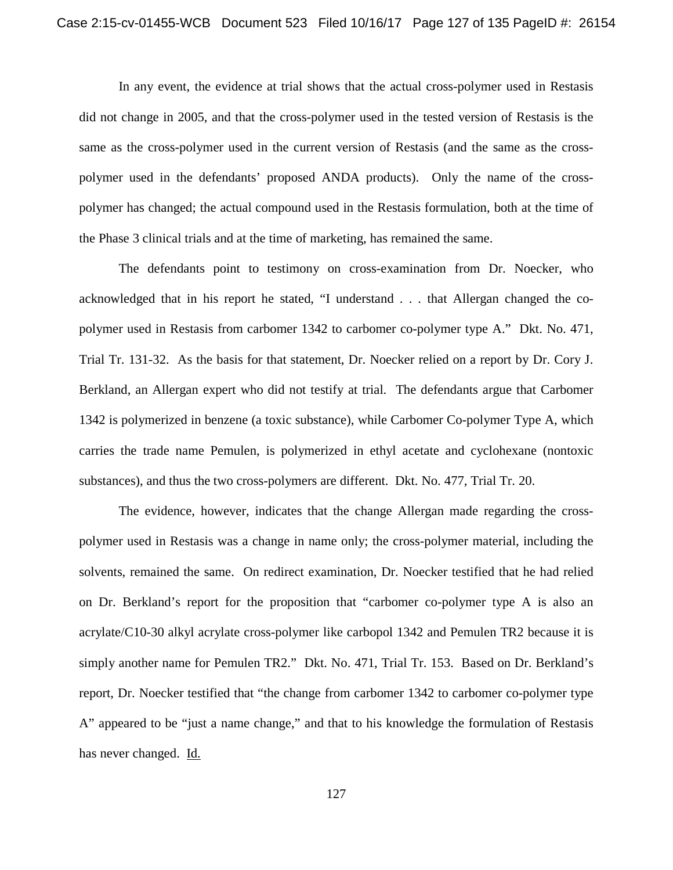In any event, the evidence at trial shows that the actual cross-polymer used in Restasis did not change in 2005, and that the cross-polymer used in the tested version of Restasis is the same as the cross-polymer used in the current version of Restasis (and the same as the crosspolymer used in the defendants' proposed ANDA products). Only the name of the crosspolymer has changed; the actual compound used in the Restasis formulation, both at the time of the Phase 3 clinical trials and at the time of marketing, has remained the same.

The defendants point to testimony on cross-examination from Dr. Noecker, who acknowledged that in his report he stated, "I understand . . . that Allergan changed the copolymer used in Restasis from carbomer 1342 to carbomer co-polymer type A." Dkt. No. 471, Trial Tr. 131-32. As the basis for that statement, Dr. Noecker relied on a report by Dr. Cory J. Berkland, an Allergan expert who did not testify at trial. The defendants argue that Carbomer 1342 is polymerized in benzene (a toxic substance), while Carbomer Co-polymer Type A, which carries the trade name Pemulen, is polymerized in ethyl acetate and cyclohexane (nontoxic substances), and thus the two cross-polymers are different. Dkt. No. 477, Trial Tr. 20.

The evidence, however, indicates that the change Allergan made regarding the crosspolymer used in Restasis was a change in name only; the cross-polymer material, including the solvents, remained the same. On redirect examination, Dr. Noecker testified that he had relied on Dr. Berkland's report for the proposition that "carbomer co-polymer type A is also an acrylate/C10-30 alkyl acrylate cross-polymer like carbopol 1342 and Pemulen TR2 because it is simply another name for Pemulen TR2." Dkt. No. 471, Trial Tr. 153. Based on Dr. Berkland's report, Dr. Noecker testified that "the change from carbomer 1342 to carbomer co-polymer type A" appeared to be "just a name change," and that to his knowledge the formulation of Restasis has never changed. Id.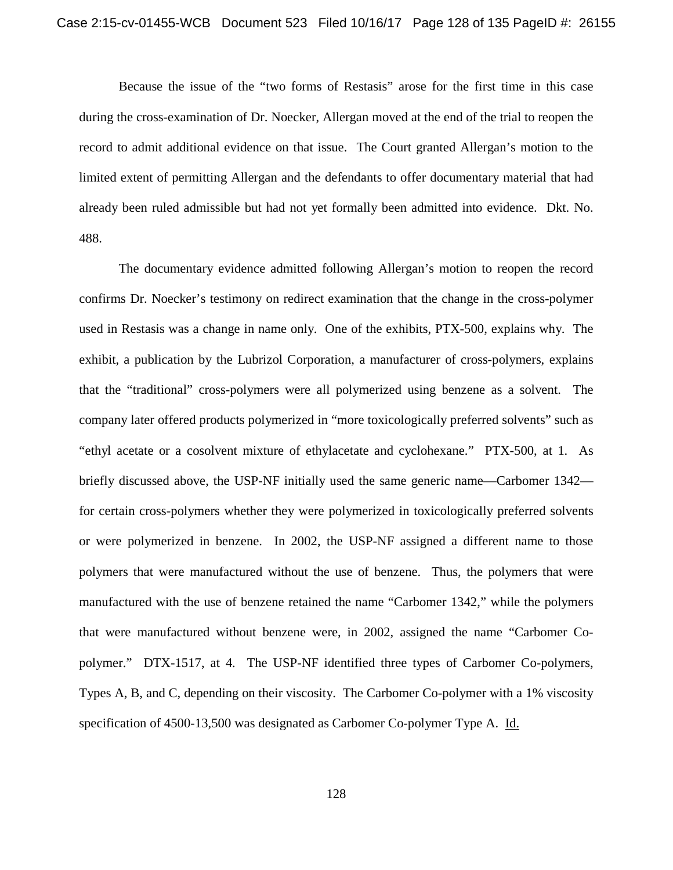Because the issue of the "two forms of Restasis" arose for the first time in this case during the cross-examination of Dr. Noecker, Allergan moved at the end of the trial to reopen the record to admit additional evidence on that issue. The Court granted Allergan's motion to the limited extent of permitting Allergan and the defendants to offer documentary material that had already been ruled admissible but had not yet formally been admitted into evidence. Dkt. No. 488.

The documentary evidence admitted following Allergan's motion to reopen the record confirms Dr. Noecker's testimony on redirect examination that the change in the cross-polymer used in Restasis was a change in name only. One of the exhibits, PTX-500, explains why. The exhibit, a publication by the Lubrizol Corporation, a manufacturer of cross-polymers, explains that the "traditional" cross-polymers were all polymerized using benzene as a solvent. The company later offered products polymerized in "more toxicologically preferred solvents" such as "ethyl acetate or a cosolvent mixture of ethylacetate and cyclohexane." PTX-500, at 1. As briefly discussed above, the USP-NF initially used the same generic name—Carbomer 1342 for certain cross-polymers whether they were polymerized in toxicologically preferred solvents or were polymerized in benzene. In 2002, the USP-NF assigned a different name to those polymers that were manufactured without the use of benzene. Thus, the polymers that were manufactured with the use of benzene retained the name "Carbomer 1342," while the polymers that were manufactured without benzene were, in 2002, assigned the name "Carbomer Copolymer." DTX-1517, at 4. The USP-NF identified three types of Carbomer Co-polymers, Types A, B, and C, depending on their viscosity. The Carbomer Co-polymer with a 1% viscosity specification of 4500-13,500 was designated as Carbomer Co-polymer Type A. Id.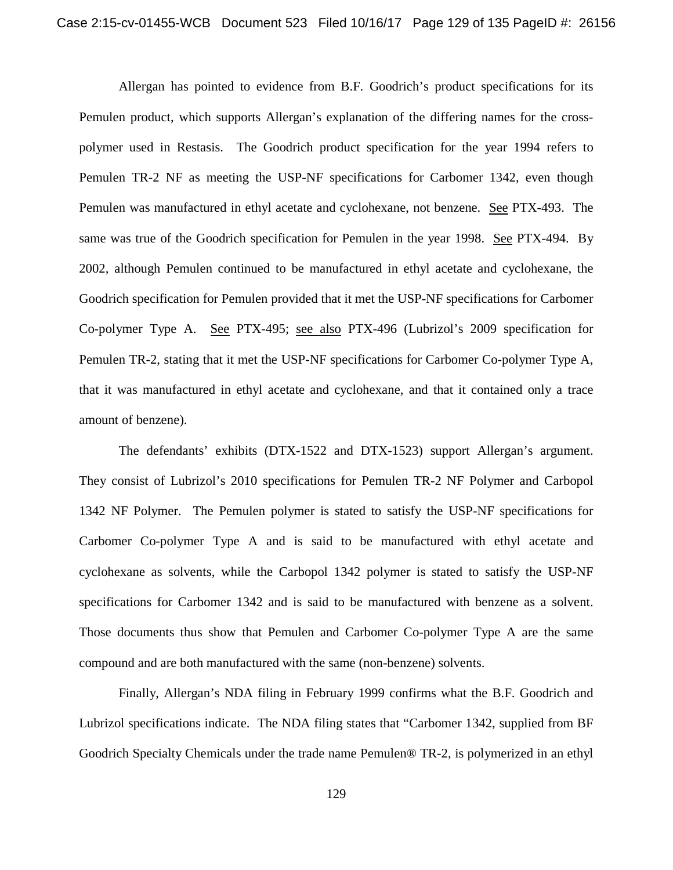Allergan has pointed to evidence from B.F. Goodrich's product specifications for its Pemulen product, which supports Allergan's explanation of the differing names for the crosspolymer used in Restasis. The Goodrich product specification for the year 1994 refers to Pemulen TR-2 NF as meeting the USP-NF specifications for Carbomer 1342, even though Pemulen was manufactured in ethyl acetate and cyclohexane, not benzene. See PTX-493. The same was true of the Goodrich specification for Pemulen in the year 1998. See PTX-494. By 2002, although Pemulen continued to be manufactured in ethyl acetate and cyclohexane, the Goodrich specification for Pemulen provided that it met the USP-NF specifications for Carbomer Co-polymer Type A. See PTX-495; see also PTX-496 (Lubrizol's 2009 specification for Pemulen TR-2, stating that it met the USP-NF specifications for Carbomer Co-polymer Type A, that it was manufactured in ethyl acetate and cyclohexane, and that it contained only a trace amount of benzene).

The defendants' exhibits (DTX-1522 and DTX-1523) support Allergan's argument. They consist of Lubrizol's 2010 specifications for Pemulen TR-2 NF Polymer and Carbopol 1342 NF Polymer. The Pemulen polymer is stated to satisfy the USP-NF specifications for Carbomer Co-polymer Type A and is said to be manufactured with ethyl acetate and cyclohexane as solvents, while the Carbopol 1342 polymer is stated to satisfy the USP-NF specifications for Carbomer 1342 and is said to be manufactured with benzene as a solvent. Those documents thus show that Pemulen and Carbomer Co-polymer Type A are the same compound and are both manufactured with the same (non-benzene) solvents.

Finally, Allergan's NDA filing in February 1999 confirms what the B.F. Goodrich and Lubrizol specifications indicate. The NDA filing states that "Carbomer 1342, supplied from BF Goodrich Specialty Chemicals under the trade name Pemulen® TR-2, is polymerized in an ethyl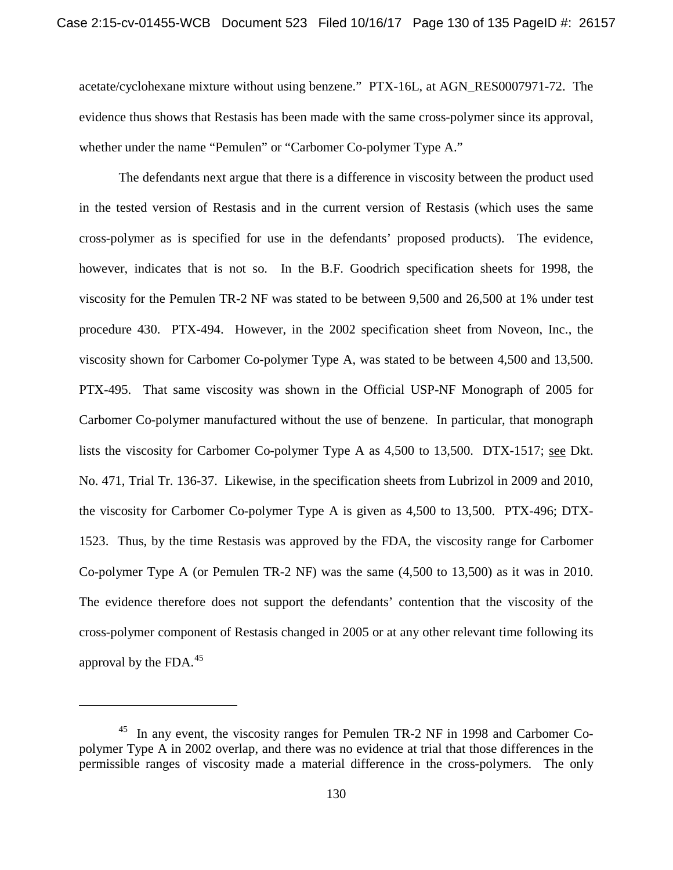acetate/cyclohexane mixture without using benzene." PTX-16L, at AGN\_RES0007971-72. The evidence thus shows that Restasis has been made with the same cross-polymer since its approval, whether under the name "Pemulen" or "Carbomer Co-polymer Type A."

The defendants next argue that there is a difference in viscosity between the product used in the tested version of Restasis and in the current version of Restasis (which uses the same cross-polymer as is specified for use in the defendants' proposed products). The evidence, however, indicates that is not so. In the B.F. Goodrich specification sheets for 1998, the viscosity for the Pemulen TR-2 NF was stated to be between 9,500 and 26,500 at 1% under test procedure 430. PTX-494. However, in the 2002 specification sheet from Noveon, Inc., the viscosity shown for Carbomer Co-polymer Type A, was stated to be between 4,500 and 13,500. PTX-495. That same viscosity was shown in the Official USP-NF Monograph of 2005 for Carbomer Co-polymer manufactured without the use of benzene. In particular, that monograph lists the viscosity for Carbomer Co-polymer Type A as 4,500 to 13,500. DTX-1517; see Dkt. No. 471, Trial Tr. 136-37. Likewise, in the specification sheets from Lubrizol in 2009 and 2010, the viscosity for Carbomer Co-polymer Type A is given as 4,500 to 13,500. PTX-496; DTX-1523. Thus, by the time Restasis was approved by the FDA, the viscosity range for Carbomer Co-polymer Type A (or Pemulen TR-2 NF) was the same (4,500 to 13,500) as it was in 2010. The evidence therefore does not support the defendants' contention that the viscosity of the cross-polymer component of Restasis changed in 2005 or at any other relevant time following its approval by the FDA. $^{45}$ 

l

<sup>45</sup> In any event, the viscosity ranges for Pemulen TR-2 NF in 1998 and Carbomer Copolymer Type A in 2002 overlap, and there was no evidence at trial that those differences in the permissible ranges of viscosity made a material difference in the cross-polymers. The only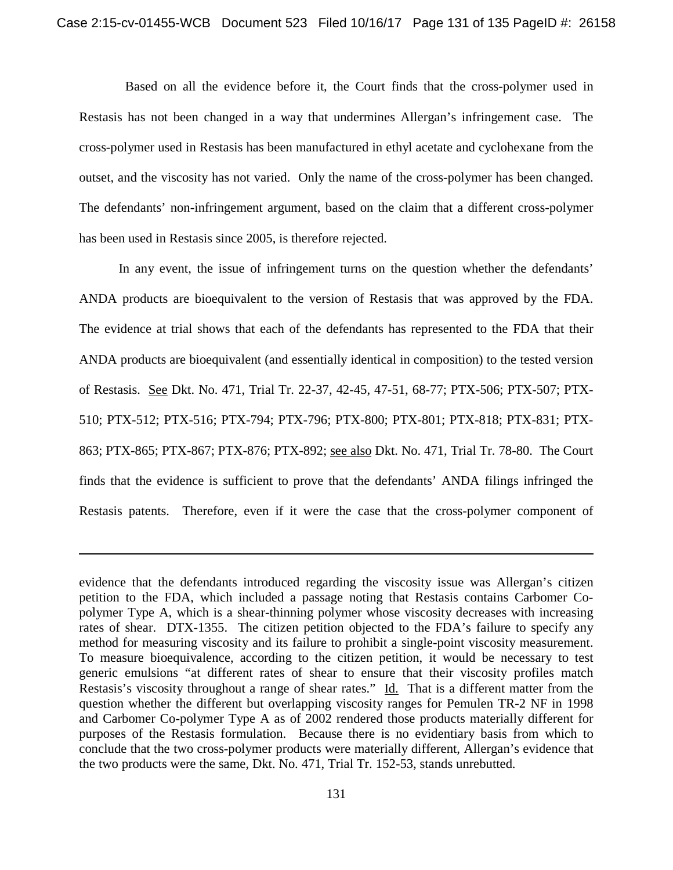Based on all the evidence before it, the Court finds that the cross-polymer used in Restasis has not been changed in a way that undermines Allergan's infringement case. The cross-polymer used in Restasis has been manufactured in ethyl acetate and cyclohexane from the outset, and the viscosity has not varied. Only the name of the cross-polymer has been changed. The defendants' non-infringement argument, based on the claim that a different cross-polymer has been used in Restasis since 2005, is therefore rejected.

In any event, the issue of infringement turns on the question whether the defendants' ANDA products are bioequivalent to the version of Restasis that was approved by the FDA. The evidence at trial shows that each of the defendants has represented to the FDA that their ANDA products are bioequivalent (and essentially identical in composition) to the tested version of Restasis. See Dkt. No. 471, Trial Tr. 22-37, 42-45, 47-51, 68-77; PTX-506; PTX-507; PTX-510; PTX-512; PTX-516; PTX-794; PTX-796; PTX-800; PTX-801; PTX-818; PTX-831; PTX-863; PTX-865; PTX-867; PTX-876; PTX-892; see also Dkt. No. 471, Trial Tr. 78-80. The Court finds that the evidence is sufficient to prove that the defendants' ANDA filings infringed the Restasis patents. Therefore, even if it were the case that the cross-polymer component of

l

evidence that the defendants introduced regarding the viscosity issue was Allergan's citizen petition to the FDA, which included a passage noting that Restasis contains Carbomer Copolymer Type A, which is a shear-thinning polymer whose viscosity decreases with increasing rates of shear. DTX-1355. The citizen petition objected to the FDA's failure to specify any method for measuring viscosity and its failure to prohibit a single-point viscosity measurement. To measure bioequivalence, according to the citizen petition, it would be necessary to test generic emulsions "at different rates of shear to ensure that their viscosity profiles match Restasis's viscosity throughout a range of shear rates." Id. That is a different matter from the question whether the different but overlapping viscosity ranges for Pemulen TR-2 NF in 1998 and Carbomer Co-polymer Type A as of 2002 rendered those products materially different for purposes of the Restasis formulation. Because there is no evidentiary basis from which to conclude that the two cross-polymer products were materially different, Allergan's evidence that the two products were the same, Dkt. No. 471, Trial Tr. 152-53, stands unrebutted.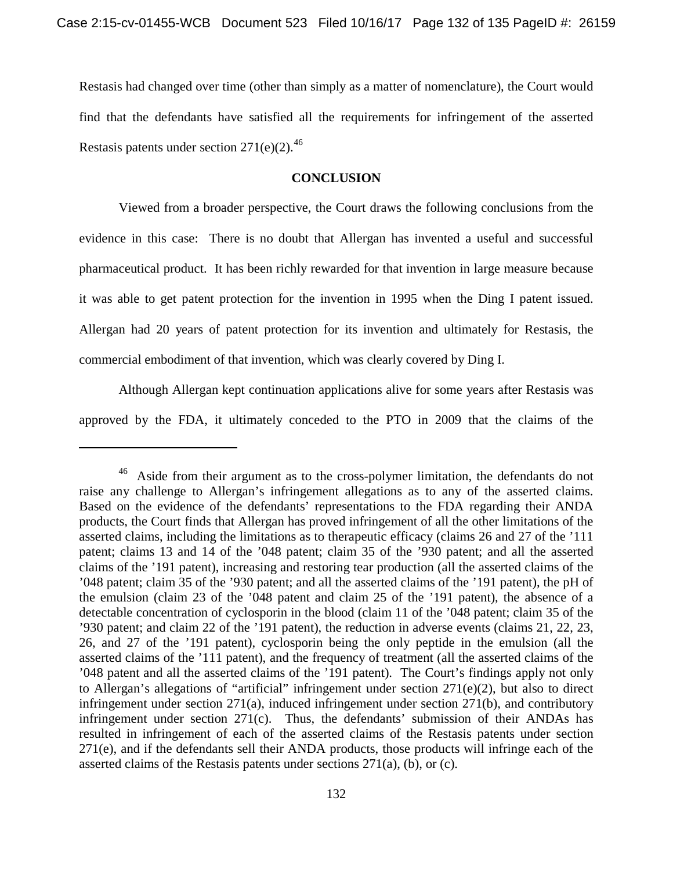Restasis had changed over time (other than simply as a matter of nomenclature), the Court would find that the defendants have satisfied all the requirements for infringement of the asserted Restasis patents under section  $271(e)(2)$ .<sup>46</sup>

# **CONCLUSION**

Viewed from a broader perspective, the Court draws the following conclusions from the evidence in this case: There is no doubt that Allergan has invented a useful and successful pharmaceutical product. It has been richly rewarded for that invention in large measure because it was able to get patent protection for the invention in 1995 when the Ding I patent issued. Allergan had 20 years of patent protection for its invention and ultimately for Restasis, the commercial embodiment of that invention, which was clearly covered by Ding I.

Although Allergan kept continuation applications alive for some years after Restasis was approved by the FDA, it ultimately conceded to the PTO in 2009 that the claims of the

 $\overline{\phantom{a}}$ 

<sup>&</sup>lt;sup>46</sup> Aside from their argument as to the cross-polymer limitation, the defendants do not raise any challenge to Allergan's infringement allegations as to any of the asserted claims. Based on the evidence of the defendants' representations to the FDA regarding their ANDA products, the Court finds that Allergan has proved infringement of all the other limitations of the asserted claims, including the limitations as to therapeutic efficacy (claims 26 and 27 of the '111 patent; claims 13 and 14 of the '048 patent; claim 35 of the '930 patent; and all the asserted claims of the '191 patent), increasing and restoring tear production (all the asserted claims of the '048 patent; claim 35 of the '930 patent; and all the asserted claims of the '191 patent), the pH of the emulsion (claim 23 of the '048 patent and claim 25 of the '191 patent), the absence of a detectable concentration of cyclosporin in the blood (claim 11 of the '048 patent; claim 35 of the '930 patent; and claim 22 of the '191 patent), the reduction in adverse events (claims 21, 22, 23, 26, and 27 of the '191 patent), cyclosporin being the only peptide in the emulsion (all the asserted claims of the '111 patent), and the frequency of treatment (all the asserted claims of the '048 patent and all the asserted claims of the '191 patent). The Court's findings apply not only to Allergan's allegations of "artificial" infringement under section 271(e)(2), but also to direct infringement under section 271(a), induced infringement under section 271(b), and contributory infringement under section 271(c). Thus, the defendants' submission of their ANDAs has resulted in infringement of each of the asserted claims of the Restasis patents under section 271(e), and if the defendants sell their ANDA products, those products will infringe each of the asserted claims of the Restasis patents under sections 271(a), (b), or (c).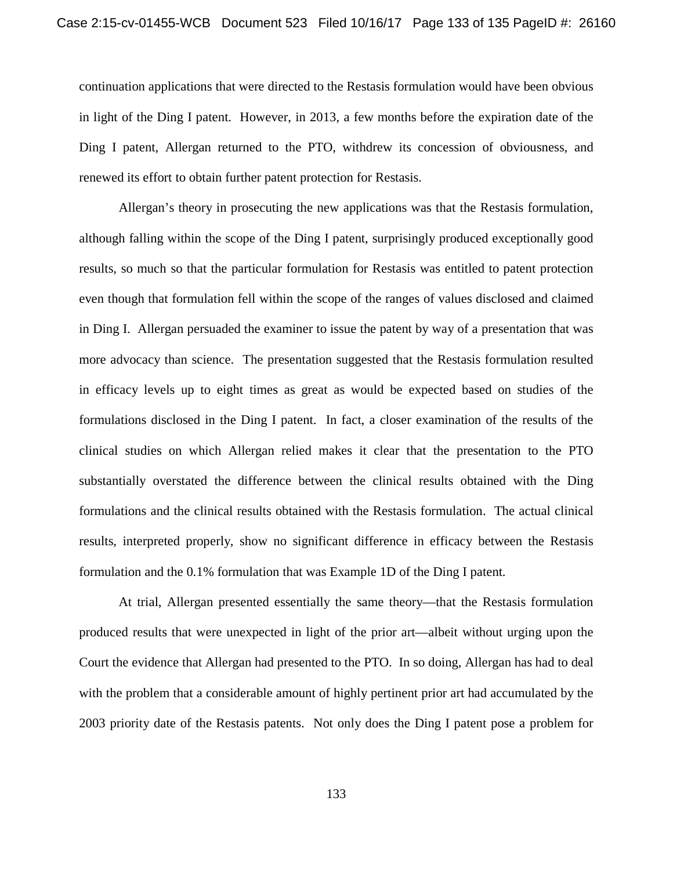continuation applications that were directed to the Restasis formulation would have been obvious in light of the Ding I patent. However, in 2013, a few months before the expiration date of the Ding I patent, Allergan returned to the PTO, withdrew its concession of obviousness, and renewed its effort to obtain further patent protection for Restasis.

Allergan's theory in prosecuting the new applications was that the Restasis formulation, although falling within the scope of the Ding I patent, surprisingly produced exceptionally good results, so much so that the particular formulation for Restasis was entitled to patent protection even though that formulation fell within the scope of the ranges of values disclosed and claimed in Ding I. Allergan persuaded the examiner to issue the patent by way of a presentation that was more advocacy than science. The presentation suggested that the Restasis formulation resulted in efficacy levels up to eight times as great as would be expected based on studies of the formulations disclosed in the Ding I patent. In fact, a closer examination of the results of the clinical studies on which Allergan relied makes it clear that the presentation to the PTO substantially overstated the difference between the clinical results obtained with the Ding formulations and the clinical results obtained with the Restasis formulation. The actual clinical results, interpreted properly, show no significant difference in efficacy between the Restasis formulation and the 0.1% formulation that was Example 1D of the Ding I patent.

At trial, Allergan presented essentially the same theory—that the Restasis formulation produced results that were unexpected in light of the prior art—albeit without urging upon the Court the evidence that Allergan had presented to the PTO. In so doing, Allergan has had to deal with the problem that a considerable amount of highly pertinent prior art had accumulated by the 2003 priority date of the Restasis patents. Not only does the Ding I patent pose a problem for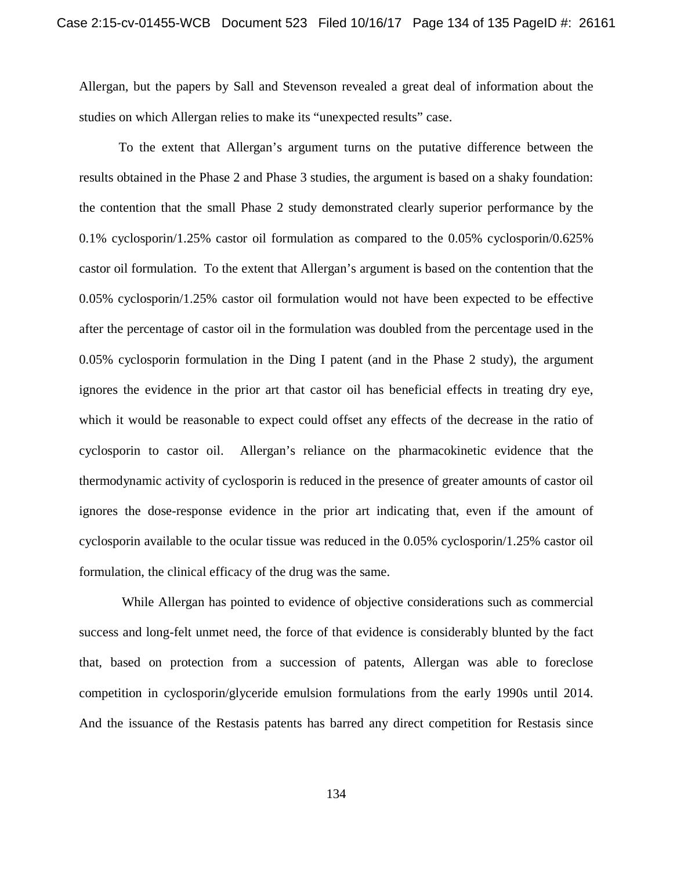Allergan, but the papers by Sall and Stevenson revealed a great deal of information about the studies on which Allergan relies to make its "unexpected results" case.

To the extent that Allergan's argument turns on the putative difference between the results obtained in the Phase 2 and Phase 3 studies, the argument is based on a shaky foundation: the contention that the small Phase 2 study demonstrated clearly superior performance by the 0.1% cyclosporin/1.25% castor oil formulation as compared to the 0.05% cyclosporin/0.625% castor oil formulation. To the extent that Allergan's argument is based on the contention that the 0.05% cyclosporin/1.25% castor oil formulation would not have been expected to be effective after the percentage of castor oil in the formulation was doubled from the percentage used in the 0.05% cyclosporin formulation in the Ding I patent (and in the Phase 2 study), the argument ignores the evidence in the prior art that castor oil has beneficial effects in treating dry eye, which it would be reasonable to expect could offset any effects of the decrease in the ratio of cyclosporin to castor oil. Allergan's reliance on the pharmacokinetic evidence that the thermodynamic activity of cyclosporin is reduced in the presence of greater amounts of castor oil ignores the dose-response evidence in the prior art indicating that, even if the amount of cyclosporin available to the ocular tissue was reduced in the 0.05% cyclosporin/1.25% castor oil formulation, the clinical efficacy of the drug was the same.

While Allergan has pointed to evidence of objective considerations such as commercial success and long-felt unmet need, the force of that evidence is considerably blunted by the fact that, based on protection from a succession of patents, Allergan was able to foreclose competition in cyclosporin/glyceride emulsion formulations from the early 1990s until 2014. And the issuance of the Restasis patents has barred any direct competition for Restasis since